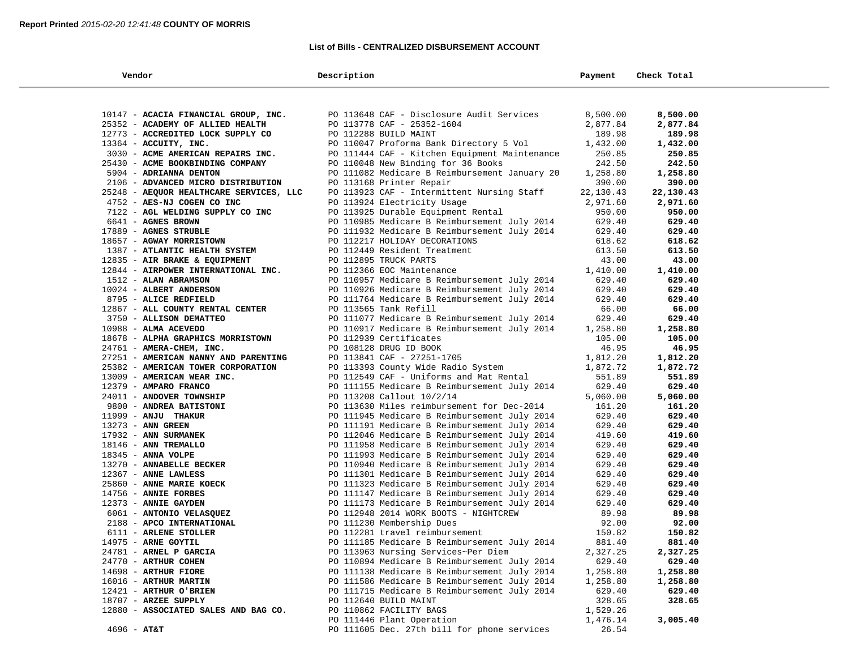# **List of Bills - CENTRALIZED DISBURSEMENT ACCOUNT**

| Vendor                                  | Description                                   | Payment   | Check Total |  |
|-----------------------------------------|-----------------------------------------------|-----------|-------------|--|
|                                         |                                               |           |             |  |
| 10147 - ACACIA FINANCIAL GROUP, INC.    | PO 113648 CAF - Disclosure Audit Services     | 8,500.00  | 8,500.00    |  |
| 25352 - ACADEMY OF ALLIED HEALTH        | PO 113778 CAF - 25352-1604                    | 2,877.84  | 2,877.84    |  |
| 12773 - ACCREDITED LOCK SUPPLY CO       | PO 112288 BUILD MAINT                         | 189.98    | 189.98      |  |
| $13364$ - ACCUITY, INC.                 | PO 110047 Proforma Bank Directory 5 Vol       | 1,432.00  | 1,432.00    |  |
| 3030 - ACME AMERICAN REPAIRS INC.       | PO 111444 CAF - Kitchen Equipment Maintenance | 250.85    | 250.85      |  |
| 25430 - ACME BOOKBINDING COMPANY        | PO 110048 New Binding for 36 Books            | 242.50    | 242.50      |  |
| 5904 - ADRIANNA DENTON                  | PO 111082 Medicare B Reimbursement January 20 | 1,258.80  | 1,258.80    |  |
| 2106 - ADVANCED MICRO DISTRIBUTION      | PO 113168 Printer Repair                      | 390.00    | 390.00      |  |
| 25248 - AEQUOR HEALTHCARE SERVICES, LLC | PO 113923 CAF - Intermittent Nursing Staff    | 22,130.43 | 22,130.43   |  |
| 4752 - AES-NJ COGEN CO INC              | PO 113924 Electricity Usage                   | 2,971.60  | 2,971.60    |  |
| 7122 - AGL WELDING SUPPLY CO INC        | PO 113925 Durable Equipment Rental            | 950.00    | 950.00      |  |
| 6641 - AGNES BROWN                      | PO 110985 Medicare B Reimbursement July 2014  | 629.40    | 629.40      |  |
| 17889 - AGNES STRUBLE                   | PO 111932 Medicare B Reimbursement July 2014  | 629.40    | 629.40      |  |
| 18657 - AGWAY MORRISTOWN                | PO 112217 HOLIDAY DECORATIONS                 | 618.62    | 618.62      |  |
| 1387 - ATLANTIC HEALTH SYSTEM           | PO 112449 Resident Treatment                  | 613.50    | 613.50      |  |
| 12835 - AIR BRAKE & EQUIPMENT           | PO 112895 TRUCK PARTS                         | 43.00     | 43.00       |  |
| 12844 - AIRPOWER INTERNATIONAL INC.     | PO 112366 EOC Maintenance                     | 1,410.00  | 1,410.00    |  |
| 1512 - ALAN ABRAMSON                    | PO 110957 Medicare B Reimbursement July 2014  | 629.40    | 629.40      |  |
| 10024 - ALBERT ANDERSON                 | PO 110926 Medicare B Reimbursement July 2014  | 629.40    | 629.40      |  |
| 8795 - ALICE REDFIELD                   | PO 111764 Medicare B Reimbursement July 2014  | 629.40    | 629.40      |  |
| 12867 - ALL COUNTY RENTAL CENTER        | PO 113565 Tank Refill                         | 66.00     | 66.00       |  |
| 3750 - ALLISON DEMATTEO                 | PO 111077 Medicare B Reimbursement July 2014  | 629.40    | 629.40      |  |
| $10988 - ALMA$ ACEVEDO                  | PO 110917 Medicare B Reimbursement July 2014  | 1,258.80  | 1,258.80    |  |
| 18678 - ALPHA GRAPHICS MORRISTOWN       | PO 112939 Certificates                        | 105.00    | 105.00      |  |
| 24761 - AMERA-CHEM, INC.                | PO 108128 DRUG ID BOOK                        | 46.95     | 46.95       |  |
| 27251 - AMERICAN NANNY AND PARENTING    | PO 113841 CAF - 27251-1705                    | 1,812.20  | 1,812.20    |  |
| 25382 - AMERICAN TOWER CORPORATION      | PO 113393 County Wide Radio System            | 1,872.72  | 1,872.72    |  |
| 13009 - AMERICAN WEAR INC.              | PO 112549 CAF - Uniforms and Mat Rental       | 551.89    | 551.89      |  |
| 12379 - AMPARO FRANCO                   | PO 111155 Medicare B Reimbursement July 2014  | 629.40    | 629.40      |  |
| 24011 - ANDOVER TOWNSHIP                | PO 113208 Callout 10/2/14                     | 5,060.00  | 5,060.00    |  |
| 9800 - ANDREA BATISTONI                 | PO 113630 Miles reimbursement for Dec-2014    | 161.20    | 161.20      |  |
| 11999 - ANJU THAKUR                     | PO 111945 Medicare B Reimbursement July 2014  | 629.40    | 629.40      |  |
| 13273 - ANN GREEN                       | PO 111191 Medicare B Reimbursement July 2014  | 629.40    | 629.40      |  |
| 17932 - ANN SURMANEK                    | PO 112046 Medicare B Reimbursement July 2014  | 419.60    | 419.60      |  |
| 18146 - ANN TREMALLO                    | PO 111958 Medicare B Reimbursement July 2014  | 629.40    | 629.40      |  |
| $18345$ - ANNA VOLPE                    | PO 111993 Medicare B Reimbursement July 2014  | 629.40    | 629.40      |  |
| 13270 - ANNABELLE BECKER                | PO 110940 Medicare B Reimbursement July 2014  | 629.40    | 629.40      |  |
| 12367 - ANNE LAWLESS                    | PO 111301 Medicare B Reimbursement July 2014  | 629.40    | 629.40      |  |
| 25860 - ANNE MARIE KOECK                | PO 111323 Medicare B Reimbursement July 2014  | 629.40    | 629.40      |  |
| 14756 - ANNIE FORBES                    | PO 111147 Medicare B Reimbursement July 2014  | 629.40    | 629.40      |  |
| 12373 - ANNIE GAYDEN                    | PO 111173 Medicare B Reimbursement July 2014  | 629.40    | 629.40      |  |
| 6061 - ANTONIO VELASQUEZ                | PO 112948 2014 WORK BOOTS - NIGHTCREW         | 89.98     | 89.98       |  |
| 2188 - APCO INTERNATIONAL               | PO 111230 Membership Dues                     | 92.00     | 92.00       |  |
| 6111 - ARLENE STOLLER                   | PO 112281 travel reimbursement                | 150.82    | 150.82      |  |
| 14975 - ARNE GOYTIL                     | PO 111185 Medicare B Reimbursement July 2014  | 881.40    | 881.40      |  |
| 24781 - ARNEL P GARCIA                  | PO 113963 Nursing Services~Per Diem           | 2,327.25  | 2,327.25    |  |
| 24770 - ARTHUR COHEN                    | PO 110894 Medicare B Reimbursement July 2014  | 629.40    | 629.40      |  |
| 14698 - ARTHUR FIORE                    | PO 111138 Medicare B Reimbursement July 2014  | 1,258.80  | 1,258.80    |  |
| 16016 - ARTHUR MARTIN                   | PO 111586 Medicare B Reimbursement July 2014  | 1,258.80  | 1,258.80    |  |
| 12421 - ARTHUR O'BRIEN                  | PO 111715 Medicare B Reimbursement July 2014  | 629.40    | 629.40      |  |
| $18707$ - ARZEE SUPPLY                  | PO 112640 BUILD MAINT                         | 328.65    | 328.65      |  |
| 12880 - ASSOCIATED SALES AND BAG CO.    | PO 110862 FACILITY BAGS                       | 1,529.26  |             |  |
|                                         | PO 111446 Plant Operation                     | 1,476.14  | 3,005.40    |  |
| $4696 - AT&T$                           | PO 111605 Dec. 27th bill for phone services   | 26.54     |             |  |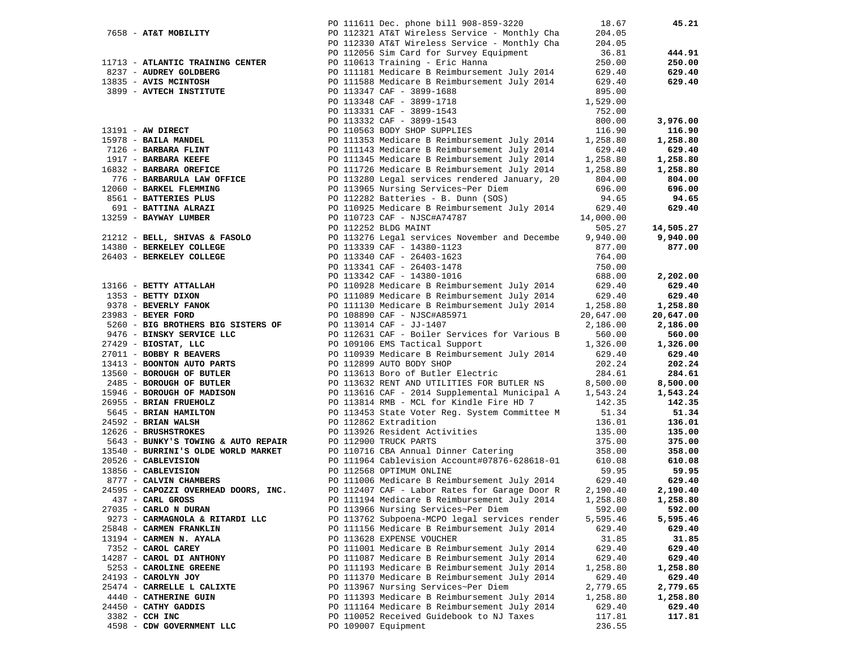|                                                                                                                                                                                  | PO 111611 Dec. phone bill 908-859-3220                                                                                                                                              | 18.67              | 45.21              |
|----------------------------------------------------------------------------------------------------------------------------------------------------------------------------------|-------------------------------------------------------------------------------------------------------------------------------------------------------------------------------------|--------------------|--------------------|
| 7658 - AT&T MOBILITY                                                                                                                                                             | PO 112321 AT&T Wireless Service - Monthly Cha                                                                                                                                       | 204.05             |                    |
|                                                                                                                                                                                  | PO 112330 AT&T Wireless Service - Monthly Cha                                                                                                                                       | 204.05             |                    |
|                                                                                                                                                                                  | PO 112056 Sim Card for Survey Equipment                                                                                                                                             | 36.81              | 444.91             |
| 11713 - ATLANTIC TRAINING CENTER                                                                                                                                                 | PO 110613 Training - Eric Hanna                                                                                                                                                     | 250.00             | 250.00             |
| 8237 - AUDREY GOLDBERG                                                                                                                                                           | PO 111181 Medicare B Reimbursement July 2014                                                                                                                                        | 629.40             | 629.40             |
| 13835 - AVIS MCINTOSH                                                                                                                                                            | PO 111588 Medicare B Reimbursement July 2014 629.40                                                                                                                                 |                    | 629.40             |
| 3899 - AVTECH INSTITUTE                                                                                                                                                          | PO 113347 CAF - 3899-1688                                                                                                                                                           | 895.00             |                    |
|                                                                                                                                                                                  | PO 113348 CAF - 3899-1718                                                                                                                                                           | 1,529.00           |                    |
|                                                                                                                                                                                  | PO 113331 CAF - 3899-1543                                                                                                                                                           | 752.00             |                    |
|                                                                                                                                                                                  | PO 113332 CAF - 3899-1543                                                                                                                                                           | 800.00             | 3,976.00           |
| 13191 - AW DIRECT<br>15978 - BAILA MANDEL<br>7126 - BARBARA FLINT<br>1917 - BARBARA KEEFE<br>16832 - BARBARA OREFICE<br>776 - BARBARULA LAW OFFICE<br>151 - BARBARULA LAW OFFICE | PO 110563 BODY SHOP SUPPLIES                                                                                                                                                        | 116.90             | 116.90             |
|                                                                                                                                                                                  | PO 111353 Medicare B Reimbursement July 2014 1,258.80                                                                                                                               |                    | 1,258.80           |
|                                                                                                                                                                                  | PO 111143 Medicare B Reimbursement July 2014                                                                                                                                        | 629.40             | 629.40             |
|                                                                                                                                                                                  | PO 111345 Medicare B Reimbursement July 2014 1,258.80                                                                                                                               |                    | 1,258.80           |
|                                                                                                                                                                                  |                                                                                                                                                                                     | 1,258.80           | 1,258.80           |
|                                                                                                                                                                                  | PO 111726 Medicare B Reimbursement July 2014<br>PO 113280 Legal services rendered January, 20<br>PO 113280 Legal services rendered January, 20                                      | 804.00             | 804.00             |
| 12060 - BARKEL FLEMMING                                                                                                                                                          | PO 113965 Nursing Services~Per Diem                                                                                                                                                 | 696.00             | 696.00             |
| 8561 - BATTERIES PLUS                                                                                                                                                            | PO 112282 Batteries - B. Dunn (SOS)                                                                                                                                                 | 94.65              | 94.65              |
| 691 - BATTINA ALRAZI                                                                                                                                                             | PO 110925 Medicare B Reimbursement July 2014                                                                                                                                        | 629.40             | 629.40             |
| 13259 - BAYWAY LUMBER                                                                                                                                                            | PO 110723 CAF - NJSC#A74787                                                                                                                                                         | 14,000.00          |                    |
|                                                                                                                                                                                  | PO 112252 BLDG MAINT                                                                                                                                                                | 505.27             | 14,505.27          |
|                                                                                                                                                                                  |                                                                                                                                                                                     | 9,940.00           | 9,940.00           |
|                                                                                                                                                                                  | 21212 - BELL, SHIVAS & FASOLO<br>14380 - BERKELEY COLLEGE<br>26403 - BERKELEY COLLEGE<br>26403 - BERKELEY COLLEGE<br>26403 - BERKELEY COLLEGE<br>26403 - PO 113340 CAF - 26403-1623 | 877.00             | 877.00             |
|                                                                                                                                                                                  |                                                                                                                                                                                     | 764.00             |                    |
|                                                                                                                                                                                  | PO 113341 CAF - 26403-1478                                                                                                                                                          | 750.00             |                    |
|                                                                                                                                                                                  | PO 113342 CAF - 14380-1016                                                                                                                                                          | 688.00             | 2,202.00           |
| 13166 - BETTY ATTALLAH                                                                                                                                                           |                                                                                                                                                                                     |                    | 629.40             |
| 1353 - BETTY DIXON                                                                                                                                                               | PO 110928 Medicare B Reimbursement July 2014 629.40<br>PO 111089 Medicare B Reimbursement July 2014 629.40                                                                          |                    | 629.40             |
| 9378 - BEVERLY FANOK                                                                                                                                                             |                                                                                                                                                                                     |                    | 1,258.80           |
| 23983 - BEYER FORD                                                                                                                                                               | PO 111130 Medicare B Reimbursement July 2014 1,258.80<br>PO 108890 CAF - NJSC#A85971                                                                                                |                    | 20,647.00          |
| 5260 - BIG BROTHERS BIG SISTERS OF                                                                                                                                               |                                                                                                                                                                                     | 20,647.00          |                    |
|                                                                                                                                                                                  | PO 113014 CAF - JJ-1407                                                                                                                                                             | 2,186.00<br>560.00 | 2,186.00<br>560.00 |
| 9476 - BINSKY SERVICE LLC                                                                                                                                                        | PO 112631 CAF - Boiler Services for Various B                                                                                                                                       |                    |                    |
| $27429$ - BIOSTAT, LLC<br>27011 - BOBBY R BEAVERS                                                                                                                                | --- Indicate B Reimbursement July 2014<br>PO 112899 ANTO BODY CHOOL COMPUTED JULY 2014                                                                                              | 1,326.00<br>629.40 | 1,326.00<br>629.40 |
| 13413 - BOONTON AUTO PARTS                                                                                                                                                       | PO 112899 AUTO BODY SHOP                                                                                                                                                            | 202.24             | 202.24             |
| 13560 - BOROUGH OF BUTLER                                                                                                                                                        | PO 113613 Boro of Butler Electric                                                                                                                                                   | 284.61             | 284.61             |
| 2485 - BOROUGH OF BUTLER                                                                                                                                                         | PO 113632 RENT AND UTILITIES FOR BUTLER NS                                                                                                                                          | 8,500.00           | 8,500.00           |
| 15946 - BOROUGH OF MADISON                                                                                                                                                       | PO 113616 CAF - 2014 Supplemental Municipal A 1,543.24                                                                                                                              |                    | 1,543.24           |
| 26955 - BRIAN FRUEHOLZ                                                                                                                                                           | PO 113814 RMB - MCL for Kindle Fire HD 7                                                                                                                                            | 142.35             | 142.35             |
| 5645 - BRIAN HAMILTON                                                                                                                                                            | PO 113453 State Voter Reg. System Committee M                                                                                                                                       | 51.34              | 51.34              |
| 24592 - BRIAN WALSH                                                                                                                                                              | PO 112862 Extradition                                                                                                                                                               | 136.01             | 136.01             |
| 12626 - BRUSHSTROKES                                                                                                                                                             | PO 113926 Resident Activities                                                                                                                                                       | 135.00             | 135.00             |
| 5643 - BUNKY'S TOWING & AUTO REPAIR                                                                                                                                              | PO 112900 TRUCK PARTS                                                                                                                                                               | 375.00             | 375.00             |
| 13540 - BURRINI'S OLDE WORLD MARKET                                                                                                                                              | PO 110716 CBA Annual Dinner Catering                                                                                                                                                | 358.00             | 358.00             |
| 20526 - CABLEVISION                                                                                                                                                              | PO 111964 Cablevision Account#07876-628618-01 610.08                                                                                                                                |                    | 610.08             |
| 13856 - CABLEVISION                                                                                                                                                              | PO 112568 OPTIMUM ONLINE                                                                                                                                                            | 59.95              | 59.95              |
| 8777 - CALVIN CHAMBERS                                                                                                                                                           | PO 111006 Medicare B Reimbursement July 2014 629.40                                                                                                                                 |                    | 629.40             |
| 24595 - CAPOZZI OVERHEAD DOORS, INC.                                                                                                                                             | PO 112407 CAF - Labor Rates for Garage Door R                                                                                                                                       | 2,190.40           | 2,190.40           |
| 437 - CARL GROSS                                                                                                                                                                 | PO 111194 Medicare B Reimbursement July 2014                                                                                                                                        | 1,258.80           | 1,258.80           |
| 27035 - CARLO N DURAN                                                                                                                                                            | PO 113966 Nursing Services~Per Diem                                                                                                                                                 | 592.00             | 592.00             |
| 9273 - CARMAGNOLA & RITARDI LLC                                                                                                                                                  | PO 113762 Subpoena-MCPO legal services render                                                                                                                                       | 5,595.46           | 5,595.46           |
| 25848 - CARMEN FRANKLIN                                                                                                                                                          | PO 111156 Medicare B Reimbursement July 2014                                                                                                                                        | 629.40             | 629.40             |
| 13194 - CARMEN N. AYALA                                                                                                                                                          | PO 113628 EXPENSE VOUCHER                                                                                                                                                           | 31.85              | 31.85              |
| 7352 - CAROL CAREY                                                                                                                                                               | PO 111001 Medicare B Reimbursement July 2014                                                                                                                                        | 629.40             | 629.40             |
| 14287 - CAROL DI ANTHONY                                                                                                                                                         | PO 111087 Medicare B Reimbursement July 2014                                                                                                                                        | 629.40             | 629.40             |
| 5253 - CAROLINE GREENE                                                                                                                                                           | PO 111193 Medicare B Reimbursement July 2014                                                                                                                                        | 1,258.80           | 1,258.80           |
| 24193 - CAROLYN JOY                                                                                                                                                              | PO 111370 Medicare B Reimbursement July 2014                                                                                                                                        | 629.40             | 629.40             |
| 25474 - CARRELLE L CALIXTE                                                                                                                                                       | PO 113967 Nursing Services~Per Diem                                                                                                                                                 | 2,779.65           | 2,779.65           |
| 4440 - CATHERINE GUIN                                                                                                                                                            | PO 111393 Medicare B Reimbursement July 2014                                                                                                                                        | 1,258.80           | 1,258.80           |
| 24450 - CATHY GADDIS                                                                                                                                                             | PO 111164 Medicare B Reimbursement July 2014                                                                                                                                        | 629.40             | 629.40             |
| 3382 - CCH INC                                                                                                                                                                   | PO 110052 Received Guidebook to NJ Taxes                                                                                                                                            | 117.81             | 117.81             |
| 4598 - CDW GOVERNMENT LLC                                                                                                                                                        | PO 109007 Equipment                                                                                                                                                                 | 236.55             |                    |
|                                                                                                                                                                                  |                                                                                                                                                                                     |                    |                    |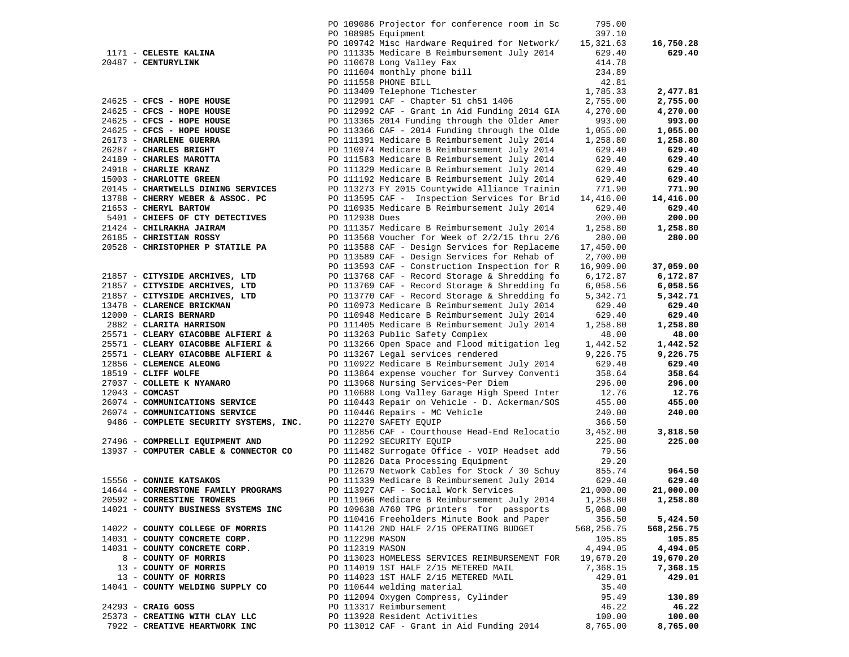|                                        |                 | PO 109086 Projector for conference room in Sc | 795.00     |            |
|----------------------------------------|-----------------|-----------------------------------------------|------------|------------|
|                                        |                 | PO 108985 Equipment                           | 397.10     |            |
|                                        |                 | PO 109742 Misc Hardware Required for Network/ | 15,321.63  | 16,750.28  |
| 1171 - CELESTE KALINA                  |                 | PO 111335 Medicare B Reimbursement July 2014  | 629.40     | 629.40     |
| 20487 - CENTURYLINK                    |                 | PO 110678 Long Valley Fax                     | 414.78     |            |
|                                        |                 | PO 111604 monthly phone bill                  | 234.89     |            |
|                                        |                 | PO 111558 PHONE BILL                          | 42.81      |            |
|                                        |                 | PO 113409 Telephone T1chester                 | 1,785.33   | 2,477.81   |
| 24625 - CFCS - HOPE HOUSE              |                 | PO 112991 CAF - Chapter 51 ch51 1406          | 2,755.00   | 2,755.00   |
| 24625 - CFCS - HOPE HOUSE              |                 | PO 112992 CAF - Grant in Aid Funding 2014 GIA | 4,270.00   | 4,270.00   |
| 24625 - CFCS - HOPE HOUSE              |                 | PO 113365 2014 Funding through the Older Amer | 993.00     | 993.00     |
| 24625 - CFCS - HOPE HOUSE              |                 | PO 113366 CAF - 2014 Funding through the Olde | 1,055.00   | 1,055.00   |
| 26173 - CHARLENE GUERRA                |                 | PO 111391 Medicare B Reimbursement July 2014  | 1,258.80   | 1,258.80   |
| 26287 - CHARLES BRIGHT                 |                 | PO 110974 Medicare B Reimbursement July 2014  | 629.40     | 629.40     |
| 24189 - CHARLES MAROTTA                |                 | PO 111583 Medicare B Reimbursement July 2014  | 629.40     | 629.40     |
| 24918 - CHARLIE KRANZ                  |                 | PO 111329 Medicare B Reimbursement July 2014  | 629.40     | 629.40     |
| 15003 - CHARLOTTE GREEN                |                 | PO 111192 Medicare B Reimbursement July 2014  | 629.40     | 629.40     |
| 20145 - CHARTWELLS DINING SERVICES     |                 | PO 113273 FY 2015 Countywide Alliance Trainin | 771.90     | 771.90     |
| 13788 - CHERRY WEBER & ASSOC. PC       |                 | PO 113595 CAF - Inspection Services for Brid  | 14,416.00  | 14,416.00  |
| 21653 - CHERYL BARTOW                  |                 | PO 110935 Medicare B Reimbursement July 2014  | 629.40     | 629.40     |
| 5401 - CHIEFS OF CTY DETECTIVES        | PO 112938 Dues  |                                               | 200.00     | 200.00     |
| 21424 - CHILRAKHA JAIRAM               |                 | PO 111357 Medicare B Reimbursement July 2014  | 1,258.80   | 1,258.80   |
| 26185 - CHRISTIAN ROSSY                |                 | PO 113568 Voucher for Week of 2/2/15 thru 2/6 | 280.00     | 280.00     |
| 20528 - CHRISTOPHER P STATILE PA       |                 | PO 113588 CAF - Design Services for Replaceme | 17,450.00  |            |
|                                        |                 | PO 113589 CAF - Design Services for Rehab of  | 2,700.00   |            |
|                                        |                 | PO 113593 CAF - Construction Inspection for R | 16,909.00  | 37,059.00  |
| 21857 - CITYSIDE ARCHIVES, LTD         |                 | PO 113768 CAF - Record Storage & Shredding fo | 6,172.87   | 6,172.87   |
| 21857 - CITYSIDE ARCHIVES, LTD         |                 | PO 113769 CAF - Record Storage & Shredding fo | 6,058.56   | 6,058.56   |
| 21857 - CITYSIDE ARCHIVES, LTD         |                 | PO 113770 CAF - Record Storage & Shredding fo | 5,342.71   | 5,342.71   |
| 13478 - CLARENCE BRICKMAN              |                 | PO 110973 Medicare B Reimbursement July 2014  | 629.40     | 629.40     |
| 12000 - CLARIS BERNARD                 |                 | PO 110948 Medicare B Reimbursement July 2014  | 629.40     | 629.40     |
| 2882 - CLARITA HARRISON                |                 | PO 111405 Medicare B Reimbursement July 2014  | 1,258.80   | 1,258.80   |
| 25571 - CLEARY GIACOBBE ALFIERI &      |                 | PO 113263 Public Safety Complex               | 48.00      | 48.00      |
| 25571 - CLEARY GIACOBBE ALFIERI &      |                 | PO 113266 Open Space and Flood mitigation leg | 1,442.52   | 1,442.52   |
| 25571 - CLEARY GIACOBBE ALFIERI &      |                 | PO 113267 Legal services rendered             | 9,226.75   | 9,226.75   |
| 12856 - CLEMENCE ALEONG                |                 | PO 110922 Medicare B Reimbursement July 2014  | 629.40     | 629.40     |
| 18519 - CLIFF WOLFE                    |                 | PO 113864 expense voucher for Survey Conventi | 358.64     | 358.64     |
| 27037 - COLLETE K NYANARO              |                 | PO 113968 Nursing Services~Per Diem           | 296.00     | 296.00     |
| $12043$ - COMCAST                      |                 | PO 110688 Long Valley Garage High Speed Inter | 12.76      | 12.76      |
| 26074 - COMMUNICATIONS SERVICE         |                 | PO 110443 Repair on Vehicle - D. Ackerman/SOS | 455.00     | 455.00     |
| 26074 - COMMUNICATIONS SERVICE         |                 |                                               | 240.00     | 240.00     |
| 9486 - COMPLETE SECURITY SYSTEMS, INC. |                 | PO 110446 Repairs - MC Vehicle                | 366.50     |            |
|                                        |                 | PO 112270 SAFETY EQUIP                        |            |            |
|                                        |                 | PO 112856 CAF - Courthouse Head-End Relocatio | 3,452.00   | 3,818.50   |
| 27496 - COMPRELLI EQUIPMENT AND        |                 | PO 112292 SECURITY EQUIP                      | 225.00     | 225.00     |
| 13937 - COMPUTER CABLE & CONNECTOR CO  |                 | PO 111482 Surrogate Office - VOIP Headset add | 79.56      |            |
|                                        |                 | PO 112826 Data Processing Equipment           | 29.20      |            |
|                                        |                 | PO 112679 Network Cables for Stock / 30 Schuy | 855.74     | 964.50     |
| 15556 - CONNIE KATSAKOS                |                 | PO 111339 Medicare B Reimbursement July 2014  | 629.40     | 629.40     |
| 14644 - CORNERSTONE FAMILY PROGRAMS    |                 | PO 113927 CAF - Social Work Services          | 21,000.00  | 21,000.00  |
| 20592 - CORRESTINE TROWERS             |                 | PO 111966 Medicare B Reimbursement July 2014  | 1,258.80   | 1,258.80   |
| 14021 - COUNTY BUSINESS SYSTEMS INC    |                 | PO 109638 A760 TPG printers for passports     | 5,068.00   |            |
|                                        |                 | PO 110416 Freeholders Minute Book and Paper   | 356.50     | 5,424.50   |
| 14022 - COUNTY COLLEGE OF MORRIS       |                 | PO 114120 2ND HALF 2/15 OPERATING BUDGET      | 568,256.75 | 568,256.75 |
| 14031 - COUNTY CONCRETE CORP.          | PO 112290 MASON |                                               | 105.85     | 105.85     |
| 14031 - COUNTY CONCRETE CORP.          | PO 112319 MASON |                                               | 4,494.05   | 4,494.05   |
| 8 - COUNTY OF MORRIS                   |                 | PO 113023 HOMELESS SERVICES REIMBURSEMENT FOR | 19,670.20  | 19,670.20  |
| 13 - COUNTY OF MORRIS                  |                 | PO 114019 1ST HALF 2/15 METERED MAIL          | 7,368.15   | 7,368.15   |
| 13 - COUNTY OF MORRIS                  |                 | PO 114023 1ST HALF 2/15 METERED MAIL          | 429.01     | 429.01     |
| 14041 - COUNTY WELDING SUPPLY CO       |                 | PO 110644 welding material                    | 35.40      |            |
|                                        |                 | PO 112094 Oxygen Compress, Cylinder           | 95.49      | 130.89     |
| $24293$ - CRAIG GOSS                   |                 | PO 113317 Reimbursement                       | 46.22      | 46.22      |
| 25373 - CREATING WITH CLAY LLC         |                 | PO 113928 Resident Activities                 | 100.00     | 100.00     |
| 7922 - CREATIVE HEARTWORK INC          |                 | PO 113012 CAF - Grant in Aid Funding 2014     | 8,765.00   | 8,765.00   |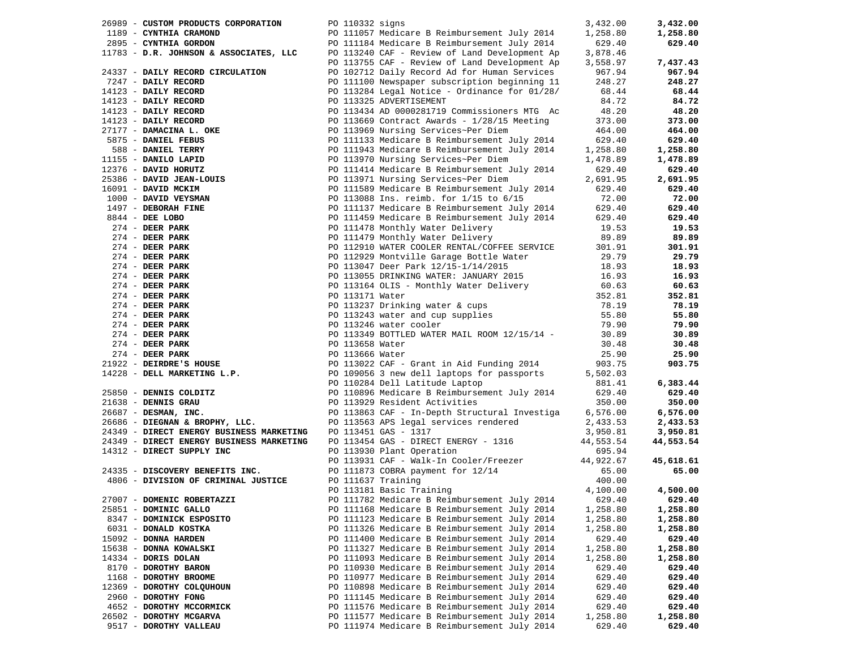| 26989 - CUSTOM PRODUCTS CORPORATION PO 110332 signs                                                                                                                                                                                                                |                                                                                                                                                                                                                                                                                                                                                                                                                                               | 3,432.00 | 3,432.00  |
|--------------------------------------------------------------------------------------------------------------------------------------------------------------------------------------------------------------------------------------------------------------------|-----------------------------------------------------------------------------------------------------------------------------------------------------------------------------------------------------------------------------------------------------------------------------------------------------------------------------------------------------------------------------------------------------------------------------------------------|----------|-----------|
| 1189 - CYNTHIA CRAMOND<br>2895 - CYNTHIA GORDON<br>2895 - CYNTHIA GORDON<br>2895 - CYNTHIA GORDON<br>2014 - PO 11184 Medicare B Reimbursement July 2014<br>2013 - D.R. JOHNSON & ASSOCIATES, LLC<br>2013755 CAF - Review of Land Developme                         |                                                                                                                                                                                                                                                                                                                                                                                                                                               | 1,258.80 | 1,258.80  |
|                                                                                                                                                                                                                                                                    |                                                                                                                                                                                                                                                                                                                                                                                                                                               | 629.40   | 629.40    |
|                                                                                                                                                                                                                                                                    |                                                                                                                                                                                                                                                                                                                                                                                                                                               | 3,878.46 |           |
|                                                                                                                                                                                                                                                                    | PO 113755 CAF - Review of Land Development Ap 3,558.97                                                                                                                                                                                                                                                                                                                                                                                        |          | 7,437.43  |
| 24337 - DAILY RECORD CIRCULATION<br>24337 - DAILY RECORD CIRCULATION 120 2012<br>2433 - DAILY RECORD 120 2022 2023 and Record At Corp. 100 2022 100 2023 and Record At Corp. 100 2023 - 2023 - 2023 - 2023 - 2023 - 2023 - 2023 - 2023 - 2023 - 2023 - 2023 - 2023 |                                                                                                                                                                                                                                                                                                                                                                                                                                               |          | 967.94    |
| 7247 - DAILY RECORD                                                                                                                                                                                                                                                | PO 102712 Daily Record Ad for Human Services 967.94<br>PO 111100 Newspaper subscription beginning 11 248.27                                                                                                                                                                                                                                                                                                                                   |          | 248.27    |
|                                                                                                                                                                                                                                                                    |                                                                                                                                                                                                                                                                                                                                                                                                                                               |          | 68.44     |
|                                                                                                                                                                                                                                                                    |                                                                                                                                                                                                                                                                                                                                                                                                                                               |          |           |
|                                                                                                                                                                                                                                                                    |                                                                                                                                                                                                                                                                                                                                                                                                                                               |          | 84.72     |
|                                                                                                                                                                                                                                                                    |                                                                                                                                                                                                                                                                                                                                                                                                                                               |          | 48.20     |
|                                                                                                                                                                                                                                                                    |                                                                                                                                                                                                                                                                                                                                                                                                                                               |          | 373.00    |
|                                                                                                                                                                                                                                                                    |                                                                                                                                                                                                                                                                                                                                                                                                                                               |          | 464.00    |
|                                                                                                                                                                                                                                                                    |                                                                                                                                                                                                                                                                                                                                                                                                                                               |          | 629.40    |
|                                                                                                                                                                                                                                                                    |                                                                                                                                                                                                                                                                                                                                                                                                                                               |          | 1,258.80  |
|                                                                                                                                                                                                                                                                    |                                                                                                                                                                                                                                                                                                                                                                                                                                               |          | 1,478.89  |
|                                                                                                                                                                                                                                                                    |                                                                                                                                                                                                                                                                                                                                                                                                                                               |          | 629.40    |
|                                                                                                                                                                                                                                                                    |                                                                                                                                                                                                                                                                                                                                                                                                                                               |          | 2,691.95  |
|                                                                                                                                                                                                                                                                    | PO 111589 Medicare B Reimburgs.<br>PO 113088 Ins. reimb. for 1/15 to 6/15<br>PO 111137 Medicare B Reimbursement July 2014 629.40<br>PO 111459 Medicare B Reimbursement July 2014 629.40<br>20.89.89<br>20.89.99                                                                                                                                                                                                                               |          | 629.40    |
|                                                                                                                                                                                                                                                                    |                                                                                                                                                                                                                                                                                                                                                                                                                                               |          | 72.00     |
|                                                                                                                                                                                                                                                                    |                                                                                                                                                                                                                                                                                                                                                                                                                                               |          | 629.40    |
|                                                                                                                                                                                                                                                                    |                                                                                                                                                                                                                                                                                                                                                                                                                                               |          |           |
|                                                                                                                                                                                                                                                                    |                                                                                                                                                                                                                                                                                                                                                                                                                                               |          | 629.40    |
|                                                                                                                                                                                                                                                                    |                                                                                                                                                                                                                                                                                                                                                                                                                                               |          | 19.53     |
|                                                                                                                                                                                                                                                                    |                                                                                                                                                                                                                                                                                                                                                                                                                                               |          | 89.89     |
|                                                                                                                                                                                                                                                                    |                                                                                                                                                                                                                                                                                                                                                                                                                                               |          | 301.91    |
|                                                                                                                                                                                                                                                                    |                                                                                                                                                                                                                                                                                                                                                                                                                                               |          | 29.79     |
|                                                                                                                                                                                                                                                                    |                                                                                                                                                                                                                                                                                                                                                                                                                                               |          | 18.93     |
|                                                                                                                                                                                                                                                                    |                                                                                                                                                                                                                                                                                                                                                                                                                                               |          | 16.93     |
|                                                                                                                                                                                                                                                                    |                                                                                                                                                                                                                                                                                                                                                                                                                                               |          | 60.63     |
|                                                                                                                                                                                                                                                                    |                                                                                                                                                                                                                                                                                                                                                                                                                                               |          | 352.81    |
|                                                                                                                                                                                                                                                                    | $\begin{tabular}{lllllllll} & & & & & & 29.79 \\ \small \texttt{13.93} & & & & 18.93 \\ \small \texttt{PO 113164 OLIS - Monthly Water Delivery} & & & 16.93 \\ \small \texttt{PO 113171 Water} & & & 60.63 \\ \small \texttt{PO 113237 Drinking water & cups} & & & 352.81 \\ \small \texttt{PO 113243 water -} & & & & \\ \small \texttt{PO 113243 water -} & & & & \\ \small \texttt{PO 113243 water -} & & & & \\ \small \texttt{PO 11324$ |          | 78.19     |
|                                                                                                                                                                                                                                                                    |                                                                                                                                                                                                                                                                                                                                                                                                                                               |          | 55.80     |
|                                                                                                                                                                                                                                                                    |                                                                                                                                                                                                                                                                                                                                                                                                                                               |          | 79.90     |
|                                                                                                                                                                                                                                                                    |                                                                                                                                                                                                                                                                                                                                                                                                                                               |          |           |
|                                                                                                                                                                                                                                                                    |                                                                                                                                                                                                                                                                                                                                                                                                                                               |          | 30.89     |
|                                                                                                                                                                                                                                                                    |                                                                                                                                                                                                                                                                                                                                                                                                                                               |          | 30.48     |
|                                                                                                                                                                                                                                                                    |                                                                                                                                                                                                                                                                                                                                                                                                                                               |          | 25.90     |
|                                                                                                                                                                                                                                                                    |                                                                                                                                                                                                                                                                                                                                                                                                                                               |          | 903.75    |
|                                                                                                                                                                                                                                                                    |                                                                                                                                                                                                                                                                                                                                                                                                                                               |          |           |
|                                                                                                                                                                                                                                                                    |                                                                                                                                                                                                                                                                                                                                                                                                                                               |          | 6,383.44  |
|                                                                                                                                                                                                                                                                    |                                                                                                                                                                                                                                                                                                                                                                                                                                               |          | 629.40    |
|                                                                                                                                                                                                                                                                    |                                                                                                                                                                                                                                                                                                                                                                                                                                               |          | 350.00    |
|                                                                                                                                                                                                                                                                    |                                                                                                                                                                                                                                                                                                                                                                                                                                               |          | 6,576.00  |
|                                                                                                                                                                                                                                                                    |                                                                                                                                                                                                                                                                                                                                                                                                                                               |          | 2,433.53  |
| 24349 - DIRECT ENERGY BUSINESS MARKETING                                                                                                                                                                                                                           | PO 113451 GAS - 1317                                                                                                                                                                                                                                                                                                                                                                                                                          | 3,950.81 | 3,950.81  |
| 24349 - DIRECT ENERGY BUSINESS MARKETING                                                                                                                                                                                                                           |                                                                                                                                                                                                                                                                                                                                                                                                                                               |          | 44,553.54 |
| 14312 - DIRECT SUPPLY INC                                                                                                                                                                                                                                          | PO 113451 GAS - 1317<br>PO 113454 GAS - DIRECT ENERGY - 1316<br>PO 113930 Plant Operation<br>PO 113931 CAF - Walk-In Cooler/Freezer<br>PO 11873 COBRA payment for 12/14<br>PO 111873 Training<br>PO 111637 Training<br>PO 113181 Basic Train                                                                                                                                                                                                  |          |           |
|                                                                                                                                                                                                                                                                    |                                                                                                                                                                                                                                                                                                                                                                                                                                               |          | 45,618.61 |
|                                                                                                                                                                                                                                                                    |                                                                                                                                                                                                                                                                                                                                                                                                                                               |          | 65.00     |
| 24335 - DISCOVERY BENEFITS INC.<br>4806 - DIVISION OF CRIMINAL JUSTICE PO 111637 Training                                                                                                                                                                          |                                                                                                                                                                                                                                                                                                                                                                                                                                               |          |           |
|                                                                                                                                                                                                                                                                    |                                                                                                                                                                                                                                                                                                                                                                                                                                               |          |           |
|                                                                                                                                                                                                                                                                    |                                                                                                                                                                                                                                                                                                                                                                                                                                               |          | 4,500.00  |
| 27007 - DOMENIC ROBERTAZZI                                                                                                                                                                                                                                         | PO 111782 Medicare B Reimbursement July 2014 629.40                                                                                                                                                                                                                                                                                                                                                                                           |          | 629.40    |
| 25851 - DOMINIC GALLO                                                                                                                                                                                                                                              | PO 111168 Medicare B Reimbursement July 2014                                                                                                                                                                                                                                                                                                                                                                                                  | 1,258.80 | 1,258.80  |
| 8347 - DOMINICK ESPOSITO                                                                                                                                                                                                                                           | PO 111123 Medicare B Reimbursement July 2014                                                                                                                                                                                                                                                                                                                                                                                                  | 1,258.80 | 1,258.80  |
| 6031 - DONALD KOSTKA                                                                                                                                                                                                                                               | PO 111326 Medicare B Reimbursement July 2014                                                                                                                                                                                                                                                                                                                                                                                                  | 1,258.80 | 1,258.80  |
| 15092 - DONNA HARDEN                                                                                                                                                                                                                                               | PO 111400 Medicare B Reimbursement July 2014                                                                                                                                                                                                                                                                                                                                                                                                  | 629.40   | 629.40    |
| 15638 - DONNA KOWALSKI                                                                                                                                                                                                                                             | PO 111327 Medicare B Reimbursement July 2014                                                                                                                                                                                                                                                                                                                                                                                                  | 1,258.80 | 1,258.80  |
| 14334 - DORIS DOLAN                                                                                                                                                                                                                                                | PO 111093 Medicare B Reimbursement July 2014                                                                                                                                                                                                                                                                                                                                                                                                  | 1,258.80 | 1,258.80  |
| 8170 - DOROTHY BARON                                                                                                                                                                                                                                               | PO 110930 Medicare B Reimbursement July 2014                                                                                                                                                                                                                                                                                                                                                                                                  | 629.40   | 629.40    |
| 1168 - DOROTHY BROOME                                                                                                                                                                                                                                              | PO 110977 Medicare B Reimbursement July 2014                                                                                                                                                                                                                                                                                                                                                                                                  | 629.40   | 629.40    |
| 12369 - DOROTHY COLQUHOUN                                                                                                                                                                                                                                          |                                                                                                                                                                                                                                                                                                                                                                                                                                               |          |           |
|                                                                                                                                                                                                                                                                    | PO 110898 Medicare B Reimbursement July 2014                                                                                                                                                                                                                                                                                                                                                                                                  | 629.40   | 629.40    |
| 2960 - DOROTHY FONG                                                                                                                                                                                                                                                | PO 111145 Medicare B Reimbursement July 2014                                                                                                                                                                                                                                                                                                                                                                                                  | 629.40   | 629.40    |
| 4652 - DOROTHY MCCORMICK                                                                                                                                                                                                                                           | PO 111576 Medicare B Reimbursement July 2014                                                                                                                                                                                                                                                                                                                                                                                                  | 629.40   | 629.40    |
| 26502 - DOROTHY MCGARVA                                                                                                                                                                                                                                            | PO 111577 Medicare B Reimbursement July 2014                                                                                                                                                                                                                                                                                                                                                                                                  | 1,258.80 | 1,258.80  |
| 9517 - DOROTHY VALLEAU                                                                                                                                                                                                                                             | PO 111974 Medicare B Reimbursement July 2014                                                                                                                                                                                                                                                                                                                                                                                                  | 629.40   | 629.40    |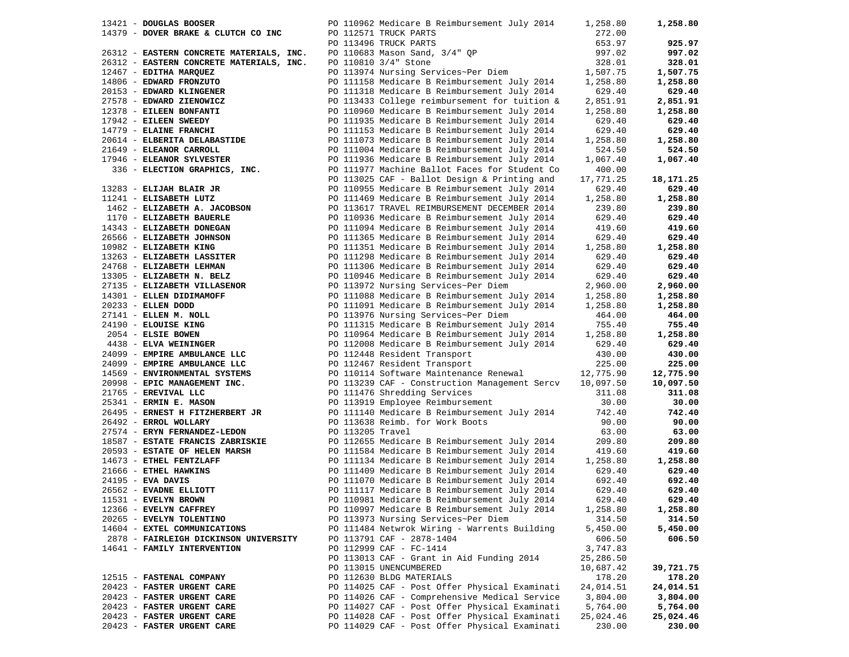| 13421 - DOUGLAS BOOSER     |                                                                                         |  | PO 110962 Medicare B Reimbursement July 2014                                                                                                                                                                                                                                                                                                                                                                                  | 1,258.80  | 1,258.80  |
|----------------------------|-----------------------------------------------------------------------------------------|--|-------------------------------------------------------------------------------------------------------------------------------------------------------------------------------------------------------------------------------------------------------------------------------------------------------------------------------------------------------------------------------------------------------------------------------|-----------|-----------|
|                            | 14379 - DOVER BRAKE & CLUTCH CO INC                                                     |  | PO 112571 TRUCK PARTS                                                                                                                                                                                                                                                                                                                                                                                                         | 272.00    |           |
|                            |                                                                                         |  |                                                                                                                                                                                                                                                                                                                                                                                                                               | 653.97    | 925.97    |
|                            | 26312 - EASTERN CONCRETE MATERIALS, INC.                                                |  | PO 112571 TRUCK PARTS<br>PO 113496 TRUCK PARTS<br>PO 110683 Mason Sand, 3/4" QP                                                                                                                                                                                                                                                                                                                                               | 997.02    | 997.02    |
|                            | 26312 - EASTERN CONCRETE MATERIALS, INC.                                                |  | PO 110810 3/4" Stone                                                                                                                                                                                                                                                                                                                                                                                                          | 328.01    | 328.01    |
| 12467 - EDITHA MARQUEZ     |                                                                                         |  | PO 113974 Nursing Services~Per Diem                                                                                                                                                                                                                                                                                                                                                                                           | 1,507.75  | 1,507.75  |
|                            | 14806 - EDWARD FRONZUTO                                                                 |  | PO 111158 Medicare B Reimbursement July 2014 1,258.80                                                                                                                                                                                                                                                                                                                                                                         |           | 1,258.80  |
|                            | 20153 - EDWARD KLINGENER                                                                |  | PO 111318 Medicare B Reimbursement July 2014                                                                                                                                                                                                                                                                                                                                                                                  | 629.40    | 629.40    |
|                            |                                                                                         |  |                                                                                                                                                                                                                                                                                                                                                                                                                               | 2,851.91  | 2,851.91  |
|                            |                                                                                         |  |                                                                                                                                                                                                                                                                                                                                                                                                                               | 1,258.80  |           |
|                            |                                                                                         |  | PO 110960 Medicare B Reimbursement July 2014                                                                                                                                                                                                                                                                                                                                                                                  |           | 1,258.80  |
|                            |                                                                                         |  |                                                                                                                                                                                                                                                                                                                                                                                                                               | 629.40    | 629.40    |
|                            |                                                                                         |  |                                                                                                                                                                                                                                                                                                                                                                                                                               | 629.40    | 629.40    |
|                            |                                                                                         |  |                                                                                                                                                                                                                                                                                                                                                                                                                               | 1,258.80  | 1,258.80  |
|                            |                                                                                         |  |                                                                                                                                                                                                                                                                                                                                                                                                                               | 524.50    | 524.50    |
|                            |                                                                                         |  |                                                                                                                                                                                                                                                                                                                                                                                                                               | 1,067.40  | 1,067.40  |
|                            |                                                                                         |  | 20153 - EDWARD KLINGENER<br>27578 - EDWARD ZIENOWICZ<br>27578 - ELEEN BONFANTI PO 113433 College reimbursement for tuition &<br>2014 - ELEEN BONFANTI PO 11935 Medicare B Reimbursement July 2014<br>2014 - ELEEN SWEEDY PO 11935 Medi                                                                                                                                                                                        | 400.00    |           |
|                            |                                                                                         |  |                                                                                                                                                                                                                                                                                                                                                                                                                               | 17,771.25 | 18,171.25 |
| 13283 - ELIJAH BLAIR JR    |                                                                                         |  | PO 110955 Medicare B Reimbursement July 2014                                                                                                                                                                                                                                                                                                                                                                                  | 629.40    | 629.40    |
| 11241 - ELISABETH LUTZ     |                                                                                         |  | PO 111469 Medicare B Reimbursement July 2014                                                                                                                                                                                                                                                                                                                                                                                  | 1,258.80  | 1,258.80  |
|                            |                                                                                         |  | PO 113617 TRAVEL REIMBURSEMENT DECEMBER 2014                                                                                                                                                                                                                                                                                                                                                                                  | 239.80    | 239.80    |
| 1170 - ELIZABETH BAUERLE   | 1462 - ELIZABETH A. JACOBSON<br>1170 - ELIZABETH BAUERLE                                |  | PO 110936 Medicare B Reimbursement July 2014                                                                                                                                                                                                                                                                                                                                                                                  | 629.40    | 629.40    |
|                            | 14343 - ELIZABETH DONEGAN                                                               |  | PO 111094 Medicare B Reimbursement July 2014                                                                                                                                                                                                                                                                                                                                                                                  | 419.60    | 419.60    |
|                            | 26566 - ELIZABETH JOHNSON                                                               |  | PO 111365 Medicare B Reimbursement July 2014                                                                                                                                                                                                                                                                                                                                                                                  | 629.40    | 629.40    |
| 10982 - ELIZABETH KING     |                                                                                         |  | PO 111351 Medicare B Reimbursement July 2014                                                                                                                                                                                                                                                                                                                                                                                  | 1,258.80  | 1,258.80  |
|                            | 10982 - ELIZABETH KING<br>13263 - ELIZABETH LASSITER                                    |  | PO 111298 Medicare B Reimbursement July 2014                                                                                                                                                                                                                                                                                                                                                                                  | 629.40    | 629.40    |
|                            |                                                                                         |  |                                                                                                                                                                                                                                                                                                                                                                                                                               |           |           |
|                            | 24768 - ELIZABETH LEHMAN                                                                |  | PO 111306 Medicare B Reimbursement July 2014                                                                                                                                                                                                                                                                                                                                                                                  | 629.40    | 629.40    |
|                            | 13305 - ELIZABETH N. BELZ                                                               |  | PO 110946 Medicare B Reimbursement July 2014                                                                                                                                                                                                                                                                                                                                                                                  | 629.40    | 629.40    |
|                            | 13305 - ELIZABETH VILLASENOR<br>27135 - ELIZABETH VILLASENOR<br>11001 - FLEN DIDIMAMOFF |  | PO 113972 Nursing Services~Per Diem 2,960.00<br>PO 111088 Medicare B Reimbursement July 2014 1,258.80                                                                                                                                                                                                                                                                                                                         |           | 2,960.00  |
|                            |                                                                                         |  |                                                                                                                                                                                                                                                                                                                                                                                                                               |           | 1,258.80  |
|                            |                                                                                         |  |                                                                                                                                                                                                                                                                                                                                                                                                                               |           | 1,258.80  |
|                            |                                                                                         |  |                                                                                                                                                                                                                                                                                                                                                                                                                               |           | 464.00    |
|                            |                                                                                         |  |                                                                                                                                                                                                                                                                                                                                                                                                                               |           | 755.40    |
|                            |                                                                                         |  |                                                                                                                                                                                                                                                                                                                                                                                                                               |           | 1,258.80  |
|                            |                                                                                         |  |                                                                                                                                                                                                                                                                                                                                                                                                                               |           | 629.40    |
|                            |                                                                                         |  | PO 11088 Medicare B Reimbursement July 2014 1,258.80<br>20233 - ELLEN M. NOLL PO 111091 Medicare B Reimbursement July 2014 1,258.80<br>21141 - ELLEN M. NOLL PO 113976 Nursing Services~Per Diem 464.00<br>24190 - ELOUISE KING PO 1<br>PO 112008 Medicare B Reimbursement July 2014 629.40<br>PO 112448 Resident Transport 430.00<br>PO 112467 Resident Transport 225.00<br>PO 110114 Software Maintenance Renewal 12,775.90 |           | 430.00    |
|                            | 24099 - EMPIRE AMBULANCE LLC                                                            |  |                                                                                                                                                                                                                                                                                                                                                                                                                               |           | 225.00    |
|                            | 14569 - ENVIRONMENTAL SYSTEMS                                                           |  |                                                                                                                                                                                                                                                                                                                                                                                                                               |           | 12,775.90 |
|                            | 20998 - EPIC MANAGEMENT INC.                                                            |  | PO 113239 CAF - Construction Management Sercv 10,097.50                                                                                                                                                                                                                                                                                                                                                                       |           | 10,097.50 |
| 21765 - EREVIVAL LLC       |                                                                                         |  | PO 111476 Shredding Services                                                                                                                                                                                                                                                                                                                                                                                                  | 311.08    | 311.08    |
| 25341 - ERMIN E. MASON     |                                                                                         |  | PO 113919 Employee Reimbursement                                                                                                                                                                                                                                                                                                                                                                                              | 30.00     | 30.00     |
|                            | 26495 - ERNEST H FITZHERBERT JR                                                         |  | PO 111140 Medicare B Reimbursement July 2014 742.40                                                                                                                                                                                                                                                                                                                                                                           |           | 742.40    |
| 26492 - ERROL WOLLARY      |                                                                                         |  | PO 113638 Reimb. for Work Boots                                                                                                                                                                                                                                                                                                                                                                                               | 90.00     | 90.00     |
|                            | 27574 - ERYN FERNANDEZ-LEDON                                                            |  | PO 113205 Travel                                                                                                                                                                                                                                                                                                                                                                                                              | 63.00     | 63.00     |
|                            |                                                                                         |  |                                                                                                                                                                                                                                                                                                                                                                                                                               | 209.80    | 209.80    |
|                            |                                                                                         |  | 1887 - ESTATE FRANCIS ZABRISKIE<br>1893 - ESTATE FRANCIS ZABRISKIE<br>190 112655 Medicare B Reimbursement July 2014<br>190 11134 Medicare B Reimbursement July 2014<br>190 11134 Medicare B Reimbursement July 2014<br>1, 2014<br>24195 -                                                                                                                                                                                     | 419.60    | 419.60    |
|                            |                                                                                         |  |                                                                                                                                                                                                                                                                                                                                                                                                                               |           |           |
|                            |                                                                                         |  | PO 111134 Medicare B Reimbursement July 2014 1,258.80                                                                                                                                                                                                                                                                                                                                                                         |           | 1,258.80  |
|                            |                                                                                         |  |                                                                                                                                                                                                                                                                                                                                                                                                                               | 629.40    | 629.40    |
|                            |                                                                                         |  |                                                                                                                                                                                                                                                                                                                                                                                                                               | 692.40    | 692.40    |
|                            |                                                                                         |  |                                                                                                                                                                                                                                                                                                                                                                                                                               | 629.40    | 629.40    |
| 11531 - EVELYN BROWN       |                                                                                         |  | PO 110981 Medicare B Reimbursement July 2014                                                                                                                                                                                                                                                                                                                                                                                  | 629.40    | 629.40    |
| 12366 - EVELYN CAFFREY     |                                                                                         |  | PO 110997 Medicare B Reimbursement July 2014                                                                                                                                                                                                                                                                                                                                                                                  | 1,258.80  | 1,258.80  |
| 20265 - EVELYN TOLENTINO   |                                                                                         |  | PO 113973 Nursing Services~Per Diem                                                                                                                                                                                                                                                                                                                                                                                           | 314.50    | 314.50    |
|                            | 14604 - EXTEL COMMUNICATIONS                                                            |  | PO 111484 Netwrok Wiring - Warrents Building                                                                                                                                                                                                                                                                                                                                                                                  | 5,450.00  | 5,450.00  |
|                            | 2878 - FAIRLEIGH DICKINSON UNIVERSITY                                                   |  | PO 113791 CAF - 2878-1404                                                                                                                                                                                                                                                                                                                                                                                                     | 606.50    | 606.50    |
|                            | 14641 - FAMILY INTERVENTION                                                             |  | PO 112999 CAF - FC-1414                                                                                                                                                                                                                                                                                                                                                                                                       | 3,747.83  |           |
|                            |                                                                                         |  | PO 113013 CAF - Grant in Aid Funding 2014                                                                                                                                                                                                                                                                                                                                                                                     | 25,286.50 |           |
|                            |                                                                                         |  | PO 113015 UNENCUMBERED                                                                                                                                                                                                                                                                                                                                                                                                        | 10,687.42 | 39,721.75 |
| 12515 - FASTENAL COMPANY   |                                                                                         |  | PO 112630 BLDG MATERIALS                                                                                                                                                                                                                                                                                                                                                                                                      | 178.20    | 178.20    |
| 20423 - FASTER URGENT CARE |                                                                                         |  | PO 114025 CAF - Post Offer Physical Examinati                                                                                                                                                                                                                                                                                                                                                                                 | 24,014.51 | 24,014.51 |
| 20423 - FASTER URGENT CARE |                                                                                         |  | PO 114026 CAF - Comprehensive Medical Service                                                                                                                                                                                                                                                                                                                                                                                 | 3,804.00  | 3,804.00  |
| 20423 - FASTER URGENT CARE |                                                                                         |  | PO 114027 CAF - Post Offer Physical Examinati                                                                                                                                                                                                                                                                                                                                                                                 | 5,764.00  | 5,764.00  |
|                            |                                                                                         |  |                                                                                                                                                                                                                                                                                                                                                                                                                               |           |           |
| 20423 - FASTER URGENT CARE |                                                                                         |  | PO 114028 CAF - Post Offer Physical Examinati                                                                                                                                                                                                                                                                                                                                                                                 | 25,024.46 | 25,024.46 |
| 20423 - FASTER URGENT CARE |                                                                                         |  | PO 114029 CAF - Post Offer Physical Examinati                                                                                                                                                                                                                                                                                                                                                                                 | 230.00    | 230.00    |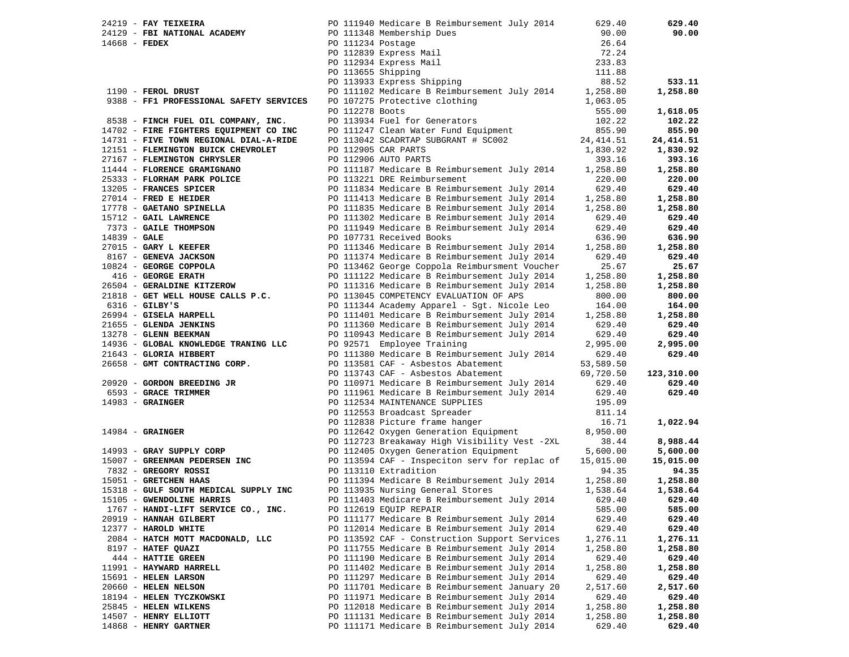| 20129 - FBI NATIONAL ACADEMY<br>14668 - FEDEX CADEMY PO 111234 Postage<br>PO 111348 Membership Dues<br>PO 112334 Postage<br>PO 112839 Express Mail<br>PO 112934 Express Mail<br>PO 113655 Shipping<br>PO 113933 Express Shipping<br>PO 113933 Express Shipping<br>PO 113933 Express Shipping<br>111.88<br>PO 111102 Medicare B Reimbursement July 2014 1,258.80<br>1190 - FEROL DRUST             | 90.00<br>90.00               |
|---------------------------------------------------------------------------------------------------------------------------------------------------------------------------------------------------------------------------------------------------------------------------------------------------------------------------------------------------------------------------------------------------|------------------------------|
|                                                                                                                                                                                                                                                                                                                                                                                                   |                              |
|                                                                                                                                                                                                                                                                                                                                                                                                   | 26.64                        |
|                                                                                                                                                                                                                                                                                                                                                                                                   | 72.24                        |
|                                                                                                                                                                                                                                                                                                                                                                                                   | 233.83                       |
|                                                                                                                                                                                                                                                                                                                                                                                                   |                              |
|                                                                                                                                                                                                                                                                                                                                                                                                   | 88.52<br>533.11              |
|                                                                                                                                                                                                                                                                                                                                                                                                   | 1,258.80                     |
| 9388 - FF1 PROFESSIONAL SAFETY SERVICES<br>PO 107275 Protective clothing<br>1,063.05                                                                                                                                                                                                                                                                                                              |                              |
| PO 112278 Boots                                                                                                                                                                                                                                                                                                                                                                                   | 1,618.05<br>555.00           |
| PO 113934 Fuel for Generators<br>8538 - FINCH FUEL OIL COMPANY, INC.                                                                                                                                                                                                                                                                                                                              | 102.22<br>102.22             |
| 14702 - FIRE FIGHTERS EQUIPMENT CO INC                                                                                                                                                                                                                                                                                                                                                            | 855.90<br>855.90             |
| PO 111247 Clean Water Fund Equipment<br>PO 113042 SCADRTAP SUBGRANT # SC002<br>24, 414.51<br>14731 - FIVE TOWN REGIONAL DIAL-A-RIDE                                                                                                                                                                                                                                                               | 24,414.51                    |
| 12151 - FLEMINGTON BUICK CHEVROLET<br>PO 112905 CAR PARTS<br>1,830.92                                                                                                                                                                                                                                                                                                                             | 1,830.92                     |
| PO 112906 AUTO PARTS<br>27167 - FLEMINGTON CHRYSLER                                                                                                                                                                                                                                                                                                                                               | 393.16<br>393.16             |
| PO 111187 Medicare B Reimbursement July 2014<br>1,258.80<br>11444 - FLORENCE GRAMIGNANO                                                                                                                                                                                                                                                                                                           | 1,258.80                     |
| PO 113221 DRE Reimbursement<br>25333 - FLORHAM PARK POLICE                                                                                                                                                                                                                                                                                                                                        | 220.00<br>220.00             |
| PO 111834 Medicare B Reimbursement July 2014<br>PO 111413 Medicare B Reimbursement July 2014<br>13205 - FRANCES SPICER<br>13205 - <b>FRANCES SPICER</b><br>27014 - <b>FRED E HEIDER</b><br>1773 - <b>GAITANO SPINELLA</b><br>15712 - <b>GAITANO SPINELLA</b><br>15712 - <b>GAITANO SPINELLA</b><br>2733 - <b>GAITANO SPINER EXERENTE DE SPECIAL POLITION POLITION POLITION POLITION POLITION </b> | 629.40<br>629.40             |
| 1,258.80                                                                                                                                                                                                                                                                                                                                                                                          | 1,258.80                     |
| 1,258.80                                                                                                                                                                                                                                                                                                                                                                                          | 1,258.80                     |
|                                                                                                                                                                                                                                                                                                                                                                                                   | 629.40<br>629.40             |
|                                                                                                                                                                                                                                                                                                                                                                                                   | 629.40<br>629.40             |
|                                                                                                                                                                                                                                                                                                                                                                                                   | 636.90<br>636.90             |
| 1,258.80                                                                                                                                                                                                                                                                                                                                                                                          | 1,258.80                     |
|                                                                                                                                                                                                                                                                                                                                                                                                   | 629.40<br>629.40             |
|                                                                                                                                                                                                                                                                                                                                                                                                   | 25.67<br>25.67               |
| PO 111122 Medicare B Reimbursement July 2014<br>1,258.80                                                                                                                                                                                                                                                                                                                                          | 1,258.80                     |
| 1,258.80                                                                                                                                                                                                                                                                                                                                                                                          | 1,258.80                     |
| 21818 - GET WELL HOUSE CALLS P.C.<br>PO 113045 COMPETENCY EVALUATION OF APS                                                                                                                                                                                                                                                                                                                       | 800.00<br>800.00             |
| $6316$ - GILBY'S<br>PO 111344 Academy Apparel - Sgt. Nicole Leo                                                                                                                                                                                                                                                                                                                                   | 164.00<br>164.00             |
| 26994 - GISELA HARPELL<br>PO 111401 Medicare B Reimbursement July 2014<br>1,258.80                                                                                                                                                                                                                                                                                                                | 1,258.80                     |
| 21655 - GLENDA JENKINS<br>PO 111360 Medicare B Reimbursement July 2014                                                                                                                                                                                                                                                                                                                            | 629.40<br>629.40             |
| 13278 - GLENN BEEKMAN<br>PO 110943 Medicare B Reimbursement July 2014                                                                                                                                                                                                                                                                                                                             | 629.40<br>629.40             |
| PO 92571 Employee Training<br>2,995.00<br>14936 - GLOBAL KNOWLEDGE TRANING LLC                                                                                                                                                                                                                                                                                                                    | 2,995.00                     |
| 21643 - GLORIA HIBBERT                                                                                                                                                                                                                                                                                                                                                                            | 629.40<br>629.40             |
| 26658 - GMT CONTRACTING CORP.<br>53,589.50                                                                                                                                                                                                                                                                                                                                                        |                              |
| PO 111380 Nedicare B Reimbursement July 2014<br>PO 111380 Nedicare B Reimbursement<br>PO 113581 CAF - Asbestos Abatement<br>PO 113743 CAF - Asbestos Abatement<br>69,720.50                                                                                                                                                                                                                       | 123,310.00                   |
| 20920 - GORDON BREEDING JR<br>PO 110971 Medicare B Reimbursement July 2014                                                                                                                                                                                                                                                                                                                        | 629.40<br>629.40             |
|                                                                                                                                                                                                                                                                                                                                                                                                   | 629.40                       |
| 6593 - <b>GRACE TRIMMER</b><br>14983 - <b>GRAINGER</b><br>PO 110971 Medicare B Reimbursement July 2014 629.40<br>PO 111961 Medicare B Reimbursement July 2014 629.40<br>$14983$ - GRAINGER                                                                                                                                                                                                        |                              |
| 811.14                                                                                                                                                                                                                                                                                                                                                                                            |                              |
| PO 112553 Broadcast Spreader<br>PO 112838 Picture frame hanger                                                                                                                                                                                                                                                                                                                                    | 16.71<br>1,022.94            |
|                                                                                                                                                                                                                                                                                                                                                                                                   |                              |
|                                                                                                                                                                                                                                                                                                                                                                                                   | 38.44<br>8,988.44            |
| PO 112642 Oxygen Generation Equipment<br>$14984$ - GRAINGER<br>8,950.00                                                                                                                                                                                                                                                                                                                           |                              |
| PO 112723 Breakaway High Visibility Vest -2XL                                                                                                                                                                                                                                                                                                                                                     |                              |
| 14993 - GRAY SUPPLY CORP<br>PO 112405 Oxygen Generation Equipment<br>5,600.00<br>15,015.00                                                                                                                                                                                                                                                                                                        | 5,600.00<br>15,015.00        |
| 15007 - GREENMAN PEDERSEN INC<br>PO 113594 CAF - Inspeciton serv for replac of<br>PO 113110 Extradition                                                                                                                                                                                                                                                                                           | 94.35<br>94.35               |
| 15051 - GRETCHEN HAAS<br>1,258.80                                                                                                                                                                                                                                                                                                                                                                 | 1,258.80                     |
| 7832 - <b>GREGORY ROSSI</b><br>15051 - <b>GRETCHEN HAAS</b><br>PO 111394 Medicare B Reimbursement July 2014<br>15318 - GULF SOUTH MEDICAL SUPPLY INC<br>PO 113935 Nursing General Stores<br>1,538.64                                                                                                                                                                                              | 1,538.64                     |
|                                                                                                                                                                                                                                                                                                                                                                                                   |                              |
| 15105 - GWENDOLINE HARRIS<br>PO 111403 Medicare B Reimbursement July 2014<br>629.40                                                                                                                                                                                                                                                                                                               | 629.40                       |
| 1767 - HANDI-LIFT SERVICE CO., INC.<br>PO 112619 EQUIP REPAIR<br>PO 111177 Medicare B Reimbursement July 2014                                                                                                                                                                                                                                                                                     | 585.00<br>585.00             |
| 20919 - HANNAH GILBERT<br>12377 - HAROLD WHITE                                                                                                                                                                                                                                                                                                                                                    | 629.40<br>629.40<br>629.40   |
| PO 112014 Medicare B Reimbursement July 2014<br>PO 113592 CAF - Construction Support Services<br>2084 - HATCH MOTT MACDONALD, LLC<br>1,276.11                                                                                                                                                                                                                                                     | 629.40<br>1,276.11           |
| 8197 - HATEF QUAZI<br>PO 111755 Medicare B Reimbursement July 2014<br>1,258.80                                                                                                                                                                                                                                                                                                                    | 1,258.80                     |
|                                                                                                                                                                                                                                                                                                                                                                                                   | 629.40                       |
| 444 - HATTIE GREEN<br>PO 111190 Medicare B Reimbursement July 2014<br>11991 - HAYWARD HARRELL                                                                                                                                                                                                                                                                                                     | 629.40                       |
| PO 111402 Medicare B Reimbursement July 2014<br>1,258.80<br>PO 111297 Medicare B Reimbursement July 2014<br>15691 - HELEN LARSON                                                                                                                                                                                                                                                                  | 1,258.80<br>629.40           |
| 20660 - HELEN NELSON                                                                                                                                                                                                                                                                                                                                                                              | 629.40                       |
| PO 111701 Medicare B Reimbursement January 20<br>2,517.60<br>18194 - HELEN TYCZKOWSKI                                                                                                                                                                                                                                                                                                             | 2,517.60<br>629.40<br>629.40 |
| PO 111971 Medicare B Reimbursement July 2014<br>PO 112018 Medicare B Reimbursement July 2014<br>25845 - HELEN WILKENS<br>1,258.80                                                                                                                                                                                                                                                                 |                              |
| PO 111131 Medicare B Reimbursement July 2014<br>14507 - HENRY ELLIOTT<br>1,258.80                                                                                                                                                                                                                                                                                                                 | 1,258.80<br>1,258.80         |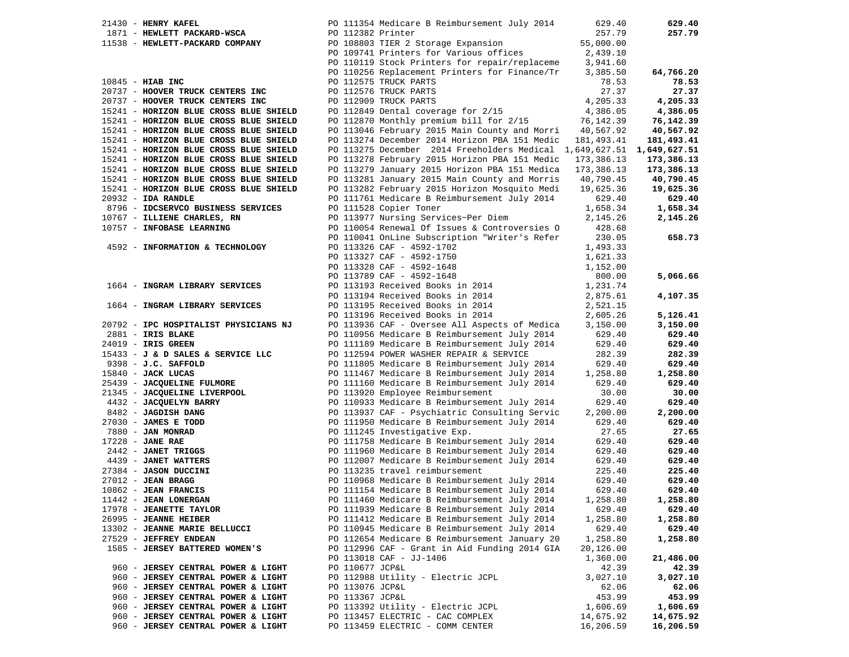| $21430$ - HENRY KAFEL                         | PO 111354 Medicare B Reimbursement July 2014                                   | 629.40           | 629.40           |
|-----------------------------------------------|--------------------------------------------------------------------------------|------------------|------------------|
| 1871 - HEWLETT PACKARD-WSCA                   | PO 112382 Printer                                                              | 257.79           | 257.79           |
| 11538 - HEWLETT-PACKARD COMPANY               | PO 108803 TIER 2 Storage Expansion                                             | 55,000.00        |                  |
|                                               | PO 109741 Printers for Various offices                                         | 2,439.10         |                  |
|                                               | PO 110119 Stock Printers for repair/replaceme                                  | 3,941.60         |                  |
|                                               | PO 110256 Replacement Printers for Finance/Tr                                  | 3,385.50         | 64,766.20        |
| $10845$ - HIAB INC                            | PO 112575 TRUCK PARTS                                                          | 78.53            | 78.53            |
| 20737 - HOOVER TRUCK CENTERS INC              | PO 112576 TRUCK PARTS                                                          | 27.37            | 27.37            |
| 20737 - HOOVER TRUCK CENTERS INC              | PO 112909 TRUCK PARTS                                                          | 4,205.33         | 4,205.33         |
| 15241 - HORIZON BLUE CROSS BLUE SHIELD        | PO 112849 Dental coverage for 2/15                                             | 4,386.05         | 4,386.05         |
| 15241 - HORIZON BLUE CROSS BLUE SHIELD        | PO 112870 Monthly premium bill for 2/15                                        | 76,142.39        | 76,142.39        |
| 15241 - HORIZON BLUE CROSS BLUE SHIELD        | PO 113046 February 2015 Main County and Morri                                  | 40,567.92        | 40,567.92        |
| 15241 - HORIZON BLUE CROSS BLUE SHIELD        | PO 113274 December 2014 Horizon PBA 151 Medic                                  | 181,493.41       | 181,493.41       |
| 15241 - HORIZON BLUE CROSS BLUE SHIELD        | PO 113275 December 2014 Freeholders Medical 1,649,627.51 1,649,627.51          |                  |                  |
| 15241 - HORIZON BLUE CROSS BLUE SHIELD        | PO 113278 February 2015 Horizon PBA 151 Medic                                  | 173,386.13       | 173,386.13       |
| 15241 - HORIZON BLUE CROSS BLUE SHIELD        | PO 113279 January 2015 Horizon PBA 151 Medica                                  | 173,386.13       | 173,386.13       |
| 15241 - HORIZON BLUE CROSS BLUE SHIELD        | PO 113281 January 2015 Main County and Morris                                  | 40,790.45        | 40,790.45        |
| 15241 - HORIZON BLUE CROSS BLUE SHIELD        | PO 113282 February 2015 Horizon Mosquito Medi                                  | 19,625.36        | 19,625.36        |
| $20932 - IDA$ RANDLE                          | PO 111761 Medicare B Reimbursement July 2014                                   | 629.40           | 629.40           |
| 8796 - IDCSERVCO BUSINESS SERVICES            | PO 111528 Copier Toner                                                         | 1,658.34         | 1,658.34         |
| 10767 - ILLIENE CHARLES, RN                   | PO 113977 Nursing Services~Per Diem                                            | 2,145.26         | 2,145.26         |
| 10757 - INFOBASE LEARNING                     | PO 110054 Renewal Of Issues & Controversies O                                  | 428.68           |                  |
|                                               | PO 110041 OnLine Subscription "Writer's Refer                                  | 230.05           | 658.73           |
| 4592 - INFORMATION & TECHNOLOGY               | PO 113326 CAF - 4592-1702                                                      | 1,493.33         |                  |
|                                               | PO 113327 CAF - 4592-1750                                                      | 1,621.33         |                  |
|                                               | PO 113328 CAF - 4592-1648                                                      | 1,152.00         |                  |
|                                               | PO 113789 CAF - 4592-1648                                                      | 800.00           | 5,066.66         |
| 1664 - INGRAM LIBRARY SERVICES                | PO 113193 Received Books in 2014                                               | 1,231.74         |                  |
|                                               | PO 113194 Received Books in 2014                                               | 2,875.61         | 4,107.35         |
| 1664 - INGRAM LIBRARY SERVICES                | PO 113195 Received Books in 2014                                               | 2,521.15         |                  |
|                                               | PO 113196 Received Books in 2014                                               | 2,605.26         | 5,126.41         |
| 20792 - IPC HOSPITALIST PHYSICIANS NJ         | PO 113936 CAF - Oversee All Aspects of Medica                                  | 3,150.00         | 3,150.00         |
| 2881 - IRIS BLAKE                             | PO 110956 Medicare B Reimbursement July 2014                                   | 629.40           | 629.40           |
| 24019 - IRIS GREEN                            | PO 111189 Medicare B Reimbursement July 2014                                   | 629.40           | 629.40           |
| 15433 - J & D SALES & SERVICE LLC             | PO 112594 POWER WASHER REPAIR & SERVICE                                        | 282.39           | 282.39           |
| $9398 - J.C. SAFFOLD$                         | PO 111805 Medicare B Reimbursement July 2014                                   | 629.40           | 629.40           |
| 15840 - JACK LUCAS                            | PO 111467 Medicare B Reimbursement July 2014                                   | 1,258.80         | 1,258.80         |
| 25439 - JACQUELINE FULMORE                    | PO 111160 Medicare B Reimbursement July 2014                                   | 629.40           | 629.40           |
| 21345 - JACQUELINE LIVERPOOL                  | PO 113920 Employee Reimbursement                                               | 30.00            | 30.00            |
| 4432 - JACQUELYN BARRY                        | PO 110933 Medicare B Reimbursement July 2014                                   | 629.40           | 629.40           |
| 8482 - JAGDISH DANG                           | PO 113937 CAF - Psychiatric Consulting Servic                                  | 2,200.00         | 2,200.00         |
| 27030 - JAMES E TODD                          | PO 111950 Medicare B Reimbursement July 2014                                   | 629.40           | 629.40           |
| 7880 - JAN MONRAD                             | PO 111245 Investigative Exp.                                                   | 27.65            | 27.65            |
| $17228$ - JANE RAE                            | PO 111758 Medicare B Reimbursement July 2014                                   | 629.40           | 629.40           |
| 2442 - JANET TRIGGS                           | PO 111960 Medicare B Reimbursement July 2014                                   | 629.40           | 629.40           |
| 4439 - JANET WATTERS<br>27384 - JASON DUCCINI | PO 112007 Medicare B Reimbursement July 2014<br>PO 113235 travel reimbursement | 629.40<br>225.40 | 629.40<br>225.40 |
| $27012$ - JEAN BRAGG                          | PO 110968 Medicare B Reimbursement July 2014                                   | 629.40           | 629.40           |
| $10862$ - JEAN FRANCIS                        | PO 111154 Medicare B Reimbursement July 2014                                   | 629.40           | 629.40           |
| 11442 - JEAN LONERGAN                         | PO 111460 Medicare B Reimbursement July 2014                                   | 1,258.80         | 1,258.80         |
| 17978 - JEANETTE TAYLOR                       | PO 111939 Medicare B Reimbursement July 2014                                   | 629.40           | 629.40           |
| 26995 - JEANNE HEIBER                         | PO 111412 Medicare B Reimbursement July 2014                                   | 1,258.80         | 1,258.80         |
| 13302 - JEANNE MARIE BELLUCCI                 | PO 110945 Medicare B Reimbursement July 2014                                   | 629.40           | 629.40           |
| 27529 - JEFFREY ENDEAN                        | PO 112654 Medicare B Reimbursement January 20                                  | 1,258.80         | 1,258.80         |
| 1585 - JERSEY BATTERED WOMEN'S                | PO 112996 CAF - Grant in Aid Funding 2014 GIA                                  | 20,126.00        |                  |
|                                               | PO 113018 CAF - JJ-1406                                                        | 1,360.00         | 21,486.00        |
| 960 - JERSEY CENTRAL POWER & LIGHT            | PO 110677 JCP&L                                                                | 42.39            | 42.39            |
| 960 - JERSEY CENTRAL POWER & LIGHT            | PO 112988 Utility - Electric JCPL                                              | 3,027.10         | 3,027.10         |
| 960 - JERSEY CENTRAL POWER & LIGHT            | PO 113076 JCP&L                                                                | 62.06            | 62.06            |
| 960 - JERSEY CENTRAL POWER & LIGHT            | PO 113367 JCP&L                                                                | 453.99           | 453.99           |
| 960 - JERSEY CENTRAL POWER & LIGHT            | PO 113392 Utility - Electric JCPL                                              | 1,606.69         | 1,606.69         |
| 960 - JERSEY CENTRAL POWER & LIGHT            | PO 113457 ELECTRIC - CAC COMPLEX                                               | 14,675.92        | 14,675.92        |
| 960 - JERSEY CENTRAL POWER & LIGHT            | PO 113459 ELECTRIC - COMM CENTER                                               | 16,206.59        | 16,206.59        |
|                                               |                                                                                |                  |                  |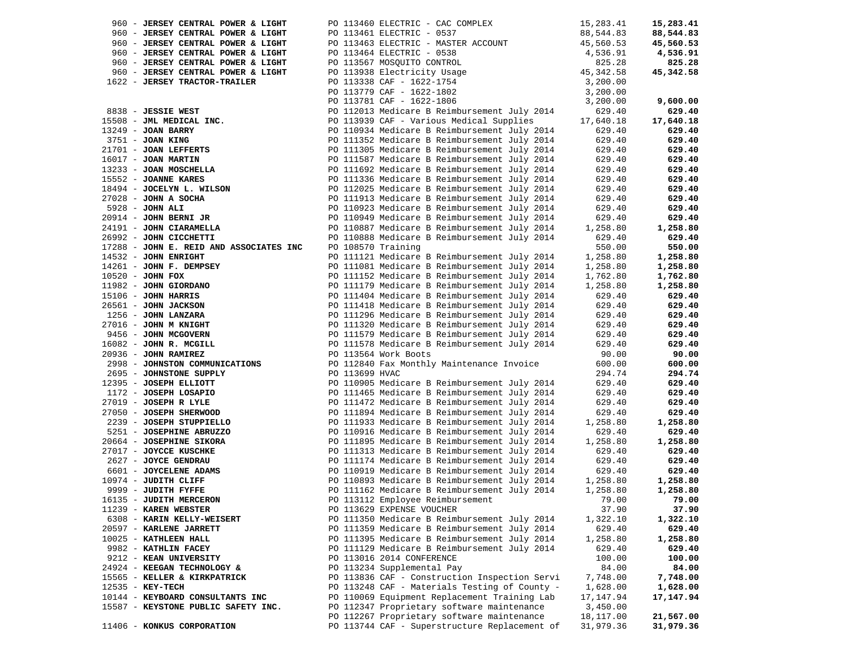| 960 - JERSEY CENTRAL POWER & LIGHT                                                        | PO 113460 ELECTRIC - CAC COMPLEX                           | 15,283.41 | 15,283.41 |
|-------------------------------------------------------------------------------------------|------------------------------------------------------------|-----------|-----------|
| 960 - JERSEY CENTRAL POWER & LIGHT                                                        | PO 113461 ELECTRIC - 0537                                  | 88,544.83 | 88,544.83 |
| 960 - JERSEY CENTRAL POWER & LIGHT                                                        | PO 113463 ELECTRIC - MASTER ACCOUNT                        | 45,560.53 | 45,560.53 |
| 960 - JERSEY CENTRAL POWER & LIGHT                                                        | PO 113464 ELECTRIC - 0538                                  | 4,536.91  | 4,536.91  |
|                                                                                           |                                                            | 825.28    | 825.28    |
| 960 - JERSEY CENTRAL POWER & LIGHT                                                        | PO 113567 MOSQUITO CONTROL                                 |           |           |
| 960 - JERSEY CENTRAL POWER & LIGHT                                                        | PO 113938 Electricity Usage<br>PO 113938 Electricity Usage | 45,342.58 | 45,342.58 |
| 1622 - JERSEY TRACTOR-TRAILER                                                             | PO 113338 CAF - 1622-1754                                  | 3,200.00  |           |
|                                                                                           | PO 113779 CAF - 1622-1802                                  | 3,200.00  |           |
|                                                                                           | PO 113781 CAF - 1622-1806                                  | 3,200.00  | 9,600.00  |
| 8838 - JESSIE WEST                                                                        | PO 112013 Medicare B Reimbursement July 2014               | 629.40    | 629.40    |
| 15508 - JML MEDICAL INC.                                                                  | PO 113939 CAF - Various Medical Supplies                   | 17,640.18 | 17,640.18 |
| 13249 - JOAN BARRY                                                                        | PO 110934 Medicare B Reimbursement July 2014               | 629.40    | 629.40    |
| 3751 - JOAN KING                                                                          | PO 111352 Medicare B Reimbursement July 2014               | 629.40    | 629.40    |
| $3751 - 50$<br>$21701 - 50$<br>$521701 - 50$<br>$521$<br>$521$<br>$521$<br>$521$<br>$521$ |                                                            |           | 629.40    |
|                                                                                           | PO 111305 Medicare B Reimbursement July 2014               | 629.40    |           |
|                                                                                           | PO 111587 Medicare B Reimbursement July 2014               | 629.40    | 629.40    |
| 13233 - JOAN MOSCHELLA                                                                    | PO 111692 Medicare B Reimbursement July 2014               | 629.40    | 629.40    |
| 15552 - JOANNE KARES                                                                      | PO 111336 Medicare B Reimbursement July 2014               | 629.40    | 629.40    |
| 18494 - JOCELYN L. WILSON                                                                 | PO 112025 Medicare B Reimbursement July 2014               | 629.40    | 629.40    |
| $27028$ - JOHN A SOCHA                                                                    | PO 111913 Medicare B Reimbursement July 2014               | 629.40    | 629.40    |
| 5928 - JOHN ALI                                                                           | PO 110923 Medicare B Reimbursement July 2014               | 629.40    | 629.40    |
| $20914$ - JOHN BERNI JR                                                                   | PO 110949 Medicare B Reimbursement July 2014               | 629.40    | 629.40    |
| 24191 - JOHN CIARAMELLA                                                                   | PO 110887 Medicare B Reimbursement July 2014               | 1,258.80  | 1,258.80  |
| 26992 - JOHN CICCHETTI                                                                    | PO 110888 Medicare B Reimbursement July 2014               | 629.40    | 629.40    |
| 17288 - JOHN E. REID AND ASSOCIATES INC                                                   | PO 108570 Training                                         | 550.00    |           |
|                                                                                           |                                                            |           | 550.00    |
| 14532 - JOHN ENRIGHT                                                                      | PO 111121 Medicare B Reimbursement July 2014               | 1,258.80  | 1,258.80  |
| $14261$ - JOHN F. DEMPSEY                                                                 | PO 111081 Medicare B Reimbursement July 2014               | 1,258.80  | 1,258.80  |
| $10520$ - JOHN FOX                                                                        | PO 111152 Medicare B Reimbursement July 2014               | 1,762.80  | 1,762.80  |
| 11982 - JOHN GIORDANO                                                                     | PO 111179 Medicare B Reimbursement July 2014               | 1,258.80  | 1,258.80  |
| 15106 - <b>JOHN HARRIS</b>                                                                | PO 111404 Medicare B Reimbursement July 2014               | 629.40    | 629.40    |
| 26561 - JOHN JACKSON                                                                      | PO 111418 Medicare B Reimbursement July 2014               | 629.40    | 629.40    |
| 1256 - JOHN LANZARA                                                                       | PO 111296 Medicare B Reimbursement July 2014               | 629.40    | 629.40    |
| 27016 - JOHN M KNIGHT                                                                     | PO 111320 Medicare B Reimbursement July 2014               | 629.40    | 629.40    |
| 9456 - JOHN MCGOVERN                                                                      | PO 111579 Medicare B Reimbursement July 2014               | 629.40    | 629.40    |
| 16082 - JOHN R. MCGILL                                                                    | PO 111578 Medicare B Reimbursement July 2014               | 629.40    | 629.40    |
| $20936$ - JOHN RAMIREZ                                                                    | PO 113564 Work Boots                                       | 90.00     | 90.00     |
| 2998 - JOHNSTON COMMUNICATIONS                                                            | PO 112840 Fax Monthly Maintenance Invoice                  | 600.00    | 600.00    |
| 2695 - JOHNSTONE SUPPLY                                                                   | PO 113699 HVAC                                             | 294.74    | 294.74    |
| 12395 - JOSEPH ELLIOTT                                                                    | PO 110905 Medicare B Reimbursement July 2014               | 629.40    | 629.40    |
| 1172 - JOSEPH LOSAPIO                                                                     | PO 111465 Medicare B Reimbursement July 2014               | 629.40    | 629.40    |
| $27019$ - JOSEPH R LYLE                                                                   |                                                            | 629.40    | 629.40    |
|                                                                                           | PO 111472 Medicare B Reimbursement July 2014               |           |           |
| 27050 - JOSEPH SHERWOOD                                                                   | PO 111894 Medicare B Reimbursement July 2014               | 629.40    | 629.40    |
| 2239 - JOSEPH STUPPIELLO                                                                  | PO 111933 Medicare B Reimbursement July 2014               | 1,258.80  | 1,258.80  |
| 5251 - JOSEPHINE ABRUZZO                                                                  | PO 110916 Medicare B Reimbursement July 2014               | 629.40    | 629.40    |
| 20664 - JOSEPHINE SIKORA                                                                  | PO 111895 Medicare B Reimbursement July 2014               | 1,258.80  | 1,258.80  |
| 27017 - JOYCCE KUSCHKE                                                                    | PO 111313 Medicare B Reimbursement July 2014               | 629.40    | 629.40    |
| 2627 - JOYCE GENDRAU                                                                      | PO 111174 Medicare B Reimbursement July 2014               | 629.40    | 629.40    |
| 6601 - JOYCELENE ADAMS                                                                    | PO 110919 Medicare B Reimbursement July 2014               | 629.40    | 629.40    |
| 10974 - JUDITH CLIFF                                                                      | PO 110893 Medicare B Reimbursement July 2014               | 1,258.80  | 1,258.80  |
| 9999 - JUDITH FYFFE                                                                       | PO 111162 Medicare B Reimbursement July 2014               | 1,258.80  | 1,258.80  |
| 16135 - JUDITH MERCERON                                                                   | PO 113112 Employee Reimbursement                           | 79.00     | 79.00     |
| 11239 - KAREN WEBSTER                                                                     | PO 113629 EXPENSE VOUCHER                                  | 37.90     | 37.90     |
| 6308 - KARIN KELLY-WEISERT                                                                | PO 111350 Medicare B Reimbursement July 2014               | 1,322.10  | 1,322.10  |
| 20597 - KARLENE JARRETT                                                                   | PO 111359 Medicare B Reimbursement July 2014               | 629.40    | 629.40    |
| 10025 - KATHLEEN HALL                                                                     | PO 111395 Medicare B Reimbursement July 2014               | 1,258.80  | 1,258.80  |
| 9982 - KATHLIN FACEY                                                                      | PO 111129 Medicare B Reimbursement July 2014               | 629.40    | 629.40    |
|                                                                                           |                                                            |           |           |
| 9212 - KEAN UNIVERSITY                                                                    | PO 113016 2014 CONFERENCE                                  | 100.00    | 100.00    |
| 24924 - KEEGAN TECHNOLOGY &                                                               | PO 113234 Supplemental Pay                                 | 84.00     | 84.00     |
| 15565 - KELLER & KIRKPATRICK                                                              | PO 113836 CAF - Construction Inspection Servi              | 7,748.00  | 7,748.00  |
| 12535 - KEY-TECH                                                                          | PO 113248 CAF - Materials Testing of County -              | 1,628.00  | 1,628.00  |
| 10144 - KEYBOARD CONSULTANTS INC                                                          | PO 110069 Equipment Replacement Training Lab               | 17,147.94 | 17,147.94 |
| 15587 - KEYSTONE PUBLIC SAFETY INC.                                                       | PO 112347 Proprietary software maintenance                 | 3,450.00  |           |
|                                                                                           | PO 112267 Proprietary software maintenance                 | 18,117.00 | 21,567.00 |
| 11406 - KONKUS CORPORATION                                                                | PO 113744 CAF - Superstructure Replacement of              | 31,979.36 | 31,979.36 |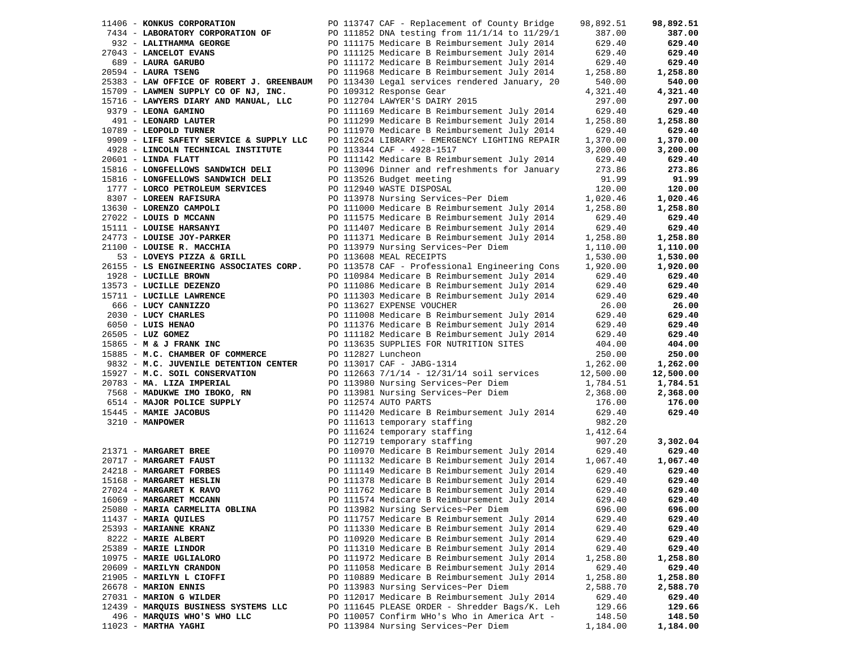| 11406 - KONKUS CORPORATION                | PO 113747 CAF - Replacement of County Bridge                                                  | 98,892.51        | 98,892.51 |
|-------------------------------------------|-----------------------------------------------------------------------------------------------|------------------|-----------|
| 7434 - LABORATORY CORPORATION OF          | PO 111852 DNA testing from 11/1/14 to 11/29/1                                                 | 387.00           | 387.00    |
| 932 - LALITHAMMA GEORGE                   | PO 111175 Medicare B Reimbursement July 2014                                                  | 629.40           | 629.40    |
| 27043 - LANCELOT EVANS                    | PO 111125 Medicare B Reimbursement July 2014                                                  | 629.40           | 629.40    |
| 689 - LAURA GARUBO                        | PO 111172 Medicare B Reimbursement July 2014                                                  | 629.40           | 629.40    |
| $20594$ - LAURA TSENG                     | PO 111968 Medicare B Reimbursement July 2014                                                  | 1,258.80         | 1,258.80  |
| 25383 - LAW OFFICE OF ROBERT J. GREENBAUM | PO 113430 Legal services rendered January, 20                                                 | 540.00           | 540.00    |
| 15709 - LAWMEN SUPPLY CO OF NJ, INC.      | PO 109312 Response Gear                                                                       | 4,321.40         | 4,321.40  |
| 15716 - LAWYERS DIARY AND MANUAL, LLC     | PO 112704 LAWYER'S DAIRY 2015                                                                 | 297.00           | 297.00    |
| 9379 - LEONA GAMINO                       | PO 111169 Medicare B Reimbursement July 2014                                                  | 629.40           | 629.40    |
| 491 - LEONARD LAUTER                      | PO 111299 Medicare B Reimbursement July 2014                                                  | 1,258.80         | 1,258.80  |
| 10789 - LEOPOLD TURNER                    | PO 111970 Medicare B Reimbursement July 2014                                                  | 629.40           | 629.40    |
| 9909 - LIFE SAFETY SERVICE & SUPPLY LLC   | PO 112624 LIBRARY - EMERGENCY LIGHTING REPAIR                                                 | 1,370.00         | 1,370.00  |
| 4928 - LINCOLN TECHNICAL INSTITUTE        | PO 113344 CAF - 4928-1517                                                                     | 3,200.00         | 3,200.00  |
| $20601$ - LINDA FLATT                     | PO 111142 Medicare B Reimbursement July 2014                                                  | 629.40           | 629.40    |
| 15816 - LONGFELLOWS SANDWICH DELI         | PO 113096 Dinner and refreshments for January                                                 | 273.86           | 273.86    |
| 15816 - LONGFELLOWS SANDWICH DELI         | PO 113526 Budget meeting                                                                      | 91.99            | 91.99     |
|                                           |                                                                                               |                  |           |
| 1777 - LORCO PETROLEUM SERVICES           | PO 112940 WASTE DISPOSAL                                                                      | 120.00           | 120.00    |
| 8307 - LOREEN RAFISURA                    | PO 113978 Nursing Services~Per Diem                                                           | 1,020.46         | 1,020.46  |
| 13630 - LORENZO CAMPOLI                   | PO 111000 Medicare B Reimbursement July 2014                                                  | 1,258.80         | 1,258.80  |
| 27022 - LOUIS D MCCANN                    | PO 111575 Medicare B Reimbursement July 2014                                                  | 629.40           | 629.40    |
| 15111 - LOUISE HARSANYI                   | PO 111407 Medicare B Reimbursement July 2014                                                  | 629.40           | 629.40    |
| 24773 - LOUISE JOY-PARKER                 | PO 111371 Medicare B Reimbursement July 2014                                                  | 1,258.80         | 1,258.80  |
| 21100 - LOUISE R. MACCHIA                 | PO 113979 Nursing Services~Per Diem                                                           | 1,110.00         | 1,110.00  |
| 53 - LOVEYS PIZZA & GRILL                 | PO 113608 MEAL RECEIPTS                                                                       | 1,530.00         | 1,530.00  |
| 26155 - LS ENGINEERING ASSOCIATES CORP.   | PO 113578 CAF - Professional Engineering Cons                                                 | 1,920.00         | 1,920.00  |
| 1928 - LUCILLE BROWN                      | PO 110984 Medicare B Reimbursement July 2014                                                  | 629.40           | 629.40    |
| 13573 - LUCILLE DEZENZO                   | PO 111086 Medicare B Reimbursement July 2014                                                  | 629.40           | 629.40    |
| 15711 - LUCILLE LAWRENCE                  | PO 111303 Medicare B Reimbursement July 2014                                                  | 629.40           | 629.40    |
| 666 - LUCY CANNIZZO                       | PO 113627 EXPENSE VOUCHER                                                                     | 26.00            | 26.00     |
| 2030 - LUCY CHARLES                       | PO 111008 Medicare B Reimbursement July 2014                                                  | 629.40           | 629.40    |
| 6050 - LUIS HENAO                         | PO 111376 Medicare B Reimbursement July 2014                                                  | 629.40<br>629.40 | 629.40    |
| 26505 - LUZ GOMEZ                         | PO 111182 Medicare B Reimbursement July 2014                                                  |                  | 629.40    |
| $15865 - M & J$ FRANK INC                 | PO 113635 SUPPLIES FOR NUTRITION SITES                                                        | 404.00           | 404.00    |
| 15885 - M.C. CHAMBER OF COMMERCE          | PO 112827 Luncheon                                                                            | 250.00           | 250.00    |
| 9832 - M.C. JUVENILE DETENTION CENTER     | PO 113017 CAF - JABG-1314                                                                     | 1,262.00         | 1,262.00  |
| 15927 - M.C. SOIL CONSERVATION            | PO 112663 7/1/14 - 12/31/14 soil services                                                     | 12,500.00        | 12,500.00 |
| 20783 - MA. LIZA IMPERIAL                 | PO 113980 Nursing Services~Per Diem                                                           | 1,784.51         | 1,784.51  |
| 7568 - MADUKWE IMO IBOKO, RN              | PO 113981 Nursing Services-Per Diem                                                           | 2,368.00         | 2,368.00  |
| 6514 - MAJOR POLICE SUPPLY                | PO 112574 AUTO PARTS                                                                          | 176.00           | 176.00    |
| 15445 - MAMIE JACOBUS                     | PO 111420 Medicare B Reimbursement July 2014                                                  | 629.40           | 629.40    |
| 3210 - MANPOWER                           | PO 111613 temporary staffing                                                                  | 982.20           |           |
|                                           | PO 111624 temporary staffing                                                                  | 1,412.64         |           |
|                                           | PO 112719 temporary staffing                                                                  | 907.20           | 3,302.04  |
| $21371 - MARGARET BREE$                   | PO 110970 Medicare B Reimbursement July 2014                                                  | 629.40           | 629.40    |
| 20717 - MARGARET FAUST                    | PO 111132 Medicare B Reimbursement July 2014                                                  | 1,067.40         | 1,067.40  |
| 24218 - MARGARET FORBES                   | PO 111149 Medicare B Reimbursement July 2014                                                  | 629.40           | 629.40    |
| 15168 - MARGARET HESLIN                   | PO 111378 Medicare B Reimbursement July 2014                                                  | 629.40           | 629.40    |
| 27024 - MARGARET K RAVO                   | PO 111762 Medicare B Reimbursement July 2014                                                  | 629.40           | 629.40    |
| 16069 - MARGARET MCCANN                   | PO 111574 Medicare B Reimbursement July 2014                                                  | 629.40           | 629.40    |
| 25080 - MARIA CARMELITA OBLINA            | PO 113982 Nursing Services~Per Diem                                                           | 696.00           | 696.00    |
| 11437 - MARIA QUILES                      | PO 111757 Medicare B Reimbursement July 2014                                                  | 629.40           | 629.40    |
| 25393 - MARIANNE KRANZ                    | PO 111330 Medicare B Reimbursement July 2014                                                  | 629.40           | 629.40    |
| 8222 - MARIE ALBERT                       | PO 110920 Medicare B Reimbursement July 2014                                                  | 629.40           | 629.40    |
| 25389 - MARIE LINDOR                      | PO 111310 Medicare B Reimbursement July 2014                                                  | 629.40           | 629.40    |
| 10975 - MARIE UGLIALORO                   | PO 111972 Medicare B Reimbursement July 2014                                                  | 1,258.80         | 1,258.80  |
| 20609 - MARILYN CRANDON                   | PO 111058 Medicare B Reimbursement July 2014                                                  | 629.40           | 629.40    |
| 21905 - MARILYN L CIOFFI                  | PO 110889 Medicare B Reimbursement July 2014                                                  | 1,258.80         | 1,258.80  |
| 26678 - MARION ENNIS                      | PO 113983 Nursing Services~Per Diem                                                           | 2,588.70         |           |
|                                           |                                                                                               | 629.40           | 2,588.70  |
| 27031 - MARION G WILDER                   | PO 112017 Medicare B Reimbursement July 2014<br>PO 111645 PLEASE ORDER - Shredder Bags/K. Leh | 129.66           | 629.40    |
| 12439 - MARQUIS BUSINESS SYSTEMS LLC      |                                                                                               |                  | 129.66    |
| 496 - MARQUIS WHO'S WHO LLC               | PO 110057 Confirm WHo's Who in America Art -                                                  | 148.50           | 148.50    |
| $11023$ - MARTHA YAGHI                    | PO 113984 Nursing Services~Per Diem                                                           | 1,184.00         | 1,184.00  |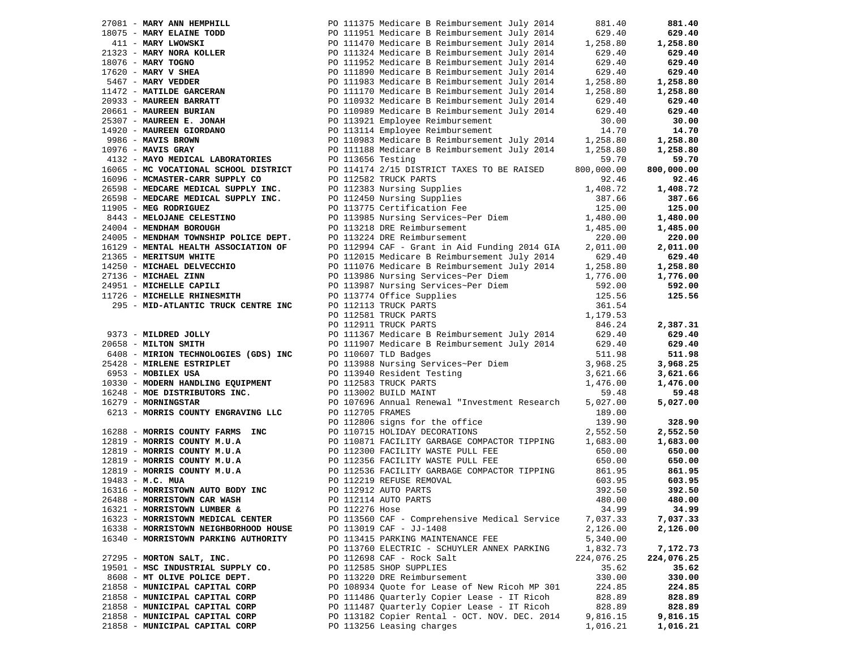| 27081 - MARY ANN HEMPHILL                                                                                                                                                                                                                     |                   | PO 111375 Medicare B Reimbursement July 2014                                                                                                                                                                                                   | 881.40           | 881.40     |
|-----------------------------------------------------------------------------------------------------------------------------------------------------------------------------------------------------------------------------------------------|-------------------|------------------------------------------------------------------------------------------------------------------------------------------------------------------------------------------------------------------------------------------------|------------------|------------|
|                                                                                                                                                                                                                                               |                   |                                                                                                                                                                                                                                                |                  | 629.40     |
|                                                                                                                                                                                                                                               |                   |                                                                                                                                                                                                                                                |                  | 1,258.80   |
|                                                                                                                                                                                                                                               |                   |                                                                                                                                                                                                                                                |                  | 629.40     |
|                                                                                                                                                                                                                                               |                   |                                                                                                                                                                                                                                                |                  | 629.40     |
|                                                                                                                                                                                                                                               |                   |                                                                                                                                                                                                                                                |                  |            |
|                                                                                                                                                                                                                                               |                   |                                                                                                                                                                                                                                                |                  | 629.40     |
|                                                                                                                                                                                                                                               |                   |                                                                                                                                                                                                                                                |                  | 1,258.80   |
|                                                                                                                                                                                                                                               |                   |                                                                                                                                                                                                                                                |                  | 1,258.80   |
|                                                                                                                                                                                                                                               |                   |                                                                                                                                                                                                                                                |                  | 629.40     |
|                                                                                                                                                                                                                                               |                   |                                                                                                                                                                                                                                                |                  | 629.40     |
|                                                                                                                                                                                                                                               |                   |                                                                                                                                                                                                                                                |                  | 30.00      |
|                                                                                                                                                                                                                                               |                   | 27081 - MARY ANN HEMPHILL PO 111375 Medicare B Reimbursement July 2014 881.40<br>411 - MARY LWOWSKI PO 111375 Medicare B Reimbursement July 2014 629.40<br>411 - MARY LWOWSKI PO 111470 Medicare B Reimbursement July 2014 629.40<br>          |                  | 14.70      |
|                                                                                                                                                                                                                                               |                   |                                                                                                                                                                                                                                                |                  | 1,258.80   |
|                                                                                                                                                                                                                                               |                   | PO 111188 Medicare B Reimbursement July 2014                                                                                                                                                                                                   |                  | 1,258.80   |
|                                                                                                                                                                                                                                               |                   |                                                                                                                                                                                                                                                |                  |            |
|                                                                                                                                                                                                                                               | PO 113656 Testing |                                                                                                                                                                                                                                                | 59.70            | 59.70      |
| $1132 - 121$<br>16065 - MC VOCATIONAL SCHOOL DISTRICT                                                                                                                                                                                         |                   | PO 114174 2/15 DISTRICT TAXES TO BE RAISED 800,000.00                                                                                                                                                                                          |                  | 800,000.00 |
|                                                                                                                                                                                                                                               |                   | PO 112582 TRUCK PARTS                                                                                                                                                                                                                          | 92.46            | 92.46      |
|                                                                                                                                                                                                                                               |                   |                                                                                                                                                                                                                                                |                  | 1,408.72   |
|                                                                                                                                                                                                                                               |                   |                                                                                                                                                                                                                                                |                  | 387.66     |
|                                                                                                                                                                                                                                               |                   |                                                                                                                                                                                                                                                |                  | 125.00     |
|                                                                                                                                                                                                                                               |                   |                                                                                                                                                                                                                                                |                  | 1,480.00   |
| 26598 - MEDCARE MEDICAL SUPPLY INC.<br>26598 - MEDCARE MEDICAL SUPPLY INC.<br>11905 - MEG RODRIGUEZ<br>8443 - MELOJANE CELESTINO<br>24004 - MENDHAM BOROUGH<br>24005 - MENDHAM TOWNSHIP POLICE DEPT.<br>24005 - MENDHAM TOWNSHIP POLICE DEPT. |                   | 1.12383 Nursing Supplies<br>PO 112383 Nursing Supplies<br>PO 112450 Nursing Supplies<br>PO 113775 Certification Fee 125.00<br>PO 113985 Nursing Services~Per Diem 1,480.00<br>PO 113218 DRE Reimbursement 1,485.00<br>PO 113224 DRE Reimbu     |                  | 1,485.00   |
|                                                                                                                                                                                                                                               |                   |                                                                                                                                                                                                                                                |                  | 220.00     |
|                                                                                                                                                                                                                                               |                   |                                                                                                                                                                                                                                                |                  |            |
| 16129 - MENTAL HEALTH ASSOCIATION OF<br>21365 - MERITSUM WHITE<br>14250 - MICHAEL DELVECCHIO<br>27136 - MICHAEL ZINN                                                                                                                          |                   | PO 112994 CAF - Grant in Aid Funding 2014 GIA 2,011.00<br>PO 112015 Medicare B Reimbursement July 2014 629.40<br>PO 111076 Medicare B Reimbursement July 2014 1,258.80<br>PO 113986 Nursing Services~Per Diem 1,776.00                         |                  | 2,011.00   |
|                                                                                                                                                                                                                                               |                   |                                                                                                                                                                                                                                                |                  | 629.40     |
|                                                                                                                                                                                                                                               |                   |                                                                                                                                                                                                                                                |                  | 1,258.80   |
|                                                                                                                                                                                                                                               |                   |                                                                                                                                                                                                                                                |                  | 1,776.00   |
|                                                                                                                                                                                                                                               |                   |                                                                                                                                                                                                                                                |                  | 592.00     |
| 24951 - MICHELLE CAPILI<br>11726 - MICHELLE RHINESMITH                                                                                                                                                                                        |                   |                                                                                                                                                                                                                                                | 592.00<br>125.56 | 125.56     |
| 295 - MID-ATLANTIC TRUCK CENTRE INC                                                                                                                                                                                                           |                   |                                                                                                                                                                                                                                                | 361.54           |            |
|                                                                                                                                                                                                                                               |                   | PO 113987 Nursing Services-Per Diem<br>PO 113987 Nursing Services-Per Diem<br>PO 112113 TRUCK PARTS<br>PO 112581 TRUCK PARTS<br>PO 112911 TRUCK PARTS                                                                                          | 1,179.53         |            |
|                                                                                                                                                                                                                                               |                   | PO 112911 TRUCK PARTS                                                                                                                                                                                                                          | 846.24           | 2,387.31   |
| 9373 - MILDRED JOLLY                                                                                                                                                                                                                          |                   | PO 111367 Medicare B Reimbursement July 2014 629.40                                                                                                                                                                                            |                  | 629.40     |
| 20658 - MILTON SMITH                                                                                                                                                                                                                          |                   | PO 111907 Medicare B Reimbursement July 2014 629.40                                                                                                                                                                                            |                  | 629.40     |
| 20658 - MILTON SMITH<br>6408 - MIRION TECHNOLOGIES (GDS) INC<br>25428 - MIRLENE ESTRIPLET<br>6953 - MOBILEX USA                                                                                                                               |                   | PO 110607 TLD Badges                                                                                                                                                                                                                           | 511.98           | 511.98     |
| 25428 - MIRLENE ESTRIPLET                                                                                                                                                                                                                     |                   |                                                                                                                                                                                                                                                | 3,968.25         | 3,968.25   |
|                                                                                                                                                                                                                                               |                   | PO 113988 Nursing Services~Per Diem                                                                                                                                                                                                            |                  |            |
|                                                                                                                                                                                                                                               |                   | PO 113940 Resident Testing                                                                                                                                                                                                                     | 3,621.66         | 3,621.66   |
|                                                                                                                                                                                                                                               |                   |                                                                                                                                                                                                                                                | 1,476.00         | 1,476.00   |
|                                                                                                                                                                                                                                               |                   |                                                                                                                                                                                                                                                | 59.48            | 59.48      |
|                                                                                                                                                                                                                                               |                   |                                                                                                                                                                                                                                                | 5,027.00         | 5,027.00   |
|                                                                                                                                                                                                                                               |                   |                                                                                                                                                                                                                                                | 189.00           |            |
|                                                                                                                                                                                                                                               |                   |                                                                                                                                                                                                                                                | 139.90           | 328.90     |
|                                                                                                                                                                                                                                               |                   |                                                                                                                                                                                                                                                | 2,552.50         | 2,552.50   |
|                                                                                                                                                                                                                                               |                   | PO 110871 FACILITY GARBAGE COMPACTOR TIPPING 1,683.00                                                                                                                                                                                          |                  | 1,683.00   |
|                                                                                                                                                                                                                                               |                   | 30 - MOBILEX USA<br>33 - MOBILEX USA<br>248 - MORENTHOTORS INC.<br>279 - MORNINGTAR PO 11705 FRAMES<br>5213 - MORNIS COUNTY ENGRAVING LLC<br>16288 - MORNIS COUNTY RAMES<br>179 - MORNIS COUNTY RAMES<br>179 - MORNIS COUNTY RAMES<br>179 - MO | 650.00           | 650.00     |
|                                                                                                                                                                                                                                               |                   |                                                                                                                                                                                                                                                | 650.00           | 650.00     |
|                                                                                                                                                                                                                                               |                   |                                                                                                                                                                                                                                                | 861.95           | 861.95     |
|                                                                                                                                                                                                                                               |                   |                                                                                                                                                                                                                                                | 603.95           | 603.95     |
|                                                                                                                                                                                                                                               |                   |                                                                                                                                                                                                                                                | 392.50           | 392.50     |
|                                                                                                                                                                                                                                               |                   |                                                                                                                                                                                                                                                |                  |            |
|                                                                                                                                                                                                                                               |                   |                                                                                                                                                                                                                                                | 480.00           | 480.00     |
|                                                                                                                                                                                                                                               |                   |                                                                                                                                                                                                                                                | 34.99            | 34.99      |
|                                                                                                                                                                                                                                               |                   |                                                                                                                                                                                                                                                | 7,037.33         | 7,037.33   |
| 16338 - MORRISTOWN NEIGHBORHOOD HOUSE                                                                                                                                                                                                         |                   | PO 113019 CAF - JJ-1408                                                                                                                                                                                                                        | 2,126.00         | 2,126.00   |
| 16340 - MORRISTOWN PARKING AUTHORITY                                                                                                                                                                                                          |                   | PO 113415 PARKING MAINTENANCE FEE                                                                                                                                                                                                              | 5,340.00         |            |
|                                                                                                                                                                                                                                               |                   | PO 113760 ELECTRIC - SCHUYLER ANNEX PARKING                                                                                                                                                                                                    | 1,832.73         | 7,172.73   |
| 27295 - MORTON SALT, INC.                                                                                                                                                                                                                     |                   | PO 112698 CAF - Rock Salt                                                                                                                                                                                                                      | 224,076.25       | 224,076.25 |
| 19501 - MSC INDUSTRIAL SUPPLY CO.                                                                                                                                                                                                             |                   | PO 112585 SHOP SUPPLIES                                                                                                                                                                                                                        | 35.62            | 35.62      |
| 8608 - MT OLIVE POLICE DEPT.                                                                                                                                                                                                                  |                   | PO 113220 DRE Reimbursement                                                                                                                                                                                                                    | 330.00           | 330.00     |
| 21858 - MUNICIPAL CAPITAL CORP                                                                                                                                                                                                                |                   | PO 108934 Quote for Lease of New Ricoh MP 301                                                                                                                                                                                                  | 224.85           | 224.85     |
| 21858 - MUNICIPAL CAPITAL CORP                                                                                                                                                                                                                |                   | PO 111486 Quarterly Copier Lease - IT Ricoh                                                                                                                                                                                                    | 828.89           | 828.89     |
| 21858 - MUNICIPAL CAPITAL CORP                                                                                                                                                                                                                |                   | PO 111487 Quarterly Copier Lease - IT Ricoh                                                                                                                                                                                                    | 828.89           | 828.89     |
|                                                                                                                                                                                                                                               |                   |                                                                                                                                                                                                                                                |                  |            |
| 21858 - MUNICIPAL CAPITAL CORP                                                                                                                                                                                                                |                   | PO 113182 Copier Rental - OCT. NOV. DEC. 2014                                                                                                                                                                                                  | 9,816.15         | 9,816.15   |
| 21858 - MUNICIPAL CAPITAL CORP                                                                                                                                                                                                                |                   | PO 113256 Leasing charges                                                                                                                                                                                                                      | 1,016.21         | 1,016.21   |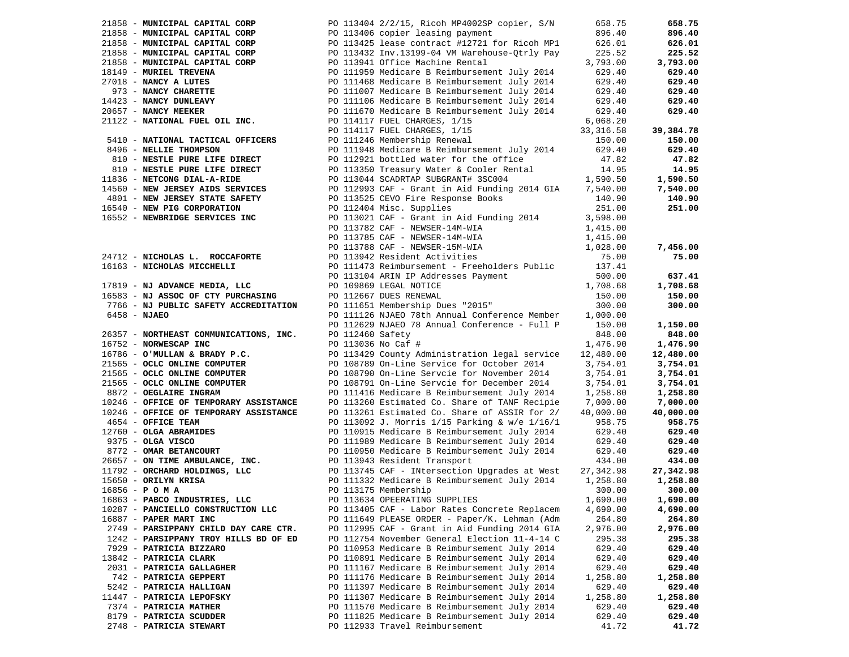|              | 21858 - MUNICIPAL CAPITAL CORP                         |                    | PO 113404 2/2/15, Ricoh MP4002SP copier, S/N                                                                                                                                                                                                 | 658.75                   | 658.75    |
|--------------|--------------------------------------------------------|--------------------|----------------------------------------------------------------------------------------------------------------------------------------------------------------------------------------------------------------------------------------------|--------------------------|-----------|
|              | 21858 - MUNICIPAL CAPITAL CORP                         |                    | PO 113406 copier leasing payment                                                                                                                                                                                                             | 896.40                   | 896.40    |
|              | 21858 - MUNICIPAL CAPITAL CORP                         |                    | PO 113425 lease contract #12721 for Ricoh MP1                                                                                                                                                                                                | 626.01                   | 626.01    |
|              | 21858 - MUNICIPAL CAPITAL CORP                         |                    | PO 113432 Inv.13199-04 VM Warehouse-Qtrly Pay                                                                                                                                                                                                | 225.52                   | 225.52    |
|              | 21858 - MUNICIPAL CAPITAL CORP                         |                    | PO 113941 Office Machine Rental                                                                                                                                                                                                              | 3,793.00                 | 3,793.00  |
|              | 18149 - MURIEL TREVENA                                 |                    | PO 111959 Medicare B Reimbursement July 2014                                                                                                                                                                                                 | 629.40                   | 629.40    |
|              | 27018 - NANCY A LUTES                                  |                    | PO 111468 Medicare B Reimbursement July 2014                                                                                                                                                                                                 | 629.40                   | 629.40    |
|              |                                                        |                    | PO 111007 Medicare B Reimbursement July 2014                                                                                                                                                                                                 |                          | 629.40    |
|              | 973 - NANCY CHARETTE<br>14423 - NANCY DUNLEAVY         |                    | PO 111106 Medicare B Reimbursement July 2014                                                                                                                                                                                                 | 629.40<br>629.40         | 629.40    |
|              |                                                        |                    | PO 111670 Medicare B Reimbursement July 2014                                                                                                                                                                                                 | 629.40                   | 629.40    |
|              | 20657 - NANCY MEEKER<br>21122 - NATIONAL FUEL OIL INC. |                    |                                                                                                                                                                                                                                              |                          |           |
|              |                                                        |                    | PO 114117 FUEL CHARGES, 1/15                                                                                                                                                                                                                 | 6,068.20                 |           |
|              |                                                        |                    | PO 114117 FUEL CHARGES, 1/15<br>PO 111246 Membership Renewal                                                                                                                                                                                 | 33, 316.58               | 39,384.78 |
|              | 5410 - NATIONAL TACTICAL OFFICERS                      |                    |                                                                                                                                                                                                                                              | 150.00                   | 150.00    |
|              | 8496 - NELLIE THOMPSON                                 |                    | PO 111948 Medicare B Reimbursement July 2014                                                                                                                                                                                                 | 629.40                   | 629.40    |
|              | 810 - NESTLE PURE LIFE DIRECT                          |                    | PO 112921 bottled water for the office                                                                                                                                                                                                       | 47.82                    | 47.82     |
|              | 810 - NESTLE PURE LIFE DIRECT                          |                    | PO 113350 Treasury Water & Cooler Rental 14.95<br>PO 113044 SCADRTAP SUBGRANT# 3SC004 1,590.50                                                                                                                                               |                          | 14.95     |
|              | 11836 - NETCONG DIAL-A-RIDE                            |                    |                                                                                                                                                                                                                                              |                          | 1,590.50  |
|              | 14560 - NEW JERSEY AIDS SERVICES                       |                    | PO 112993 CAF - Grant in Aid Funding 2014 GIA 7,540.00                                                                                                                                                                                       |                          | 7,540.00  |
|              | 4801 - NEW JERSEY STATE SAFETY                         |                    | PO 113525 CEVO Fire Response Books<br>po 112404 Misc Supplies                                                                                                                                                                                | 140.90                   | 140.90    |
|              | 16540 - NEW PIG CORPORATION                            |                    | PO 112404 Misc. Supplies                                                                                                                                                                                                                     | 251.00                   | 251.00    |
|              | 16552 - NEWBRIDGE SERVICES INC                         |                    | PO 113021 CAF - Grant in Aid Funding 2014                                                                                                                                                                                                    | 3,598.00                 |           |
|              |                                                        |                    |                                                                                                                                                                                                                                              | 1,415.00                 |           |
|              |                                                        |                    | PO 113782 CAF - NEWSER-14M-WIA<br>PO 113785 CAF - NEWSER-14M-WIA<br>PO 113785 CAF - NEWSER-14M-WIA                                                                                                                                           | $1,415.00$<br>$1,415.00$ |           |
|              |                                                        |                    |                                                                                                                                                                                                                                              | 1,028.00                 | 7,456.00  |
|              | 24712 - NICHOLAS L. ROCCAFORTE                         |                    | PO 113788 CAF - NEWSER-15M-WIA<br>PO 113942 Resident Activities                                                                                                                                                                              | 75.00                    | 75.00     |
|              | 16163 - NICHOLAS MICCHELLI                             |                    | PO 111473 Reimbursement - Freeholders Public 137.41                                                                                                                                                                                          |                          |           |
|              |                                                        |                    |                                                                                                                                                                                                                                              | 500.00                   | 637.41    |
|              | 17819 - NJ ADVANCE MEDIA, LLC                          |                    | PO 113104 ARIN IP Addresses Payment<br>PO 109869 LEGAL NOTICE                                                                                                                                                                                | 1,708.68                 | 1,708.68  |
|              | 16583 - NJ ASSOC OF CTY PURCHASING                     |                    | PO 112667 DUES RENEWAL                                                                                                                                                                                                                       | 150.00                   | 150.00    |
|              | 7766 - NJ PUBLIC SAFETY ACCREDITATION                  |                    | PO 111651 Membership Dues "2015"                                                                                                                                                                                                             | 300.00                   | 300.00    |
|              |                                                        |                    |                                                                                                                                                                                                                                              |                          |           |
| 6458 - NJAEO |                                                        |                    | PO 111126 NJAEO 78th Annual Conference Member 1,000.00                                                                                                                                                                                       |                          |           |
|              |                                                        |                    | PO 112629 NJAEO 78 Annual Conference - Full P                                                                                                                                                                                                | 150.00                   | 1,150.00  |
|              | 26357 - NORTHEAST COMMUNICATIONS, INC.                 | PO 112460 Safety   |                                                                                                                                                                                                                                              | 848.00                   | 848.00    |
|              | 16752 - NORWESCAP INC                                  | PO 113036 No Caf # |                                                                                                                                                                                                                                              | 1,476.90                 | 1,476.90  |
|              | 16786 - O'MULLAN & BRADY P.C.                          |                    | PO 113429 County Administration legal service                                                                                                                                                                                                | 12,480.00                | 12,480.00 |
|              | 21565 - OCLC ONLINE COMPUTER                           |                    | PO 108789 On-Line Service for October 2014                                                                                                                                                                                                   | 3,754.01                 | 3,754.01  |
|              | 21565 - OCLC ONLINE COMPUTER                           |                    | PO 108790 On-Line Servcie for November 2014                                                                                                                                                                                                  | 3,754.01                 | 3,754.01  |
|              | 21565 - OCLC ONLINE COMPUTER                           |                    | PO 108791 On-Line Servcie for December 2014                                                                                                                                                                                                  | 3,754.01                 | 3,754.01  |
|              | 8872 - OEGLAIRE INGRAM                                 |                    | PO 111416 Medicare B Reimbursement July 2014                                                                                                                                                                                                 | 1,258.80                 | 1,258.80  |
|              | 10246 - OFFICE OF TEMPORARY ASSISTANCE                 |                    | PO 113260 Estimated Co. Share of TANF Recipie                                                                                                                                                                                                | 7,000.00                 | 7,000.00  |
|              | 10246 - OFFICE OF TEMPORARY ASSISTANCE                 |                    | PO 113261 Estimated Co. Share of ASSIR for 2/                                                                                                                                                                                                | 40,000.00                | 40,000.00 |
|              | 4654 - OFFICE TEAM                                     |                    | PO 113092 J. Morris 1/15 Parking & w/e 1/16/1                                                                                                                                                                                                | 958.75                   | 958.75    |
|              | 12760 - OLGA ABRAMIDES                                 |                    | PO 110915 Medicare B Reimbursement July 2014                                                                                                                                                                                                 | 629.40                   | 629.40    |
|              | 9375 - OLGA VISCO                                      |                    | PO 111989 Medicare B Reimbursement July 2014                                                                                                                                                                                                 | 629.40                   | 629.40    |
|              | 8772 - OMAR BETANCOURT                                 |                    | PO 110950 Medicare B Reimbursement July 2014                                                                                                                                                                                                 | 629.40                   | 629.40    |
|              |                                                        |                    |                                                                                                                                                                                                                                              | 434.00                   | 434.00    |
|              |                                                        |                    |                                                                                                                                                                                                                                              | 27,342.98                | 27,342.98 |
|              |                                                        |                    | Equipose on the MBULANCE, INC.<br>26657 - ON TIME AMBULANCE, INC.<br>2792 - ORCHARD HOLDINGS, LLC<br>2792 - ORCHARD HOLDINGS, LLC<br>2792 - ORCHARD HOLDINGS, LLC<br>2792 - ORILYN KRISA<br>2793 - PABCO INDUSTRIES, LLC<br>2793 - PABCO IND | 1,258.80                 | 1,258.80  |
|              |                                                        |                    |                                                                                                                                                                                                                                              | 300.00                   | 300.00    |
|              |                                                        |                    |                                                                                                                                                                                                                                              | 1,690.00                 | 1,690.00  |
|              | 10287 - PANCIELLO CONSTRUCTION LLC                     |                    | PO 113405 CAF - Labor Rates Concrete Replacem                                                                                                                                                                                                | 4,690.00                 | 4,690.00  |
|              | 16887 - PAPER MART INC                                 |                    | PO 111649 PLEASE ORDER - Paper/K. Lehman (Adm                                                                                                                                                                                                | 264.80                   | 264.80    |
|              | 2749 - PARSIPPANY CHILD DAY CARE CTR.                  |                    | PO 112995 CAF - Grant in Aid Funding 2014 GIA                                                                                                                                                                                                | 2,976.00                 | 2,976.00  |
|              | 1242 - PARSIPPANY TROY HILLS BD OF ED                  |                    | PO 112754 November General Election 11-4-14 C                                                                                                                                                                                                | 295.38                   | 295.38    |
|              | 7929 - PATRICIA BIZZARO                                |                    | PO 110953 Medicare B Reimbursement July 2014                                                                                                                                                                                                 | 629.40                   | 629.40    |
|              | 13842 - PATRICIA CLARK                                 |                    | PO 110891 Medicare B Reimbursement July 2014                                                                                                                                                                                                 | 629.40                   | 629.40    |
|              | 2031 - PATRICIA GALLAGHER                              |                    | PO 111167 Medicare B Reimbursement July 2014                                                                                                                                                                                                 | 629.40                   | 629.40    |
|              | 742 - PATRICIA GEPPERT                                 |                    | PO 111176 Medicare B Reimbursement July 2014                                                                                                                                                                                                 | 1,258.80                 | 1,258.80  |
|              |                                                        |                    |                                                                                                                                                                                                                                              | 629.40                   | 629.40    |
|              | 5242 - PATRICIA HALLIGAN                               |                    | PO 111397 Medicare B Reimbursement July 2014                                                                                                                                                                                                 |                          |           |
|              | 11447 - PATRICIA LEPOFSKY                              |                    | PO 111307 Medicare B Reimbursement July 2014                                                                                                                                                                                                 | 1,258.80                 | 1,258.80  |
|              | 7374 - PATRICIA MATHER                                 |                    | PO 111570 Medicare B Reimbursement July 2014                                                                                                                                                                                                 | 629.40                   | 629.40    |
|              | 8179 - PATRICIA SCUDDER                                |                    | PO 111825 Medicare B Reimbursement July 2014                                                                                                                                                                                                 | 629.40                   | 629.40    |
|              | 2748 - PATRICIA STEWART                                |                    | PO 112933 Travel Reimbursement                                                                                                                                                                                                               | 41.72                    | 41.72     |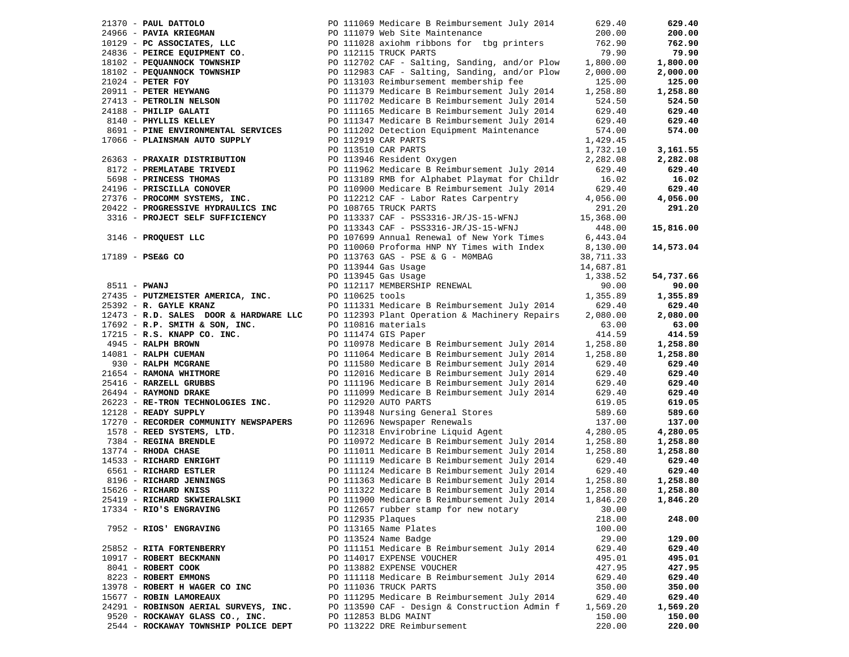|                                                                                         |                   |                                                                                                                                                                                                                                                                                        |                      | 629.40    |
|-----------------------------------------------------------------------------------------|-------------------|----------------------------------------------------------------------------------------------------------------------------------------------------------------------------------------------------------------------------------------------------------------------------------------|----------------------|-----------|
|                                                                                         |                   |                                                                                                                                                                                                                                                                                        |                      | 200.00    |
|                                                                                         |                   |                                                                                                                                                                                                                                                                                        |                      | 762.90    |
|                                                                                         |                   |                                                                                                                                                                                                                                                                                        |                      | 79.90     |
|                                                                                         |                   | 21370 - <b>PAUL DATTOLO</b><br>24966 - <b>PAVIA KRIEGMAN</b><br>24966 - <b>PAVIA KRIEGMAN</b><br>269.40<br>200.00<br>200.00<br>24836 - <b>PERCE EQUIPMENT CO.</b><br>24836 - <b>PERCE EQUIPMENT CO.</b><br>24966 - <b>PAVIA KRIEGMAN</b><br>200.00<br>21024 - <b>PERCE EQUIPMENT P</b> |                      | 1,800.00  |
|                                                                                         |                   |                                                                                                                                                                                                                                                                                        |                      | 2,000.00  |
|                                                                                         |                   |                                                                                                                                                                                                                                                                                        |                      | 125.00    |
|                                                                                         |                   |                                                                                                                                                                                                                                                                                        |                      | 1,258.80  |
|                                                                                         |                   |                                                                                                                                                                                                                                                                                        |                      | 524.50    |
| 24188 - PHILIP GALATI                                                                   |                   | PO 111165 Medicare B Reimbursement July 2014                                                                                                                                                                                                                                           | 629.40               | 629.40    |
|                                                                                         |                   |                                                                                                                                                                                                                                                                                        | 629.40               |           |
| 8140 - PHYLLIS KELLEY                                                                   |                   | PO 111347 Medicare B Reimbursement July 2014                                                                                                                                                                                                                                           |                      | 629.40    |
| 8691 - PINE ENVIRONMENTAL SERVICES                                                      |                   | PO 111202 Detection Equipment Maintenance                                                                                                                                                                                                                                              | 574.00               | 574.00    |
| 17066 - PLAINSMAN AUTO SUPPLY                                                           |                   | PO 112919 CAR PARTS                                                                                                                                                                                                                                                                    | 1,429.45             |           |
|                                                                                         |                   | PO 113510 CAR PARTS                                                                                                                                                                                                                                                                    | 1,732.10             | 3,161.55  |
| 26363 - PRAXAIR DISTRIBUTION                                                            |                   | PO 113946 Resident Oxygen                                                                                                                                                                                                                                                              | 2,282.08             | 2,282.08  |
| 8172 - PREMLATABE TRIVEDI                                                               |                   | PO 111962 Medicare B Reimbursement July 2014                                                                                                                                                                                                                                           | 629.40               | 629.40    |
| 5698 - PRINCESS THOMAS                                                                  |                   | PO 113189 RMB for Alphabet Playmat for Childr                                                                                                                                                                                                                                          | 16.02                | 16.02     |
| 24196 - PRISCILLA CONOVER<br>27376 - PROCOMM SYSTEMS, INC.                              |                   | PO 110900 Medicare B Reimbursement July 2014                                                                                                                                                                                                                                           | 629.40               | 629.40    |
|                                                                                         |                   | PO 112212 CAF - Labor Rates Carpentry                                                                                                                                                                                                                                                  | 4,056.00             | 4,056.00  |
| 20422 - PROGRESSIVE HYDRAULICS INC                                                      |                   | PO 108765 TRUCK PARTS                                                                                                                                                                                                                                                                  | 291.20               | 291.20    |
| 3316 - PROJECT SELF SUFFICIENCY                                                         |                   | PO 113337 CAF - PSS3316-JR/JS-15-WFNJ                                                                                                                                                                                                                                                  | 15,368.00            |           |
|                                                                                         |                   | PO 113343 CAF - PSS3316-JR/JS-15-WFNJ                                                                                                                                                                                                                                                  | 448.00               | 15,816.00 |
| 3146 - PROQUEST LLC                                                                     |                   | PO 107699 Annual Renewal of New York Times 6,443.04                                                                                                                                                                                                                                    |                      |           |
|                                                                                         |                   | PO 110060 Proforma HNP NY Times with Index 8,130.00                                                                                                                                                                                                                                    |                      | 14,573.04 |
| 17189 - PSE&G CO                                                                        |                   |                                                                                                                                                                                                                                                                                        | 38,711.33            |           |
|                                                                                         |                   | PO 113763 GAS - PSE & G - MOMBAG                                                                                                                                                                                                                                                       |                      |           |
|                                                                                         |                   | PO 113944 Gas Usage                                                                                                                                                                                                                                                                    | 14,687.81            |           |
|                                                                                         |                   | PO 113945 Gas Usage                                                                                                                                                                                                                                                                    | 1,338.52             | 54,737.66 |
| 8511 - PWANJ                                                                            |                   | PO 113949 Gas Osage<br>PO 112117 MEMBERSHIP RENEWAL<br>PO 110625 tools                                                                                                                                                                                                                 | 90.00                | 90.00     |
| 27435 - PUTZMEISTER AMERICA, INC.<br><b>A, INC.</b> PO 110625 tools<br>PO 111331 Medica |                   |                                                                                                                                                                                                                                                                                        | 1,355.89             | 1,355.89  |
| 25392 - R. GAYLE KRANZ                                                                  |                   | PO 111331 Medicare B Reimbursement July 2014 629.40                                                                                                                                                                                                                                    |                      | 629.40    |
|                                                                                         |                   | 12473 - R.D. SALES DOOR & HARDWARE LLC PO 112393 Plant Operation & Machinery Repairs                                                                                                                                                                                                   | 2,080.00             | 2,080.00  |
|                                                                                         |                   | 17692 - R.P. SMITH & SON, INC.<br>17692 - R.P. SMITH & SON, INC.<br>17692 - R.P. SMITH & SON, INC.<br>17715 - R.S. KNAPP CO. INC.<br>17945 - RALPH BROWN<br>17945 - RALPH BROWN<br>17945 - RALPH BROWN<br>17945 - RALPH BROWN<br>2011 - PO 111                                         |                      | 63.00     |
|                                                                                         |                   |                                                                                                                                                                                                                                                                                        |                      | 414.59    |
|                                                                                         |                   |                                                                                                                                                                                                                                                                                        |                      | 1,258.80  |
|                                                                                         |                   |                                                                                                                                                                                                                                                                                        |                      | 1,258.80  |
|                                                                                         |                   |                                                                                                                                                                                                                                                                                        |                      | 629.40    |
|                                                                                         |                   |                                                                                                                                                                                                                                                                                        |                      | 629.40    |
| 219316 - RARZELL GRUBBS<br>25416 - RARZELL GRUBBS<br>25404 - PAVMOND DEAKE              |                   |                                                                                                                                                                                                                                                                                        | $629.40$<br>$629.40$ | 629.40    |
| 26494 - RAYMOND DRAKE                                                                   |                   | PO 111099 Medicare B Reimbursement July 2014                                                                                                                                                                                                                                           |                      | 629.40    |
| 26223 - RE-TRON TECHNOLOGIES INC.                                                       |                   | PO 112920 AUTO PARTS                                                                                                                                                                                                                                                                   | 619.05               | 619.05    |
| 12128 - READY SUPPLY                                                                    |                   | PO 113948 Nursing General Stores                                                                                                                                                                                                                                                       | 589.60               | 589.60    |
| 17270 - RECORDER COMMUNITY NEWSPAPERS                                                   |                   | PO 112696 Newspaper Renewals                                                                                                                                                                                                                                                           | 137.00               | 137.00    |
| 1578 - REED SYSTEMS, LTD.                                                               |                   |                                                                                                                                                                                                                                                                                        |                      | 4,280.05  |
| 7384 - REGINA BRENDLE                                                                   |                   |                                                                                                                                                                                                                                                                                        |                      | 1,258.80  |
| 13774 - RHODA CHASE                                                                     |                   | PO 112318 Envirobrine Liquid Agent<br>PO 110972 Medicare B Reimbursement July 2014<br>PO 111011 Medicare B Reimbursement July 2014<br>1,258.80<br>PO 111011 Medicare B Reimbursement July 2014<br>629.40<br>629.40                                                                     |                      | 1,258.80  |
| 14533 - RICHARD ENRIGHT                                                                 |                   |                                                                                                                                                                                                                                                                                        |                      | 629.40    |
|                                                                                         |                   |                                                                                                                                                                                                                                                                                        |                      |           |
| 6561 - RICHARD ESTLER<br>8196 - RICHARD JENNINGS                                        |                   | PO 111124 Medicare B Reimbursement July 2014                                                                                                                                                                                                                                           | 629.40               | 629.40    |
|                                                                                         |                   | PO 111363 Medicare B Reimbursement July 2014                                                                                                                                                                                                                                           | 1,258.80             | 1,258.80  |
| 15626 - RICHARD KNISS                                                                   |                   | PO 111322 Medicare B Reimbursement July 2014                                                                                                                                                                                                                                           | 1,258.80             | 1,258.80  |
| 25419 - RICHARD SKWIERALSKI                                                             |                   | PO 111900 Medicare B Reimbursement July 2014                                                                                                                                                                                                                                           | 1,846.20             | 1,846.20  |
| 17334 - RIO'S ENGRAVING                                                                 |                   | PO 112657 rubber stamp for new notary                                                                                                                                                                                                                                                  | 30.00                |           |
|                                                                                         | PO 112935 Plaques |                                                                                                                                                                                                                                                                                        | 218.00               | 248.00    |
| 7952 - RIOS' ENGRAVING                                                                  |                   | PO 113165 Name Plates                                                                                                                                                                                                                                                                  | 100.00               |           |
|                                                                                         |                   | PO 113524 Name Badge                                                                                                                                                                                                                                                                   | 29.00                | 129.00    |
| 25852 - RITA FORTENBERRY                                                                |                   | PO 111151 Medicare B Reimbursement July 2014                                                                                                                                                                                                                                           | 629.40               | 629.40    |
| 10917 - ROBERT BECKMANN                                                                 |                   | PO 114017 EXPENSE VOUCHER                                                                                                                                                                                                                                                              | 495.01               | 495.01    |
| 8041 - ROBERT COOK                                                                      |                   | PO 113882 EXPENSE VOUCHER                                                                                                                                                                                                                                                              | 427.95               | 427.95    |
| 8223 - ROBERT EMMONS                                                                    |                   | PO 111118 Medicare B Reimbursement July 2014                                                                                                                                                                                                                                           | 629.40               | 629.40    |
| 13978 - ROBERT H WAGER CO INC                                                           |                   | PO 111036 TRUCK PARTS                                                                                                                                                                                                                                                                  | 350.00               | 350.00    |
| 15677 - ROBIN LAMOREAUX                                                                 |                   | PO 111295 Medicare B Reimbursement July 2014                                                                                                                                                                                                                                           | 629.40               | 629.40    |
| 24291 - ROBINSON AERIAL SURVEYS, INC.                                                   |                   | PO 113590 CAF - Design & Construction Admin f                                                                                                                                                                                                                                          | 1,569.20             | 1,569.20  |
| 9520 - ROCKAWAY GLASS CO., INC.                                                         |                   | PO 112853 BLDG MAINT                                                                                                                                                                                                                                                                   | 150.00               | 150.00    |
| 2544 - ROCKAWAY TOWNSHIP POLICE DEPT                                                    |                   | PO 113222 DRE Reimbursement                                                                                                                                                                                                                                                            | 220.00               | 220.00    |
|                                                                                         |                   |                                                                                                                                                                                                                                                                                        |                      |           |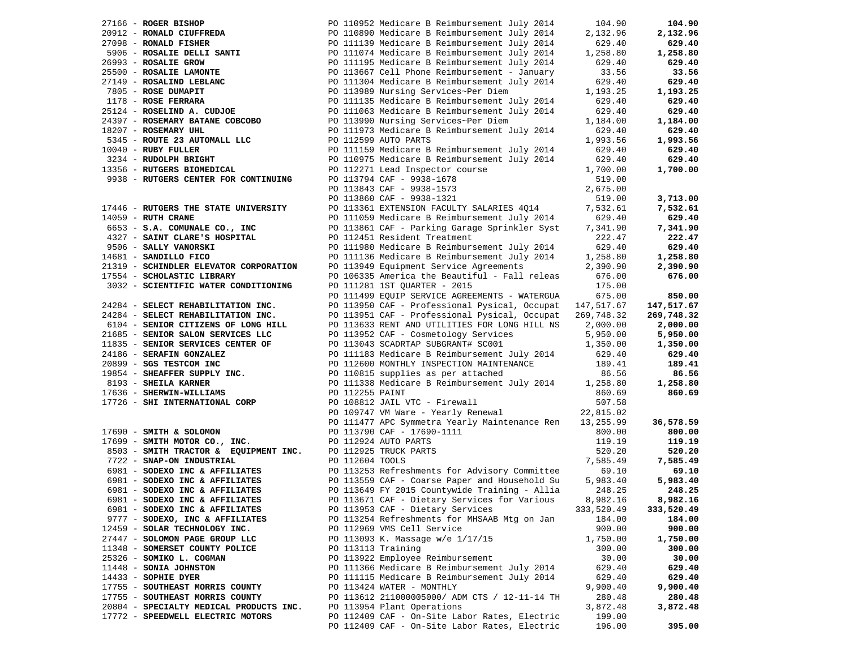|                                                             |              |                 |                                                                                             | 104.90                 | 104.90     |
|-------------------------------------------------------------|--------------|-----------------|---------------------------------------------------------------------------------------------|------------------------|------------|
|                                                             |              |                 |                                                                                             | 2,132.96               | 2,132.96   |
|                                                             |              |                 |                                                                                             | 629.40                 | 629.40     |
|                                                             |              |                 |                                                                                             | 1,258.80               | 1,258.80   |
| 26993 - ROSALIE GROW                                        |              |                 | PO 111195 Medicare B Reimbursement July 2014                                                | 629.40                 | 629.40     |
| 25500 - ROSALIE LAMONTE                                     |              |                 | PO 113667 Cell Phone Reimbursement - January                                                | 33.56                  | 33.56      |
| 27149 - ROSALIND LEBLANC                                    |              |                 | PO 111304 Medicare B Reimbursement July 2014                                                | 629.40                 | 629.40     |
| 7805 - ROSE DUMAPIT                                         |              |                 | PO 113989 Nursing Services~Per Diem                                                         | 1,193.25               | 1,193.25   |
| 1178 - ROSE FERRARA                                         |              |                 | PO 111135 Medicare B Reimbursement July 2014                                                | 629.40                 | 629.40     |
| 25124 - ROSELIND A. CUDJOE                                  |              |                 | PO 111063 Medicare B Reimbursement July 2014                                                | 629.40                 | 629.40     |
| 24397 - ROSEMARY BATANE COBCOBO                             |              |                 | PO 113990 Nursing Services~Per Diem                                                         | 1,184.00               | 1,184.00   |
| 18207 - ROSEMARY UHL                                        |              |                 | PO 111973 Medicare B Reimbursement July 2014                                                | 629.40                 | 629.40     |
| 5345 - ROUTE 23 AUTOMALL LLC                                |              |                 | PO 112599 AUTO PARTS                                                                        | 1,993.56               | 1,993.56   |
| $10040$ - RUBY FULLER                                       |              |                 | PO 111159 Medicare B Reimbursement July 2014                                                | 629.40                 | 629.40     |
| 3234 - RUDOLPH BRIGHT                                       |              |                 | PO 110975 Medicare B Reimbursement July 2014                                                | 629.40                 | 629.40     |
| 13356 - RUTGERS BIOMEDICAL                                  |              |                 | PO 112271 Lead Inspector course                                                             | 1,700.00               | 1,700.00   |
| 9938 - RUTGERS CENTER FOR CONTINUING                        |              |                 | PO 113794 CAF - 9938-1678                                                                   | 519.00                 |            |
|                                                             |              |                 | PO 113843 CAF - 9938-1573                                                                   | 2,675.00               |            |
|                                                             |              |                 | PO 113860 CAF - 9938-1321                                                                   | 519.00                 | 3,713.00   |
| 17446 - RUTGERS THE STATE UNIVERSITY                        |              |                 | PO 113361 EXTENSION FACULTY SALARIES 4Q14                                                   | 7,532.61               | 7,532.61   |
| 14059 - RUTH CRANE                                          |              |                 | PO 111059 Medicare B Reimbursement July 2014                                                | 629.40                 | 629.40     |
| 6653 - S.A. COMUNALE CO., INC                               |              |                 | PO 113861 CAF - Parking Garage Sprinkler Syst                                               | 7,341.90               | 7,341.90   |
| 4327 - SAINT CLARE'S HOSPITAL                               |              |                 | PO 112451 Resident Treatment                                                                | 222.47                 | 222.47     |
| 9506 - SALLY VANORSKI                                       |              |                 | PO 111980 Medicare B Reimbursement July 2014                                                | 629.40                 | 629.40     |
| 14681 - SANDILLO FICO                                       |              |                 | PO 111136 Medicare B Reimbursement July 2014                                                | 1,258.80               | 1,258.80   |
| 21319 - SCHINDLER ELEVATOR CORPORATION                      |              |                 | PO 113949 Equipment Service Agreements                                                      | 2,390.90               | 2,390.90   |
| 17554 - SCHOLASTIC LIBRARY                                  |              |                 | PO 106335 America the Beautiful - Fall releas                                               | 676.00                 | 676.00     |
| 3032 - SCIENTIFIC WATER CONDITIONING                        |              |                 | PO 111281 1ST QUARTER - 2015                                                                | 175.00                 |            |
|                                                             |              |                 | PO 111499 EQUIP SERVICE AGREEMENTS - WATERGUA                                               | 675.00                 | 850.00     |
| 24284 - SELECT REHABILITATION INC.                          |              |                 | PO 113950 CAF - Professional Pysical, Occupat 147,517.67                                    |                        | 147,517.67 |
| 24284 - SELECT REHABILITATION INC.                          |              |                 | PO 113951 CAF - Professional Pysical, Occupat                                               | 269,748.32             | 269,748.32 |
| 6104 - SENIOR CITIZENS OF LONG HILL                         |              |                 | PO 113633 RENT AND UTILITIES FOR LONG HILL NS                                               | 2,000.00               | 2,000.00   |
| 21685 - SENIOR SALON SERVICES LLC                           |              |                 | PO 113952 CAF - Cosmetology Services<br>PO 113043 SCADRTAP SUBGRANT# SC001                  | 5,950.00               | 5,950.00   |
| 11835 - SENIOR SERVICES CENTER OF                           |              |                 |                                                                                             | 1,350.00               | 1,350.00   |
| 24186 - SERAFIN GONZALEZ                                    |              |                 | PO 111183 Medicare B Reimbursement July 2014                                                | 629.40                 | 629.40     |
| 20899 - SGS TESTCOM INC<br>$19854$ - SHEAFFER SUPPLY INC.   |              |                 | PO 112600 MONTHLY INSPECTION MAINTENANCE                                                    | 189.41                 | 189.41     |
|                                                             |              |                 | PO 110815 supplies as per attached<br>PO 111338 Medicare B Reimbursement July 2014 1,258.80 | 86.56                  | 86.56      |
| 8193 - SHEILA KARNER                                        |              |                 |                                                                                             |                        | 1,258.80   |
| 17636 - SHERWIN-WILLIAMS<br>17726 - SHI INTERNATIONAL CORP  |              | PO 112255 PAINT | PO 108812 JAIL VTC - Firewall                                                               | 860.69<br>507.58       | 860.69     |
|                                                             |              |                 |                                                                                             |                        |            |
|                                                             |              |                 | PO 109747 VM Ware - Yearly Renewal<br>PO 111477 APC Symmetra Yearly Maintenance Ren         | 22,815.02<br>13,255.99 | 36,578.59  |
| 17690 - SMITH & SOLOMON                                     |              |                 | PO 113790 CAF - 17690-1111                                                                  | 800.00                 | 800.00     |
| 17699 - SMITH MOTOR CO., INC. PO 112924 AUTO PARTS          |              |                 |                                                                                             | 119.19                 | 119.19     |
| 8503 - SMITH TRACTOR & EQUIPMENT INC. PO 112925 TRUCK PARTS |              |                 |                                                                                             | 520.20                 | 520.20     |
| 7722 - SNAP-ON INDUSTRIAL                                   |              | PO 112604 TOOLS |                                                                                             | 7,585.49               | 7,585.49   |
| 6981 - SODEXO INC & AFFILIATES                              |              |                 | PO 113253 Refreshments for Advisory Committee                                               | 69.10                  | 69.10      |
| 6981 - SODEXO INC & AFFILIATES                              | $\mathbf{F}$ |                 | PO 113559 CAF - Coarse Paper and Household Su                                               | 5,983.40               | 5,983.40   |
| 6981 - SODEXO INC & AFFILIATES                              |              |                 | PO 113649 FY 2015 Countywide Training - Allia                                               | 248.25                 | 248.25     |
| 6981 - SODEXO INC & AFFILIATES                              |              |                 | PO 113671 CAF - Dietary Services for Various                                                | 8,982.16               | 8,982.16   |
| 6981 - SODEXO INC & AFFILIATES                              |              |                 | PO 113953 CAF - Dietary Services                                                            | 333,520.49             | 333,520.49 |
| 9777 - SODEXO, INC & AFFILIATES                             |              |                 | PO 113254 Refreshments for MHSAAB Mtg on Jan                                                | 184.00                 | 184.00     |
| 12459 - SOLAR TECHNOLOGY INC.                               |              |                 | PO 112969 VMS Cell Service                                                                  | 900.00                 | 900.00     |
| 27447 - SOLOMON PAGE GROUP LLC                              |              |                 | PO 113093 K. Massage w/e 1/17/15                                                            | 1,750.00               | 1,750.00   |
| 11348 - SOMERSET COUNTY POLICE                              |              |                 | PO 113113 Training                                                                          | 300.00                 | 300.00     |
| 25326 - SOMIKO L. COGMAN                                    |              |                 | PO 113922 Employee Reimbursement                                                            | 30.00                  | 30.00      |
| 11448 - SONIA JOHNSTON                                      |              |                 | PO 111366 Medicare B Reimbursement July 2014                                                | 629.40                 | 629.40     |
| $14433$ - SOPHIE DYER                                       |              |                 | PO 111115 Medicare B Reimbursement July 2014                                                | 629.40                 | 629.40     |
| 17755 - SOUTHEAST MORRIS COUNTY                             |              |                 | PO 113424 WATER - MONTHLY                                                                   | 9,900.40               | 9,900.40   |
| 17755 - SOUTHEAST MORRIS COUNTY                             |              |                 | PO 113612 211000005000/ ADM CTS / 12-11-14 TH                                               | 280.48                 | 280.48     |
| 20804 - SPECIALTY MEDICAL PRODUCTS INC.                     |              |                 | PO 113954 Plant Operations                                                                  | 3,872.48               | 3,872.48   |
| 17772 - SPEEDWELL ELECTRIC MOTORS                           |              |                 | PO 112409 CAF - On-Site Labor Rates, Electric                                               | 199.00                 |            |
|                                                             |              |                 | PO 112409 CAF - On-Site Labor Rates, Electric                                               | 196.00                 | 395.00     |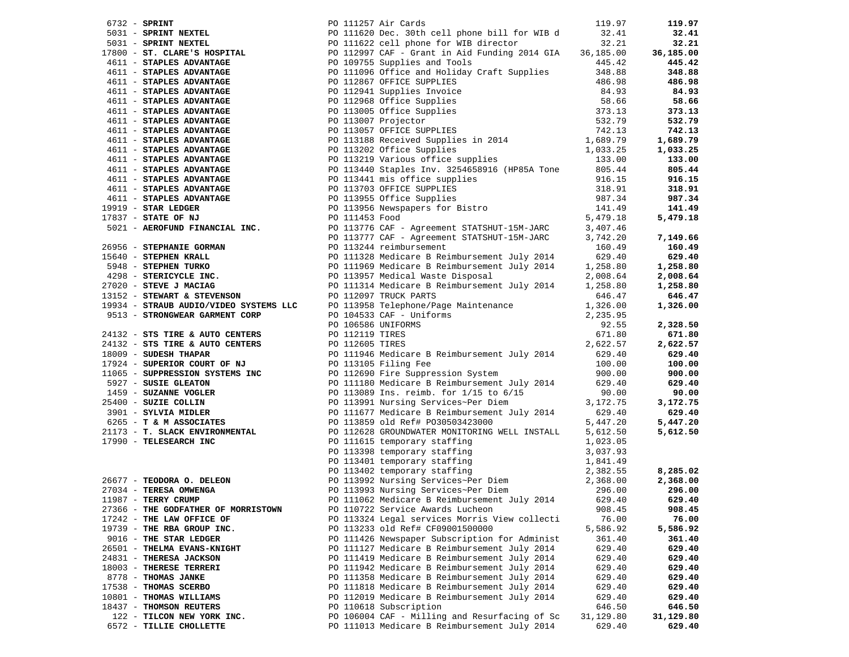|                                                          | 6732 - SPRINT NEXTEL PO 111257 Air Cards<br>5031 - SPRINT NEXTEL PO 111620 Dec. 30th cell phone bill for WIB d<br>5031 - SPRINT NEXTEL PO 111620 Dec. 30th cell phone bill for WIB d<br>5031 - SPRINT NEXTEL PO 111622 cell phone f                                                 |           | 119.97             |
|----------------------------------------------------------|-------------------------------------------------------------------------------------------------------------------------------------------------------------------------------------------------------------------------------------------------------------------------------------|-----------|--------------------|
|                                                          |                                                                                                                                                                                                                                                                                     |           | 32.41              |
|                                                          |                                                                                                                                                                                                                                                                                     |           | 32.21              |
|                                                          |                                                                                                                                                                                                                                                                                     |           | 36,185.00          |
|                                                          |                                                                                                                                                                                                                                                                                     |           | 445.42             |
|                                                          |                                                                                                                                                                                                                                                                                     |           | 348.88             |
|                                                          |                                                                                                                                                                                                                                                                                     |           | 486.98             |
|                                                          |                                                                                                                                                                                                                                                                                     |           | 84.93              |
|                                                          |                                                                                                                                                                                                                                                                                     |           | 58.66              |
|                                                          |                                                                                                                                                                                                                                                                                     |           | 373.13             |
|                                                          |                                                                                                                                                                                                                                                                                     |           | 532.79             |
|                                                          |                                                                                                                                                                                                                                                                                     |           | 742.13             |
|                                                          |                                                                                                                                                                                                                                                                                     |           | 1,689.79           |
|                                                          |                                                                                                                                                                                                                                                                                     |           | 1,033.25           |
|                                                          |                                                                                                                                                                                                                                                                                     |           | 133.00             |
|                                                          |                                                                                                                                                                                                                                                                                     |           | 805.44             |
|                                                          |                                                                                                                                                                                                                                                                                     |           | 916.15             |
|                                                          |                                                                                                                                                                                                                                                                                     |           | 318.91             |
|                                                          |                                                                                                                                                                                                                                                                                     |           | 987.34             |
|                                                          |                                                                                                                                                                                                                                                                                     |           | 141.49             |
|                                                          |                                                                                                                                                                                                                                                                                     |           | 5,479.18           |
|                                                          |                                                                                                                                                                                                                                                                                     |           |                    |
|                                                          |                                                                                                                                                                                                                                                                                     |           | 7,149.66           |
|                                                          |                                                                                                                                                                                                                                                                                     |           | 160.49             |
|                                                          |                                                                                                                                                                                                                                                                                     |           | 629.40             |
|                                                          |                                                                                                                                                                                                                                                                                     |           | 1,258.80           |
|                                                          |                                                                                                                                                                                                                                                                                     |           | 2,008.64           |
|                                                          |                                                                                                                                                                                                                                                                                     |           | 1,258.80           |
|                                                          |                                                                                                                                                                                                                                                                                     |           | 646.47             |
|                                                          |                                                                                                                                                                                                                                                                                     |           | 1,326.00           |
|                                                          |                                                                                                                                                                                                                                                                                     |           |                    |
|                                                          |                                                                                                                                                                                                                                                                                     |           |                    |
|                                                          | 1911 - <b>STAPIES ADVANTAGE</b><br>(611 - <b>STAPIES ADVANTAGE</b><br>(611 - <b>STAPIES ADVANTAGE</b><br>(611 - <b>STAPIES ADVANTAGE</b><br>(611 - <b>STAPIES ADVANTAGE</b><br>(611 - <b>STAPIES ADVANTAGE</b><br>(611 - <b>STAPIES ADVANTAGE</b><br>(611 - <b>STAPIES ADVANTAG</b> |           | 2,328.50<br>671.80 |
|                                                          |                                                                                                                                                                                                                                                                                     |           | 2,622.57           |
|                                                          | PO 111946 Medicare B Reimbursement July 2014 629.40                                                                                                                                                                                                                                 |           | 629.40             |
|                                                          | 18009 - SUDESH THAPAR<br>17924 - SUPERIOR COURT OF NJ<br>17924 - SUPERIOR COURT OF NJ<br>1065 - SUPERSSION SYSTEMS INC<br>10.00<br>11065 - SUPERSSION SYSTEMS INC<br>10.00<br>11065 - SUPERSSION SYSTEMS INC<br>16927 - SUSIE GLEATON<br>1459 -                                     |           | 100.00             |
|                                                          |                                                                                                                                                                                                                                                                                     |           | 900.00             |
|                                                          |                                                                                                                                                                                                                                                                                     |           | 629.40             |
|                                                          |                                                                                                                                                                                                                                                                                     |           | 90.00              |
|                                                          |                                                                                                                                                                                                                                                                                     |           | 3,172.75           |
|                                                          |                                                                                                                                                                                                                                                                                     |           | 629.40             |
|                                                          |                                                                                                                                                                                                                                                                                     |           | 5,447.20           |
|                                                          | PO 112628 GROUNDWATER MONITORING WELL INSTALL                                                                                                                                                                                                                                       | 5,612.50  | 5,612.50           |
|                                                          |                                                                                                                                                                                                                                                                                     |           |                    |
| 21173 - T. SLACK ENVIRONMENTAL<br>17990 - TELESEARCH INC | 17990 - TELESEARCH INC<br>PO 111615 temporary staffing<br>PO 111615 temporary staffing<br>PO 113398 temporary staffing<br>PO 113398 temporary staffing<br>PO 113401 temporary staffing<br>PO 113401 temporary staffing<br>PO 113402 temporar                                        |           |                    |
|                                                          |                                                                                                                                                                                                                                                                                     |           |                    |
|                                                          |                                                                                                                                                                                                                                                                                     |           | 8,285.02           |
|                                                          |                                                                                                                                                                                                                                                                                     |           | 2,368.00           |
|                                                          |                                                                                                                                                                                                                                                                                     |           | 296.00             |
|                                                          | PO 111062 Medicare B Reimbursement July 2014 629.40 629.40                                                                                                                                                                                                                          |           |                    |
| 27366 - THE GODFATHER OF MORRISTOWN                      | PO 110722 Service Awards Lucheon                                                                                                                                                                                                                                                    | 908.45    | 908.45             |
| 17242 - THE LAW OFFICE OF                                | PO 113324 Legal services Morris View collecti                                                                                                                                                                                                                                       | 76.00     | 76.00              |
| 19739 - THE RBA GROUP INC.                               | PO 113233 old Ref# CF09001500000                                                                                                                                                                                                                                                    | 5,586.92  | 5,586.92           |
| 9016 - THE STAR LEDGER                                   | PO 111426 Newspaper Subscription for Administ                                                                                                                                                                                                                                       | 361.40    | 361.40             |
| 26501 - THELMA EVANS-KNIGHT                              | PO 111127 Medicare B Reimbursement July 2014                                                                                                                                                                                                                                        | 629.40    | 629.40             |
| 24831 - THERESA JACKSON                                  | PO 111419 Medicare B Reimbursement July 2014                                                                                                                                                                                                                                        | 629.40    | 629.40             |
| 18003 - THERESE TERRERI                                  | PO 111942 Medicare B Reimbursement July 2014                                                                                                                                                                                                                                        | 629.40    | 629.40             |
| 8778 - THOMAS JANKE                                      | PO 111358 Medicare B Reimbursement July 2014                                                                                                                                                                                                                                        | 629.40    | 629.40             |
| 17538 - THOMAS SCERBO                                    | PO 111818 Medicare B Reimbursement July 2014                                                                                                                                                                                                                                        | 629.40    | 629.40             |
| 10801 - THOMAS WILLIAMS                                  | PO 112019 Medicare B Reimbursement July 2014                                                                                                                                                                                                                                        | 629.40    | 629.40             |
| 18437 - THOMSON REUTERS                                  | PO 110618 Subscription                                                                                                                                                                                                                                                              | 646.50    | 646.50             |
| 122 - TILCON NEW YORK INC.                               | PO 106004 CAF - Milling and Resurfacing of Sc                                                                                                                                                                                                                                       | 31,129.80 | 31,129.80          |
| 6572 - TILLIE CHOLLETTE                                  | PO 111013 Medicare B Reimbursement July 2014                                                                                                                                                                                                                                        | 629.40    | 629.40             |
|                                                          |                                                                                                                                                                                                                                                                                     |           |                    |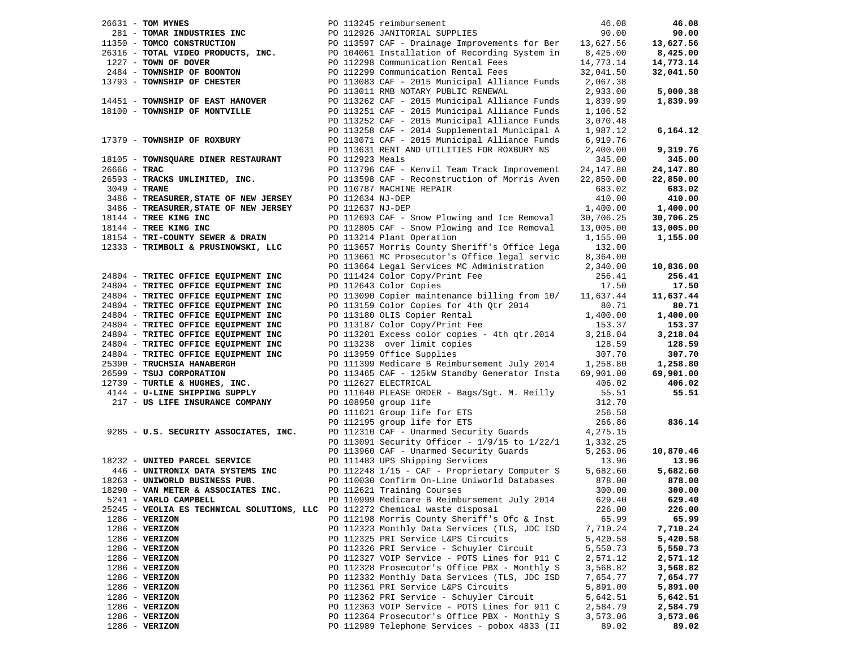| 26631 - TOM MYNES                                                                                                                                                                                                                                              |  |                 | PO 113245 reimbursement                                                                  | 46.08                | 46.08     |
|----------------------------------------------------------------------------------------------------------------------------------------------------------------------------------------------------------------------------------------------------------------|--|-----------------|------------------------------------------------------------------------------------------|----------------------|-----------|
| 281 - TOMAR INDUSTRIES INC                                                                                                                                                                                                                                     |  |                 | PO 112926 JANITORIAL SUPPLIES                                                            | 90.00                | 90.00     |
|                                                                                                                                                                                                                                                                |  |                 |                                                                                          |                      | 13,627.56 |
| 11350 - <b>TOMCO CONSTRUCTION</b><br>26316 - <b>TOTAL VIDEO PRODUCTS, INC.</b><br>26316 - <b>TOTAL VIDEO PRODUCTS, INC.</b><br>26316 - <b>TOTAL VIDEO PRODUCTS, INC.</b><br>26325 - PROPURENT PROPURENT PROPURENT PROPURENT PROPURENT PROPURENT PROPURENT PROP |  |                 |                                                                                          |                      | 8,425.00  |
| 1227 - TOWN OF DOVER                                                                                                                                                                                                                                           |  |                 | PO 112298 Communication Rental Fees                                                      | 14,773.14            | 14,773.14 |
| 2484 - TOWNSHIP OF BOONTON                                                                                                                                                                                                                                     |  |                 | PO 112299 Communication Rental Fees 32,041.50                                            |                      | 32,041.50 |
| 13793 - TOWNSHIP OF CHESTER                                                                                                                                                                                                                                    |  |                 | PO 113083 CAF - 2015 Municipal Alliance Funds 2,067.38                                   |                      |           |
|                                                                                                                                                                                                                                                                |  |                 | PO 113011 RMB NOTARY PUBLIC RENEWAL                                                      | 2,933.00             | 5,000.38  |
| 14451 - TOWNSHIP OF EAST HANOVER                                                                                                                                                                                                                               |  |                 | PO 113262 CAF - 2015 Municipal Alliance Funds                                            | 1,839.99             | 1,839.99  |
| 18100 - TOWNSHIP OF MONTVILLE                                                                                                                                                                                                                                  |  |                 | PO 113251 CAF - 2015 Municipal Alliance Funds                                            | 1,106.52             |           |
|                                                                                                                                                                                                                                                                |  |                 | PO 113252 CAF - 2015 Municipal Alliance Funds                                            | 3,070.48             |           |
|                                                                                                                                                                                                                                                                |  |                 | PO 113258 CAF - 2014 Supplemental Municipal A                                            | 1,987.12             | 6,164.12  |
| 17379 - TOWNSHIP OF ROXBURY                                                                                                                                                                                                                                    |  |                 | PO 113071 CAF - 2015 Municipal Alliance Funds                                            | 6,919.76             |           |
|                                                                                                                                                                                                                                                                |  |                 | PO 113631 RENT AND UTILITIES FOR ROXBURY NS                                              | 2,400.00             | 9,319.76  |
| 18105 - TOWNSQUARE DINER RESTAURANT                                                                                                                                                                                                                            |  | PO 112923 Meals |                                                                                          | 345.00               | 345.00    |
| $26666 - TRAC$                                                                                                                                                                                                                                                 |  |                 | PO 113796 CAF - Kenvil Team Track Improvement                                            | 24,147.80            | 24,147.80 |
| 26593 - TRACKS UNLIMITED, INC.                                                                                                                                                                                                                                 |  |                 | PO 113598 CAF - Reconstruction of Morris Aven                                            | 22,850.00            | 22,850.00 |
| $3049$ - TRANE                                                                                                                                                                                                                                                 |  |                 | PO 110787 MACHINE REPAIR                                                                 | 683.02               | 683.02    |
| 3486 - TREASURER, STATE OF NEW JERSEY                                                                                                                                                                                                                          |  |                 | PO 112634 NJ-DEP                                                                         | 410.00               | 410.00    |
| 3486 - TREASURER, STATE OF NEW JERSEY                                                                                                                                                                                                                          |  |                 | PO 112637 NJ-DEP                                                                         | 1,400.00             | 1,400.00  |
| 18144 - TREE KING INC                                                                                                                                                                                                                                          |  |                 | PO 112693 CAF - Snow Plowing and Ice Removal                                             | 30,706.25            | 30,706.25 |
| 18144 - TREE KING INC                                                                                                                                                                                                                                          |  |                 | PO 112805 CAF - Snow Plowing and Ice Removal                                             | 13,005.00            | 13,005.00 |
| 18154 - TRI-COUNTY SEWER & DRAIN                                                                                                                                                                                                                               |  |                 | PO 113214 Plant Operation                                                                | 1,155.00             | 1,155.00  |
| 12333 - TRIMBOLI & PRUSINOWSKI, LLC                                                                                                                                                                                                                            |  |                 | PO 113657 Morris County Sheriff's Office lega                                            | 132.00               |           |
|                                                                                                                                                                                                                                                                |  |                 | PO 113661 MC Prosecutor's Office legal servic                                            | 8,364.00             |           |
|                                                                                                                                                                                                                                                                |  |                 | PO 113664 Legal Services MC Administration                                               | 2,340.00             | 10,836.00 |
| 24804 - TRITEC OFFICE EQUIPMENT INC                                                                                                                                                                                                                            |  |                 | PO 111424 Color Copy/Print Fee                                                           | 256.41               | 256.41    |
| 24804 - TRITEC OFFICE EQUIPMENT INC                                                                                                                                                                                                                            |  |                 | PO 112643 Color Copies                                                                   | 17.50                | 17.50     |
| 24804 - TRITEC OFFICE EQUIPMENT INC                                                                                                                                                                                                                            |  |                 | PO 113090 Copier maintenance billing from 10/                                            | 11,637.44            | 11,637.44 |
| 24804 - TRITEC OFFICE EQUIPMENT INC                                                                                                                                                                                                                            |  |                 | PO 113159 Color Copies for 4th Qtr 2014                                                  | 80.71                | 80.71     |
| 24804 - TRITEC OFFICE EQUIPMENT INC                                                                                                                                                                                                                            |  |                 |                                                                                          | 1,400.00             | 1,400.00  |
| 24804 - TRITEC OFFICE EQUIPMENT INC                                                                                                                                                                                                                            |  |                 | -- -----v ODIS COPIER Rental<br>PO 113187 Color Copy/Print Fee<br>PO 113201 Terms        | 153.37               | 153.37    |
| 24804 - TRITEC OFFICE EQUIPMENT INC                                                                                                                                                                                                                            |  |                 | PO 113201 Excess color copies - 4th qtr.2014                                             | 3,218.04             | 3,218.04  |
| 24804 - TRITEC OFFICE EQUIPMENT INC                                                                                                                                                                                                                            |  |                 | PO 113238 over limit copies                                                              | 128.59               | 128.59    |
| 24804 - TRITEC OFFICE EQUIPMENT INC                                                                                                                                                                                                                            |  |                 | PO 113959 Office Supplies                                                                | 307.70               | 307.70    |
| 25390 - TRUCHSIA HANABERGH                                                                                                                                                                                                                                     |  |                 | PO 111399 Medicare B Reimbursement July 2014 1,258.80                                    |                      | 1,258.80  |
| 26599 - TSUJ CORPORATION                                                                                                                                                                                                                                       |  |                 | PO 113465 CAF - 125kW Standby Generator Insta                                            | 69,901.00            | 69,901.00 |
| 12739 - TURTLE & HUGHES, INC.                                                                                                                                                                                                                                  |  |                 | PO 112627 ELECTRICAL                                                                     | 406.02               | 406.02    |
| 4144 - U-LINE SHIPPING SUPPLY                                                                                                                                                                                                                                  |  |                 | PO 111640 PLEASE ORDER - Bags/Sgt. M. Reilly                                             | 55.51                | 55.51     |
| 217 - US LIFE INSURANCE COMPANY                                                                                                                                                                                                                                |  |                 | PO 108950 group life                                                                     | 312.70               |           |
|                                                                                                                                                                                                                                                                |  |                 | PO 111621 Group life for ETS<br>PO 112195 group life for ETS                             | 256.58               |           |
|                                                                                                                                                                                                                                                                |  |                 | PO 112195 group life for ETS<br>PO 112310 CAF - Unarmed Security Guards 4,275.15         | 266.86               | 836.14    |
| 9285 - U.S. SECURITY ASSOCIATES, INC.                                                                                                                                                                                                                          |  |                 |                                                                                          |                      |           |
|                                                                                                                                                                                                                                                                |  |                 | PO 113091 Security Officer - 1/9/15 to 1/22/1<br>PO 113960 CAF - Unarmed Security Guards | 1,332.25<br>5,263.06 | 10,870.46 |
| 18232 - UNITED PARCEL SERVICE                                                                                                                                                                                                                                  |  |                 |                                                                                          | 13.96                | 13.96     |
| 446 - UNITRONIX DATA SYSTEMS INC                                                                                                                                                                                                                               |  |                 | PO 111483 UPS Shipping Services<br>PO 112248 1/15 - CAF - Proprietary Computer S         | 5,682.60             | 5,682.60  |
| 18263 - UNIWORLD BUSINESS PUB.                                                                                                                                                                                                                                 |  |                 | PO 110030 Confirm On-Line Uniworld Databases                                             | 878.00               | 878.00    |
| 18290 - VAN METER & ASSOCIATES INC.                                                                                                                                                                                                                            |  |                 | PO 112621 Training Courses                                                               | 300.00               | 300.00    |
| 5241 - VARLO CAMPBELL                                                                                                                                                                                                                                          |  |                 | PO 110999 Medicare B Reimbursement July 2014                                             | 629.40               | 629.40    |
| 25245 - VEOLIA ES TECHNICAL SOLUTIONS, LLC                                                                                                                                                                                                                     |  |                 | PO 112272 Chemical waste disposal                                                        | 226.00               | 226.00    |
| $1286$ - VERIZON                                                                                                                                                                                                                                               |  |                 | PO 112198 Morris County Sheriff's Ofc & Inst                                             | 65.99                | 65.99     |
| $1286 - VERIZON$                                                                                                                                                                                                                                               |  |                 | PO 112323 Monthly Data Services (TLS, JDC ISD                                            | 7,710.24             | 7,710.24  |
| $1286$ - VERIZON                                                                                                                                                                                                                                               |  |                 | PO 112325 PRI Service L&PS Circuits                                                      | 5,420.58             | 5,420.58  |
| $1286 - VERIZON$                                                                                                                                                                                                                                               |  |                 | PO 112326 PRI Service - Schuyler Circuit                                                 | 5,550.73             | 5,550.73  |
| 1286 - VERIZON                                                                                                                                                                                                                                                 |  |                 | PO 112327 VOIP Service - POTS Lines for 911 C                                            | 2,571.12             | 2,571.12  |
| $1286$ - VERIZON                                                                                                                                                                                                                                               |  |                 | PO 112328 Prosecutor's Office PBX - Monthly S                                            | 3,568.82             | 3,568.82  |
| $1286 - VERIZON$                                                                                                                                                                                                                                               |  |                 | PO 112332 Monthly Data Services (TLS, JDC ISD                                            | 7,654.77             | 7,654.77  |
| $1286 - VERIZON$                                                                                                                                                                                                                                               |  |                 | PO 112361 PRI Service L&PS Circuits                                                      | 5,891.00             | 5,891.00  |
| $1286$ - VERIZON                                                                                                                                                                                                                                               |  |                 | PO 112362 PRI Service - Schuyler Circuit                                                 | 5,642.51             | 5,642.51  |
| $1286 - VERIZON$                                                                                                                                                                                                                                               |  |                 | PO 112363 VOIP Service - POTS Lines for 911 C                                            | 2,584.79             | 2,584.79  |
| $1286 - VERIZON$                                                                                                                                                                                                                                               |  |                 | PO 112364 Prosecutor's Office PBX - Monthly S                                            | 3,573.06             | 3,573.06  |
| $1286$ - VERIZON                                                                                                                                                                                                                                               |  |                 | PO 112989 Telephone Services - pobox 4833 (II                                            | 89.02                | 89.02     |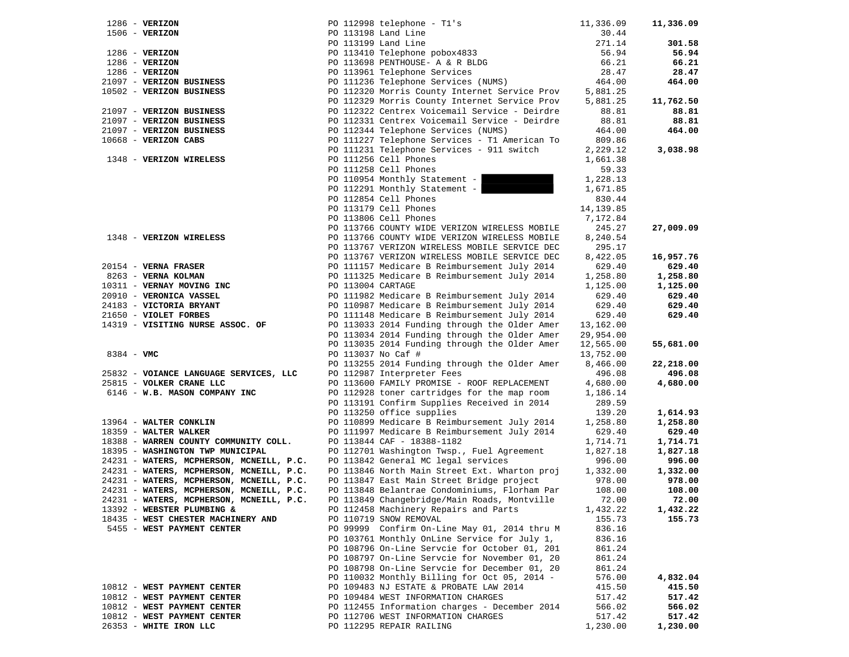| $1286 - VERIZON$                                                 |                   | PO 112998 telephone - Tl's                                                                     | 11,336.09             | 11,336.09            |
|------------------------------------------------------------------|-------------------|------------------------------------------------------------------------------------------------|-----------------------|----------------------|
| $1506 - VERIZON$                                                 |                   | PO 113198 Land Line                                                                            | 30.44                 |                      |
|                                                                  |                   | PO 113199 Land Line                                                                            | 271.14                | 301.58               |
| $1286$ - VERIZON                                                 |                   | PO 113410 Telephone pobox4833<br>PO 113698 PENTHOUSE- A & R BLDG                               | 56.94                 | 56.94                |
| $1286$ - VERIZON                                                 |                   |                                                                                                | 66.21                 | 66.21                |
| $1286$ - VERIZON                                                 |                   | PO 113961 Telephone Services                                                                   | 28.47                 | 28.47                |
| 21097 - VERIZON BUSINESS                                         |                   | PO 111236 Telephone Services (NUMS)                                                            | 464.00                | 464.00               |
| 10502 - VERIZON BUSINESS                                         |                   | PO 112320 Morris County Internet Service Prov                                                  | 5,881.25              |                      |
|                                                                  |                   | PO 112329 Morris County Internet Service Prov                                                  | 5,881.25              | 11,762.50            |
| 21097 - VERIZON BUSINESS                                         |                   | PO 112322 Centrex Voicemail Service - Deirdre                                                  | 88.81                 | 88.81                |
| 21097 - VERIZON BUSINESS                                         |                   | PO 112331 Centrex Voicemail Service - Deirdre                                                  | 88.81                 | 88.81                |
| 21097 - VERIZON BUSINESS                                         |                   | PO 112344 Telephone Services (NUMS)                                                            | 464.00                | 464.00               |
| 10668 - VERIZON CABS                                             |                   | PO 111227 Telephone Services - T1 American To                                                  | 809.86                |                      |
|                                                                  |                   | PO 111231 Telephone Services - 911 switch                                                      | 2,229.12              | 3,038.98             |
| 1348 - VERIZON WIRELESS                                          |                   | PO 111256 Cell Phones                                                                          | 1,661.38              |                      |
|                                                                  |                   | PO 111258 Cell Phones                                                                          | 59.33                 |                      |
|                                                                  |                   | PO 110954 Monthly Statement -                                                                  | 1,228.13              |                      |
|                                                                  |                   | PO 112291 Monthly Statement -                                                                  | 1,671.85              |                      |
|                                                                  |                   | PO 112854 Cell Phones                                                                          | 830.44                |                      |
|                                                                  |                   | PO 113179 Cell Phones                                                                          | 14, 139.85            |                      |
|                                                                  |                   | PO 113806 Cell Phones                                                                          | 7,172.84              |                      |
|                                                                  |                   | PO 113766 COUNTY WIDE VERIZON WIRELESS MOBILE                                                  | 245.27                | 27,009.09            |
| 1348 - VERIZON WIRELESS                                          |                   | PO 113766 COUNTY WIDE VERIZON WIRELESS MOBILE                                                  | 8,240.54              |                      |
|                                                                  |                   | PO 113767 VERIZON WIRELESS MOBILE SERVICE DEC                                                  | 295.17                |                      |
|                                                                  |                   | PO 113767 VERIZON WIRELESS MOBILE SERVICE DEC                                                  | 8,422.05              | 16,957.76            |
| 20154 - VERNA FRASER                                             |                   | PO 111157 Medicare B Reimbursement July 2014                                                   | 629.40                | 629.40               |
| 8263 - VERNA KOLMAN                                              |                   | PO 111325 Medicare B Reimbursement July 2014                                                   | 1,258.80              | 1,258.80             |
| 10311 - VERNAY MOVING INC                                        | PO 113004 CARTAGE |                                                                                                | 1,125.00              | 1,125.00             |
| 20910 - VERONICA VASSEL                                          |                   | PO 111982 Medicare B Reimbursement July 2014                                                   | 629.40                | 629.40               |
| 24183 - VICTORIA BRYANT                                          |                   | PO 110987 Medicare B Reimbursement July 2014                                                   | 629.40                | 629.40               |
|                                                                  |                   | PO 111148 Medicare B Reimbursement July 2014                                                   | 629.40                | 629.40               |
| 21650 - VIOLET FORBES                                            |                   | PO 113033 2014 Funding through the Older Amer                                                  | 13,162.00             |                      |
| 14319 - VISITING NURSE ASSOC. OF                                 |                   |                                                                                                | 29,954.00             |                      |
|                                                                  |                   | PO 113034 2014 Funding through the Older Amer<br>PO 113035 2014 Funding through the Older Amer |                       |                      |
| $8384 - VMC$                                                     |                   |                                                                                                | 12,565.00             | 55,681.00            |
|                                                                  |                   | PO 113037 No Caf #                                                                             | 13,752.00<br>8,466.00 | 22,218.00            |
|                                                                  |                   | PO 113255 2014 Funding through the Older Amer                                                  |                       |                      |
| 25832 - VOIANCE LANGUAGE SERVICES, LLC                           |                   | PO 112987 Interpreter Fees                                                                     | 496.08                | 496.08               |
| 25815 - VOLKER CRANE LLC<br>6146 - W.B. MASON COMPANY INC        |                   | PO 113600 FAMILY PROMISE - ROOF REPLACEMENT                                                    | 4,680.00<br>1,186.14  | 4,680.00             |
|                                                                  |                   | PO 112928 toner cartridges for the map room                                                    |                       |                      |
|                                                                  |                   | PO 113191 Confirm Supplies Received in 2014                                                    | 289.59<br>139.20      |                      |
| 13964 - WALTER CONKLIN                                           |                   | PO 113250 office supplies<br>PO 110899 Medicare B Reimbursement July 2014                      |                       | 1,614.93<br>1,258.80 |
|                                                                  |                   |                                                                                                | 1,258.80              |                      |
| 18359 - WALTER WALKER<br>18388 - WARREN COUNTY COMMUNITY COLL.   |                   | PO 111997 Medicare B Reimbursement July 2014<br>PO 113844 CAF - 18388-1182                     | 629.40<br>1,714.71    | 629.40<br>1,714.71   |
| 18395 - WASHINGTON TWP MUNICIPAL                                 |                   | PO 112701 Washington Twsp., Fuel Agreement                                                     |                       |                      |
| 24231 - WATERS, MCPHERSON, MCNEILL, P.C.                         |                   | PO 113842 General MC legal services                                                            | 1,827.18<br>996.00    | 1,827.18<br>996.00   |
| 24231 - WATERS, MCPHERSON, MCNEILL, P.C.                         |                   | PO 113846 North Main Street Ext. Wharton proj                                                  | 1,332.00              | 1,332.00             |
| 24231 - WATERS, MCPHERSON, MCNEILL, P.C.                         |                   | PO 113847 East Main Street Bridge project                                                      | 978.00                | 978.00               |
| 24231 - WATERS, MCPHERSON, MCNEILL, P.C.                         |                   |                                                                                                | 108.00                | 108.00               |
| 24231 - WATERS, MCPHERSON, MCNEILL, P.C.                         |                   | PO 113848 Belantrae Condominiums, Florham Par<br>PO 113849 Changebridge/Main Roads, Montville  | 72.00                 | 72.00                |
| 13392 - WEBSTER PLUMBING &                                       |                   |                                                                                                |                       |                      |
|                                                                  |                   | PO 112458 Machinery Repairs and Parts                                                          | 1,432.22              | 1,432.22             |
| 18435 - WEST CHESTER MACHINERY AND<br>5455 - WEST PAYMENT CENTER |                   | PO 110719 SNOW REMOVAL                                                                         | 155.73<br>836.16      | 155.73               |
|                                                                  |                   | PO 99999 Confirm On-Line May 01, 2014 thru M<br>PO 103761 Monthly OnLine Service for July 1,   |                       |                      |
|                                                                  |                   | PO 108796 On-Line Servcie for October 01, 201                                                  | 836.16                |                      |
|                                                                  |                   |                                                                                                | 861.24                |                      |
|                                                                  |                   | PO 108797 On-Line Servcie for November 01, 20                                                  | 861.24                |                      |
|                                                                  |                   | PO 108798 On-Line Servcie for December 01, 20                                                  | 861.24                |                      |
|                                                                  |                   | PO 110032 Monthly Billing for Oct 05, 2014 -                                                   | 576.00                | 4,832.04             |
| 10812 - WEST PAYMENT CENTER                                      |                   | PO 109483 NJ ESTATE & PROBATE LAW 2014                                                         | 415.50                | 415.50               |
| 10812 - WEST PAYMENT CENTER                                      |                   | PO 109484 WEST INFORMATION CHARGES                                                             | 517.42                | 517.42               |
| 10812 - WEST PAYMENT CENTER                                      |                   | PO 112455 Information charges - December 2014                                                  | 566.02                | 566.02               |
| 10812 - WEST PAYMENT CENTER                                      |                   | PO 112706 WEST INFORMATION CHARGES                                                             | 517.42                | 517.42               |
| 26353 - WHITE IRON LLC                                           |                   | PO 112295 REPAIR RAILING                                                                       | 1,230.00              | 1,230.00             |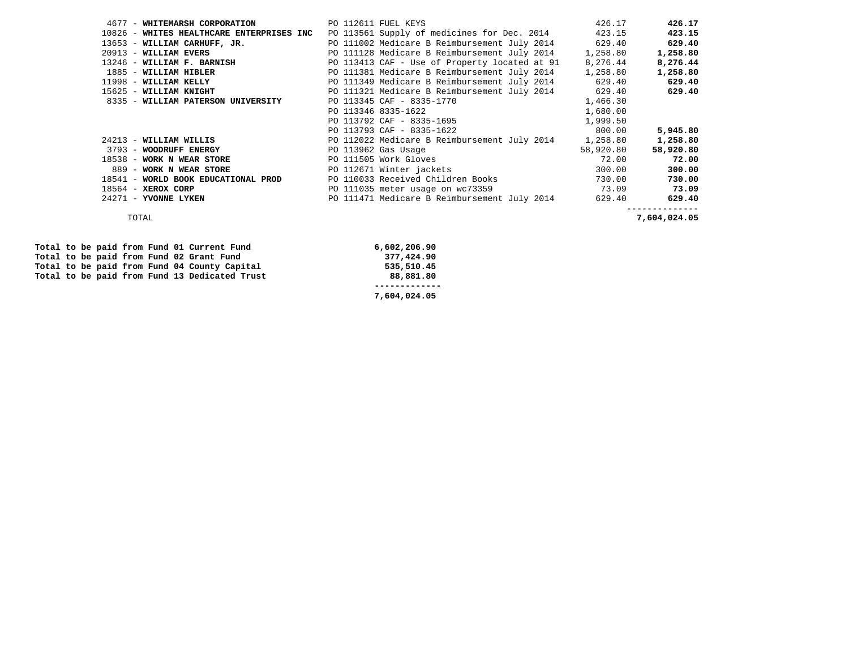| 4677 - WHITEMARSH CORPORATION             | PO 112611 FUEL KEYS                                 | 426.17    | 426.17    |
|-------------------------------------------|-----------------------------------------------------|-----------|-----------|
| 10826 - WHITES HEALTHCARE ENTERPRISES INC | PO 113561 Supply of medicines for Dec. 2014         | 423.15    | 423.15    |
| 13653 - WILLIAM CARHUFF, JR.              | PO 111002 Medicare B Reimbursement July 2014        | 629.40    | 629.40    |
| 20913 - WILLIAM EVERS                     | PO 111128 Medicare B Reimbursement July 2014        | 1,258.80  | 1,258.80  |
| 13246 - WILLIAM F. BARNISH                | PO 113413 CAF - Use of Property located at 91       | 8,276.44  | 8,276.44  |
| 1885 - WILLIAM HIBLER                     | PO 111381 Medicare B Reimbursement July 2014        | 1,258.80  | 1,258.80  |
| 11998 - WILLIAM KELLY                     | PO 111349 Medicare B Reimbursement July 2014 629.40 |           | 629.40    |
| 15625 - WILLIAM KNIGHT                    | PO 111321 Medicare B Reimbursement July 2014        | 629.40    | 629.40    |
| 8335 - WILLIAM PATERSON UNIVERSITY        | PO 113345 CAF - 8335-1770                           | 1,466.30  |           |
|                                           | PO 113346 8335-1622                                 | 1,680.00  |           |
|                                           | PO 113792 CAF - 8335-1695                           | 1,999.50  |           |
|                                           | PO 113793 CAF - 8335-1622                           | 800.00    | 5,945.80  |
| 24213 - WILLIAM WILLIS                    | PO 112022 Medicare B Reimbursement July 2014        | 1,258.80  | 1,258.80  |
| 3793 - WOODRUFF ENERGY                    | PO 113962 Gas Usage                                 | 58,920.80 | 58,920.80 |
| 18538 - WORK N WEAR STORE                 | PO 111505 Work Gloves                               | 72.00     | 72.00     |
| 889 - WORK N WEAR STORE                   | PO 112671 Winter jackets                            | 300.00    | 300.00    |
| 18541 - WORLD BOOK EDUCATIONAL PROD       | PO 110033 Received Children Books                   | 730.00    | 730.00    |
| 18564 - XEROX CORP                        | PO 111035 meter usage on wc73359 73.09              |           | 73.09     |
| 24271 - YVONNE LYKEN                      | PO 111471 Medicare B Reimbursement July 2014        | 629.40    | 629.40    |
|                                           |                                                     |           |           |

TOTAL **7,604,024.05** 

|  |  |  | Total to be paid from Fund 01 Current Fund    | 6,602,206.90 |
|--|--|--|-----------------------------------------------|--------------|
|  |  |  | Total to be paid from Fund 02 Grant Fund      | 377,424.90   |
|  |  |  | Total to be paid from Fund 04 County Capital  | 535,510.45   |
|  |  |  | Total to be paid from Fund 13 Dedicated Trust | 88,881.80    |
|  |  |  |                                               |              |
|  |  |  |                                               | 7,604,024.05 |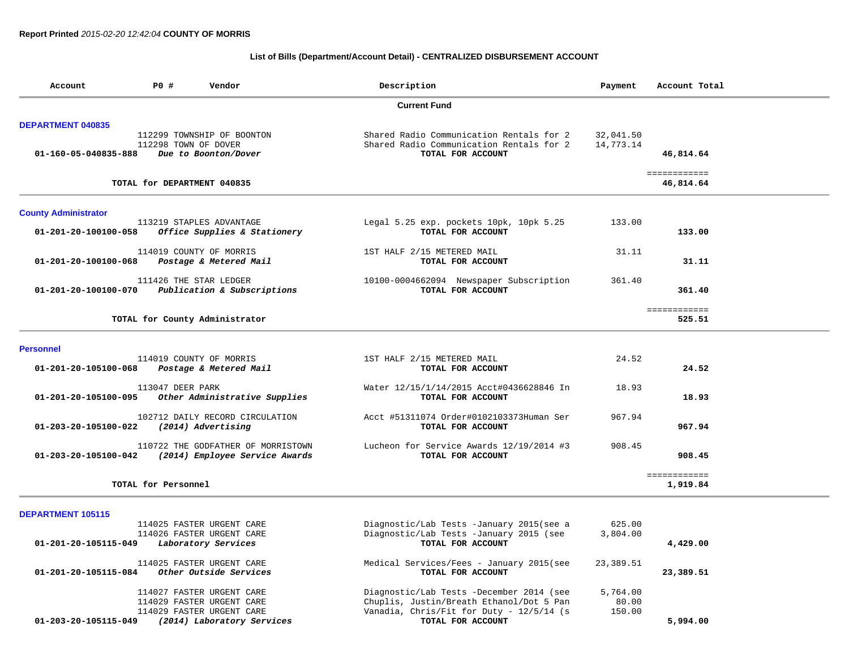# **List of Bills (Department/Account Detail) - CENTRALIZED DISBURSEMENT ACCOUNT**

| Account                                          | P0 #                        | Vendor                                                                              | Description                                                                                                                      | Payment                     | Account Total            |  |
|--------------------------------------------------|-----------------------------|-------------------------------------------------------------------------------------|----------------------------------------------------------------------------------------------------------------------------------|-----------------------------|--------------------------|--|
|                                                  |                             |                                                                                     | <b>Current Fund</b>                                                                                                              |                             |                          |  |
| <b>DEPARTMENT 040835</b><br>01-160-05-040835-888 | 112298 TOWN OF DOVER        | 112299 TOWNSHIP OF BOONTON<br>Due to Boonton/Dover                                  | Shared Radio Communication Rentals for 2<br>Shared Radio Communication Rentals for 2<br>TOTAL FOR ACCOUNT                        | 32,041.50<br>14,773.14      | 46,814.64                |  |
|                                                  |                             |                                                                                     |                                                                                                                                  |                             | ============             |  |
|                                                  | TOTAL for DEPARTMENT 040835 |                                                                                     |                                                                                                                                  |                             | 46,814.64                |  |
| <b>County Administrator</b>                      |                             |                                                                                     |                                                                                                                                  |                             |                          |  |
| 01-201-20-100100-058                             |                             | 113219 STAPLES ADVANTAGE<br>Office Supplies & Stationery                            | Legal 5.25 exp. pockets 10pk, 10pk 5.25<br>TOTAL FOR ACCOUNT                                                                     | 133.00                      | 133.00                   |  |
| 01-201-20-100100-068                             |                             | 114019 COUNTY OF MORRIS<br>Postage & Metered Mail                                   | 1ST HALF 2/15 METERED MAIL<br>TOTAL FOR ACCOUNT                                                                                  | 31.11                       | 31.11                    |  |
| 01-201-20-100100-070                             |                             | 111426 THE STAR LEDGER<br>Publication & Subscriptions                               | 10100-0004662094 Newspaper Subscription<br>TOTAL FOR ACCOUNT                                                                     | 361.40                      | 361.40                   |  |
|                                                  |                             | TOTAL for County Administrator                                                      |                                                                                                                                  |                             | ============<br>525.51   |  |
| <b>Personnel</b>                                 |                             |                                                                                     |                                                                                                                                  |                             |                          |  |
| 01-201-20-105100-068                             |                             | 114019 COUNTY OF MORRIS<br>Postage & Metered Mail                                   | 1ST HALF 2/15 METERED MAIL<br>TOTAL FOR ACCOUNT                                                                                  | 24.52                       | 24.52                    |  |
| 01-201-20-105100-095                             | 113047 DEER PARK            | Other Administrative Supplies                                                       | Water 12/15/1/14/2015 Acct#0436628846 In<br>TOTAL FOR ACCOUNT                                                                    | 18.93                       | 18.93                    |  |
| 01-203-20-105100-022                             |                             | 102712 DAILY RECORD CIRCULATION<br>(2014) Advertising                               | Acct #51311074 Order#0102103373Human Ser<br>TOTAL FOR ACCOUNT                                                                    | 967.94                      | 967.94                   |  |
| 01-203-20-105100-042                             |                             | 110722 THE GODFATHER OF MORRISTOWN<br>(2014) Employee Service Awards                | Lucheon for Service Awards 12/19/2014 #3<br>TOTAL FOR ACCOUNT                                                                    | 908.45                      | 908.45                   |  |
|                                                  | TOTAL for Personnel         |                                                                                     |                                                                                                                                  |                             | ============<br>1,919.84 |  |
| <b>DEPARTMENT 105115</b>                         |                             |                                                                                     |                                                                                                                                  |                             |                          |  |
| 01-201-20-105115-049                             |                             | 114025 FASTER URGENT CARE<br>114026 FASTER URGENT CARE<br>Laboratory Services       | Diagnostic/Lab Tests -January 2015(see a<br>Diagnostic/Lab Tests -January 2015 (see<br>TOTAL FOR ACCOUNT                         | 625.00<br>3,804.00          | 4,429.00                 |  |
| 01-201-20-105115-084                             |                             | 114025 FASTER URGENT CARE<br>Other Outside Services                                 | Medical Services/Fees - January 2015(see<br>TOTAL FOR ACCOUNT                                                                    | 23,389.51                   | 23,389.51                |  |
|                                                  |                             | 114027 FASTER URGENT CARE<br>114029 FASTER URGENT CARE<br>114029 FASTER URGENT CARE | Diagnostic/Lab Tests -December 2014 (see<br>Chuplis, Justin/Breath Ethanol/Dot 5 Pan<br>Vanadia, Chris/Fit for Duty - 12/5/14 (s | 5,764.00<br>80.00<br>150.00 |                          |  |
| 01-203-20-105115-049                             |                             | (2014) Laboratory Services                                                          | TOTAL FOR ACCOUNT                                                                                                                |                             | 5,994.00                 |  |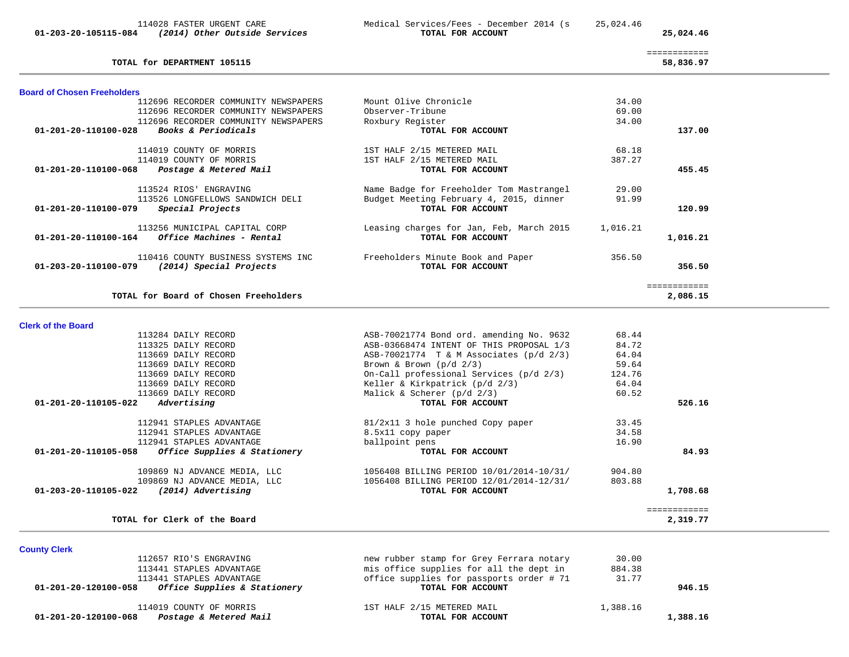| 114028 FASTER URGENT CARE<br>(2014) Other Outside Services<br>01-203-20-105115-084 | Medical Services/Fees - December 2014 (s<br>TOTAL FOR ACCOUNT | 25,024.46 | 25,024.46 |
|------------------------------------------------------------------------------------|---------------------------------------------------------------|-----------|-----------|
| TOTAL for DEPARTMENT 105115                                                        |                                                               |           | 58,836.97 |
| <b>Board of Chosen Freeholders</b>                                                 |                                                               |           |           |
| 112696 RECORDER COMMUNITY NEWSPAPERS                                               | Mount Olive Chronicle                                         | 34.00     |           |
| 112696 RECORDER COMMUNITY NEWSPAPERS                                               | Observer-Tribune                                              | 69.00     |           |
| 112696 RECORDER COMMUNITY NEWSPAPERS                                               | Roxbury Register                                              | 34.00     |           |
| 01-201-20-110100-028<br><b>Books &amp; Periodicals</b>                             | TOTAL FOR ACCOUNT                                             |           | 137.00    |
| 114019 COUNTY OF MORRIS                                                            | 1ST HALF 2/15 METERED MAIL                                    | 68.18     |           |
| 114019 COUNTY OF MORRIS                                                            | 1ST HALF 2/15 METERED MAIL                                    | 387.27    |           |
| $01 - 201 - 20 - 110100 - 068$<br>Postage & Metered Mail                           | TOTAL FOR ACCOUNT                                             |           | 455.45    |

| 113524 RIOS' ENGRAVING                                                                | Name Badge for Freeholder Tom Mastrangel                      | 29.00    |          |
|---------------------------------------------------------------------------------------|---------------------------------------------------------------|----------|----------|
| 113526 LONGFELLOWS SANDWICH DELI                                                      | Budget Meeting February 4, 2015, dinner                       | 91.99    |          |
| Special Projects<br>01-201-20-110100-079                                              | TOTAL FOR ACCOUNT                                             |          | 120.99   |
| 113256 MUNICIPAL CAPITAL CORP<br>Office Machines - Rental<br>01-201-20-110100-164     | Leasing charges for Jan, Feb, March 2015<br>TOTAL FOR ACCOUNT | 1,016.21 | 1,016.21 |
| 110416 COUNTY BUSINESS SYSTEMS INC<br>(2014) Special Projects<br>01-203-20-110100-079 | Freeholders Minute Book and Paper<br>TOTAL FOR ACCOUNT        | 356.50   | 356.50   |
|                                                                                       |                                                               |          |          |
| TOTAL for Board of Chosen Freeholders                                                 |                                                               |          | 2,086.15 |

| <b>Clerk of the Board</b>                            |                                           |        |          |
|------------------------------------------------------|-------------------------------------------|--------|----------|
| 113284 DAILY RECORD                                  | ASB-70021774 Bond ord. amending No. 9632  | 68.44  |          |
| 113325 DAILY RECORD                                  | ASB-03668474 INTENT OF THIS PROPOSAL 1/3  | 84.72  |          |
| 113669 DAILY RECORD                                  | ASB-70021774 $T & M$ Associates (p/d 2/3) | 64.04  |          |
| 113669 DAILY RECORD                                  | Brown & Brown $(p/d \ 2/3)$               | 59.64  |          |
| 113669 DAILY RECORD                                  | On-Call professional Services (p/d 2/3)   | 124.76 |          |
| 113669 DAILY RECORD                                  | Keller & Kirkpatrick (p/d 2/3)            | 64.04  |          |
| 113669 DAILY RECORD                                  | Malick & Scherer $(p/d \t2/3)$            | 60.52  |          |
| Advertising<br>01-201-20-110105-022                  | TOTAL FOR ACCOUNT                         |        | 526.16   |
| 112941 STAPLES ADVANTAGE                             | 81/2x11 3 hole punched Copy paper         | 33.45  |          |
| 112941 STAPLES ADVANTAGE                             | 8.5x11 copy paper                         | 34.58  |          |
| 112941 STAPLES ADVANTAGE                             | ballpoint pens                            | 16.90  |          |
| Office Supplies & Stationery<br>01-201-20-110105-058 | TOTAL FOR ACCOUNT                         |        | 84.93    |
| 109869 NJ ADVANCE MEDIA, LLC                         | 1056408 BILLING PERIOD 10/01/2014-10/31/  | 904.80 |          |
| 109869 NJ ADVANCE MEDIA, LLC                         | 1056408 BILLING PERIOD 12/01/2014-12/31/  | 803.88 |          |
| 01-203-20-110105-022<br>(2014) Advertising           | TOTAL FOR ACCOUNT                         |        | 1,708.68 |
|                                                      |                                           |        |          |
| TOTAL for Clerk of the Board                         |                                           |        | 2,319.77 |

| <b>County Clerk</b>                                  |                                          |          |          |
|------------------------------------------------------|------------------------------------------|----------|----------|
| 112657 RIO'S ENGRAVING                               | new rubber stamp for Grey Ferrara notary | 30.00    |          |
| 113441 STAPLES ADVANTAGE                             | mis office supplies for all the dept in  | 884.38   |          |
| 113441 STAPLES ADVANTAGE                             | office supplies for passports order # 71 | 31.77    |          |
| Office Supplies & Stationery<br>01-201-20-120100-058 | TOTAL FOR ACCOUNT                        |          | 946.15   |
| 114019 COUNTY OF MORRIS                              | 1ST HALF 2/15 METERED MAIL               | 1,388.16 |          |
| Postage & Metered Mail<br>01-201-20-120100-068       | TOTAL FOR ACCOUNT                        |          | 1,388.16 |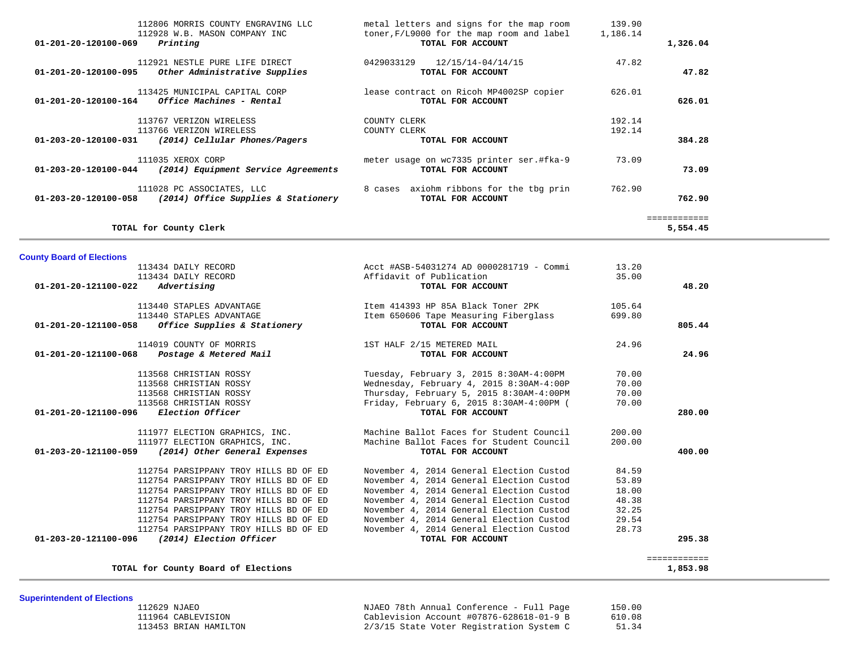| 112806 MORRIS COUNTY ENGRAVING LLC                                                      | metal letters and signs for the map room                       | 139.90   |              |
|-----------------------------------------------------------------------------------------|----------------------------------------------------------------|----------|--------------|
| 112928 W.B. MASON COMPANY INC<br>Printing<br>01-201-20-120100-069                       | toner, F/L9000 for the map room and label<br>TOTAL FOR ACCOUNT | 1,186.14 | 1,326.04     |
| 112921 NESTLE PURE LIFE DIRECT<br>Other Administrative Supplies<br>01-201-20-120100-095 | 12/15/14-04/14/15<br>0429033129<br>TOTAL FOR ACCOUNT           | 47.82    | 47.82        |
|                                                                                         |                                                                |          |              |
| 113425 MUNICIPAL CAPITAL CORP                                                           | lease contract on Ricoh MP4002SP copier                        | 626.01   |              |
| Office Machines - Rental<br>01-201-20-120100-164                                        | TOTAL FOR ACCOUNT                                              |          | 626.01       |
| 113767 VERIZON WIRELESS                                                                 | COUNTY CLERK                                                   | 192.14   |              |
| 113766 VERIZON WIRELESS                                                                 | COUNTY CLERK                                                   | 192.14   |              |
| (2014) Cellular Phones/Pagers<br>01-203-20-120100-031                                   | TOTAL FOR ACCOUNT                                              |          | 384.28       |
| 111035 XEROX CORP                                                                       | meter usage on wc7335 printer ser.#fka-9                       | 73.09    |              |
| 01-203-20-120100-044<br>(2014) Equipment Service Agreements                             | TOTAL FOR ACCOUNT                                              |          | 73.09        |
| 111028 PC ASSOCIATES, LLC                                                               | 8 cases axiohm ribbons for the tbg prin                        | 762.90   |              |
| (2014) Office Supplies & Stationery<br>01-203-20-120100-058                             | TOTAL FOR ACCOUNT                                              |          | 762.90       |
|                                                                                         |                                                                |          | ============ |
| TOTAL for County Clerk                                                                  |                                                                |          | 5,554.45     |

| <b>County Board of Elections</b>                      |                                          |        |        |
|-------------------------------------------------------|------------------------------------------|--------|--------|
| 113434 DAILY RECORD                                   | Acct #ASB-54031274 AD 0000281719 - Commi | 13.20  |        |
| 113434 DAILY RECORD                                   | Affidavit of Publication                 | 35.00  |        |
| Advertising<br>01-201-20-121100-022                   | TOTAL FOR ACCOUNT                        |        | 48.20  |
| 113440 STAPLES ADVANTAGE                              | Item 414393 HP 85A Black Toner 2PK       | 105.64 |        |
| 113440 STAPLES ADVANTAGE                              | Item 650606 Tape Measuring Fiberglass    | 699.80 |        |
| $01-201-20-121100-058$ Office Supplies & Stationery   | TOTAL FOR ACCOUNT                        |        | 805.44 |
| 114019 COUNTY OF MORRIS                               | 1ST HALF 2/15 METERED MAIL               | 24.96  |        |
| 01-201-20-121100-068 Postage & Metered Mail           | TOTAL FOR ACCOUNT                        |        | 24.96  |
| 113568 CHRISTIAN ROSSY                                | Tuesday, February 3, 2015 8:30AM-4:00PM  | 70.00  |        |
| 113568 CHRISTIAN ROSSY                                | Wednesday, February 4, 2015 8:30AM-4:00P | 70.00  |        |
| 113568 CHRISTIAN ROSSY                                | Thursday, February 5, 2015 8:30AM-4:00PM | 70.00  |        |
| 113568 CHRISTIAN ROSSY                                | Friday, February 6, 2015 8:30AM-4:00PM ( | 70.00  |        |
| 01-201-20-121100-096 Election Officer                 | TOTAL FOR ACCOUNT                        |        | 280.00 |
| 111977 ELECTION GRAPHICS, INC.                        | Machine Ballot Faces for Student Council | 200.00 |        |
| 111977 ELECTION GRAPHICS, INC.                        | Machine Ballot Faces for Student Council | 200.00 |        |
| 01-203-20-121100-059<br>(2014) Other General Expenses | TOTAL FOR ACCOUNT                        |        | 400.00 |
| 112754 PARSIPPANY TROY HILLS BD OF ED                 | November 4, 2014 General Election Custod | 84.59  |        |
| 112754 PARSIPPANY TROY HILLS BD OF ED                 | November 4, 2014 General Election Custod | 53.89  |        |
| 112754 PARSIPPANY TROY HILLS BD OF ED                 | November 4, 2014 General Election Custod | 18.00  |        |
| 112754 PARSIPPANY TROY HILLS BD OF ED                 | November 4, 2014 General Election Custod | 48.38  |        |
| 112754 PARSIPPANY TROY HILLS BD OF ED                 | November 4, 2014 General Election Custod | 32.25  |        |
| 112754 PARSIPPANY TROY HILLS BD OF ED                 | November 4, 2014 General Election Custod | 29.54  |        |
| 112754 PARSIPPANY TROY HILLS BD OF ED                 | November 4, 2014 General Election Custod | 28.73  |        |
|                                                       | TOTAL FOR ACCOUNT                        |        | 295.38 |

============<br>1,853.98

**TOTAL for County Board of Elections 1,853.98**

**Superintendent of Elections**

| 112629 NJAEO          | NJAEO 78th Annual Conference - Full Page | 150.00 |
|-----------------------|------------------------------------------|--------|
| 111964 CABLEVISION    | Cablevision Account #07876-628618-01-9 B | 610.08 |
| 113453 BRIAN HAMILTON | 2/3/15 State Voter Registration System C | 51.34  |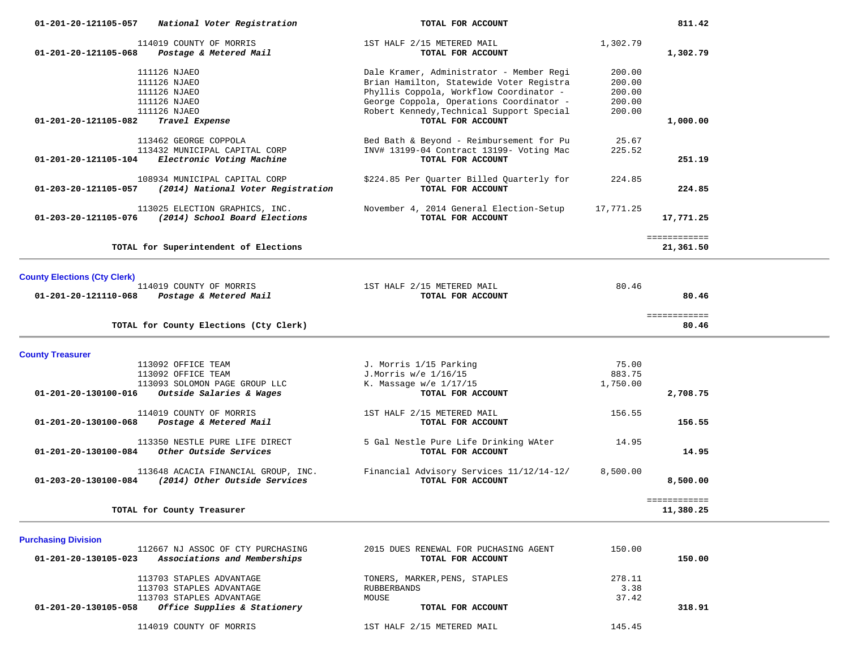| 01-201-20-121105-057                | National Voter Registration                                                                           | TOTAL FOR ACCOUNT                                                                                                                                                           |                                      | 811.42                    |  |
|-------------------------------------|-------------------------------------------------------------------------------------------------------|-----------------------------------------------------------------------------------------------------------------------------------------------------------------------------|--------------------------------------|---------------------------|--|
| 01-201-20-121105-068                | 114019 COUNTY OF MORRIS<br>Postage & Metered Mail                                                     | 1ST HALF 2/15 METERED MAIL<br>TOTAL FOR ACCOUNT                                                                                                                             | 1,302.79                             | 1,302.79                  |  |
|                                     | 111126 NJAEO<br>111126 NJAEO<br>111126 NJAEO<br>111126 NJAEO                                          | Dale Kramer, Administrator - Member Regi<br>Brian Hamilton, Statewide Voter Registra<br>Phyllis Coppola, Workflow Coordinator -<br>George Coppola, Operations Coordinator - | 200.00<br>200.00<br>200.00<br>200.00 |                           |  |
| 01-201-20-121105-082                | 111126 NJAEO<br>Travel Expense                                                                        | Robert Kennedy, Technical Support Special<br>TOTAL FOR ACCOUNT                                                                                                              | 200.00                               | 1,000.00                  |  |
| 01-201-20-121105-104                | 113462 GEORGE COPPOLA<br>113432 MUNICIPAL CAPITAL CORP<br>Electronic Voting Machine                   | Bed Bath & Beyond - Reimbursement for Pu<br>INV# 13199-04 Contract 13199- Voting Mac<br>TOTAL FOR ACCOUNT                                                                   | 25.67<br>225.52                      | 251.19                    |  |
| 01-203-20-121105-057                | 108934 MUNICIPAL CAPITAL CORP<br>(2014) National Voter Registration                                   | \$224.85 Per Quarter Billed Quarterly for<br>TOTAL FOR ACCOUNT                                                                                                              | 224.85                               | 224.85                    |  |
|                                     | 113025 ELECTION GRAPHICS, INC.<br>01-203-20-121105-076 (2014) School Board Elections                  | November 4, 2014 General Election-Setup<br>TOTAL FOR ACCOUNT                                                                                                                | 17,771.25                            | 17,771.25                 |  |
|                                     | TOTAL for Superintendent of Elections                                                                 |                                                                                                                                                                             |                                      | ============<br>21,361.50 |  |
| <b>County Elections (Cty Clerk)</b> |                                                                                                       |                                                                                                                                                                             |                                      |                           |  |
| 01-201-20-121110-068                | 114019 COUNTY OF MORRIS<br>Postage & Metered Mail                                                     | 1ST HALF 2/15 METERED MAIL<br>TOTAL FOR ACCOUNT                                                                                                                             | 80.46                                | 80.46                     |  |
|                                     | TOTAL for County Elections (Cty Clerk)                                                                |                                                                                                                                                                             |                                      | ============<br>80.46     |  |
| <b>County Treasurer</b>             |                                                                                                       |                                                                                                                                                                             |                                      |                           |  |
| 01-201-20-130100-016                | 113092 OFFICE TEAM<br>113092 OFFICE TEAM<br>113093 SOLOMON PAGE GROUP LLC<br>Outside Salaries & Wages | J. Morris 1/15 Parking<br>J.Morris w/e 1/16/15<br>K. Massage $w/e$ 1/17/15<br>TOTAL FOR ACCOUNT                                                                             | 75.00<br>883.75<br>1,750.00          | 2,708.75                  |  |
| 01-201-20-130100-068                | 114019 COUNTY OF MORRIS<br>Postage & Metered Mail                                                     | 1ST HALF 2/15 METERED MAIL<br>TOTAL FOR ACCOUNT                                                                                                                             | 156.55                               | 156.55                    |  |
| 01-201-20-130100-084                | 113350 NESTLE PURE LIFE DIRECT<br>Other Outside Services                                              | 5 Gal Nestle Pure Life Drinking WAter<br>TOTAL FOR ACCOUNT                                                                                                                  | 14.95                                | 14.95                     |  |
| 01-203-20-130100-084                | 113648 ACACIA FINANCIAL GROUP, INC.<br>(2014) Other Outside Services                                  | Financial Advisory Services 11/12/14-12/<br>TOTAL FOR ACCOUNT                                                                                                               | 8,500.00                             | 8,500.00                  |  |
|                                     | TOTAL for County Treasurer                                                                            |                                                                                                                                                                             |                                      | ============<br>11,380.25 |  |
| <b>Purchasing Division</b>          |                                                                                                       |                                                                                                                                                                             |                                      |                           |  |
| 01-201-20-130105-023                | 112667 NJ ASSOC OF CTY PURCHASING<br>Associations and Memberships                                     | 2015 DUES RENEWAL FOR PUCHASING AGENT<br>TOTAL FOR ACCOUNT                                                                                                                  | 150.00                               | 150.00                    |  |
|                                     | 113703 STAPLES ADVANTAGE                                                                              | TONERS, MARKER, PENS, STAPLES                                                                                                                                               | 278.11                               |                           |  |

113703 STAPLES ADVANTAGE RUBBERBANDS 113703 STAPLES ADVANTAGE 37.422.422 MOUSE  **01-201-20-130105-058** *Office Supplies & Stationery* **TOTAL FOR ACCOUNT 318.91**

114019 COUNTY OF MORRIS 1ST HALF 2/15 METERED MAIL 145.45

3.38

37.42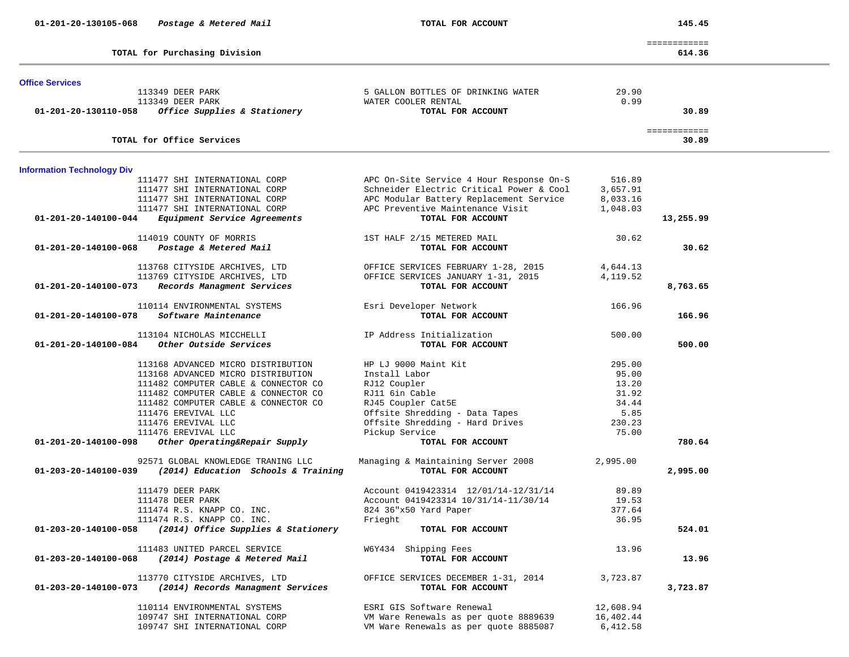|                                   | TOTAL for Purchasing Division                                             |                                                         |           | ============<br>614.36 |
|-----------------------------------|---------------------------------------------------------------------------|---------------------------------------------------------|-----------|------------------------|
| <b>Office Services</b>            |                                                                           |                                                         |           |                        |
|                                   | 113349 DEER PARK                                                          | 5 GALLON BOTTLES OF DRINKING WATER                      | 29.90     |                        |
|                                   | 113349 DEER PARK                                                          | WATER COOLER RENTAL                                     | 0.99      |                        |
| 01-201-20-130110-058              | Office Supplies & Stationery                                              | TOTAL FOR ACCOUNT                                       |           | 30.89                  |
|                                   | TOTAL for Office Services                                                 |                                                         |           | ============<br>30.89  |
|                                   |                                                                           |                                                         |           |                        |
| <b>Information Technology Div</b> |                                                                           |                                                         |           |                        |
|                                   | 111477 SHI INTERNATIONAL CORP                                             | APC On-Site Service 4 Hour Response On-S                | 516.89    |                        |
|                                   | 111477 SHI INTERNATIONAL CORP                                             | Schneider Electric Critical Power & Cool                | 3,657.91  |                        |
|                                   | 111477 SHI INTERNATIONAL CORP                                             | APC Modular Battery Replacement Service                 | 8,033.16  |                        |
|                                   | 111477 SHI INTERNATIONAL CORP                                             | APC Preventive Maintenance Visit                        | 1,048.03  |                        |
| 01-201-20-140100-044              | Equipment Service Agreements                                              | TOTAL FOR ACCOUNT                                       |           | 13,255.99              |
|                                   | 114019 COUNTY OF MORRIS                                                   | 1ST HALF 2/15 METERED MAIL                              | 30.62     |                        |
| 01-201-20-140100-068              | Postage & Metered Mail                                                    | TOTAL FOR ACCOUNT                                       |           | 30.62                  |
|                                   | 113768 CITYSIDE ARCHIVES, LTD                                             | OFFICE SERVICES FEBRUARY 1-28, 2015                     | 4,644.13  |                        |
|                                   | 113769 CITYSIDE ARCHIVES, LTD                                             | OFFICE SERVICES JANUARY 1-31, 2015                      | 4, 119.52 |                        |
| 01-201-20-140100-073              | Records Managment Services                                                | TOTAL FOR ACCOUNT                                       |           | 8,763.65               |
|                                   | 110114 ENVIRONMENTAL SYSTEMS                                              | Esri Developer Network                                  | 166.96    |                        |
| 01-201-20-140100-078              | Software Maintenance                                                      | TOTAL FOR ACCOUNT                                       |           | 166.96                 |
|                                   | 113104 NICHOLAS MICCHELLI                                                 | IP Address Initialization                               | 500.00    |                        |
| 01-201-20-140100-084              | Other Outside Services                                                    | TOTAL FOR ACCOUNT                                       |           | 500.00                 |
|                                   | 113168 ADVANCED MICRO DISTRIBUTION                                        | HP LJ 9000 Maint Kit                                    | 295.00    |                        |
|                                   | 113168 ADVANCED MICRO DISTRIBUTION                                        | Install Labor                                           | 95.00     |                        |
|                                   | 111482 COMPUTER CABLE & CONNECTOR CO                                      | RJ12 Coupler                                            | 13.20     |                        |
|                                   | 111482 COMPUTER CABLE & CONNECTOR CO                                      | RJ11 6in Cable                                          | 31.92     |                        |
|                                   | 111482 COMPUTER CABLE & CONNECTOR CO                                      | RJ45 Coupler Cat5E                                      | 34.44     |                        |
|                                   | 111476 EREVIVAL LLC                                                       | Offsite Shredding - Data Tapes                          | 5.85      |                        |
|                                   | 111476 EREVIVAL LLC                                                       | Offsite Shredding - Hard Drives                         | 230.23    |                        |
|                                   |                                                                           |                                                         | 75.00     |                        |
| 01-201-20-140100-098              | 111476 EREVIVAL LLC<br>Other Operating&Repair Supply                      | Pickup Service<br>TOTAL FOR ACCOUNT                     |           | 780.64                 |
|                                   |                                                                           |                                                         |           |                        |
| 01-203-20-140100-039              | 92571 GLOBAL KNOWLEDGE TRANING LLC<br>(2014) Education Schools & Training | Managing & Maintaining Server 2008<br>TOTAL FOR ACCOUNT | 2,995.00  | 2,995.00               |
|                                   |                                                                           |                                                         |           |                        |
|                                   | 111479 DEER PARK                                                          | Account 0419423314 12/01/14-12/31/14                    | 89.89     |                        |
|                                   | 111478 DEER PARK                                                          | Account 0419423314 10/31/14-11/30/14                    | 19.53     |                        |
|                                   | 111474 R.S. KNAPP CO. INC.                                                | 824 36"x50 Yard Paper                                   | 377.64    |                        |
|                                   | 111474 R.S. KNAPP CO. INC.                                                | Frieght                                                 | 36.95     |                        |
| 01-203-20-140100-058              | (2014) Office Supplies & Stationery                                       | TOTAL FOR ACCOUNT                                       |           | 524.01                 |
|                                   | 111483 UNITED PARCEL SERVICE                                              | W6Y434 Shipping Fees                                    | 13.96     |                        |
| 01-203-20-140100-068              | (2014) Postage & Metered Mail                                             | TOTAL FOR ACCOUNT                                       |           | 13.96                  |
|                                   | 113770 CITYSIDE ARCHIVES, LTD                                             | OFFICE SERVICES DECEMBER 1-31, 2014                     | 3,723.87  |                        |
| 01-203-20-140100-073              | (2014) Records Managment Services                                         | TOTAL FOR ACCOUNT                                       |           | 3,723.87               |
|                                   | 110114 ENVIRONMENTAL SYSTEMS                                              | ESRI GIS Software Renewal                               | 12,608.94 |                        |
|                                   | 109747 SHI INTERNATIONAL CORP                                             | VM Ware Renewals as per quote 8889639                   | 16,402.44 |                        |
|                                   | 109747 SHI INTERNATIONAL CORP                                             | VM Ware Renewals as per quote 8885087                   | 6,412.58  |                        |
|                                   |                                                                           |                                                         |           |                        |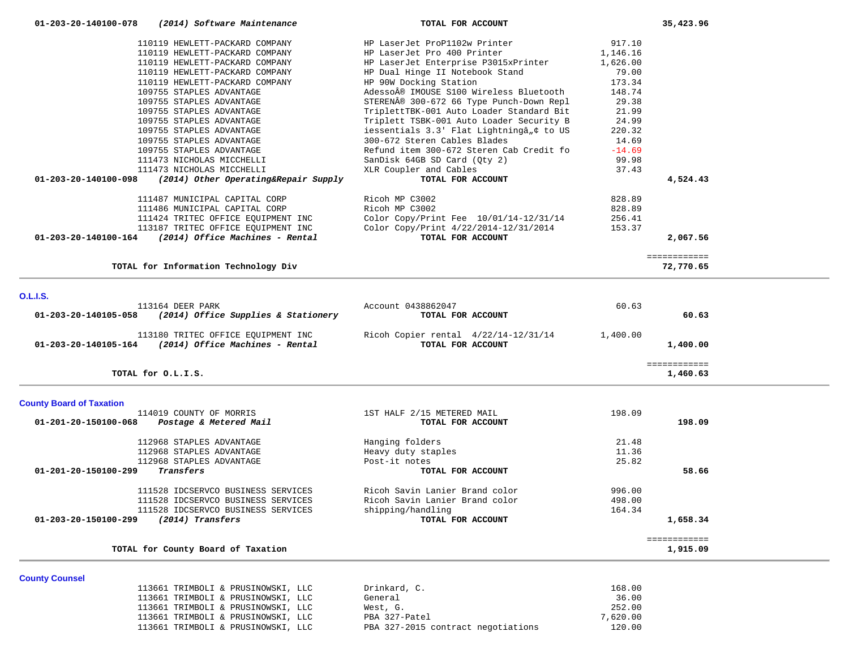| 01-203-20-140100-078            | (2014) Software Maintenance                                    | TOTAL FOR ACCOUNT                                                         |          | 35,423.96                |
|---------------------------------|----------------------------------------------------------------|---------------------------------------------------------------------------|----------|--------------------------|
|                                 | 110119 HEWLETT-PACKARD COMPANY                                 | HP LaserJet ProP1102w Printer                                             | 917.10   |                          |
|                                 | 110119 HEWLETT-PACKARD COMPANY                                 | HP LaserJet Pro 400 Printer                                               | 1,146.16 |                          |
|                                 | 110119 HEWLETT-PACKARD COMPANY                                 | HP LaserJet Enterprise P3015xPrinter                                      | 1,626.00 |                          |
|                                 | 110119 HEWLETT-PACKARD COMPANY                                 | HP Dual Hinge II Notebook Stand                                           | 79.00    |                          |
|                                 | 110119 HEWLETT-PACKARD COMPANY                                 | HP 90W Docking Station                                                    | 173.34   |                          |
|                                 | 109755 STAPLES ADVANTAGE                                       | Adesso® IMOUSE S100 Wireless Bluetooth                                    | 148.74   |                          |
|                                 | 109755 STAPLES ADVANTAGE                                       | STEREN® 300-672 66 Type Punch-Down Repl                                   | 29.38    |                          |
|                                 | 109755 STAPLES ADVANTAGE                                       |                                                                           | 21.99    |                          |
|                                 |                                                                | TriplettTBK-001 Auto Loader Standard Bit                                  |          |                          |
|                                 | 109755 STAPLES ADVANTAGE                                       | Triplett TSBK-001 Auto Loader Security B                                  | 24.99    |                          |
|                                 | 109755 STAPLES ADVANTAGE                                       | iessentials 3.3' Flat Lightningâ, ¢ to US<br>300-672 Steren Cables Blades | 220.32   |                          |
|                                 | 109755 STAPLES ADVANTAGE                                       |                                                                           | 14.69    |                          |
|                                 | 109755 STAPLES ADVANTAGE                                       | Refund item 300-672 Steren Cab Credit fo                                  | $-14.69$ |                          |
|                                 | 111473 NICHOLAS MICCHELLI                                      | SanDisk 64GB SD Card (Qty 2)                                              | 99.98    |                          |
|                                 | 111473 NICHOLAS MICCHELLI                                      | XLR Coupler and Cables                                                    | 37.43    |                          |
| 01-203-20-140100-098            | (2014) Other Operating&Repair Supply                           | TOTAL FOR ACCOUNT                                                         |          | 4,524.43                 |
|                                 | 111487 MUNICIPAL CAPITAL CORP                                  | Ricoh MP C3002                                                            | 828.89   |                          |
|                                 | 111486 MUNICIPAL CAPITAL CORP                                  | Ricoh MP C3002                                                            | 828.89   |                          |
|                                 | 111424 TRITEC OFFICE EQUIPMENT INC                             | Color Copy/Print Fee 10/01/14-12/31/14                                    | 256.41   |                          |
|                                 | 113187 TRITEC OFFICE EQUIPMENT INC                             | Color Copy/Print 4/22/2014-12/31/2014                                     | 153.37   |                          |
|                                 | $01-203-20-140100-164$ (2014) Office Machines - Rental         | TOTAL FOR ACCOUNT                                                         |          | 2,067.56                 |
|                                 |                                                                |                                                                           |          | ============             |
|                                 | TOTAL for Information Technology Div                           |                                                                           |          | 72,770.65                |
|                                 |                                                                |                                                                           |          |                          |
| <b>O.L.I.S.</b>                 |                                                                |                                                                           |          |                          |
|                                 | 113164 DEER PARK                                               | Account 0438862047                                                        | 60.63    |                          |
|                                 | $01-203-20-140105-058$ (2014) Office Supplies & Stationery     | TOTAL FOR ACCOUNT                                                         |          | 60.63                    |
|                                 | 113180 TRITEC OFFICE EQUIPMENT INC                             | Ricoh Copier rental 4/22/14-12/31/14                                      | 1,400.00 |                          |
|                                 | $01 - 203 - 20 - 140105 - 164$ (2014) Office Machines - Rental | TOTAL FOR ACCOUNT                                                         |          | 1,400.00                 |
|                                 | TOTAL for O.L.I.S.                                             |                                                                           |          | ============<br>1,460.63 |
|                                 |                                                                |                                                                           |          |                          |
| <b>County Board of Taxation</b> | 114019 COUNTY OF MORRIS                                        | 1ST HALF 2/15 METERED MAIL                                                | 198.09   |                          |
| 01-201-20-150100-068            |                                                                | TOTAL FOR ACCOUNT                                                         |          | 198.09                   |
|                                 | Postage & Metered Mail                                         |                                                                           |          |                          |
|                                 |                                                                |                                                                           |          |                          |
|                                 | 112968 STAPLES ADVANTAGE                                       | Hanging folders                                                           | 21.48    |                          |
|                                 | 112968 STAPLES ADVANTAGE                                       | Heavy duty staples                                                        | 11.36    |                          |
|                                 | 112968 STAPLES ADVANTAGE                                       | Post-it notes                                                             | 25.82    |                          |
| 01-201-20-150100-299            | Transfers                                                      | TOTAL FOR ACCOUNT                                                         |          | 58.66                    |
|                                 | 111528 IDCSERVCO BUSINESS SERVICES                             | Ricoh Savin Lanier Brand color                                            | 996.00   |                          |
|                                 | 111528 IDCSERVCO BUSINESS SERVICES                             | Ricoh Savin Lanier Brand color                                            | 498.00   |                          |
|                                 | 111528 IDCSERVCO BUSINESS SERVICES                             | shipping/handling                                                         | 164.34   |                          |
| 01-203-20-150100-299            | (2014) Transfers                                               | TOTAL FOR ACCOUNT                                                         |          | 1,658.34                 |
|                                 |                                                                |                                                                           |          | ============             |
|                                 | TOTAL for County Board of Taxation                             |                                                                           |          | 1,915.09                 |
|                                 |                                                                |                                                                           |          |                          |
| <b>County Counsel</b>           | 113661 TRIMBOLI & PRUSINOWSKI, LLC                             |                                                                           | 168.00   |                          |
|                                 |                                                                | Drinkard, C.                                                              |          |                          |

 113661 TRIMBOLI & PRUSINOWSKI, LLC General 36.00 113661 TRIMBOLI & PRUSINOWSKI, LLC West, G. 252.00<br>113661 TRIMBOLI & PRUSINOWSKI, LLC PBA 327-Patel 2000 PROMAGES 2000

113661 TRIMBOLI & PRUSINOWSKI, LLC PBA 327-2015 contract negotiations 120.00

113661 TRIMBOLI & PRUSINOWSKI, LLC PBA 327-Patel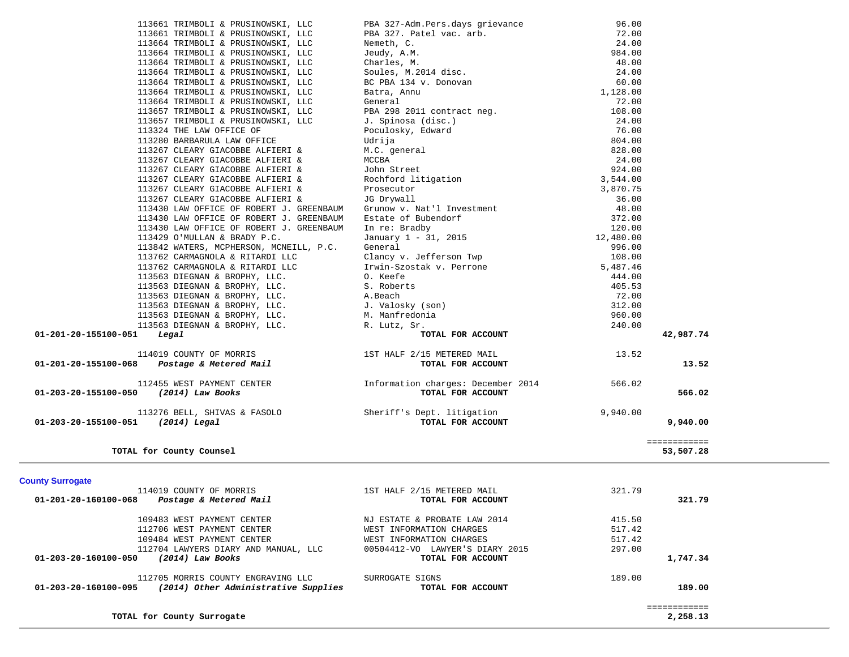| 113661 TRIMBOLI & PRUSINOWSKI, LLC                                                                                                                                                                                   | 9BA 327-Adm. Pers.days grievance<br>PBA 327. Patel vac. arb. 72.00<br>Nemeth, C. 24.00<br>72.00<br>Nemeth, C. 24.00<br>Charles, M. 2014 disc. 48.00<br>Soules, M. 2014 disc. 24.00<br>BC PBA 134 v. Donovan<br>Bara, Annu 1,128.00<br>General 18 |           |              |  |
|----------------------------------------------------------------------------------------------------------------------------------------------------------------------------------------------------------------------|--------------------------------------------------------------------------------------------------------------------------------------------------------------------------------------------------------------------------------------------------|-----------|--------------|--|
| 113661 TRIMBOLI & PRUSINOWSKI, LLC                                                                                                                                                                                   |                                                                                                                                                                                                                                                  |           |              |  |
| 113664 TRIMBOLI & PRUSINOWSKI, LLC                                                                                                                                                                                   |                                                                                                                                                                                                                                                  |           |              |  |
| 113664 TRIMBOLI & PRUSINOWSKI, LLC                                                                                                                                                                                   |                                                                                                                                                                                                                                                  |           |              |  |
| 113664 TRIMBOLI & PRUSINOWSKI, LLC                                                                                                                                                                                   |                                                                                                                                                                                                                                                  |           |              |  |
| 113664 TRIMBOLI & PRUSINOWSKI, LLC                                                                                                                                                                                   |                                                                                                                                                                                                                                                  |           |              |  |
| 113664 TRIMBOLI & PRUSINOWSKI, LLC                                                                                                                                                                                   |                                                                                                                                                                                                                                                  |           |              |  |
| 113664 TRIMBOLI & PRUSINOWSKI, LLC                                                                                                                                                                                   |                                                                                                                                                                                                                                                  |           |              |  |
| 113664 TRIMBOLI & PRUSINOWSKI, LLC                                                                                                                                                                                   |                                                                                                                                                                                                                                                  |           |              |  |
| 113657 TRIMBOLI & PRUSINOWSKI, LLC                                                                                                                                                                                   |                                                                                                                                                                                                                                                  |           |              |  |
| 113657 TRIMBOLI & PRUSINOWSKI, LLC                                                                                                                                                                                   |                                                                                                                                                                                                                                                  |           |              |  |
| 113324 THE LAW OFFICE OF                                                                                                                                                                                             |                                                                                                                                                                                                                                                  |           |              |  |
| 113280 BARBARULA LAW OFFICE                                                                                                                                                                                          |                                                                                                                                                                                                                                                  |           |              |  |
| 113267 CLEARY GIACOBBE ALFIERI &                                                                                                                                                                                     |                                                                                                                                                                                                                                                  |           |              |  |
| 113267 CLEARY GIACOBBE ALFIERI &                                                                                                                                                                                     |                                                                                                                                                                                                                                                  |           |              |  |
| 113267 CLEARY GIACOBBE ALFIERI &                                                                                                                                                                                     |                                                                                                                                                                                                                                                  |           |              |  |
| 113267 CLEARY GIACOBBE ALFIERI &                                                                                                                                                                                     |                                                                                                                                                                                                                                                  |           |              |  |
| 113267 CLEARY GIACOBBE ALFIERI &                                                                                                                                                                                     |                                                                                                                                                                                                                                                  |           |              |  |
| 113267 CLEARY GIACOBBE ALFIERI &                                                                                                                                                                                     |                                                                                                                                                                                                                                                  |           |              |  |
| 113430 LAW OFFICE OF ROBERT J. GREENBAUM                                                                                                                                                                             |                                                                                                                                                                                                                                                  | 48.00     |              |  |
| 113430 LAW OFFICE OF ROBERT J. GREENBAUM                                                                                                                                                                             |                                                                                                                                                                                                                                                  | 372.00    |              |  |
| 113430 LAW OFFICE OF ROBERT J. GREENBAUM                                                                                                                                                                             |                                                                                                                                                                                                                                                  | 120.00    |              |  |
| 113429 O'MULLAN & BRADY P.C.                                                                                                                                                                                         |                                                                                                                                                                                                                                                  | 12,480.00 |              |  |
| 113842 WATERS, MCPHERSON, MCNEILL, P.C.                                                                                                                                                                              |                                                                                                                                                                                                                                                  | 996.00    |              |  |
| 113762 CARMAGNOLA & RITARDI LLC                                                                                                                                                                                      |                                                                                                                                                                                                                                                  | 108.00    |              |  |
| 113762 CARMAGNOLA & RITARDI LLC                                                                                                                                                                                      | JG Drywall<br>Grunow v. Nat'l Investment<br>Estate of Bubendorf<br>In re: Bradby<br>January 1 - 31, 2015<br>General<br>Clancy v. Jefferson Twp<br>Irwin-Szostak v. Perrone<br>O Keefe                                                            | 5,487.46  |              |  |
| 113563 DIEGNAN & BROPHY, LLC.                                                                                                                                                                                        | O. Keefe                                                                                                                                                                                                                                         | 444.00    |              |  |
| 113563 DIEGNAN & BROPHY, LLC.<br>113563 DIEGNAN & BROPHY, LLC.<br>113563 DIEGNAN & BROPHY, LLC.<br>113563 DIEGNAN & BROPHY, LLC.<br>113563 DIEGNAN & BROPHY, LLC.<br>113563 DIEGNAN & BROPHY, LLC.<br>M. Manfredonia |                                                                                                                                                                                                                                                  | 405.53    |              |  |
|                                                                                                                                                                                                                      |                                                                                                                                                                                                                                                  | 72.00     |              |  |
|                                                                                                                                                                                                                      |                                                                                                                                                                                                                                                  | 312.00    |              |  |
|                                                                                                                                                                                                                      |                                                                                                                                                                                                                                                  | 960.00    |              |  |
| 113563 DIEGNAN & BROPHY, LLC. R. Lutz, Sr.                                                                                                                                                                           |                                                                                                                                                                                                                                                  | 240.00    |              |  |
| $01 - 201 - 20 - 155100 - 051$ Legal                                                                                                                                                                                 |                                                                                                                                                                                                                                                  |           | 42,987.74    |  |
|                                                                                                                                                                                                                      | s<br>Y (son)<br>lonia<br>ir.<br><b>TOTAL FOR ACCOUNT<br/> /15 METERED MAIL<br/> TOTAL FOR ACCOUNT</b>                                                                                                                                            |           |              |  |
| 114019 COUNTY OF MORRIS<br>19 01-201-20-155100-068 Postage & Metered Mail<br>TOTAL FOR ACCOUN                                                                                                                        |                                                                                                                                                                                                                                                  | 13.52     |              |  |
|                                                                                                                                                                                                                      |                                                                                                                                                                                                                                                  |           | 13.52        |  |
|                                                                                                                                                                                                                      |                                                                                                                                                                                                                                                  |           |              |  |
| 112455 WEST PAYMENT CENTER 112455 WEST PAYMENT CENTER 112455 WEST PAYMENT CENTER                                                                                                                                     |                                                                                                                                                                                                                                                  |           |              |  |
| 01-203-20-155100-050 (2014) Law Books                                                                                                                                                                                | TOTAL FOR ACCOUNT                                                                                                                                                                                                                                |           | 566.02       |  |
|                                                                                                                                                                                                                      |                                                                                                                                                                                                                                                  |           |              |  |
| 113276 BELL, SHIVAS & FASOLO Sheriff's Dept. litigation                                                                                                                                                              |                                                                                                                                                                                                                                                  | 9,940.00  |              |  |
| 01-203-20-155100-051 (2014) Legal                                                                                                                                                                                    | TOTAL FOR ACCOUNT                                                                                                                                                                                                                                |           | 9,940.00     |  |
|                                                                                                                                                                                                                      |                                                                                                                                                                                                                                                  |           |              |  |
|                                                                                                                                                                                                                      |                                                                                                                                                                                                                                                  |           | ============ |  |
| TOTAL for County Counsel                                                                                                                                                                                             |                                                                                                                                                                                                                                                  |           | 53,507.28    |  |
|                                                                                                                                                                                                                      |                                                                                                                                                                                                                                                  |           |              |  |
|                                                                                                                                                                                                                      |                                                                                                                                                                                                                                                  |           |              |  |
| <b>County Surrogate</b>                                                                                                                                                                                              |                                                                                                                                                                                                                                                  |           |              |  |
| 114019 COUNTY OF MORRIS                                                                                                                                                                                              | 1ST HALF 2/15 METERED MAIL                                                                                                                                                                                                                       | 321.79    |              |  |
| 01-201-20-160100-068<br>Postage & Metered Mail                                                                                                                                                                       | TOTAL FOR ACCOUNT                                                                                                                                                                                                                                |           | 321.79       |  |
|                                                                                                                                                                                                                      |                                                                                                                                                                                                                                                  |           |              |  |
| 109483 WEST PAYMENT CENTER                                                                                                                                                                                           | NJ ESTATE & PROBATE LAW 2014                                                                                                                                                                                                                     | 415.50    |              |  |
| 112706 WEST PAYMENT CENTER                                                                                                                                                                                           | WEST INFORMATION CHARGES                                                                                                                                                                                                                         | 517.42    |              |  |
| 109484 WEST PAYMENT CENTER                                                                                                                                                                                           | WEST INFORMATION CHARGES                                                                                                                                                                                                                         | 517.42    |              |  |
| 112704 LAWYERS DIARY AND MANUAL, LLC                                                                                                                                                                                 | 00504412-VO LAWYER'S DIARY 2015                                                                                                                                                                                                                  | 297.00    |              |  |
| 01-203-20-160100-050<br>(2014) Law Books                                                                                                                                                                             | TOTAL FOR ACCOUNT                                                                                                                                                                                                                                |           | 1,747.34     |  |
|                                                                                                                                                                                                                      |                                                                                                                                                                                                                                                  |           |              |  |
| 112705 MORRIS COUNTY ENGRAVING LLC                                                                                                                                                                                   | SURROGATE SIGNS                                                                                                                                                                                                                                  | 189.00    |              |  |
| (2014) Other Administrative Supplies<br>01-203-20-160100-095                                                                                                                                                         | TOTAL FOR ACCOUNT                                                                                                                                                                                                                                |           | 189.00       |  |
|                                                                                                                                                                                                                      |                                                                                                                                                                                                                                                  |           |              |  |
|                                                                                                                                                                                                                      |                                                                                                                                                                                                                                                  |           | ============ |  |
| TOTAL for County Surrogate                                                                                                                                                                                           |                                                                                                                                                                                                                                                  |           | 2,258.13     |  |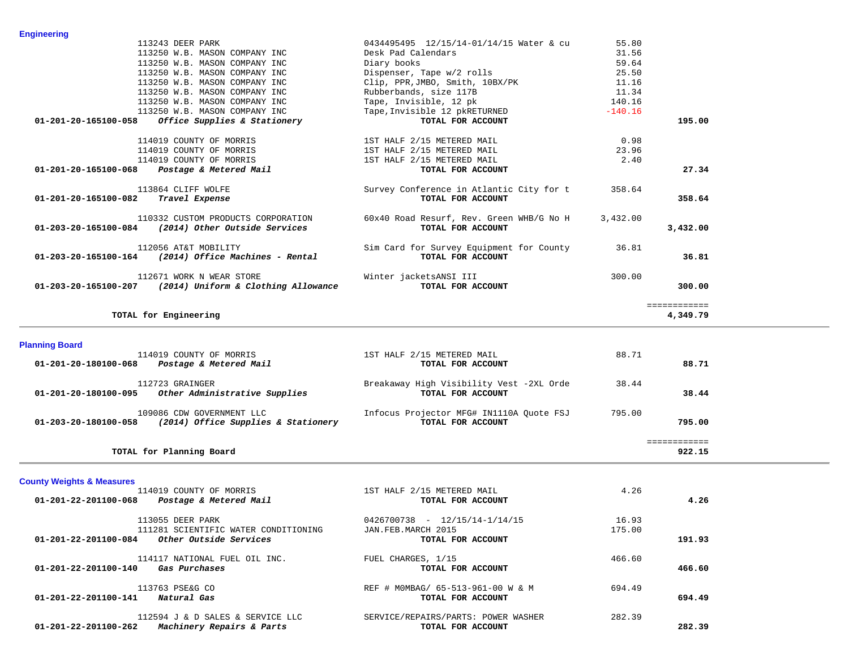| 113243 DEER PARK                                                                                   | 0434495495 12/15/14-01/14/15 Water & cu                       | 55.80     |                          |
|----------------------------------------------------------------------------------------------------|---------------------------------------------------------------|-----------|--------------------------|
| 113250 W.B. MASON COMPANY INC                                                                      | Desk Pad Calendars                                            | 31.56     |                          |
| 113250 W.B. MASON COMPANY INC                                                                      | Diary books                                                   | 59.64     |                          |
| 113250 W.B. MASON COMPANY INC                                                                      | Dispenser, Tape w/2 rolls                                     | 25.50     |                          |
| 113250 W.B. MASON COMPANY INC                                                                      | Clip, PPR,JMBO, Smith, 10BX/PK<br>Rubberbands, size 117B      | 11.16     |                          |
| 113250 W.B. MASON COMPANY INC                                                                      |                                                               | 11.34     |                          |
| 113250 W.B. MASON COMPANY INC                                                                      | Tape, Invisible, 12 pk                                        | 140.16    |                          |
| 113250 W.B. MASON COMPANY INC                                                                      | Tape, Invisible 12 pkRETURNED                                 | $-140.16$ |                          |
| $01-201-20-165100-058$ Office Supplies & Stationery                                                | TOTAL FOR ACCOUNT                                             |           | 195.00                   |
| 114019 COUNTY OF MORRIS                                                                            | 1ST HALF 2/15 METERED MAIL                                    | 0.98      |                          |
| 114019 COUNTY OF MORRIS                                                                            | 1ST HALF 2/15 METERED MAIL                                    | 23.96     |                          |
| 114019 COUNTY OF MORRIS                                                                            | 1ST HALF 2/15 METERED MAIL                                    | 2.40      |                          |
| $01 - 201 - 20 - 165100 - 068$ Postage & Metered Mail                                              | TOTAL FOR ACCOUNT                                             |           | 27.34                    |
| 113864 CLIFF WOLFE                                                                                 | Survey Conference in Atlantic City for t                      | 358.64    |                          |
| 01-201-20-165100-082 Travel Expense                                                                | TOTAL FOR ACCOUNT                                             |           | 358.64                   |
| 110332 CUSTOM PRODUCTS CORPORATION<br>$01 - 203 - 20 - 165100 - 084$ (2014) Other Outside Services | 60x40 Road Resurf, Rev. Green WHB/G No H<br>TOTAL FOR ACCOUNT | 3,432.00  | 3,432.00                 |
| 112056 AT&T MOBILITY<br>$01 - 203 - 20 - 165100 - 164$ (2014) Office Machines - Rental             | Sim Card for Survey Equipment for County<br>TOTAL FOR ACCOUNT | 36.81     | 36.81                    |
| 112671 WORK N WEAR STORE<br>01-203-20-165100-207 (2014) Uniform & Clothing Allowance               | Winter jacketsANSI III<br>TOTAL FOR ACCOUNT                   | 300.00    | 300.00                   |
| TOTAL for Engineering                                                                              |                                                               |           | ============<br>4,349.79 |

| <b>Planning Board</b>                                       |                                          |        |  |
|-------------------------------------------------------------|------------------------------------------|--------|--|
| 114019 COUNTY OF MORRIS                                     | 1ST HALF 2/15 METERED MAIL               | 88.71  |  |
| 01-201-20-180100-068<br>Postage & Metered Mail              | TOTAL FOR ACCOUNT                        | 88.71  |  |
| 112723 GRAINGER                                             | Breakaway High Visibility Vest -2XL Orde | 38.44  |  |
| 01-201-20-180100-095<br>Other Administrative Supplies       | TOTAL FOR ACCOUNT                        | 38.44  |  |
| 109086 CDW GOVERNMENT LLC                                   | Infocus Projector MFG# IN1110A Ouote FSJ | 795.00 |  |
| (2014) Office Supplies & Stationery<br>01-203-20-180100-058 | TOTAL FOR ACCOUNT                        | 795.00 |  |
|                                                             |                                          |        |  |
| TOTAL for Planning Board                                    |                                          | 922.15 |  |

**County Weights & Measures** 1ST HALF 2/15 METERED MAIL 4.26  **01-201-22-201100-068** *Postage & Metered Mail* **TOTAL FOR ACCOUNT 4.26** 113055 DEER PARK 16.93 0426700738 - 12/15/14-1/14/15 16.93 111281 SCIENTIFIC WATER CONDITIONING JAN.FEB.MARCH 2015 175.00  **01-201-22-201100-084** *Other Outside Services* **TOTAL FOR ACCOUNT 191.93**114117 NATIONAL FUEL OIL INC. FUEL CHARGES, 1/15 466.60 01-201-22-201100-140 *Gas Purchases TOTAL FOR ACCOUNT* 466.60 113763 PSE&G CO **REF # MOMBAG/ 65-513-961-00 W & M** 694.49  **01-201-22-201100-141** *Natural Gas* **TOTAL FOR ACCOUNT 694.49**112594 J & D SALES & SERVICE LLC SERVICE/REPAIRS/PARTS: POWER WASHER 282.39  **01-201-22-201100-262** *Machinery Repairs & Parts* **TOTAL FOR ACCOUNT 282.39**

# **Engineering**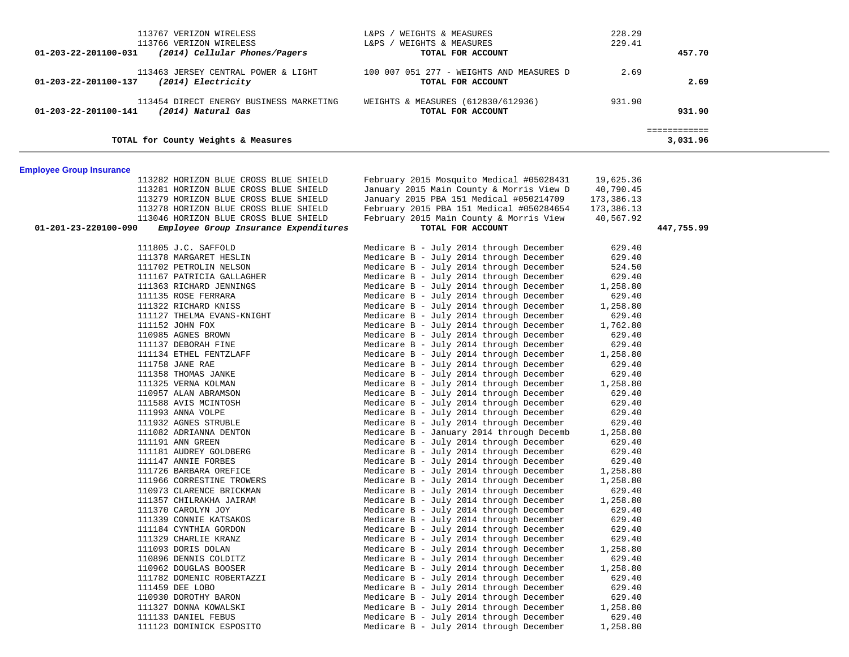| 113767 VERIZON WIRELESS<br>113766 VERIZON WIRELESS<br>(2014) Cellular Phones/Pagers<br>01-203-22-201100-031 | WEIGHTS & MEASURES<br>L&PS<br>WEIGHTS & MEASURES<br>L&PS<br>TOTAL FOR ACCOUNT | 228.29<br>229.41 | 457.70   |
|-------------------------------------------------------------------------------------------------------------|-------------------------------------------------------------------------------|------------------|----------|
| 113463 JERSEY CENTRAL POWER & LIGHT<br>(2014) Electricity<br>01-203-22-201100-137                           | 100 007 051 277 - WEIGHTS AND MEASURES D<br>TOTAL FOR ACCOUNT                 | 2.69             | 2.69     |
| 113454 DIRECT ENERGY BUSINESS MARKETING<br>01-203-22-201100-141<br>(2014) Natural Gas                       | WEIGHTS & MEASURES (612830/612936)<br>TOTAL FOR ACCOUNT                       | 931.90           | 931.90   |
| TOTAL for County Weights & Measures                                                                         |                                                                               |                  | 3,031.96 |

# **Employee Group Insurance**

| 113282 HORIZON BLUE CROSS BLUE SHIELD                         | February 2015 Mosquito Medical #05028431 | 19,625.36        |            |
|---------------------------------------------------------------|------------------------------------------|------------------|------------|
| 113281 HORIZON BLUE CROSS BLUE SHIELD                         | January 2015 Main County & Morris View D | 40,790.45        |            |
| 113279 HORIZON BLUE CROSS BLUE SHIELD                         | January 2015 PBA 151 Medical #050214709  | 173,386.13       |            |
| 113278 HORIZON BLUE CROSS BLUE SHIELD                         | February 2015 PBA 151 Medical #050284654 | 173,386.13       |            |
| 113046 HORIZON BLUE CROSS BLUE SHIELD                         | February 2015 Main County & Morris View  | 40,567.92        |            |
| 01-201-23-220100-090<br>Employee Group Insurance Expenditures | TOTAL FOR ACCOUNT                        |                  | 447,755.99 |
|                                                               |                                          |                  |            |
| 111805 J.C. SAFFOLD                                           | Medicare B - July 2014 through December  | 629.40           |            |
| 111378 MARGARET HESLIN                                        | Medicare B - July 2014 through December  | 629.40           |            |
| 111702 PETROLIN NELSON                                        | Medicare B - July 2014 through December  | 524.50           |            |
| 111167 PATRICIA GALLAGHER                                     | Medicare B - July 2014 through December  | 629.40           |            |
| 111363 RICHARD JENNINGS                                       | Medicare B - July 2014 through December  | 1,258.80         |            |
| 111135 ROSE FERRARA                                           | Medicare B - July 2014 through December  | 629.40           |            |
| 111322 RICHARD KNISS                                          | Medicare B - July 2014 through December  | 1,258.80         |            |
| 111127 THELMA EVANS-KNIGHT                                    | Medicare B - July 2014 through December  | 629.40           |            |
| 111152 JOHN FOX                                               | Medicare B - July 2014 through December  | 1,762.80         |            |
| 110985 AGNES BROWN                                            | Medicare B - July 2014 through December  | 629.40           |            |
| 111137 DEBORAH FINE                                           | Medicare B - July 2014 through December  | 629.40           |            |
| 111134 ETHEL FENTZLAFF                                        | Medicare B - July 2014 through December  | 1,258.80         |            |
| 111758 JANE RAE                                               | Medicare B - July 2014 through December  | 629.40           |            |
| 111358 THOMAS JANKE                                           | Medicare B - July 2014 through December  | 629.40           |            |
| 111325 VERNA KOLMAN                                           | Medicare B - July 2014 through December  | 1,258.80         |            |
| 110957 ALAN ABRAMSON                                          | Medicare B - July 2014 through December  | 629.40           |            |
| 111588 AVIS MCINTOSH                                          | Medicare B - July 2014 through December  | 629.40           |            |
| 111993 ANNA VOLPE                                             | Medicare B - July 2014 through December  | 629.40           |            |
| 111932 AGNES STRUBLE                                          | Medicare B - July 2014 through December  | 629.40           |            |
| 111082 ADRIANNA DENTON                                        | Medicare B - January 2014 through Decemb | 1,258.80         |            |
| 111191 ANN GREEN                                              | Medicare B - July 2014 through December  | 629.40           |            |
| 111181 AUDREY GOLDBERG                                        | Medicare B - July 2014 through December  | 629.40           |            |
| 111147 ANNIE FORBES                                           | Medicare B - July 2014 through December  | 629.40           |            |
| 111726 BARBARA OREFICE                                        | Medicare B - July 2014 through December  | 1,258.80         |            |
| 111966 CORRESTINE TROWERS                                     | Medicare B - July 2014 through December  | 1,258.80         |            |
| 110973 CLARENCE BRICKMAN                                      | Medicare B - July 2014 through December  | 629.40           |            |
| 111357 CHILRAKHA JAIRAM                                       | Medicare B - July 2014 through December  | 1,258.80         |            |
| 111370 CAROLYN JOY                                            | Medicare B - July 2014 through December  | 629.40           |            |
| 111339 CONNIE KATSAKOS                                        | Medicare B - July 2014 through December  | 629.40           |            |
| 111184 CYNTHIA GORDON                                         | Medicare B - July 2014 through December  | 629.40           |            |
| 111329 CHARLIE KRANZ                                          | Medicare B - July 2014 through December  | 629.40           |            |
| 111093 DORIS DOLAN                                            | Medicare B - July 2014 through December  | 1,258.80         |            |
| 110896 DENNIS COLDITZ                                         | Medicare B - July 2014 through December  | 629.40           |            |
| 110962 DOUGLAS BOOSER                                         | Medicare B - July 2014 through December  |                  |            |
|                                                               | Medicare B - July 2014 through December  | 1,258.80         |            |
| 111782 DOMENIC ROBERTAZZI                                     | Medicare B - July 2014 through December  | 629.40<br>629.40 |            |
| 111459 DEE LOBO                                               |                                          |                  |            |
| 110930 DOROTHY BARON                                          | Medicare B - July 2014 through December  | 629.40           |            |
| 111327 DONNA KOWALSKI                                         | Medicare B - July 2014 through December  | 1,258.80         |            |
| 111133 DANIEL FEBUS                                           | Medicare B - July 2014 through December  | 629.40           |            |
| 111123 DOMINICK ESPOSITO                                      | Medicare B - July 2014 through December  | 1,258.80         |            |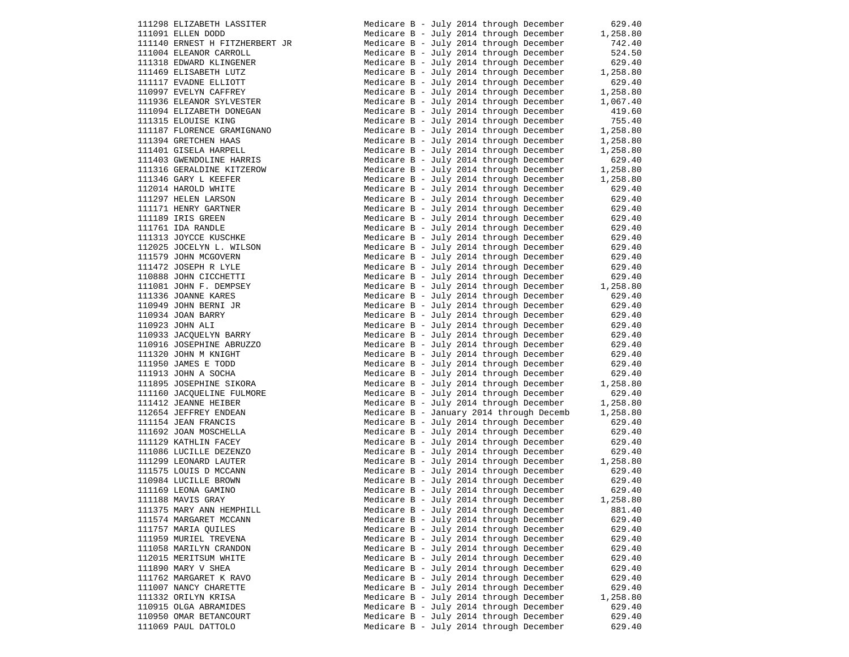111298 ELIZABETH LASSITER 111091 ELLEN DODD 111140 ERNEST H FITZHERBERT JR 111004 ELEANOR CARROLL 111318 EDWARD KLINGENER 111469 ELISABETH LUTZ 111117 EVADNE ELLIOTT 110997 EVELYN CAFFREY 111936 ELEANOR SYLVESTER 111094 ELIZABETH DONEGAN 111315 ELOUISE KING 111187 FLORENCE GRAMIGNANO 111394 GRETCHEN HAAS 111401 GISELA HARPELL 111403 GWENDOLINE HARRIS 111316 GERALDINE KITZEROW 111346 GARY L KEEFER 112014 HAROLD WHITE 111297 HELEN LARSON 111171 HENRY GARTNER 111189 IRIS GREEN  $111761$  IDA RANDLE 111313 JOYCCE KUSCHKE 112025 JOCELYN L. WILSON 111579 JOHN MCGOVERN  $111472$  JOSEPH R LYLE 110888 JOHN CICCHETTI 111081 JOHN F. DEMPSEY 111336 JOANNE KARES 110949 JOHN BERNI JR 110934 JOAN BARRY 110923 JOHN ALI 110933 JACQUELYN BARRY 110916 JOSEPHINE ABRUZZO  $111320$  JOHN M KNIGHT 111950 JAMES E TODD 111913 JOHN A SOCHA 111895 JOSEPHINE SIKORA 111160 JACQUELINE FULMORE 111412 JEANNE HEIBER 112654 JEFFREY ENDEAN 111154 JEAN FRANCIS 111692 JOAN MOSCHELLA 111129 KATHLIN FACEY 111086 LUCILLE DEZENZO 111299 LEONARD LAUTER 111575 LOUIS D MCCANN 110984 LUCILLE BROWN 111169 LEONA GAMINO  $111188$  MAVIS GRAY 111375 MARY ANN HEMPHILL 111574 MARGARET MCCANN 111757 MARIA OUILES 111959 MURIEL TREVENA 111058 MARILYN CRANDON 112015 MERITSUM WHITE 111890 MARY V SHEA 111762 MARGARET K RAVO 111007 NANCY CHARETTE 111332 ORILYN KRISA 110915 OLGA ABRAMIDES 110950 OMAR BETANCOURT 111069 PAUL DATTOLO  $\blacksquare$  Medicare B - July 2014 through

| Medicare B - July 2014 through December |  |  |                                          | 629.40   |
|-----------------------------------------|--|--|------------------------------------------|----------|
| Medicare B - July 2014 through December |  |  |                                          | 1,258.80 |
| Medicare B - July 2014 through December |  |  |                                          | 742.40   |
| Medicare B - July 2014 through December |  |  |                                          | 524.50   |
| Medicare B - July 2014 through December |  |  |                                          | 629.40   |
| Medicare B - July 2014 through December |  |  |                                          | 1,258.80 |
| Medicare B - July 2014 through December |  |  |                                          | 629.40   |
| Medicare B - July 2014 through December |  |  |                                          | 1,258.80 |
| Medicare B - July 2014 through December |  |  |                                          | 1,067.40 |
| Medicare B - July 2014 through December |  |  |                                          | 419.60   |
| Medicare B - July 2014 through December |  |  |                                          | 755.40   |
| Medicare B - July 2014 through December |  |  |                                          | 1,258.80 |
|                                         |  |  |                                          |          |
| Medicare B - July 2014 through December |  |  |                                          | 1,258.80 |
| Medicare B - July 2014 through December |  |  |                                          | 1,258.80 |
| Medicare B - July 2014 through December |  |  |                                          | 629.40   |
| Medicare B - July 2014 through December |  |  |                                          | 1,258.80 |
| Medicare B - July 2014 through December |  |  |                                          | 1,258.80 |
| Medicare B - July 2014 through December |  |  |                                          | 629.40   |
| Medicare B - July 2014 through December |  |  |                                          | 629.40   |
| Medicare B - July 2014 through December |  |  |                                          | 629.40   |
| Medicare B - July 2014 through December |  |  |                                          | 629.40   |
| Medicare B - July 2014 through December |  |  |                                          | 629.40   |
| Medicare B - July 2014 through December |  |  |                                          | 629.40   |
| Medicare B - July 2014 through December |  |  |                                          | 629.40   |
| Medicare B - July 2014 through December |  |  |                                          | 629.40   |
| Medicare B - July 2014 through December |  |  |                                          | 629.40   |
| Medicare B - July 2014 through December |  |  |                                          | 629.40   |
| Medicare B - July 2014 through December |  |  |                                          | 1,258.80 |
| Medicare B - July 2014 through December |  |  |                                          | 629.40   |
| Medicare B - July 2014 through December |  |  |                                          | 629.40   |
| Medicare B - July 2014 through December |  |  |                                          | 629.40   |
| Medicare B - July 2014 through December |  |  |                                          | 629.40   |
| Medicare B - July 2014 through December |  |  |                                          | 629.40   |
| Medicare B - July 2014 through December |  |  |                                          | 629.40   |
| Medicare B - July 2014 through December |  |  |                                          | 629.40   |
| Medicare B - July 2014 through December |  |  |                                          | 629.40   |
| Medicare B - July 2014 through December |  |  |                                          | 629.40   |
| Medicare B - July 2014 through December |  |  |                                          | 1,258.80 |
| Medicare B - July 2014 through December |  |  |                                          | 629.40   |
| Medicare B - July 2014 through December |  |  |                                          | 1,258.80 |
|                                         |  |  | Medicare B - January 2014 through Decemb | 1,258.80 |
| Medicare B - July 2014 through December |  |  |                                          | 629.40   |
| Medicare B - July 2014 through December |  |  |                                          | 629.40   |
| Medicare B - July 2014 through December |  |  |                                          | 629.40   |
| Medicare B - July 2014 through December |  |  |                                          | 629.40   |
| Medicare B - July 2014 through December |  |  |                                          | 1,258.80 |
| Medicare B - July 2014 through December |  |  |                                          | 629.40   |
| Medicare B - July 2014 through December |  |  |                                          | 629.40   |
| Medicare B - July 2014 through December |  |  |                                          | 629.40   |
|                                         |  |  |                                          |          |
| Medicare B - July 2014 through December |  |  |                                          | 1,258.80 |
| Medicare B - July 2014 through December |  |  |                                          | 881.40   |
| Medicare B - July 2014 through December |  |  |                                          | 629.40   |
| Medicare B - July 2014 through December |  |  |                                          | 629.40   |
| Medicare B - July 2014 through December |  |  |                                          | 629.40   |
| Medicare B - July 2014 through December |  |  |                                          | 629.40   |
| Medicare B - July 2014 through December |  |  |                                          | 629.40   |
| Medicare B - July 2014 through December |  |  |                                          | 629.40   |
| Medicare B - July 2014 through December |  |  |                                          | 629.40   |
| Medicare B - July 2014 through December |  |  |                                          | 629.40   |
| Medicare B - July 2014 through December |  |  |                                          | 1,258.80 |
| Medicare B - July 2014 through December |  |  |                                          | 629.40   |
| Medicare B - July 2014 through December |  |  |                                          | 629.40   |
| Medicare B - July 2014 through December |  |  |                                          | 629.40   |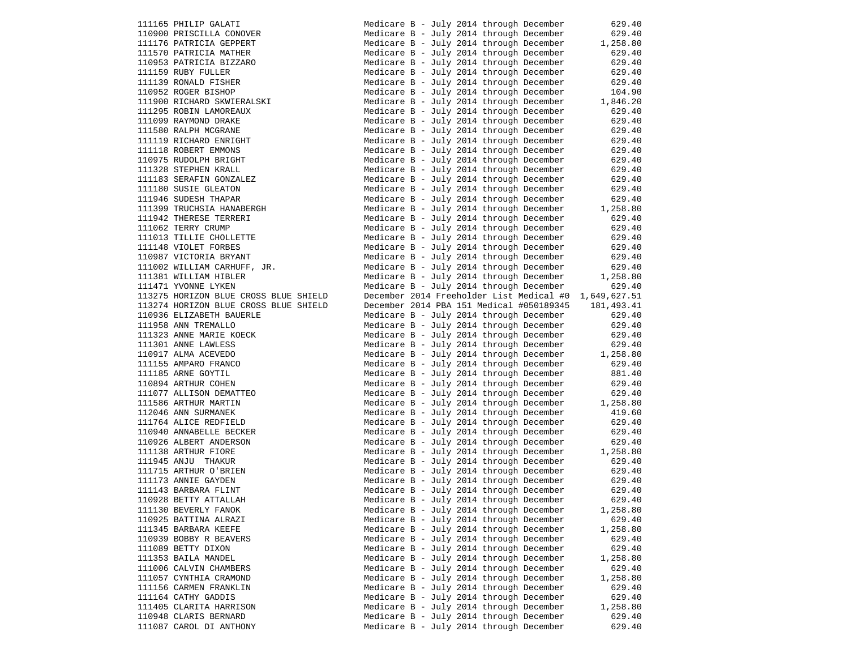| 111165 PHILIP GALATI                                                                                                            |                                         |  |  | Medicare B - July 2014 through December                                            | 629.40                                           |
|---------------------------------------------------------------------------------------------------------------------------------|-----------------------------------------|--|--|------------------------------------------------------------------------------------|--------------------------------------------------|
| 110900 PRISCILLA CONOVER                                                                                                        |                                         |  |  | Medicare B - July 2014 through December                                            | 629.40                                           |
| 111176 PATRICIA GEPPERT                                                                                                         |                                         |  |  | Medicare B - July 2014 through December                                            | 1,258.80                                         |
| 111570 PATRICIA MATHER                                                                                                          |                                         |  |  | Medicare B - July 2014 through December                                            | 629.40                                           |
| 110953 PATRICIA BIZZARO                                                                                                         |                                         |  |  | Medicare B - July 2014 through December                                            | 629.40                                           |
| 111159 RUBY FULLER                                                                                                              |                                         |  |  | Medicare B - July 2014 through December                                            | 629.40                                           |
|                                                                                                                                 |                                         |  |  |                                                                                    |                                                  |
| 111139 RONALD FISHER                                                                                                            |                                         |  |  | Medicare B - July 2014 through December                                            | 629.40                                           |
| 110952 ROGER BISHOP                                                                                                             |                                         |  |  | Medicare B - July 2014 through December                                            | 104.90                                           |
| 111900 RICHARD SKWIERALSKI                                                                                                      |                                         |  |  | Medicare B - July 2014 through December                                            | 1,846.20                                         |
| 111295 ROBIN LAMOREAUX                                                                                                          |                                         |  |  | Medicare B - July 2014 through December                                            | 629.40                                           |
| 111099 RAYMOND DRAKE                                                                                                            |                                         |  |  | Medicare B - July 2014 through December                                            | 629.40                                           |
| 111580 RALPH MCGRANE                                                                                                            |                                         |  |  | Medicare B - July 2014 through December                                            | 629.40                                           |
| 111119 RICHARD ENRIGHT                                                                                                          |                                         |  |  | Medicare B - July 2014 through December                                            | 629.40                                           |
| 111118 ROBERT EMMONS                                                                                                            |                                         |  |  | Medicare B - July 2014 through December                                            | 629.40                                           |
|                                                                                                                                 |                                         |  |  |                                                                                    |                                                  |
| 110975 RUDOLPH BRIGHT                                                                                                           |                                         |  |  | Medicare B - July 2014 through December                                            | 629.40                                           |
| 111328 STEPHEN KRALL                                                                                                            |                                         |  |  | Medicare B - July 2014 through December                                            | 629.40                                           |
| 111183 SERAFIN GONZALEZ                                                                                                         |                                         |  |  | Medicare B - July 2014 through December                                            | 629.40                                           |
| 111180 SUSIE GLEATON                                                                                                            |                                         |  |  | Medicare B - July 2014 through December                                            | 629.40                                           |
| 111946 SUDESH THAPAR                                                                                                            |                                         |  |  | Medicare B - July 2014 through December                                            | 629.40                                           |
| 111399 TRUCHSIA HANABERGH                                                                                                       |                                         |  |  |                                                                                    | Medicare B - July 2014 through December 1,258.80 |
| 111942 THERESE TERRERI                                                                                                          |                                         |  |  | Medicare B - July 2014 through December                                            | 629.40                                           |
| 111062 TERRY CRUMP                                                                                                              |                                         |  |  | Medicare B - July 2014 through December                                            | 629.40                                           |
|                                                                                                                                 |                                         |  |  |                                                                                    |                                                  |
| 111013 TILLIE CHOLLETTE                                                                                                         |                                         |  |  | Medicare B - July 2014 through December                                            | 629.40                                           |
|                                                                                                                                 |                                         |  |  | Medicare B - July 2014 through December                                            | 629.40                                           |
|                                                                                                                                 |                                         |  |  | Medicare B - July 2014 through December                                            | 629.40                                           |
|                                                                                                                                 |                                         |  |  | Medicare B - July 2014 through December                                            | 629.40                                           |
| 111170 VIOLET FORBES<br>110987 VICTORIA BRYANT<br>111002 WILLIAM CARHUFF, JR.<br>111381 WILLIAM HIDIED<br>111381 WILLIAM HIBLER |                                         |  |  | Medicare B - July 2014 through December                                            | 1,258.80                                         |
| 111471 YVONNE LYKEN                                                                                                             |                                         |  |  | Medicare B - July 2014 through December                                            | 629.40                                           |
| 113275 HORIZON BLUE CROSS BLUE SHIELD                                                                                           |                                         |  |  | December 2014 Freeholder List Medical #0                                           | 1,649,627.51                                     |
| 113274 HORIZON BLUE CROSS BLUE SHIELD                                                                                           |                                         |  |  | December 2014 PBA 151 Medical #050189345                                           | 181, 493.41                                      |
|                                                                                                                                 |                                         |  |  |                                                                                    |                                                  |
| 110936 ELIZABETH BAUERLE                                                                                                        |                                         |  |  | Medicare B - July 2014 through December                                            | 629.40                                           |
| 111958 ANN TREMALLO                                                                                                             |                                         |  |  | Medicare B - July 2014 through December                                            | 629.40                                           |
| 111323 ANNE MARIE KOECK                                                                                                         |                                         |  |  | Medicare B - July 2014 through December                                            | 629.40                                           |
| 111301 ANNE LAWLESS                                                                                                             |                                         |  |  | Medicare B - July 2014 through December                                            | 629.40                                           |
| 110917 ALMA ACEVEDO                                                                                                             |                                         |  |  | Medicare B - July 2014 through December                                            | 1,258.80                                         |
| 111155 AMPARO FRANCO                                                                                                            |                                         |  |  | Medicare B - July 2014 through December                                            | 629.40                                           |
| 111185 ARNE GOYTIL                                                                                                              |                                         |  |  | Medicare B - July 2014 through December                                            | 881.40                                           |
| 110894 ARTHUR COHEN                                                                                                             |                                         |  |  | Medicare B - July 2014 through December                                            | 629.40                                           |
|                                                                                                                                 |                                         |  |  |                                                                                    |                                                  |
| 111077 ALLISON DEMATTEO                                                                                                         |                                         |  |  | Medicare B - July 2014 through December                                            | 629.40                                           |
| 111586 ARTHUR MARTIN                                                                                                            |                                         |  |  | Medicare B - July 2014 through December                                            | 1,258.80                                         |
| 112046 ANN SURMANEK                                                                                                             |                                         |  |  | Medicare B - July 2014 through December                                            | 419.60                                           |
| 111764 ALICE REDFIELD                                                                                                           |                                         |  |  | Medicare B - July 2014 through December                                            | 629.40                                           |
| 110940 ANNABELLE BECKER                                                                                                         |                                         |  |  | Medicare B - July 2014 through December                                            | 629.40                                           |
| 110926 ALBERT ANDERSON                                                                                                          |                                         |  |  | Medicare B - July 2014 through December                                            | 629.40                                           |
| 111138 ARTHUR FIORE                                                                                                             |                                         |  |  | Medicare B - July 2014 through December                                            | 1,258.80                                         |
| 111945 ANJU THAKUR                                                                                                              |                                         |  |  | Medicare B - July 2014 through December                                            | 629.40                                           |
| 111715 ARTHUR O'BRIEN                                                                                                           |                                         |  |  | Medicare B - July 2014 through December                                            | 629.40                                           |
|                                                                                                                                 |                                         |  |  |                                                                                    |                                                  |
| 111173 ANNIE GAYDEN                                                                                                             |                                         |  |  | Medicare B - July 2014 through December                                            | 629.40                                           |
| 111143 BARBARA FLINT                                                                                                            |                                         |  |  | Medicare B - July 2014 through December                                            | 629.40                                           |
| 110928 BETTY ATTALLAH                                                                                                           |                                         |  |  | Medicare B - July 2014 through December                                            | 629.40                                           |
| 111130 BEVERLY FANOK                                                                                                            | Medicare B - July 2014 through December |  |  |                                                                                    |                                                  |
|                                                                                                                                 |                                         |  |  |                                                                                    | 1,258.80                                         |
| 110925 BATTINA ALRAZI                                                                                                           |                                         |  |  | Medicare B - July 2014 through December                                            | 629.40                                           |
|                                                                                                                                 |                                         |  |  |                                                                                    |                                                  |
| 111345 BARBARA KEEFE                                                                                                            |                                         |  |  | Medicare B - July 2014 through December                                            | 1,258.80                                         |
| 110939 BOBBY R BEAVERS                                                                                                          |                                         |  |  | Medicare B - July 2014 through December                                            | 629.40                                           |
| 111089 BETTY DIXON                                                                                                              |                                         |  |  | Medicare B - July 2014 through December                                            | 629.40                                           |
| 111353 BAILA MANDEL                                                                                                             |                                         |  |  | Medicare B - July 2014 through December                                            | 1,258.80                                         |
| 111006 CALVIN CHAMBERS                                                                                                          |                                         |  |  | Medicare B - July 2014 through December                                            | 629.40                                           |
| 111057 CYNTHIA CRAMOND                                                                                                          |                                         |  |  | Medicare B - July 2014 through December                                            | 1,258.80                                         |
| 111156 CARMEN FRANKLIN                                                                                                          |                                         |  |  | Medicare B - July 2014 through December                                            | 629.40                                           |
| 111164 CATHY GADDIS                                                                                                             |                                         |  |  | Medicare B - July 2014 through December                                            | 629.40                                           |
| 111405 CLARITA HARRISON                                                                                                         |                                         |  |  | Medicare B - July 2014 through December                                            |                                                  |
| 110948 CLARIS BERNARD                                                                                                           |                                         |  |  |                                                                                    | 1,258.80                                         |
| 111087 CAROL DI ANTHONY                                                                                                         |                                         |  |  | Medicare B - July 2014 through December<br>Medicare B - July 2014 through December | 629.40<br>629.40                                 |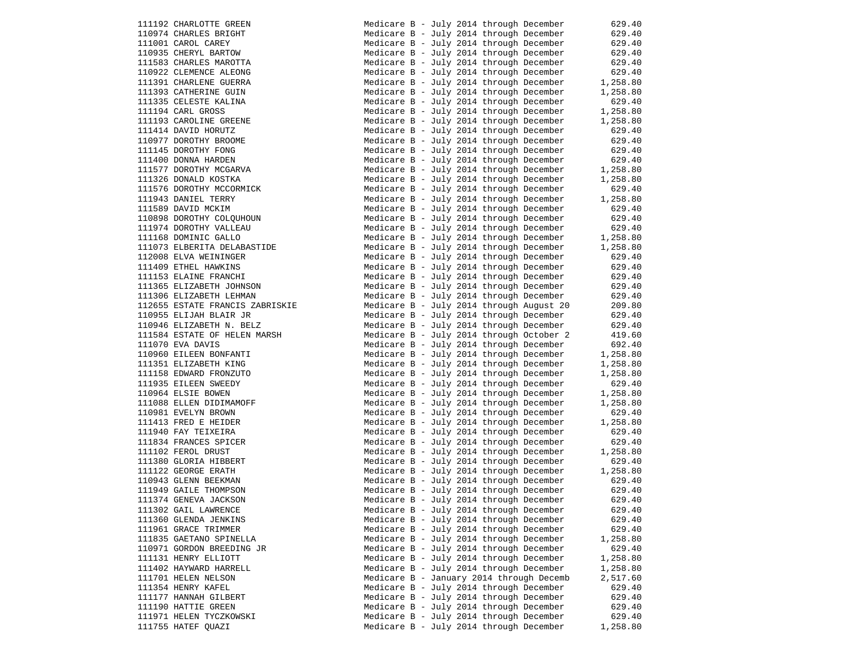111192 CHARLOTTE GREEN 110974 CHARLES BRIGHT 111001 CAROL CAREY 110935 CHERYL BARTOW 111583 CHARLES MAROTTA 110922 CLEMENCE ALEONG 111391 CHARLENE GUERRA 111393 CATHERINE GUIN 111335 CELESTE KALINA  $111194$  CARL GROSS 111193 CAROLINE GREENE 111414 DAVID HORUTZ 110977 DOROTHY BROOME 111145 DOROTHY FONG 111400 DONNA HARDEN 111577 DOROTHY MCGARVA 111326 DONALD KOSTKA 111576 DOROTHY MCCORMICK 111943 DANIEL TERRY 111589 DAVID MCKIM 110898 DOROTHY COLQUHOUN 111974 DOROTHY VALLEAU 111168 DOMINIC GALLO 111073 ELBERITA DELABASTIDE 112008 ELVA WEININGER 111409 ETHEL HAWKINS 111153 ELAINE FRANCHI 111365 ELIZABETH JOHNSON 111306 ELIZABETH LEHMAN 112655 ESTATE FRANCIS ZABRISKIE 110955 ELIJAH BLAIR JR 110946 ELIZABETH N. BELZ 111584 ESTATE OF HELEN MARSH 111070 EVA DAVIS 110960 EILEEN BONFANTI 111351 ELIZABETH KING 111158 EDWARD FRONZUTO 111935 EILEEN SWEEDY  $110964$  ELSIE BOWEN 111088 ELLEN DIDIMAMOFF 110981 EVELYN BROWN 111413 FRED E HEIDER 111940 FAY TEIXEIRA 111834 FRANCES SPICER 111102 FEROL DRUST 111380 GLORIA HIBBERT 111122 GEORGE ERATH 110943 GLENN BEEKMAN 111949 GAILE THOMPSON 111374 GENEVA JACKSON 111302 GAIL LAWRENCE 111360 GLENDA JENKINS 111961 GRACE TRIMMER 111835 GAETANO SPINELLA 110971 GORDON BREEDING JR 111131 HENRY ELLIOTT Medicare B - July 2014 through December 1,258.80 111402 HAYWARD HARRELL 111701 HELEN NELSON 111354 HENRY KAFEL 111177 HANNAH GILBERT 111190 HATTIE GREEN 111971 HELEN TYCZKOWSKI 111755 HATEF QUAZI

| Medicare B - July 2014 through December |                           |  |                                          | 629.40   |
|-----------------------------------------|---------------------------|--|------------------------------------------|----------|
| Medicare B - July 2014 through December |                           |  |                                          | 629.40   |
| Medicare B - July 2014 through December |                           |  |                                          | 629.40   |
| Medicare B - July 2014 through December |                           |  |                                          | 629.40   |
| Medicare B - July 2014 through December |                           |  |                                          | 629.40   |
| Medicare B - July 2014 through December |                           |  |                                          | 629.40   |
| Medicare B - July 2014 through December |                           |  |                                          | 1,258.80 |
| Medicare B - July 2014 through December |                           |  |                                          | 1,258.80 |
| Medicare B - July 2014 through December |                           |  |                                          | 629.40   |
| Medicare B - July 2014 through December |                           |  |                                          | 1,258.80 |
| Medicare B - July 2014 through December |                           |  |                                          | 1,258.80 |
| Medicare B - July 2014 through December |                           |  |                                          | 629.40   |
| Medicare B - July 2014 through December |                           |  |                                          | 629.40   |
| Medicare B - July 2014 through December |                           |  |                                          | 629.40   |
| Medicare B - July 2014 through December |                           |  |                                          | 629.40   |
| Medicare B - July 2014 through December |                           |  |                                          | 1,258.80 |
| Medicare B - July 2014 through December |                           |  |                                          | 1,258.80 |
| Medicare B - July 2014 through December |                           |  |                                          | 629.40   |
| Medicare B - July 2014 through December |                           |  |                                          | 1,258.80 |
| Medicare B - July 2014 through December |                           |  |                                          | 629.40   |
| Medicare B -                            |                           |  | July 2014 through December               | 629.40   |
| Medicare B - July 2014 through December |                           |  |                                          | 629.40   |
| Medicare B - July 2014 through December |                           |  |                                          | 1,258.80 |
| Medicare B - July 2014 through December |                           |  |                                          | 1,258.80 |
| Medicare B -                            |                           |  | July 2014 through December               | 629.40   |
| Medicare B - July 2014 through December |                           |  |                                          | 629.40   |
| Medicare B -                            |                           |  | July 2014 through December               | 629.40   |
| Medicare B - July 2014 through December |                           |  |                                          | 629.40   |
| Medicare B -                            |                           |  | July 2014 through December               | 629.40   |
|                                         |                           |  | Medicare B - July 2014 through August 20 | 209.80   |
| Medicare B                              | $\left\vert -\right\vert$ |  | July 2014 through December               | 629.40   |
| Medicare B - July 2014 through December |                           |  |                                          | 629.40   |
| Medicare B -                            |                           |  | July 2014 through October 2              | 419.60   |
| Medicare B - July 2014 through December |                           |  |                                          | 692.40   |
| Medicare B -                            |                           |  | July 2014 through December               | 1,258.80 |
| Medicare B - July 2014 through December |                           |  |                                          | 1,258.80 |
| Medicare B -                            |                           |  | July 2014 through December               | 1,258.80 |
| Medicare B - July 2014 through December |                           |  |                                          | 629.40   |
| Medicare B -                            |                           |  | July 2014 through December               | 1,258.80 |
| Medicare B - July 2014 through December |                           |  |                                          | 1,258.80 |
| Medicare B                              |                           |  | - July 2014 through December             | 629.40   |
| Medicare B - July 2014 through December |                           |  |                                          | 1,258.80 |
| Medicare B - July 2014 through December |                           |  |                                          | 629.40   |
| Medicare B - July 2014 through December |                           |  |                                          | 629.40   |
| Medicare B - July 2014 through December |                           |  |                                          | 1,258.80 |
| Medicare B - July 2014 through December |                           |  |                                          | 629.40   |
| Medicare B - July 2014 through December |                           |  |                                          | 1,258.80 |
| Medicare B - July 2014 through December |                           |  |                                          | 629.40   |
| Medicare B - July 2014 through December |                           |  |                                          | 629.40   |
| Medicare B - July 2014 through December |                           |  |                                          | 629.40   |
| Medicare B - July 2014 through December |                           |  |                                          | 629.40   |
| Medicare B - July 2014 through December |                           |  |                                          | 629.40   |
| Medicare B - July 2014 through December |                           |  |                                          | 629.40   |
| Medicare B - July 2014 through December |                           |  |                                          | 1,258.80 |
| Medicare B - July 2014 through December |                           |  |                                          | 629.40   |
| Medicare B - July 2014 through December |                           |  |                                          | 1,258.80 |
| Medicare B - July 2014 through December |                           |  |                                          | 1,258.80 |
|                                         |                           |  | Medicare B - January 2014 through Decemb | 2,517.60 |
| Medicare B - July 2014 through December |                           |  |                                          | 629.40   |
| Medicare B - July 2014 through December |                           |  |                                          | 629.40   |
| Medicare B - July 2014 through December |                           |  |                                          | 629.40   |
| Medicare B - July 2014 through December |                           |  |                                          | 629.40   |
|                                         |                           |  | Medicare B - July 2014 through December  | 1,258.80 |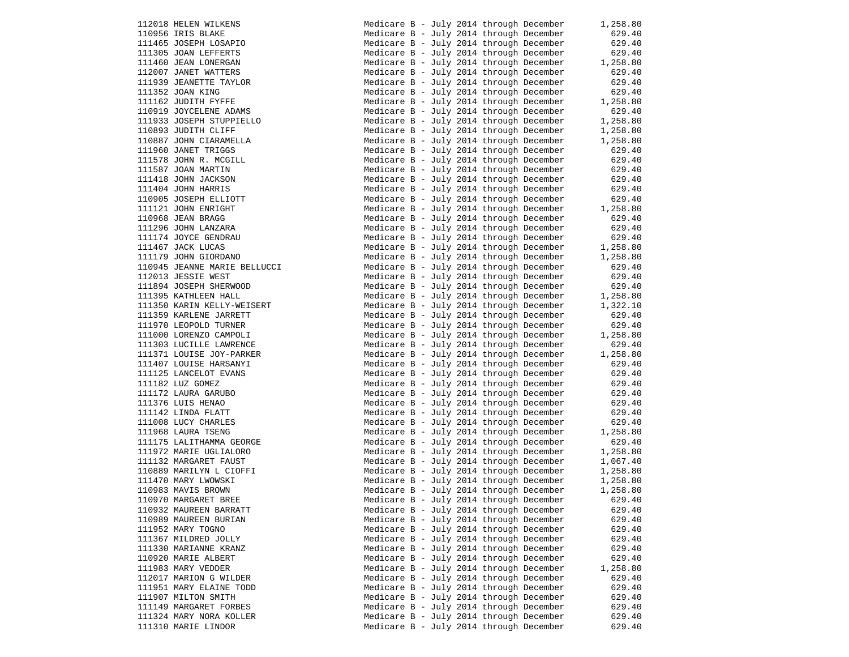112018 HELEN WILKENS 110956 IRIS BLAKE 111465 JOSEPH LOSAPIO 111305 JOAN LEFFERTS 111460 JEAN LONERGAN 112007 JANET WATTERS 111939 JEANETTE TAYLOR 111352 JOAN KING 111162 JUDITH FYFFE 110919 JOYCELENE ADAMS 111933 JOSEPH STUPPIELLO Medicare B - July 2014 through December 1,258.80 110893 JUDITH CLIFF 110887 JOHN CIARAMELLA 111960 JANET TRIGGS  $111578$  JOHN R. MCGILL 111587 JOAN MARTIN 111418 JOHN JACKSON 111404 JOHN HARRIS 110905 JOSEPH ELLIOTT 111121 JOHN ENRIGHT  $110968$  JEAN BRAGG 111296 JOHN LANZARA 111174 JOYCE GENDRAU  $111467$  JACK LUCAS 111179 JOHN GIORDANO 110945 JEANNE MARIE BELLUCCI 112013 JESSIE WEST 111894 JOSEPH SHERWOOD 111395 KATHLEEN HALL 111350 KARIN KELLY-WEISERT 111359 KARLENE JARRETT 111970 LEOPOLD TURNER 111000 LORENZO CAMPOLI 111303 LUCILLE LAWRENCE 111371 LOUISE JOY-PARKER 111407 LOUISE HARSANYI 111125 LANCELOT EVANS 111182 LUZ GOMEZ 111172 LAURA GARUBO 111376 LUIS HENAO  $111142$  LINDA FLATT 111008 LUCY CHARLES 111968 LAURA TSENG 111175 LALITHAMMA GEORGE 111972 MARIE UGLIALORO 111132 MARGARET FAUST 110889 MARILYN L CIOFFI 111470 MARY LWOWSKI 110983 MAVIS BROWN 110970 MARGARET BREE 110932 MAUREEN BARRATT 110989 MAUREEN BURIAN 111952 MARY TOGNO 111367 MILDRED JOLLY 111330 MARIANNE KRANZ 110920 MARIE ALBERT 111983 MARY VEDDER 112017 MARION G WILDER 111951 MARY ELAINE TODD 111907 MILTON SMITH 111149 MARGARET FORBES 111324 MARY NORA KOLLER 111310 MARIE LINDOR Medicare B - July 2014 through  $\text{Medicare B}$  - July 2014 through

| Medicare B - July 2014 through December                                            |  |  |                                         | 1,258.80         |
|------------------------------------------------------------------------------------|--|--|-----------------------------------------|------------------|
| Medicare B - July 2014 through December                                            |  |  |                                         | 629.40           |
| Medicare B - July 2014 through December                                            |  |  |                                         | 629.40           |
| Medicare B - July 2014 through December                                            |  |  |                                         | 629.40           |
| Medicare B - July 2014 through December                                            |  |  |                                         | 1,258.80         |
| Medicare B - July 2014 through December                                            |  |  |                                         | 629.40           |
| Medicare B - July 2014 through December                                            |  |  |                                         | 629.40           |
| Medicare B - July 2014 through December                                            |  |  |                                         | 629.40           |
| Medicare B - July 2014 through December                                            |  |  |                                         | 1,258.80         |
| Medicare B - July 2014 through December                                            |  |  |                                         | 629.40           |
| Medicare B - July 2014 through December                                            |  |  |                                         | 1,258.80         |
| Medicare B - July 2014 through December                                            |  |  |                                         | 1,258.80         |
| Medicare B - July 2014 through December                                            |  |  |                                         | 1,258.80         |
| Medicare B - July 2014 through December                                            |  |  |                                         | 629.40           |
| Medicare B - July 2014 through December                                            |  |  |                                         | 629.40           |
| Medicare B - July 2014 through December                                            |  |  |                                         | 629.40           |
| Medicare B - July 2014 through December                                            |  |  |                                         | 629.40           |
| Medicare B - July 2014 through December                                            |  |  |                                         | 629.40           |
| Medicare B - July 2014 through December                                            |  |  |                                         | 629.40           |
| Medicare B - July 2014 through December                                            |  |  |                                         | 1,258.80         |
| Medicare B - July 2014 through December                                            |  |  |                                         | 629.40           |
| Medicare B - July 2014 through December                                            |  |  |                                         | 629.40           |
| Medicare B - July 2014 through December                                            |  |  |                                         | 629.40           |
| Medicare B - July 2014 through December                                            |  |  |                                         | 1,258.80         |
| Medicare B - July 2014 through December                                            |  |  |                                         | 1,258.80         |
| Medicare B - July 2014 through December                                            |  |  |                                         | 629.40           |
| Medicare B - July 2014 through December                                            |  |  |                                         | 629.40           |
| Medicare B - July 2014 through December                                            |  |  |                                         | 629.40           |
| Medicare B - July 2014 through December                                            |  |  |                                         | 1,258.80         |
| Medicare B - July 2014 through December                                            |  |  |                                         | 1,322.10         |
| Medicare B - July 2014 through December                                            |  |  |                                         | 629.40           |
| Medicare B - July 2014 through December                                            |  |  |                                         | 629.40           |
| Medicare B - July 2014 through December                                            |  |  |                                         | 1,258.80         |
| Medicare B - July 2014 through December<br>Medicare B - July 2014 through December |  |  |                                         | 629.40           |
|                                                                                    |  |  |                                         | 1,258.80         |
| Medicare B - July 2014 through December<br>Medicare B - July 2014 through December |  |  |                                         | 629.40<br>629.40 |
| Medicare B - July 2014 through December                                            |  |  |                                         | 629.40           |
| Medicare B - July 2014 through December                                            |  |  |                                         | 629.40           |
| Medicare B - July 2014 through December                                            |  |  |                                         | 629.40           |
| Medicare B - July 2014 through December                                            |  |  |                                         | 629.40           |
| Medicare B - July 2014 through December                                            |  |  |                                         | 629.40           |
| Medicare B - July 2014 through December                                            |  |  |                                         | 1,258.80         |
| Medicare B - July 2014 through December                                            |  |  |                                         | 629.40           |
| Medicare B - July 2014 through December                                            |  |  |                                         | 1,258.80         |
| Medicare B - July 2014 through December                                            |  |  |                                         | 1,067.40         |
| Medicare B - July 2014 through December                                            |  |  |                                         | 1,258.80         |
| Medicare B - July 2014 through December                                            |  |  |                                         | 1,258.80         |
| Medicare B - July 2014 through December                                            |  |  |                                         | 1,258.80         |
| Medicare B - July 2014 through December                                            |  |  |                                         | 629.40           |
| Medicare B - July 2014 through December                                            |  |  |                                         | 629.40           |
|                                                                                    |  |  | Medicare B - July 2014 through December | 629.40           |
|                                                                                    |  |  | Medicare B - July 2014 through December | 629.40           |
| Medicare B - July 2014 through December                                            |  |  |                                         | 629.40           |
|                                                                                    |  |  | Medicare B - July 2014 through December | 629.40           |
| Medicare B - July 2014 through December                                            |  |  |                                         | 629.40           |
|                                                                                    |  |  | Medicare B - July 2014 through December | 1,258.80         |
| Medicare B - July 2014 through December                                            |  |  |                                         | 629.40           |
| Medicare B - July 2014 through December                                            |  |  |                                         | 629.40           |
| Medicare B - July 2014 through December                                            |  |  |                                         | 629.40           |
| Medicare B - July 2014 through December                                            |  |  |                                         | 629.40           |
| Medicare B - July 2014 through December                                            |  |  |                                         | 629.40           |
| Medicare B - July 2014 through December                                            |  |  |                                         | 629.40           |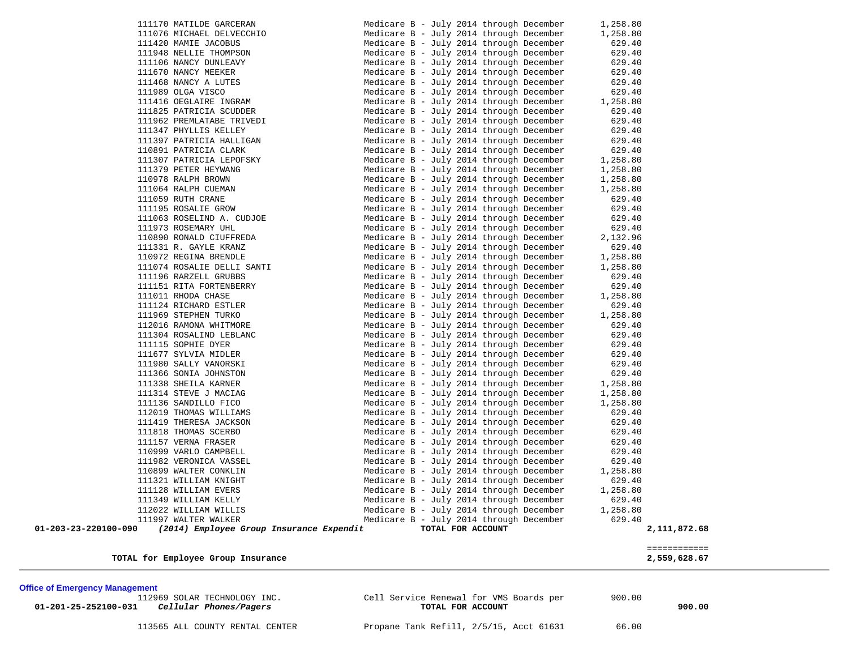| TOTAL for Employee Group Insurance                               |                                                                                    | ============<br>2,559,628.67 |
|------------------------------------------------------------------|------------------------------------------------------------------------------------|------------------------------|
| (2014) Employee Group Insurance Expendit<br>01-203-23-220100-090 | TOTAL FOR ACCOUNT                                                                  | 2,111,872.68                 |
| 111997 WALTER WALKER                                             | Medicare B - July 2014 through December                                            | 629.40                       |
| 112022 WILLIAM WILLIS                                            | Medicare B - July 2014 through December                                            | 1,258.80                     |
| 111349 WILLIAM KELLY                                             | Medicare B - July 2014 through December                                            | 629.40                       |
| 111128 WILLIAM EVERS                                             | Medicare B - July 2014 through December                                            | 1,258.80                     |
| 111321 WILLIAM KNIGHT                                            | Medicare B - July 2014 through December                                            | 629.40                       |
| 110899 WALTER CONKLIN                                            | Medicare B - July 2014 through December                                            | 1,258.80                     |
| 111982 VERONICA VASSEL                                           | Medicare B - July 2014 through December                                            | 629.40                       |
| 110999 VARLO CAMPBELL                                            | Medicare B - July 2014 through December                                            | 629.40                       |
| 111157 VERNA FRASER                                              | Medicare B - July 2014 through December                                            | 629.40                       |
| 111818 THOMAS SCERBO                                             | Medicare B - July 2014 through December                                            | 629.40                       |
| 111419 THERESA JACKSON                                           | Medicare B - July 2014 through December                                            | 629.40                       |
| 112019 THOMAS WILLIAMS                                           | Medicare B - July 2014 through December                                            | 629.40                       |
| 111314 STEVE J MACIAG<br>111136 SANDILLO FICO                    | Medicare B - July 2014 through December<br>Medicare B - July 2014 through December | 1,258.80<br>1,258.80         |
| 111338 SHEILA KARNER                                             | Medicare B - July 2014 through December                                            | 1,258.80                     |
| 111366 SONIA JOHNSTON                                            | Medicare B - July 2014 through December                                            | 629.40                       |
| 111980 SALLY VANORSKI                                            | Medicare B - July 2014 through December                                            | 629.40                       |
| 111677 SYLVIA MIDLER                                             | Medicare B - July 2014 through December                                            | 629.40                       |
| 111115 SOPHIE DYER                                               | Medicare B - July 2014 through December                                            | 629.40                       |
| 111304 ROSALIND LEBLANC                                          | Medicare B - July 2014 through December                                            | 629.40                       |
| 112016 RAMONA WHITMORE                                           | Medicare B - July 2014 through December                                            | 629.40                       |
| 111969 STEPHEN TURKO                                             | Medicare B - July 2014 through December                                            | 1,258.80                     |
| 111124 RICHARD ESTLER                                            | Medicare B - July 2014 through December                                            | 629.40                       |
| 111011 RHODA CHASE                                               | Medicare B - July 2014 through December                                            | 1,258.80                     |
| 111151 RITA FORTENBERRY                                          | Medicare B - July 2014 through December                                            | 629.40                       |
| 111196 RARZELL GRUBBS                                            | Medicare B - July 2014 through December                                            | 629.40                       |
| 111074 ROSALIE DELLI SANTI                                       | Medicare B - July 2014 through December                                            | 1,258.80                     |
| 110972 REGINA BRENDLE                                            | Medicare B - July 2014 through December                                            | 1,258.80                     |
| 111331 R. GAYLE KRANZ                                            | Medicare B - July 2014 through December                                            | 629.40                       |
| 110890 RONALD CIUFFREDA                                          | Medicare B - July 2014 through December                                            | 2,132.96                     |
| 111973 ROSEMARY UHL                                              | Medicare B - July 2014 through December                                            | 629.40                       |
| 111063 ROSELIND A. CUDJOE                                        | Medicare B - July 2014 through December                                            | 629.40                       |
| 111195 ROSALIE GROW                                              | Medicare B - July 2014 through December                                            | 629.40                       |
| 111059 RUTH CRANE                                                | Medicare B - July 2014 through December                                            | 629.40                       |
| 111064 RALPH CUEMAN                                              | Medicare B - July 2014 through December                                            | 1,258.80                     |
| 110978 RALPH BROWN                                               | Medicare B - July 2014 through December                                            | 1,258.80                     |
| 111379 PETER HEYWANG                                             | Medicare B - July 2014 through December                                            | 1,258.80                     |
| 111307 PATRICIA LEPOFSKY                                         | Medicare B - July 2014 through December                                            | 1,258.80                     |
| 110891 PATRICIA CLARK                                            | Medicare B - July 2014 through December                                            | 629.40                       |
| 111397 PATRICIA HALLIGAN                                         | Medicare B - July 2014 through December                                            | 629.40                       |
| 111347 PHYLLIS KELLEY                                            | Medicare B - July 2014 through December                                            | 629.40                       |
| 111962 PREMLATABE TRIVEDI                                        | Medicare B - July 2014 through December                                            | 629.40                       |
| 111825 PATRICIA SCUDDER                                          | Medicare B - July 2014 through December                                            | 629.40                       |
| 111416 OEGLAIRE INGRAM                                           | Medicare B - July 2014 through December                                            | 1,258.80                     |
| 111989 OLGA VISCO                                                | Medicare B - July 2014 through December                                            | 629.40                       |
| 111468 NANCY A LUTES                                             | Medicare B - July 2014 through December                                            | 629.40                       |
| 111106 NANCY DUNLEAVY<br>111670 NANCY MEEKER                     | Medicare B - July 2014 through December<br>Medicare B - July 2014 through December | 629.40<br>629.40             |
| 111948 NELLIE THOMPSON                                           | Medicare B - July 2014 through December                                            | 629.40                       |
| 111420 MAMIE JACOBUS                                             | Medicare B - July 2014 through December                                            | 629.40                       |
| 111076 MICHAEL DELVECCHIO                                        | Medicare B - July 2014 through December                                            | 1,258.80                     |
|                                                                  |                                                                                    |                              |

 $\overline{\phantom{a}}$ 

 112969 SOLAR TECHNOLOGY INC. Cell Service Renewal for VMS Boards per 900.00  **01-201-25-252100-031** *Cellular Phones/Pagers* **TOTAL FOR ACCOUNT 900.00**

113565 ALL COUNTY RENTAL CENTER Propane Tank Refill, 2/5/15, Acct 61631 66.00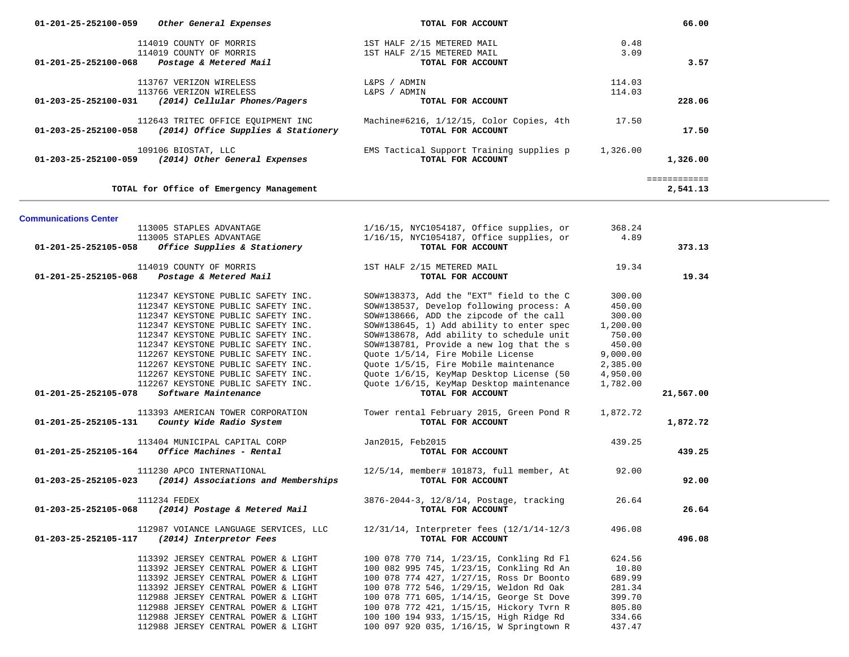| 01-201-25-252100-059         | Other General Expenses                                                     | TOTAL FOR ACCOUNT                                                                   |                  | 66.00        |  |
|------------------------------|----------------------------------------------------------------------------|-------------------------------------------------------------------------------------|------------------|--------------|--|
|                              | 114019 COUNTY OF MORRIS                                                    | 1ST HALF 2/15 METERED MAIL                                                          | 0.48             |              |  |
|                              | 114019 COUNTY OF MORRIS                                                    | 1ST HALF 2/15 METERED MAIL                                                          | 3.09             |              |  |
| 01-201-25-252100-068         | Postage & Metered Mail                                                     | TOTAL FOR ACCOUNT                                                                   |                  | 3.57         |  |
|                              |                                                                            |                                                                                     |                  |              |  |
|                              | 113767 VERIZON WIRELESS                                                    | L&PS / ADMIN                                                                        | 114.03           |              |  |
|                              | 113766 VERIZON WIRELESS                                                    | L&PS / ADMIN                                                                        | 114.03           |              |  |
| 01-203-25-252100-031         | (2014) Cellular Phones/Pagers                                              | TOTAL FOR ACCOUNT                                                                   |                  | 228.06       |  |
|                              |                                                                            |                                                                                     |                  |              |  |
|                              | 112643 TRITEC OFFICE EQUIPMENT INC                                         | Machine#6216, 1/12/15, Color Copies, 4th                                            | 17.50            |              |  |
| 01-203-25-252100-058         | (2014) Office Supplies & Stationery                                        | TOTAL FOR ACCOUNT                                                                   |                  | 17.50        |  |
|                              |                                                                            |                                                                                     |                  |              |  |
|                              | 109106 BIOSTAT, LLC                                                        | EMS Tactical Support Training supplies p                                            | 1,326.00         |              |  |
| 01-203-25-252100-059         | (2014) Other General Expenses                                              | TOTAL FOR ACCOUNT                                                                   |                  | 1,326.00     |  |
|                              |                                                                            |                                                                                     |                  |              |  |
|                              |                                                                            |                                                                                     |                  | ============ |  |
|                              | TOTAL for Office of Emergency Management                                   |                                                                                     |                  | 2,541.13     |  |
|                              |                                                                            |                                                                                     |                  |              |  |
| <b>Communications Center</b> |                                                                            |                                                                                     |                  |              |  |
|                              | 113005 STAPLES ADVANTAGE                                                   | $1/16/15$ , NYC1054187, Office supplies, or                                         | 368.24           |              |  |
|                              | 113005 STAPLES ADVANTAGE                                                   | 1/16/15, NYC1054187, Office supplies, or                                            | 4.89             |              |  |
| 01-201-25-252105-058         | Office Supplies & Stationery                                               | TOTAL FOR ACCOUNT                                                                   |                  | 373.13       |  |
|                              |                                                                            |                                                                                     |                  |              |  |
|                              | 114019 COUNTY OF MORRIS                                                    | 1ST HALF 2/15 METERED MAIL                                                          | 19.34            |              |  |
| 01-201-25-252105-068         | Postage & Metered Mail                                                     | TOTAL FOR ACCOUNT                                                                   |                  | 19.34        |  |
|                              |                                                                            |                                                                                     |                  |              |  |
|                              | 112347 KEYSTONE PUBLIC SAFETY INC.                                         | SOW#138373, Add the "EXT" field to the C                                            | 300.00           |              |  |
|                              | 112347 KEYSTONE PUBLIC SAFETY INC.                                         | SOW#138537, Develop following process: A                                            | 450.00           |              |  |
|                              | 112347 KEYSTONE PUBLIC SAFETY INC.                                         | SOW#138666, ADD the zipcode of the call                                             | 300.00           |              |  |
|                              | 112347 KEYSTONE PUBLIC SAFETY INC.                                         | SOW#138645, 1) Add ability to enter spec                                            | 1,200.00         |              |  |
|                              | 112347 KEYSTONE PUBLIC SAFETY INC.                                         | SOW#138678, Add ability to schedule unit                                            | 750.00           |              |  |
|                              | 112347 KEYSTONE PUBLIC SAFETY INC.                                         | SOW#138781, Provide a new log that the s                                            | 450.00           |              |  |
|                              | 112267 KEYSTONE PUBLIC SAFETY INC.                                         | Quote 1/5/14, Fire Mobile License                                                   | 9,000.00         |              |  |
|                              | 112267 KEYSTONE PUBLIC SAFETY INC.                                         | Quote 1/5/15, Fire Mobile maintenance                                               | 2,385.00         |              |  |
|                              | 112267 KEYSTONE PUBLIC SAFETY INC.                                         | Quote 1/6/15, KeyMap Desktop License (50                                            | 4,950.00         |              |  |
|                              | 112267 KEYSTONE PUBLIC SAFETY INC.                                         | Quote 1/6/15, KeyMap Desktop maintenance                                            | 1,782.00         |              |  |
| 01-201-25-252105-078         | Software Maintenance                                                       | TOTAL FOR ACCOUNT                                                                   |                  | 21,567.00    |  |
|                              | 113393 AMERICAN TOWER CORPORATION                                          | Tower rental February 2015, Green Pond R                                            | 1,872.72         |              |  |
| 01-201-25-252105-131         | County Wide Radio System                                                   | TOTAL FOR ACCOUNT                                                                   |                  | 1,872.72     |  |
|                              |                                                                            |                                                                                     |                  |              |  |
|                              | 113404 MUNICIPAL CAPITAL CORP                                              | Jan2015, Feb2015                                                                    | 439.25           |              |  |
| 01-201-25-252105-164         | Office Machines - Rental                                                   | TOTAL FOR ACCOUNT                                                                   |                  | 439.25       |  |
|                              |                                                                            |                                                                                     |                  |              |  |
|                              | 111230 APCO INTERNATIONAL                                                  | 12/5/14, member# 101873, full member, At                                            | 92.00            |              |  |
| 01-203-25-252105-023         | (2014) Associations and Memberships                                        | TOTAL FOR ACCOUNT                                                                   |                  | 92.00        |  |
|                              |                                                                            |                                                                                     |                  |              |  |
|                              | 111234 FEDEX                                                               | 3876-2044-3, 12/8/14, Postage, tracking                                             | 26.64            |              |  |
| 01-203-25-252105-068         | (2014) Postage & Metered Mail                                              | TOTAL FOR ACCOUNT                                                                   |                  | 26.64        |  |
|                              |                                                                            |                                                                                     |                  |              |  |
|                              | 112987 VOIANCE LANGUAGE SERVICES, LLC                                      | 12/31/14, Interpreter fees (12/1/14-12/3                                            | 496.08           |              |  |
| 01-203-25-252105-117         | (2014) Interpretor Fees                                                    | TOTAL FOR ACCOUNT                                                                   |                  | 496.08       |  |
|                              |                                                                            |                                                                                     |                  |              |  |
|                              | 113392 JERSEY CENTRAL POWER & LIGHT                                        | 100 078 770 714, 1/23/15, Conkling Rd Fl                                            | 624.56           |              |  |
|                              | 113392 JERSEY CENTRAL POWER & LIGHT                                        | 100 082 995 745, 1/23/15, Conkling Rd An                                            | 10.80            |              |  |
|                              | 113392 JERSEY CENTRAL POWER & LIGHT                                        | 100 078 774 427, 1/27/15, Ross Dr Boonto                                            | 689.99           |              |  |
|                              | 113392 JERSEY CENTRAL POWER & LIGHT                                        | 100 078 772 546, 1/29/15, Weldon Rd Oak                                             | 281.34           |              |  |
|                              | 112988 JERSEY CENTRAL POWER & LIGHT                                        | 100 078 771 605, 1/14/15, George St Dove                                            | 399.70           |              |  |
|                              | 112988 JERSEY CENTRAL POWER & LIGHT                                        | 100 078 772 421, 1/15/15, Hickory Tvrn R<br>100 100 194 933, 1/15/15, High Ridge Rd | 805.80           |              |  |
|                              | 112988 JERSEY CENTRAL POWER & LIGHT<br>112988 JERSEY CENTRAL POWER & LIGHT | 100 097 920 035, 1/16/15, W Springtown R                                            | 334.66<br>437.47 |              |  |
|                              |                                                                            |                                                                                     |                  |              |  |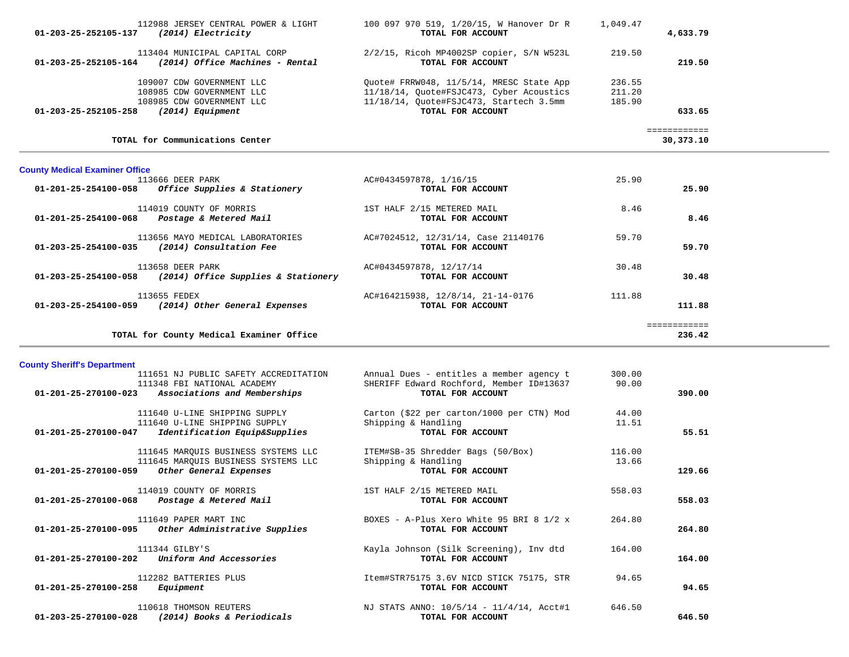|                                                               | TOTAL for County Medical Examiner Office                                                                |                                                                                                                                                      |                            | ============<br>236.42    |
|---------------------------------------------------------------|---------------------------------------------------------------------------------------------------------|------------------------------------------------------------------------------------------------------------------------------------------------------|----------------------------|---------------------------|
| 01-203-25-254100-059                                          | 113655 FEDEX<br>(2014) Other General Expenses                                                           | AC#164215938, 12/8/14, 21-14-0176<br>TOTAL FOR ACCOUNT                                                                                               | 111.88                     | 111.88                    |
|                                                               | 113658 DEER PARK<br>$01 - 203 - 25 - 254100 - 058$ (2014) Office Supplies & Stationery                  | AC#0434597878, 12/17/14<br>TOTAL FOR ACCOUNT                                                                                                         | 30.48                      | 30.48                     |
|                                                               | 113656 MAYO MEDICAL LABORATORIES<br>01-203-25-254100-035 (2014) Consultation Fee                        | AC#7024512, 12/31/14, Case 21140176<br>TOTAL FOR ACCOUNT                                                                                             | 59.70                      | 59.70                     |
|                                                               | 114019 COUNTY OF MORRIS<br>$01 - 201 - 25 - 254100 - 068$ Postage & Metered Mail                        | 1ST HALF 2/15 METERED MAIL<br>TOTAL FOR ACCOUNT                                                                                                      | 8.46                       | 8.46                      |
| <b>County Medical Examiner Office</b><br>01-201-25-254100-058 | 113666 DEER PARK<br>Office Supplies & Stationery                                                        | AC#0434597878, 1/16/15<br>TOTAL FOR ACCOUNT                                                                                                          | 25.90                      | 25.90                     |
|                                                               | TOTAL for Communications Center                                                                         |                                                                                                                                                      |                            | ============<br>30,373.10 |
| 01-203-25-252105-258                                          | 109007 CDW GOVERNMENT LLC<br>108985 CDW GOVERNMENT LLC<br>108985 CDW GOVERNMENT LLC<br>(2014) Equipment | Ouote# FRRW048, 11/5/14, MRESC State App<br>11/18/14, Quote#FSJC473, Cyber Acoustics<br>11/18/14, Quote#FSJC473, Startech 3.5mm<br>TOTAL FOR ACCOUNT | 236.55<br>211.20<br>185.90 | 633.65                    |
|                                                               | 113404 MUNICIPAL CAPITAL CORP<br>$01-203-25-252105-164$ (2014) Office Machines - Rental                 | 2/2/15, Ricoh MP4002SP copier, S/N W523L<br>TOTAL FOR ACCOUNT                                                                                        | 219.50                     | 219.50                    |
| 01-203-25-252105-137                                          | 112988 JERSEY CENTRAL POWER & LIGHT<br>(2014) Electricity                                               | 100 097 970 519, 1/20/15, W Hanover Dr R<br>TOTAL FOR ACCOUNT                                                                                        | 1,049.47                   | 4,633.79                  |

**County Sheriff's Department**

| 111651 NJ PUBLIC SAFETY ACCREDITATION<br>111348 FBI NATIONAL ACADEMY<br>Associations and Memberships<br>01-201-25-270100-023      | Annual Dues - entitles a member agency t<br>SHERIFF Edward Rochford, Member ID#13637<br>TOTAL FOR ACCOUNT | 300.00<br>90.00 | 390.00 |
|-----------------------------------------------------------------------------------------------------------------------------------|-----------------------------------------------------------------------------------------------------------|-----------------|--------|
| 111640 U-LINE SHIPPING SUPPLY<br>111640 U-LINE SHIPPING SUPPLY<br>$01 - 201 - 25 - 270100 - 047$<br>Identification Equip&Supplies | Carton (\$22 per carton/1000 per CTN) Mod<br>Shipping & Handling<br>TOTAL FOR ACCOUNT                     | 44.00<br>11.51  | 55.51  |
| 111645 MAROUIS BUSINESS SYSTEMS LLC<br>111645 MARQUIS BUSINESS SYSTEMS LLC<br>Other General Expenses<br>01-201-25-270100-059      | ITEM#SB-35 Shredder Bags (50/Box)<br>Shipping & Handling<br>TOTAL FOR ACCOUNT                             | 116.00<br>13.66 | 129.66 |
| 114019 COUNTY OF MORRIS<br>$01 - 201 - 25 - 270100 - 068$<br>Postage & Metered Mail                                               | 1ST HALF 2/15 METERED MAIL<br>TOTAL FOR ACCOUNT                                                           | 558.03          | 558.03 |
| 111649 PAPER MART INC<br>01-201-25-270100-095<br>Other Administrative Supplies                                                    | BOXES - A-Plus Xero White 95 BRI 8 1/2 x<br>TOTAL FOR ACCOUNT                                             | 264.80          | 264.80 |
| 111344 GILBY'S<br>$01 - 201 - 25 - 270100 - 202$<br>Uniform And Accessories                                                       | Kayla Johnson (Silk Screening), Inv dtd<br>TOTAL FOR ACCOUNT                                              | 164.00          | 164.00 |
| 112282 BATTERIES PLUS<br>01-201-25-270100-258<br>Equipment                                                                        | Item#STR75175 3.6V NICD STICK 75175, STR<br>TOTAL FOR ACCOUNT                                             | 94.65           | 94.65  |
| 110618 THOMSON REUTERS<br>01-203-25-270100-028<br>(2014) Books & Periodicals                                                      | NJ STATS ANNO: 10/5/14 - 11/4/14, Acct#1<br>TOTAL FOR ACCOUNT                                             | 646.50          | 646.50 |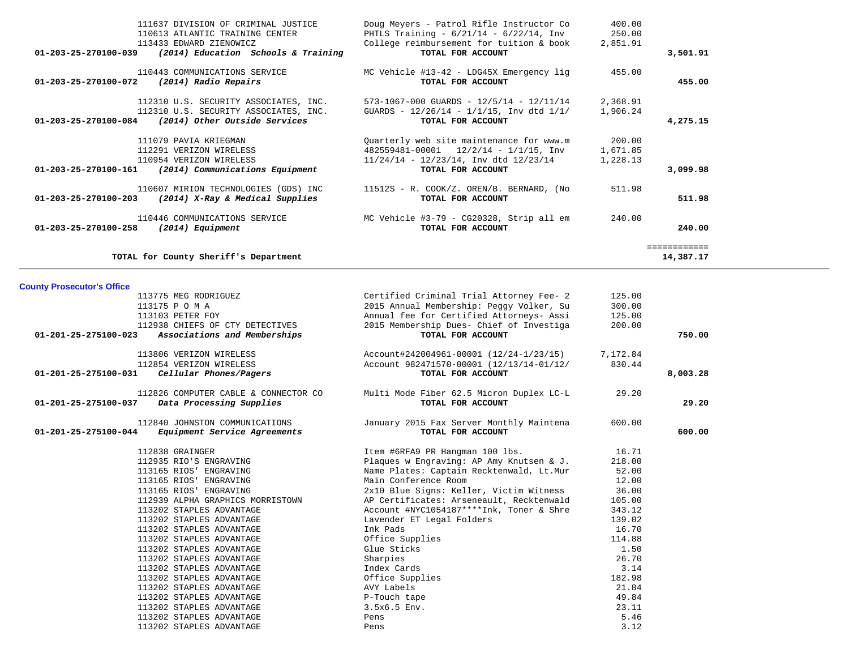| 111637 DIVISION OF CRIMINAL JUSTICE                                   | Doug Meyers - Patrol Rifle Instructor Co        | 400.00   |              |
|-----------------------------------------------------------------------|-------------------------------------------------|----------|--------------|
| 110613 ATLANTIC TRAINING CENTER                                       | PHTLS Training - $6/21/14$ - $6/22/14$ , Inv    | 250.00   |              |
| 113433 EDWARD ZIENOWICZ                                               | College reimbursement for tuition & book        | 2,851.91 |              |
| $01 - 203 - 25 - 270100 - 039$<br>(2014) Education Schools & Training | TOTAL FOR ACCOUNT                               |          | 3,501.91     |
| 110443 COMMUNICATIONS SERVICE                                         | MC Vehicle #13-42 - LDG45X Emergency lig        | 455.00   |              |
| 01-203-25-270100-072<br>(2014) Radio Repairs                          | TOTAL FOR ACCOUNT                               |          | 455.00       |
| 112310 U.S. SECURITY ASSOCIATES, INC.                                 | 573-1067-000 GUARDS - $12/5/14$ - $12/11/14$    | 2,368.91 |              |
| 112310 U.S. SECURITY ASSOCIATES, INC.                                 | GUARDS - $12/26/14$ - $1/1/15$ , Inv dtd $1/1/$ | 1,906.24 |              |
| (2014) Other Outside Services<br>01-203-25-270100-084                 | TOTAL FOR ACCOUNT                               |          | 4,275.15     |
| 111079 PAVIA KRIEGMAN                                                 | Quarterly web site maintenance for www.m        | 200.00   |              |
| 112291 VERIZON WIRELESS                                               | $482559481 - 00001$ $12/2/14 - 1/1/15$ , Inv    | 1,671.85 |              |
| 110954 VERIZON WIRELESS                                               | $11/24/14$ - $12/23/14$ , Inv dtd $12/23/14$    | 1,228.13 |              |
| 01-203-25-270100-161<br>(2014) Communications Equipment               | TOTAL FOR ACCOUNT                               |          | 3,099.98     |
| 110607 MIRION TECHNOLOGIES (GDS) INC                                  | 11512S - R. COOK/Z. OREN/B. BERNARD, (No        | 511.98   |              |
| 01-203-25-270100-203<br>(2014) X-Ray & Medical Supplies               | TOTAL FOR ACCOUNT                               |          | 511.98       |
| 110446 COMMUNICATIONS SERVICE                                         | MC Vehicle #3-79 - CG20328, Strip all em        | 240.00   |              |
| $01 - 203 - 25 - 270100 - 258$<br>(2014) Equipment                    | TOTAL FOR ACCOUNT                               |          | 240.00       |
|                                                                       |                                                 |          | ============ |
| TOTAL for County Sheriff's Department                                 |                                                 |          | 14,387.17    |

# **County Prosecutor's Office**

| 113775 MEG RODRIGUEZ                                 | Certified Criminal Trial Attorney Fee- 2         | 125.00 |          |
|------------------------------------------------------|--------------------------------------------------|--------|----------|
| 113175 P O M A                                       | 2015 Annual Membership: Peggy Volker, Su         | 300.00 |          |
| 113103 PETER FOY                                     | Annual fee for Certified Attorneys- Assi         | 125.00 |          |
| 112938 CHIEFS OF CTY DETECTIVES                      | 2015 Membership Dues- Chief of Investiga         | 200.00 |          |
| 01-201-25-275100-023<br>Associations and Memberships | TOTAL FOR ACCOUNT                                |        | 750.00   |
| 113806 VERIZON WIRELESS                              | Account#242004961-00001 (12/24-1/23/15) 7,172.84 |        |          |
| 112854 VERIZON WIRELESS                              | Account 982471570-00001 (12/13/14-01/12/         | 830.44 |          |
| Cellular Phones/Pagers<br>01-201-25-275100-031       | TOTAL FOR ACCOUNT                                |        | 8,003.28 |
| 112826 COMPUTER CABLE & CONNECTOR CO                 | Multi Mode Fiber 62.5 Micron Duplex LC-L         | 29.20  |          |
| Data Processing Supplies<br>01-201-25-275100-037     | TOTAL FOR ACCOUNT                                |        | 29.20    |
| 112840 JOHNSTON COMMUNICATIONS                       | January 2015 Fax Server Monthly Maintena         | 600.00 |          |
| 01-201-25-275100-044 Equipment Service Agreements    | TOTAL FOR ACCOUNT                                |        | 600.00   |
| 112838 GRAINGER                                      | Item #6RFA9 PR Hangman 100 lbs.                  | 16.71  |          |
| 112935 RIO'S ENGRAVING                               | Plaques w Engraving: AP Amy Knutsen & J.         | 218.00 |          |
| 113165 RIOS' ENGRAVING                               | Name Plates: Captain Recktenwald, Lt.Mur         | 52.00  |          |
| 113165 RIOS' ENGRAVING                               | Main Conference Room                             | 12.00  |          |
| 113165 RIOS' ENGRAVING                               | 2x10 Blue Signs: Keller, Victim Witness          | 36.00  |          |
| 112939 ALPHA GRAPHICS MORRISTOWN                     | AP Certificates: Arseneault, Recktenwald         | 105.00 |          |
| 113202 STAPLES ADVANTAGE                             | Account #NYC1054187****Ink, Toner & Shre         | 343.12 |          |
| 113202 STAPLES ADVANTAGE                             | Lavender ET Legal Folders                        | 139.02 |          |
| 113202 STAPLES ADVANTAGE                             | Ink Pads                                         | 16.70  |          |
| 113202 STAPLES ADVANTAGE                             | Office Supplies                                  | 114.88 |          |
| 113202 STAPLES ADVANTAGE                             | Glue Sticks                                      | 1.50   |          |
| 113202 STAPLES ADVANTAGE                             | Sharpies                                         | 26.70  |          |
| 113202 STAPLES ADVANTAGE                             | Index Cards                                      | 3.14   |          |
| 113202 STAPLES ADVANTAGE                             | Office Supplies                                  | 182.98 |          |
| 113202 STAPLES ADVANTAGE                             | AVY Labels                                       | 21.84  |          |
| 113202 STAPLES ADVANTAGE                             | P-Touch tape                                     | 49.84  |          |
| 113202 STAPLES ADVANTAGE                             | 3.5x6.5 Env.                                     | 23.11  |          |
| 113202 STAPLES ADVANTAGE                             | Pens                                             | 5.46   |          |
| 113202 STAPLES ADVANTAGE                             | Pens                                             | 3.12   |          |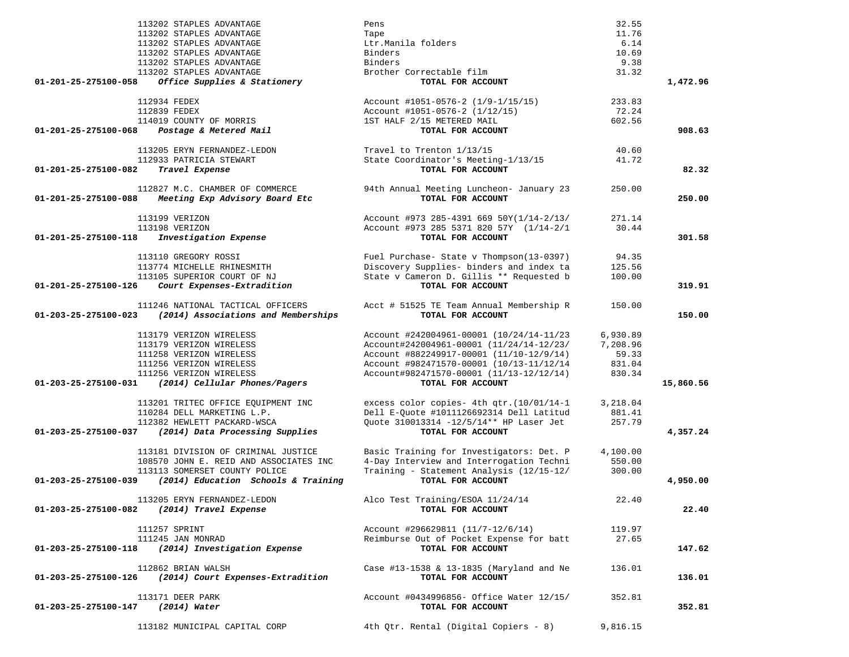|                                   | 113202 STAPLES ADVANTAGE                   | Pens                                                     | 32.55    |           |
|-----------------------------------|--------------------------------------------|----------------------------------------------------------|----------|-----------|
|                                   | 113202 STAPLES ADVANTAGE                   | Tape                                                     | 11.76    |           |
|                                   | 113202 STAPLES ADVANTAGE                   | Ltr.Manila folders                                       | 6.14     |           |
|                                   | 113202 STAPLES ADVANTAGE                   | Binders                                                  | 10.69    |           |
|                                   | 113202 STAPLES ADVANTAGE                   | Binders                                                  | 9.38     |           |
|                                   | 113202 STAPLES ADVANTAGE                   | Brother Correctable film                                 | 31.32    |           |
| 01-201-25-275100-058              | Office Supplies & Stationery               | TOTAL FOR ACCOUNT                                        |          | 1,472.96  |
|                                   | 112934 FEDEX                               | Account #1051-0576-2 (1/9-1/15/15)                       | 233.83   |           |
|                                   | 112839 FEDEX                               | Account #1051-0576-2 (1/12/15)                           | 72.24    |           |
|                                   | 114019 COUNTY OF MORRIS                    | 1ST HALF 2/15 METERED MAIL                               | 602.56   |           |
| 01-201-25-275100-068              | Postage & Metered Mail                     | TOTAL FOR ACCOUNT                                        |          | 908.63    |
|                                   |                                            |                                                          |          |           |
|                                   | 113205 ERYN FERNANDEZ-LEDON                | Travel to Trenton 1/13/15                                | 40.60    |           |
|                                   | 112933 PATRICIA STEWART                    | State Coordinator's Meeting-1/13/15<br>TOTAL FOR ACCOUNT | 41.72    |           |
| 01-201-25-275100-082              | Travel Expense                             |                                                          |          | 82.32     |
|                                   | 112827 M.C. CHAMBER OF COMMERCE            | 94th Annual Meeting Luncheon- January 23                 | 250.00   |           |
| 01-201-25-275100-088              | Meeting Exp Advisory Board Etc             | TOTAL FOR ACCOUNT                                        |          | 250.00    |
|                                   |                                            |                                                          |          |           |
|                                   | 113199 VERIZON                             | Account #973 285-4391 669 50Y(1/14-2/13/                 | 271.14   |           |
|                                   | 113198 VERIZON                             | Account #973 285 5371 820 57Y (1/14-2/1)                 | 30.44    |           |
| 01-201-25-275100-118              | Investigation Expense                      | TOTAL FOR ACCOUNT                                        |          | 301.58    |
|                                   | 113110 GREGORY ROSSI                       | Fuel Purchase- State v Thompson(13-0397)                 | 94.35    |           |
|                                   | 113774 MICHELLE RHINESMITH                 | Discovery Supplies- binders and index ta                 | 125.56   |           |
|                                   | 113105 SUPERIOR COURT OF NJ                | State v Cameron D. Gillis ** Requested b                 | 100.00   |           |
| 01-201-25-275100-126              | Court Expenses-Extradition                 | TOTAL FOR ACCOUNT                                        |          | 319.91    |
|                                   |                                            |                                                          |          |           |
|                                   | 111246 NATIONAL TACTICAL OFFICERS          | Acct # 51525 TE Team Annual Membership R                 | 150.00   |           |
| 01-203-25-275100-023              | (2014) Associations and Memberships        | TOTAL FOR ACCOUNT                                        |          | 150.00    |
|                                   | 113179 VERIZON WIRELESS                    | Account #242004961-00001 (10/24/14-11/23                 | 6,930.89 |           |
|                                   | 113179 VERIZON WIRELESS                    | Account#242004961-00001 (11/24/14-12/23/                 | 7,208.96 |           |
|                                   | 111258 VERIZON WIRELESS                    | Account #882249917-00001 (11/10-12/9/14)                 | 59.33    |           |
|                                   | 111256 VERIZON WIRELESS                    | Account #982471570-00001 (10/13-11/12/14                 | 831.04   |           |
|                                   | 111256 VERIZON WIRELESS                    | Account#982471570-00001 (11/13-12/12/14)                 | 830.34   |           |
| 01-203-25-275100-031              | (2014) Cellular Phones/Pagers              | TOTAL FOR ACCOUNT                                        |          | 15,860.56 |
|                                   |                                            |                                                          |          |           |
|                                   | 113201 TRITEC OFFICE EQUIPMENT INC         | excess color copies- 4th qtr. (10/01/14-1                | 3,218.04 |           |
|                                   | 110284 DELL MARKETING L.P.                 | Dell E-Quote #1011126692314 Dell Latitud                 | 881.41   |           |
|                                   | 112382 HEWLETT PACKARD-WSCA                | Quote 310013314 -12/5/14** HP Laser Jet                  | 257.79   |           |
| 01-203-25-275100-037              | (2014) Data Processing Supplies            | TOTAL FOR ACCOUNT                                        |          | 4,357.24  |
|                                   | 113181 DIVISION OF CRIMINAL JUSTICE        | Basic Training for Investigators: Det. P                 | 4,100.00 |           |
|                                   | 108570 JOHN E. REID AND ASSOCIATES INC     | 4-Day Interview and Interrogation Techni                 | 550.00   |           |
|                                   | 113113 SOMERSET COUNTY POLICE              | Training - Statement Analysis (12/15-12/                 | 300.00   |           |
| 01-203-25-275100-039              | (2014) Education Schools & Training        | TOTAL FOR ACCOUNT                                        |          | 4,950.00  |
|                                   | 113205 ERYN FERNANDEZ-LEDON                | Alco Test Training/ESOA 11/24/14                         | 22.40    |           |
|                                   | 01-203-25-275100-082 (2014) Travel Expense | TOTAL FOR ACCOUNT                                        |          | 22.40     |
|                                   |                                            |                                                          |          |           |
|                                   | 111257 SPRINT                              | Account #296629811 (11/7-12/6/14)                        | 119.97   |           |
|                                   | 111245 JAN MONRAD                          | Reimburse Out of Pocket Expense for batt                 | 27.65    |           |
| 01-203-25-275100-118              | (2014) Investigation Expense               | TOTAL FOR ACCOUNT                                        |          | 147.62    |
|                                   | 112862 BRIAN WALSH                         | Case #13-1538 & 13-1835 (Maryland and Ne                 | 136.01   |           |
|                                   | (2014) Court Expenses-Extradition          | TOTAL FOR ACCOUNT                                        |          | 136.01    |
| 01-203-25-275100-126              |                                            |                                                          |          |           |
|                                   | 113171 DEER PARK                           | Account #0434996856- Office Water 12/15/                 | 352.81   |           |
| 01-203-25-275100-147 (2014) Water |                                            | TOTAL FOR ACCOUNT                                        |          | 352.81    |
|                                   |                                            |                                                          |          |           |
|                                   | 113182 MUNICIPAL CAPITAL CORP              | 4th Qtr. Rental (Digital Copiers - 8)                    | 9,816.15 |           |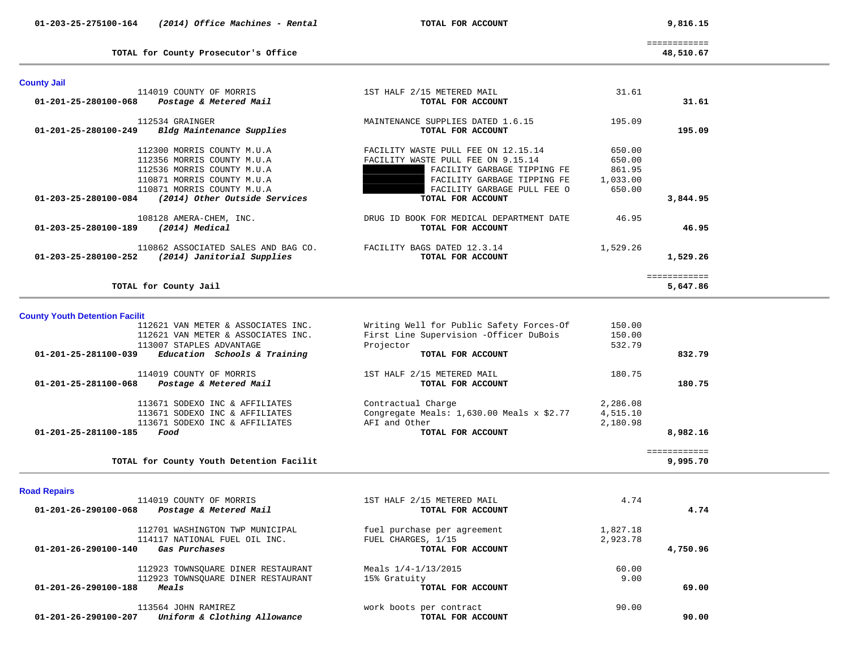============ 48,510.67

**TOTAL for County Prosecutor's Office 48,510.67**

| <b>County Jail</b>                    |                                          |                                           |          |                          |
|---------------------------------------|------------------------------------------|-------------------------------------------|----------|--------------------------|
|                                       | 114019 COUNTY OF MORRIS                  | 1ST HALF 2/15 METERED MAIL                | 31.61    |                          |
| $01 - 201 - 25 - 280100 - 068$        | Postage & Metered Mail                   | TOTAL FOR ACCOUNT                         |          | 31.61                    |
|                                       | 112534 GRAINGER                          | MAINTENANCE SUPPLIES DATED 1.6.15         | 195.09   |                          |
| $01 - 201 - 25 - 280100 - 249$        | Bldg Maintenance Supplies                | TOTAL FOR ACCOUNT                         |          | 195.09                   |
|                                       | 112300 MORRIS COUNTY M.U.A               | FACILITY WASTE PULL FEE ON 12.15.14       | 650.00   |                          |
|                                       | 112356 MORRIS COUNTY M.U.A               | FACILITY WASTE PULL FEE ON 9.15.14        | 650.00   |                          |
|                                       | 112536 MORRIS COUNTY M.U.A               | FACILITY GARBAGE TIPPING FE               | 861.95   |                          |
|                                       | 110871 MORRIS COUNTY M.U.A               | FACILITY GARBAGE TIPPING FE               | 1,033.00 |                          |
|                                       | 110871 MORRIS COUNTY M.U.A               | FACILITY GARBAGE PULL FEE O               | 650.00   |                          |
| 01-203-25-280100-084                  | (2014) Other Outside Services            | TOTAL FOR ACCOUNT                         |          | 3,844.95                 |
|                                       | 108128 AMERA-CHEM, INC.                  | DRUG ID BOOK FOR MEDICAL DEPARTMENT DATE  | 46.95    |                          |
| 01-203-25-280100-189                  | (2014) Medical                           | TOTAL FOR ACCOUNT                         |          | 46.95                    |
|                                       | 110862 ASSOCIATED SALES AND BAG CO.      | FACILITY BAGS DATED 12.3.14               | 1,529.26 |                          |
| $01 - 203 - 25 - 280100 - 252$        | (2014) Janitorial Supplies               | TOTAL FOR ACCOUNT                         |          | 1,529.26                 |
|                                       | TOTAL for County Jail                    |                                           |          | ============<br>5,647.86 |
|                                       |                                          |                                           |          |                          |
| <b>County Youth Detention Facilit</b> | 112621 VAN METER & ASSOCIATES INC.       | Writing Well for Public Safety Forces-Of  | 150.00   |                          |
|                                       | 112621 VAN METER & ASSOCIATES INC.       | First Line Supervision -Officer DuBois    | 150.00   |                          |
|                                       | 113007 STAPLES ADVANTAGE                 | Projector                                 | 532.79   |                          |
| 01-201-25-281100-039                  | Education Schools & Training             | TOTAL FOR ACCOUNT                         |          | 832.79                   |
|                                       |                                          |                                           |          |                          |
|                                       | 114019 COUNTY OF MORRIS                  | 1ST HALF 2/15 METERED MAIL                | 180.75   |                          |
| $01 - 201 - 25 - 281100 - 068$        | Postage & Metered Mail                   | TOTAL FOR ACCOUNT                         |          | 180.75                   |
|                                       | 113671 SODEXO INC & AFFILIATES           | Contractual Charge                        | 2,286.08 |                          |
|                                       | 113671 SODEXO INC & AFFILIATES           | Congregate Meals: 1,630.00 Meals x \$2.77 | 4,515.10 |                          |
|                                       | 113671 SODEXO INC & AFFILIATES           | AFI and Other                             | 2,180.98 |                          |
| $01 - 201 - 25 - 281100 - 185$        | Food                                     | TOTAL FOR ACCOUNT                         |          | 8,982.16                 |
|                                       |                                          |                                           |          | ============             |
|                                       | TOTAL for County Youth Detention Facilit |                                           |          | 9,995.70                 |

**TOTAL for County Youth Detention Facilit 9,995.70**

# **Road Repairs**

| 114019 COUNTY OF MORRIS                                        | 1ST HALF 2/15 METERED MAIL  | 4.74     |          |
|----------------------------------------------------------------|-----------------------------|----------|----------|
| 01-201-26-290100-068<br>Postage & Metered Mail                 | TOTAL FOR ACCOUNT           |          | 4.74     |
| 112701 WASHINGTON TWP MUNICIPAL                                | fuel purchase per agreement | 1,827.18 |          |
| 114117 NATIONAL FUEL OIL INC.                                  | FUEL CHARGES, 1/15          | 2,923.78 |          |
| $01 - 201 - 26 - 290100 - 140$<br>Gas Purchases                | TOTAL FOR ACCOUNT           |          | 4,750.96 |
| 112923 TOWNSOUARE DINER RESTAURANT                             | Meals $1/4 - 1/13/2015$     | 60.00    |          |
| 112923 TOWNSOUARE DINER RESTAURANT                             | 15% Gratuity                | 9.00     |          |
| 01-201-26-290100-188<br>Meals                                  | TOTAL FOR ACCOUNT           |          | 69.00    |
| 113564 JOHN RAMIREZ                                            | work boots per contract     | 90.00    |          |
| Uniform & Clothing Allowance<br>$01 - 201 - 26 - 290100 - 207$ | TOTAL FOR ACCOUNT           |          | 90.00    |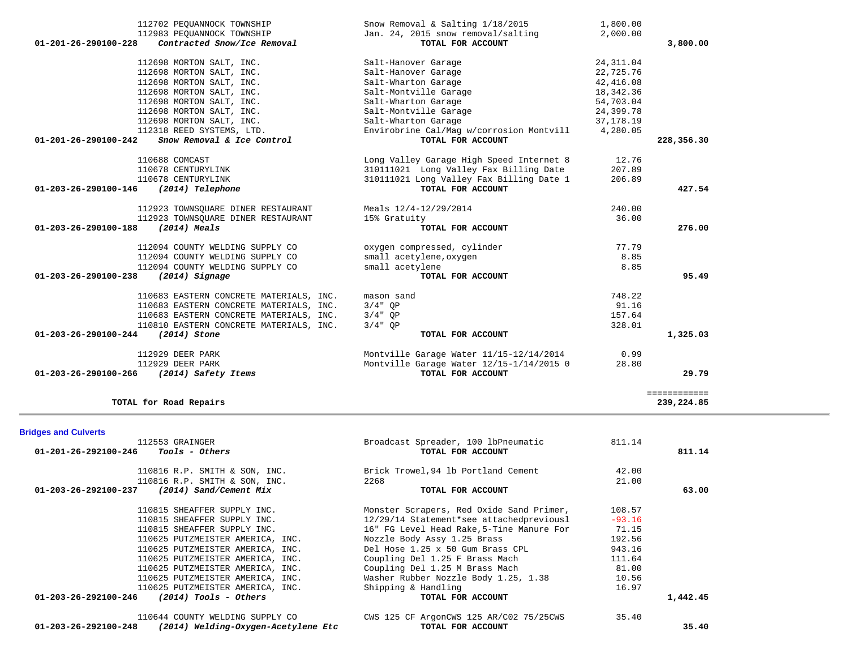| 112702 PEQUANNOCK TOWNSHIP                                                        | Snow Removal & Salting 1/18/2015                        | 1,800.00    |              |
|-----------------------------------------------------------------------------------|---------------------------------------------------------|-------------|--------------|
| 112983 PEOUANNOCK TOWNSHIP<br>Contracted Snow/Ice Removal<br>01-201-26-290100-228 | Jan. 24, 2015 snow removal/salting<br>TOTAL FOR ACCOUNT | 2,000.00    | 3,800.00     |
| 112698 MORTON SALT, INC.                                                          | Salt-Hanover Garage                                     | 24, 311.04  |              |
| 112698 MORTON SALT, INC.                                                          | Salt-Hanover Garage                                     | 22,725.76   |              |
| 112698 MORTON SALT, INC.                                                          | Salt-Wharton Garage                                     | 42,416.08   |              |
| 112698 MORTON SALT, INC.                                                          | Salt-Montville Garage                                   | 18,342.36   |              |
| 112698 MORTON SALT, INC.                                                          | Salt-Wharton Garage                                     | 54,703.04   |              |
| 112698 MORTON SALT, INC.                                                          | Salt-Montville Garage                                   | 24,399.78   |              |
| 112698 MORTON SALT, INC.                                                          | Salt-Wharton Garage                                     | 37, 178. 19 |              |
| 112318 REED SYSTEMS, LTD.                                                         | Envirobrine Cal/Mag w/corrosion Montvill 4,280.05       |             |              |
| Snow Removal & Ice Control<br>01-201-26-290100-242                                | TOTAL FOR ACCOUNT                                       |             | 228,356.30   |
| 110688 COMCAST                                                                    | Long Valley Garage High Speed Internet 8                | 12.76       |              |
| 110678 CENTURYLINK                                                                | 310111021 Long Valley Fax Billing Date                  | 207.89      |              |
| 110678 CENTURYLINK                                                                | 310111021 Long Valley Fax Billing Date 1                | 206.89      |              |
| 01-203-26-290100-146<br>(2014) Telephone                                          | TOTAL FOR ACCOUNT                                       |             | 427.54       |
| 112923 TOWNSQUARE DINER RESTAURANT                                                | Meals 12/4-12/29/2014                                   | 240.00      |              |
| 112923 TOWNSOUARE DINER RESTAURANT                                                | 15% Gratuity                                            | 36.00       |              |
| 01-203-26-290100-188<br>$(2014)$ Meals                                            | TOTAL FOR ACCOUNT                                       |             | 276.00       |
| 112094 COUNTY WELDING SUPPLY CO                                                   | oxygen compressed, cylinder                             | 77.79       |              |
| 112094 COUNTY WELDING SUPPLY CO                                                   | small acetylene, oxygen                                 | 8.85        |              |
| 112094 COUNTY WELDING SUPPLY CO                                                   | small acetylene                                         | 8.85        |              |
| $(2014)$ Signage<br>01-203-26-290100-238                                          | TOTAL FOR ACCOUNT                                       |             | 95.49        |
| 110683 EASTERN CONCRETE MATERIALS, INC.                                           | mason sand                                              | 748.22      |              |
| 110683 EASTERN CONCRETE MATERIALS, INC.                                           | $3/4"$ OP                                               | 91.16       |              |
| 110683 EASTERN CONCRETE MATERIALS, INC.                                           | $3/4"$ OP                                               | 157.64      |              |
| 110810 EASTERN CONCRETE MATERIALS, INC.                                           | $3/4"$ OP                                               | 328.01      |              |
| (2014) Stone<br>01-203-26-290100-244                                              | TOTAL FOR ACCOUNT                                       |             | 1,325.03     |
| 112929 DEER PARK                                                                  | Montville Garage Water 11/15-12/14/2014                 | 0.99        |              |
| 112929 DEER PARK                                                                  | Montville Garage Water 12/15-1/14/2015 0                | 28.80       |              |
| 01-203-26-290100-266<br>(2014) Safety Items                                       | TOTAL FOR ACCOUNT                                       |             | 29.79        |
|                                                                                   |                                                         |             | ============ |
| TOTAL for Road Repairs                                                            |                                                         |             | 239,224.85   |

**Bridges and Culverts** 

| 112553 GRAINGER<br>01-201-26-292100-246<br><i>Tools - Others</i> | Broadcast Spreader, 100 lbPneumatic<br>TOTAL FOR ACCOUNT | 811.14   | 811.14   |
|------------------------------------------------------------------|----------------------------------------------------------|----------|----------|
|                                                                  |                                                          |          |          |
| 110816 R.P. SMITH & SON, INC.                                    | Brick Trowel, 94 lb Portland Cement                      | 42.00    |          |
| 110816 R.P. SMITH & SON, INC.                                    | 2268                                                     | 21.00    |          |
| 01-203-26-292100-237<br>(2014) Sand/Cement Mix                   | TOTAL FOR ACCOUNT                                        |          | 63.00    |
| 110815 SHEAFFER SUPPLY INC.                                      | Monster Scrapers, Red Oxide Sand Primer,                 | 108.57   |          |
| 110815 SHEAFFER SUPPLY INC.                                      | 12/29/14 Statement*see attachedpreviousl                 | $-93.16$ |          |
| 110815 SHEAFFER SUPPLY INC.                                      | 16" FG Level Head Rake, 5-Tine Manure For                | 71.15    |          |
| 110625 PUTZMEISTER AMERICA, INC.                                 | Nozzle Body Assy 1.25 Brass                              | 192.56   |          |
| 110625 PUTZMEISTER AMERICA, INC.                                 | Del Hose 1.25 x 50 Gum Brass CPL                         | 943.16   |          |
| 110625 PUTZMEISTER AMERICA, INC.                                 | Coupling Del 1.25 F Brass Mach                           | 111.64   |          |
| 110625 PUTZMEISTER AMERICA, INC.                                 | Coupling Del 1.25 M Brass Mach                           | 81.00    |          |
| 110625 PUTZMEISTER AMERICA, INC.                                 | Washer Rubber Nozzle Body 1.25, 1.38                     | 10.56    |          |
| 110625 PUTZMEISTER AMERICA, INC.                                 | Shipping & Handling                                      | 16.97    |          |
| $01 - 203 - 26 - 292100 - 246$<br>$(2014)$ Tools - Others        | TOTAL FOR ACCOUNT                                        |          | 1,442.45 |
| 110644 COUNTY WELDING SUPPLY CO                                  | CWS 125 CF ArgonCWS 125 AR/C02 75/25CWS                  | 35.40    |          |
| 01-203-26-292100-248<br>(2014) Welding-Oxygen-Acetylene Etc      | TOTAL FOR ACCOUNT                                        |          | 35.40    |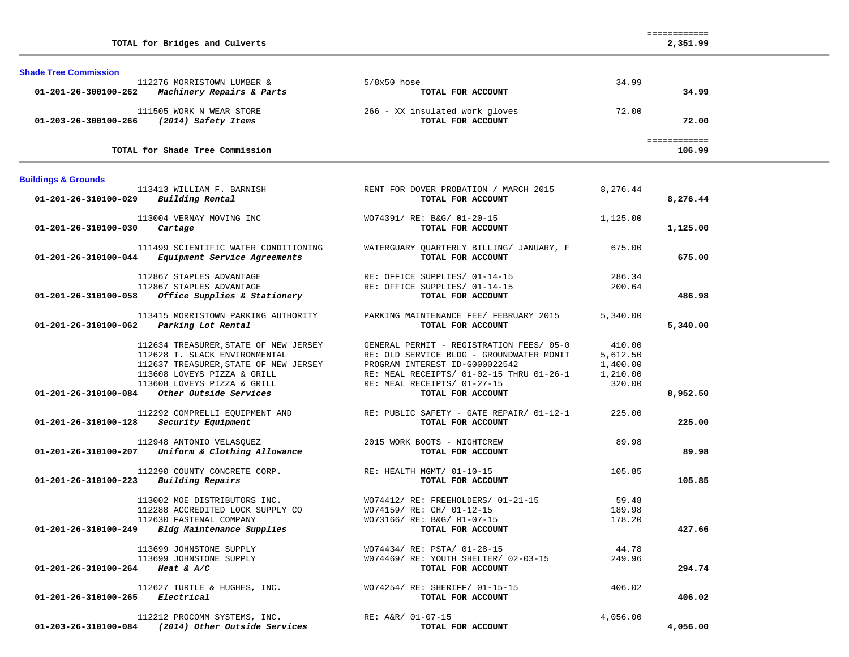| <b>Shade Tree Commission</b>              |                                                                                                                                                                                                         |                                                                                                                                                                                                                        |                                                      |                        |
|-------------------------------------------|---------------------------------------------------------------------------------------------------------------------------------------------------------------------------------------------------------|------------------------------------------------------------------------------------------------------------------------------------------------------------------------------------------------------------------------|------------------------------------------------------|------------------------|
| 01-201-26-300100-262                      | 112276 MORRISTOWN LUMBER &<br>Machinery Repairs & Parts                                                                                                                                                 | $5/8x50$ hose<br>TOTAL FOR ACCOUNT                                                                                                                                                                                     | 34.99                                                | 34.99                  |
| 01-203-26-300100-266                      | 111505 WORK N WEAR STORE<br>(2014) Safety Items                                                                                                                                                         | 266 - XX insulated work gloves<br>TOTAL FOR ACCOUNT                                                                                                                                                                    | 72.00                                                | 72.00                  |
|                                           | TOTAL for Shade Tree Commission                                                                                                                                                                         |                                                                                                                                                                                                                        |                                                      | ============<br>106.99 |
| <b>Buildings &amp; Grounds</b>            |                                                                                                                                                                                                         |                                                                                                                                                                                                                        |                                                      |                        |
| 01-201-26-310100-029                      | 113413 WILLIAM F. BARNISH<br>Building Rental                                                                                                                                                            | RENT FOR DOVER PROBATION / MARCH 2015<br>TOTAL FOR ACCOUNT                                                                                                                                                             | 8,276.44                                             | 8,276.44               |
| 01-201-26-310100-030                      | 113004 VERNAY MOVING INC<br>Cartage                                                                                                                                                                     | WO74391/ RE: B&G/ 01-20-15<br>TOTAL FOR ACCOUNT                                                                                                                                                                        | 1,125.00                                             | 1,125.00               |
| 01-201-26-310100-044                      | 111499 SCIENTIFIC WATER CONDITIONING<br>Equipment Service Agreements                                                                                                                                    | WATERGUARY QUARTERLY BILLING/ JANUARY, F<br>TOTAL FOR ACCOUNT                                                                                                                                                          | 675.00                                               | 675.00                 |
| 01-201-26-310100-058                      | 112867 STAPLES ADVANTAGE<br>112867 STAPLES ADVANTAGE<br>Office Supplies & Stationery                                                                                                                    | RE: OFFICE SUPPLIES/ 01-14-15<br>RE: OFFICE SUPPLIES/ 01-14-15<br>TOTAL FOR ACCOUNT                                                                                                                                    | 286.34<br>200.64                                     | 486.98                 |
| 01-201-26-310100-062                      | 113415 MORRISTOWN PARKING AUTHORITY<br>Parking Lot Rental                                                                                                                                               | PARKING MAINTENANCE FEE/ FEBRUARY 2015<br>TOTAL FOR ACCOUNT                                                                                                                                                            | 5,340.00                                             | 5,340.00               |
| 01-201-26-310100-084                      | 112634 TREASURER, STATE OF NEW JERSEY<br>112628 T. SLACK ENVIRONMENTAL<br>112637 TREASURER, STATE OF NEW JERSEY<br>113608 LOVEYS PIZZA & GRILL<br>113608 LOVEYS PIZZA & GRILL<br>Other Outside Services | GENERAL PERMIT - REGISTRATION FEES/ 05-0<br>RE: OLD SERVICE BLDG - GROUNDWATER MONIT<br>PROGRAM INTEREST ID-G000022542<br>RE: MEAL RECEIPTS/ 01-02-15 THRU 01-26-1<br>RE: MEAL RECEIPTS/ 01-27-15<br>TOTAL FOR ACCOUNT | 410.00<br>5,612.50<br>1,400.00<br>1,210.00<br>320.00 | 8,952.50               |
| 01-201-26-310100-128                      | 112292 COMPRELLI EQUIPMENT AND<br>Security Equipment                                                                                                                                                    | RE: PUBLIC SAFETY - GATE REPAIR/ 01-12-1<br>TOTAL FOR ACCOUNT                                                                                                                                                          | 225.00                                               | 225.00                 |
|                                           | 112948 ANTONIO VELASQUEZ<br>01-201-26-310100-207 Uniform & Clothing Allowance                                                                                                                           | 2015 WORK BOOTS - NIGHTCREW<br>TOTAL FOR ACCOUNT                                                                                                                                                                       | 89.98                                                | 89.98                  |
| 01-201-26-310100-223                      | 112290 COUNTY CONCRETE CORP.<br>Building Repairs                                                                                                                                                        | RE: HEALTH MGMT/ 01-10-15<br>TOTAL FOR ACCOUNT                                                                                                                                                                         | 105.85                                               | 105.85                 |
| $01 - 201 - 26 - 310100 - 249$            | 113002 MOE DISTRIBUTORS INC.<br>112288 ACCREDITED LOCK SUPPLY CO<br>112630 FASTENAL COMPANY<br>Bldg Maintenance Supplies                                                                                | WO74412/RE: FREEHOLDERS/01-21-15<br>WO74159/ RE: CH/ 01-12-15<br>WO73166/ RE: B&G/ 01-07-15<br>TOTAL FOR ACCOUNT                                                                                                       | 59.48<br>189.98<br>178.20                            | 427.66                 |
| 01-201-26-310100-264 Heat & A/C           | 113699 JOHNSTONE SUPPLY<br>113699 JOHNSTONE SUPPLY                                                                                                                                                      | WO74434/ RE: PSTA/ 01-28-15<br>W074469/ RE: YOUTH SHELTER/ 02-03-15<br>TOTAL FOR ACCOUNT                                                                                                                               | 44.78<br>249.96                                      | 294.74                 |
| $01 - 201 - 26 - 310100 - 265$ Electrical | 112627 TURTLE & HUGHES, INC.                                                                                                                                                                            | WO74254/ RE: SHERIFF/ 01-15-15<br>TOTAL FOR ACCOUNT                                                                                                                                                                    | 406.02                                               | 406.02                 |
| 01-203-26-310100-084                      | 112212 PROCOMM SYSTEMS, INC.<br>(2014) Other Outside Services                                                                                                                                           | RE: A&R/ 01-07-15<br>TOTAL FOR ACCOUNT                                                                                                                                                                                 | 4,056.00                                             | 4,056.00               |

============

**TOTAL for Bridges and Culverts 2,351.99**

2,351.99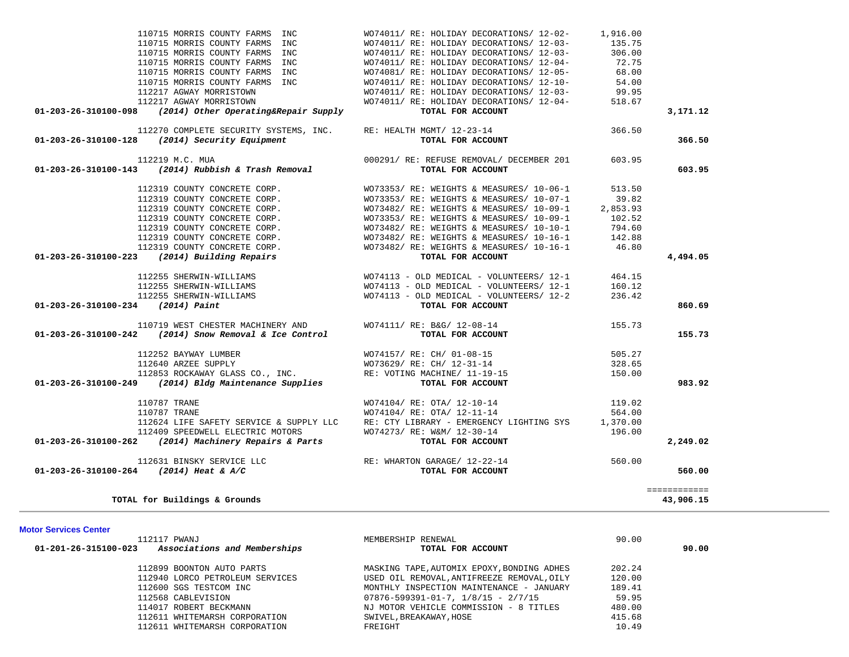| 110715 MORRIS COUNTY FARMS<br>INC                                                                                                                                                                                                                   | WO74011/ RE: HOLIDAY DECORATIONS/ 12-02-                                                                        | 1,916.00 |              |
|-----------------------------------------------------------------------------------------------------------------------------------------------------------------------------------------------------------------------------------------------------|-----------------------------------------------------------------------------------------------------------------|----------|--------------|
| 110715 MORRIS COUNTY FARMS<br>INC                                                                                                                                                                                                                   | WO74011/ RE: HOLIDAY DECORATIONS/ 12-03-                                                                        | 135.75   |              |
| 110715 MORRIS COUNTY FARMS INC                                                                                                                                                                                                                      | WO74011/ RE: HOLIDAY DECORATIONS/ 12-03-                                                                        | 306.00   |              |
| 110715 MORRIS COUNTY FARMS INC                                                                                                                                                                                                                      | WO74011/ RE: HOLIDAY DECORATIONS/ 12-04-                                                                        | 72.75    |              |
| 110715 MORRIS COUNTY FARMS INC                                                                                                                                                                                                                      | WO74081/ RE: HOLIDAY DECORATIONS/ 12-05-                                                                        |          |              |
| 110715 MORRIS COUNTY FARMS INC                                                                                                                                                                                                                      |                                                                                                                 | 54.00    |              |
| 112217 AGWAY MORRISTOWN                                                                                                                                                                                                                             | WO74011/ RE: HOLIDAY DECORATIONS/ 12-10-<br>WO74011/ RE: HOLIDAY DECORATIONS/ 12-03-<br>WO74011/ BE: WOITS: - 2 | 99.95    |              |
| 112217 AGWAY MORRISTOWN                                                                                                                                                                                                                             | WO74011/ RE: HOLIDAY DECORATIONS/ 12-04-                                                                        | 518.67   |              |
| 01-203-26-310100-098<br>(2014) Other Operating&Repair Supply                                                                                                                                                                                        | TOTAL FOR ACCOUNT                                                                                               |          | 3,171.12     |
| 112270 COMPLETE SECURITY SYSTEMS, INC.                                                                                                                                                                                                              | RE: HEALTH MGMT/ 12-23-14                                                                                       | 366.50   |              |
| 01-203-26-310100-128<br>(2014) Security Equipment                                                                                                                                                                                                   | TOTAL FOR ACCOUNT                                                                                               |          | 366.50       |
| 112219 M.C. MUA<br>112219 M.C. MUA<br>01-203-26-310100-143 (2014) Rubbish & Trash Removal                                                                                                                                                           | 000291/ RE: REFUSE REMOVAL/ DECEMBER 201                                                                        | 603.95   |              |
|                                                                                                                                                                                                                                                     | TOTAL FOR ACCOUNT                                                                                               |          | 603.95       |
| 112319 COUNTY CONCRETE CORP.<br>112319 COUNTY CONCRETE CORP.<br>112319 COUNTY CONCRETE CORP.<br>112319 COUNTY CONCRETE CORP.<br>112319 COUNTY CONCRETE CORP.<br>112319 COUNTY CONCRETE CORP.<br>112319 COUNTY CONCRETE CORP.<br>3 (2014) Building R | WO73353/ RE: WEIGHTS & MEASURES/ 10-06-1                                                                        | 513.50   |              |
|                                                                                                                                                                                                                                                     | WO73353/RE: WEIGHTS & MEASURES/ 10-07-1                                                                         | 39.82    |              |
|                                                                                                                                                                                                                                                     | WO73482/ RE: WEIGHTS & MEASURES/ 10-09-1                                                                        | 2,853.93 |              |
|                                                                                                                                                                                                                                                     | WO73353/ RE: WEIGHTS & MEASURES/ 10-09-1                                                                        | 102.52   |              |
|                                                                                                                                                                                                                                                     | WO73482/ RE: WEIGHTS & MEASURES/ 10-10-1                                                                        | 794.60   |              |
|                                                                                                                                                                                                                                                     | WO73482/RE: WEIGHTS & MEASURES/ 10-16-1                                                                         | 142.88   |              |
|                                                                                                                                                                                                                                                     | WO73482/ RE: WEIGHTS & MEASURES/ 10-16-1 46.80                                                                  |          |              |
| $01-203-26-310100-223$ (2014) Building Repairs                                                                                                                                                                                                      | TOTAL FOR ACCOUNT                                                                                               |          | 4,494.05     |
| 112255 SHERWIN-WILLIAMS                                                                                                                                                                                                                             | WO74113 - OLD MEDICAL - VOLUNTEERS/ 12-1                                                                        | 464.15   |              |
| 112255 SHERWIN-WILLIAMS                                                                                                                                                                                                                             | $WO74113$ - OLD MEDICAL - VOLUNTEERS/ 12-1                                                                      | 160.12   |              |
| 112255 SHERWIN-WILLIAMS                                                                                                                                                                                                                             | WO74113 - OLD MEDICAL - VOLUNTEERS/ 12-2                                                                        | 236.42   |              |
| $01-203-26-310100-234$ (2014) Paint                                                                                                                                                                                                                 | TOTAL FOR ACCOUNT                                                                                               |          | 860.69       |
| 110719 WEST CHESTER MACHINERY AND                                                                                                                                                                                                                   | WO74111/ RE: B&G/ 12-08-14                                                                                      | 155.73   |              |
| 01-203-26-310100-242<br>(2014) Snow Removal & Ice Control                                                                                                                                                                                           | TOTAL FOR ACCOUNT                                                                                               |          | 155.73       |
| 112252 BAYWAY LUMBER                                                                                                                                                                                                                                | WO74157/ RE: CH/ 01-08-15                                                                                       | 505.27   |              |
| 112640 ARZEE SUPPLY                                                                                                                                                                                                                                 | WO73629/ RE: CH/ 12-31-14                                                                                       | 328.65   |              |
| 112853 ROCKAWAY GLASS CO., INC.                                                                                                                                                                                                                     | RE: VOTING MACHINE/ 11-19-15                                                                                    | 150.00   |              |
| 01-203-26-310100-249 (2014) Bldg Maintenance Supplies                                                                                                                                                                                               | TOTAL FOR ACCOUNT                                                                                               |          | 983.92       |
| 110787 TRANE                                                                                                                                                                                                                                        | WO74104/ RE: OTA/ 12-10-14                                                                                      | 119.02   |              |
| 110787 TRANE                                                                                                                                                                                                                                        | WO74104/ RE: OTA/ 12-11-14                                                                                      | 564.00   |              |
| 112624 LIFE SAFETY SERVICE & SUPPLY LLC                                                                                                                                                                                                             | RE: CTY LIBRARY - EMERGENCY LIGHTING SYS 1,370.00                                                               |          |              |
| 112409 SPEEDWELL ELECTRIC MOTORS<br>2 (2014) Machinery Repairs & Parts                                                                                                                                                                              | WO74273/ RE: W&M/ 12-30-14                                                                                      | 196.00   |              |
| 01-203-26-310100-262 (2014) Machinery Repairs & Parts                                                                                                                                                                                               | TOTAL FOR ACCOUNT                                                                                               |          | 2,249.02     |
| 112631 BINSKY SERVICE LLC                                                                                                                                                                                                                           | RE: WHARTON GARAGE/ 12-22-14<br><b>TOTAL FOR ACCOUNT</b>                                                        |          |              |
| 01-203-26-310100-264 (2014) Heat & A/C                                                                                                                                                                                                              |                                                                                                                 |          | 560.00       |
|                                                                                                                                                                                                                                                     |                                                                                                                 |          | ============ |
| TOTAL for Buildings & Grounds                                                                                                                                                                                                                       |                                                                                                                 |          | 43,906.15    |
|                                                                                                                                                                                                                                                     |                                                                                                                 |          |              |

|  |  | Motor Services Center |  |  |  |
|--|--|-----------------------|--|--|--|
|--|--|-----------------------|--|--|--|

| MEMBERSHIP RENEWAL                         | 90.00  |       |
|--------------------------------------------|--------|-------|
| TOTAL FOR ACCOUNT                          |        | 90.00 |
| MASKING TAPE, AUTOMIX EPOXY, BONDING ADHES | 202.24 |       |
| USED OIL REMOVAL, ANTIFREEZE REMOVAL, OILY | 120.00 |       |
| MONTHLY INSPECTION MAINTENANCE - JANUARY   | 189.41 |       |
| $07876 - 599391 - 01 - 7, 1/8/15 - 2/7/15$ | 59.95  |       |
| NJ MOTOR VEHICLE COMMISSION - 8 TITLES     | 480.00 |       |
| SWIVEL, BREAKAWAY, HOSE                    | 415.68 |       |
| FREIGHT                                    | 10.49  |       |
|                                            |        |       |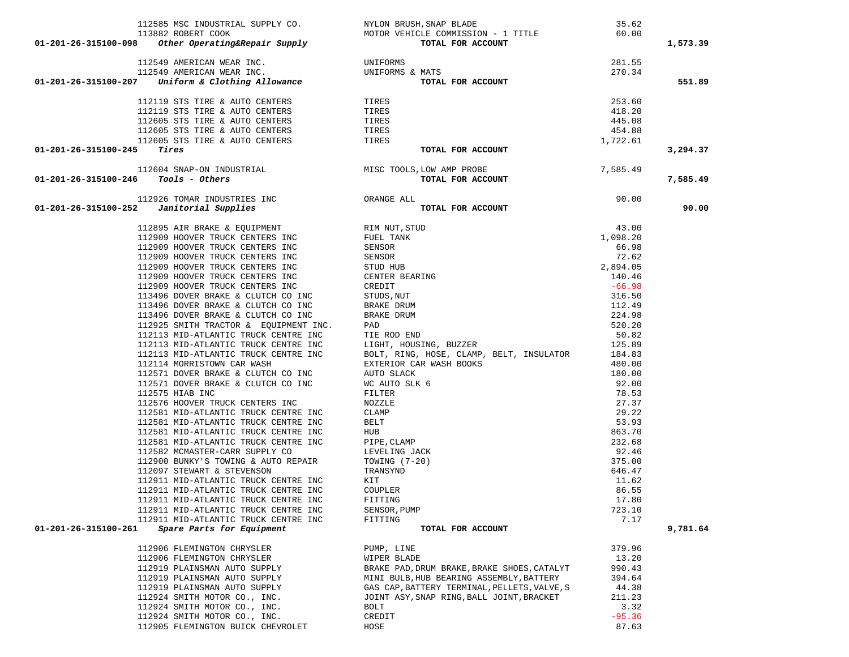| 113882 ROBERT COOK MOTOR VEHICLE COMMISSION - 1 TITLE<br>01-201-26-315100-098 Other Operating&Repair Supply<br>TOTAL FOR ACCOUNT<br>01-201-26-315100-098 Other Operating<br>exercise corrections of the control of the control of the control of the<br>112549 AMERICAN WEAR INC. UNIFORMS & MATS<br>112549 AMERICAN WEAR INC. UNIFORMS & MATS<br>112549 AMERICAN WEAR INC. UN | TO COMMISSION - 1 11111<br>TOTAL FOR ACCOUNT                                                                                                                                                                                                                                                       | 60.00           | 1,573.39 |
|--------------------------------------------------------------------------------------------------------------------------------------------------------------------------------------------------------------------------------------------------------------------------------------------------------------------------------------------------------------------------------|----------------------------------------------------------------------------------------------------------------------------------------------------------------------------------------------------------------------------------------------------------------------------------------------------|-----------------|----------|
|                                                                                                                                                                                                                                                                                                                                                                                |                                                                                                                                                                                                                                                                                                    |                 |          |
|                                                                                                                                                                                                                                                                                                                                                                                |                                                                                                                                                                                                                                                                                                    | 281.55          |          |
|                                                                                                                                                                                                                                                                                                                                                                                |                                                                                                                                                                                                                                                                                                    | 270.34          |          |
|                                                                                                                                                                                                                                                                                                                                                                                |                                                                                                                                                                                                                                                                                                    |                 | 551.89   |
|                                                                                                                                                                                                                                                                                                                                                                                |                                                                                                                                                                                                                                                                                                    | 253.60          |          |
|                                                                                                                                                                                                                                                                                                                                                                                |                                                                                                                                                                                                                                                                                                    | 418.20          |          |
|                                                                                                                                                                                                                                                                                                                                                                                |                                                                                                                                                                                                                                                                                                    | 445.08          |          |
|                                                                                                                                                                                                                                                                                                                                                                                |                                                                                                                                                                                                                                                                                                    | 454.88          |          |
|                                                                                                                                                                                                                                                                                                                                                                                |                                                                                                                                                                                                                                                                                                    | 1,722.61        |          |
| 112605 STS TIRE & AUTO CENTERS TIRES TIRES<br>01-201-26-315100-245                                                                                                                                                                                                                                                                                                             | TOTAL FOR ACCOUNT                                                                                                                                                                                                                                                                                  |                 | 3,294.37 |
|                                                                                                                                                                                                                                                                                                                                                                                | 112604 SNAP-ON INDUSTRIAL MISC TOOLS, LOW AMP PROBE 7,585.49<br><b>46 Tools - Others TOTAL FOR ACCOUNT</b> 112926 TOMAR INDUSTRIES INC 0RANGE ALL 90.00<br><b>52 Janitorial Supplies TOTAL FOR ACCOUNT</b>                                                                                         |                 |          |
| $01-201-26-315100-246$ Tools - Others                                                                                                                                                                                                                                                                                                                                          |                                                                                                                                                                                                                                                                                                    |                 | 7,585.49 |
|                                                                                                                                                                                                                                                                                                                                                                                |                                                                                                                                                                                                                                                                                                    |                 |          |
|                                                                                                                                                                                                                                                                                                                                                                                |                                                                                                                                                                                                                                                                                                    |                 |          |
| 01-201-26-315100-252                                                                                                                                                                                                                                                                                                                                                           |                                                                                                                                                                                                                                                                                                    |                 | 90.00    |
| 112895 AIR BRAKE & EQUIPMENT RIM NUT, STUD                                                                                                                                                                                                                                                                                                                                     | RIM NUT, STUD<br>FUEL TANK 1,098.20<br>SENSOR 66.98<br>SENSOR 72.62<br>STUD HUB<br>CREDIT 140.46<br>CREDIT -66.98<br>STUDS, NUT 316.50<br>BRAKE DRUM 112.49<br>BRAKE DRUM 112.49<br>BRAKE DRUM 224.98<br>FAD<br>TIE ROD END 520.20<br>LIGHT, HOUSING, BU                                           |                 |          |
| 112909 HOOVER TRUCK CENTERS INC                                                                                                                                                                                                                                                                                                                                                | FUEL TANK<br>SENSOP                                                                                                                                                                                                                                                                                |                 |          |
| 112909 HOOVER TRUCK CENTERS INC                                                                                                                                                                                                                                                                                                                                                |                                                                                                                                                                                                                                                                                                    |                 |          |
| 112909 HOOVER TRUCK CENTERS INC                                                                                                                                                                                                                                                                                                                                                |                                                                                                                                                                                                                                                                                                    |                 |          |
| 112909 HOOVER TRUCK CENTERS INC                                                                                                                                                                                                                                                                                                                                                |                                                                                                                                                                                                                                                                                                    |                 |          |
| 112909 HOOVER TRUCK CENTERS INC                                                                                                                                                                                                                                                                                                                                                |                                                                                                                                                                                                                                                                                                    |                 |          |
| 112909 HOOVER TRUCK CENTERS INC                                                                                                                                                                                                                                                                                                                                                |                                                                                                                                                                                                                                                                                                    |                 |          |
| 113496 DOVER BRAKE & CLUTCH CO INC                                                                                                                                                                                                                                                                                                                                             |                                                                                                                                                                                                                                                                                                    |                 |          |
| 113496 DOVER BRAKE & CLUTCH CO INC                                                                                                                                                                                                                                                                                                                                             |                                                                                                                                                                                                                                                                                                    |                 |          |
| 113496 DOVER BRAKE & CLUTCH CO INC                                                                                                                                                                                                                                                                                                                                             |                                                                                                                                                                                                                                                                                                    |                 |          |
| 112925 SMITH TRACTOR & EQUIPMENT INC.                                                                                                                                                                                                                                                                                                                                          |                                                                                                                                                                                                                                                                                                    |                 |          |
| 112113 MID-ATLANTIC TRUCK CENTRE INC<br>112113 MID-ATLANTIC TRUCK CENTRE INC                                                                                                                                                                                                                                                                                                   |                                                                                                                                                                                                                                                                                                    |                 |          |
| 112113 MID-ATLANTIC TRUCK CENTRE INC<br>112113 MID-ATLANTIC TRUCK CENTRE INC                                                                                                                                                                                                                                                                                                   |                                                                                                                                                                                                                                                                                                    | 184.83          |          |
| 112114 MORRISTOWN CAR WASH                                                                                                                                                                                                                                                                                                                                                     | BOLT, RING, HOSE, CLAMP, BELT, INSULATOR                                                                                                                                                                                                                                                           | 480.00          |          |
| 112571 DOVER BRAKE & CLUTCH CO INC                                                                                                                                                                                                                                                                                                                                             |                                                                                                                                                                                                                                                                                                    | 180.00          |          |
| 112571 DOVER BRAKE & CLUTCH CO INC                                                                                                                                                                                                                                                                                                                                             |                                                                                                                                                                                                                                                                                                    | 92.00           |          |
| 112575 HIAB INC                                                                                                                                                                                                                                                                                                                                                                |                                                                                                                                                                                                                                                                                                    | 78.53           |          |
| 112576 HOOVER TRUCK CENTERS INC                                                                                                                                                                                                                                                                                                                                                |                                                                                                                                                                                                                                                                                                    | 27.37           |          |
| 112581 MID-ATLANTIC TRUCK CENTRE INC                                                                                                                                                                                                                                                                                                                                           |                                                                                                                                                                                                                                                                                                    | 29.22           |          |
| 112581 MID-ATLANTIC TRUCK CENTRE INC                                                                                                                                                                                                                                                                                                                                           |                                                                                                                                                                                                                                                                                                    | 53.93           |          |
| 112581 MID-ATLANTIC TRUCK CENTRE INC                                                                                                                                                                                                                                                                                                                                           |                                                                                                                                                                                                                                                                                                    | 863.70          |          |
| 112581 MID-ATLANTIC TRUCK CENTRE INC                                                                                                                                                                                                                                                                                                                                           |                                                                                                                                                                                                                                                                                                    | 232.68          |          |
| 112582 MCMASTER-CARR SUPPLY CO                                                                                                                                                                                                                                                                                                                                                 |                                                                                                                                                                                                                                                                                                    | 92.46           |          |
| 112900 BUNKY'S TOWING & AUTO REPAIR                                                                                                                                                                                                                                                                                                                                            |                                                                                                                                                                                                                                                                                                    | 375.00          |          |
| 112097 STEWART & STEVENSON                                                                                                                                                                                                                                                                                                                                                     |                                                                                                                                                                                                                                                                                                    | 646.47          |          |
| 112911 MID-ATLANTIC TRUCK CENTRE INC                                                                                                                                                                                                                                                                                                                                           |                                                                                                                                                                                                                                                                                                    | 11.62           |          |
| 112911 MID-ATLANTIC TRUCK CENTRE INC                                                                                                                                                                                                                                                                                                                                           |                                                                                                                                                                                                                                                                                                    | 86.55           |          |
| 112911 MID-ATLANTIC TRUCK CENTRE INC<br>112911 MID-ATLANTIC TRUCK CENTRE INC                                                                                                                                                                                                                                                                                                   |                                                                                                                                                                                                                                                                                                    | 17.80<br>723.10 |          |
| 112911 MID-ATLANTIC TRUCK CENTRE INC                                                                                                                                                                                                                                                                                                                                           | BOLT, RING, HOSE, CLAMP, BELT, INSULATOR<br>EXTERIOR CAR WASH BOOKS<br>AUTO SLACK<br>WC AUTO SLK 6<br>FILTER<br>NOZZLE<br>CLAMP<br>BELT<br>HUB<br>PEPE, CLAMP<br>LEVELING JACK<br>TOWING (7-20)<br>TRANSYND<br>KIT<br>COUPLER<br>FITING<br>FITING<br>FING RENSOR, PUMP<br>FITING<br>FIT<br>FITTING | 7.17            |          |
| 01-201-26-315100-261<br><i>Spare Parts for Equipment</i>                                                                                                                                                                                                                                                                                                                       | TOTAL FOR ACCOUNT                                                                                                                                                                                                                                                                                  |                 | 9,781.64 |
|                                                                                                                                                                                                                                                                                                                                                                                |                                                                                                                                                                                                                                                                                                    |                 |          |
| 112906 FLEMINGTON CHRYSLER                                                                                                                                                                                                                                                                                                                                                     | PUMP, LINE                                                                                                                                                                                                                                                                                         | 379.96          |          |
| 112906 FLEMINGTON CHRYSLER                                                                                                                                                                                                                                                                                                                                                     | WIPER BLADE<br>BRAKE PAD, DRUM BRAKE, BRAKE SHOES, CATALYT                                                                                                                                                                                                                                         | 13.20<br>990.43 |          |
| 112919 PLAINSMAN AUTO SUPPLY<br>112919 PLAINSMAN AUTO SUPPLY                                                                                                                                                                                                                                                                                                                   | MINI BULB, HUB BEARING ASSEMBLY, BATTERY                                                                                                                                                                                                                                                           | 394.64          |          |
| 112919 PLAINSMAN AUTO SUPPLY                                                                                                                                                                                                                                                                                                                                                   | GAS CAP, BATTERY TERMINAL, PELLETS, VALVE, S                                                                                                                                                                                                                                                       | 44.38           |          |
| 112924 SMITH MOTOR CO., INC.                                                                                                                                                                                                                                                                                                                                                   | JOINT ASY, SNAP RING, BALL JOINT, BRACKET                                                                                                                                                                                                                                                          | 211.23          |          |
| 112924 SMITH MOTOR CO., INC.                                                                                                                                                                                                                                                                                                                                                   | BOLT                                                                                                                                                                                                                                                                                               | 3.32            |          |
| 112924 SMITH MOTOR CO., INC.                                                                                                                                                                                                                                                                                                                                                   | CREDIT                                                                                                                                                                                                                                                                                             | $-95.36$        |          |
| 112905 FLEMINGTON BUICK CHEVROLET                                                                                                                                                                                                                                                                                                                                              | HOSE                                                                                                                                                                                                                                                                                               | 87.63           |          |

112585 MSC INDUSTRIAL SUPPLY CO. NYLON BRUSH,SNAP BLADE 35.62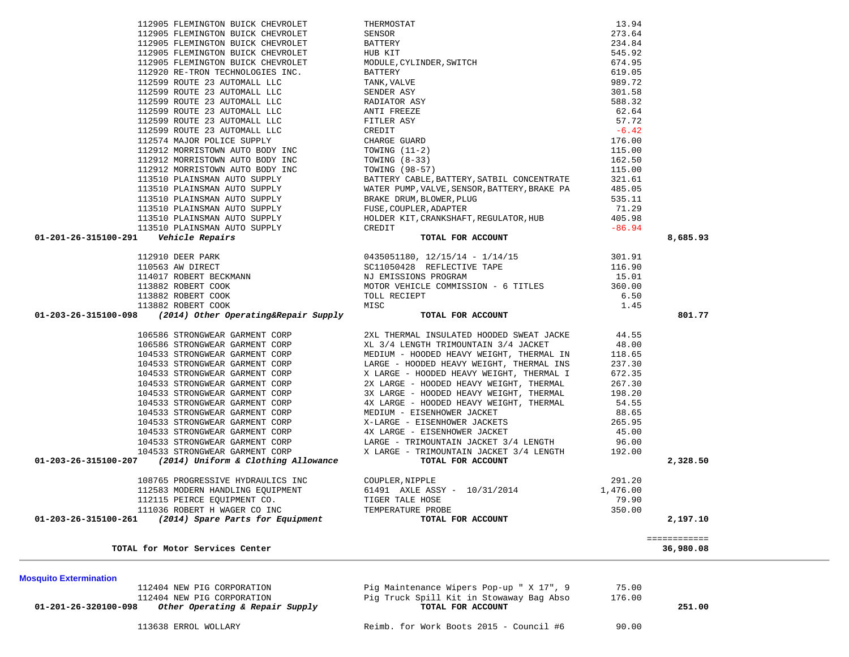|                                | 108765 PROGRESSIVE HYDRAULICS INC | COUPLER, NIPPLE                          | 291.20   |              |
|--------------------------------|-----------------------------------|------------------------------------------|----------|--------------|
|                                | 112583 MODERN HANDLING EQUIPMENT  | 61491 AXLE ASSY - 10/31/2014             | 1,476.00 |              |
|                                | 112115 PEIRCE EOUIPMENT CO.       | TIGER TALE HOSE                          | 79.90    |              |
|                                | 111036 ROBERT H WAGER CO INC      | TEMPERATURE PROBE                        | 350.00   |              |
| 01-203-26-315100-261           | (2014) Spare Parts for Equipment  | TOTAL FOR ACCOUNT                        |          | 2,197.10     |
|                                |                                   |                                          |          | ,,,,,,,,,,,, |
|                                | TOTAL for Motor Services Center   |                                          |          | 36,980.08    |
|                                |                                   |                                          |          |              |
| <b>Mosquito Extermination</b>  |                                   |                                          |          |              |
|                                | 112404 NEW PIG CORPORATION        | Pig Maintenance Wipers Pop-up " X 17", 9 | 75.00    |              |
|                                | 112404 NEW PIG CORPORATION        | Pig Truck Spill Kit in Stowaway Bag Abso | 176.00   |              |
| $01 - 201 - 26 - 320100 - 098$ | Other Operating & Repair Supply   | TOTAL FOR ACCOUNT                        |          | 251.00       |
|                                | 113638 ERROL WOLLARY              | Reimb. for Work Boots 2015 - Council #6  | 90.00    |              |
|                                |                                   |                                          |          |              |
|                                |                                   |                                          |          |              |

| 01-201-26-315100-291    Vehicle Repairs                                        | $[12599\text{ ROUTE }23\text{ AUTOMALL LLC}\\ 112599\text{ ROUTE }23\text{ AUTOMALL LLC}\\ 112599\text{ ROUTE }23\text{ AUTOMALL LLC}\\ 112599\text{ ROUTE }23\text{ AUTOMALL LLC}\\ 112599\text{ ROUTE }23\text{ AUTOMALL LLC}\\ 112599\text{ ROUTE }23\text{ AUTOMALL LLC}\\ 112599\text{ ROUTE }23\text{ AUTOMALL LLC}\\ 112599\text{ ROUTE }23\text{ AUTOMALL LLC}\\ 1125$ | 8,685.93 |
|--------------------------------------------------------------------------------|--------------------------------------------------------------------------------------------------------------------------------------------------------------------------------------------------------------------------------------------------------------------------------------------------------------------------------------------------------------------------------|----------|
|                                                                                |                                                                                                                                                                                                                                                                                                                                                                                |          |
|                                                                                |                                                                                                                                                                                                                                                                                                                                                                                |          |
|                                                                                |                                                                                                                                                                                                                                                                                                                                                                                |          |
|                                                                                |                                                                                                                                                                                                                                                                                                                                                                                |          |
|                                                                                |                                                                                                                                                                                                                                                                                                                                                                                |          |
|                                                                                |                                                                                                                                                                                                                                                                                                                                                                                |          |
| 01-203-26-315100-098 (2014) Other Operating&Repair Supply<br>TOTAL FOR ACCOUNT |                                                                                                                                                                                                                                                                                                                                                                                | 801.77   |
|                                                                                |                                                                                                                                                                                                                                                                                                                                                                                |          |
|                                                                                |                                                                                                                                                                                                                                                                                                                                                                                |          |
|                                                                                |                                                                                                                                                                                                                                                                                                                                                                                |          |
|                                                                                |                                                                                                                                                                                                                                                                                                                                                                                |          |
|                                                                                |                                                                                                                                                                                                                                                                                                                                                                                |          |
|                                                                                |                                                                                                                                                                                                                                                                                                                                                                                |          |
|                                                                                |                                                                                                                                                                                                                                                                                                                                                                                |          |
|                                                                                |                                                                                                                                                                                                                                                                                                                                                                                |          |
|                                                                                |                                                                                                                                                                                                                                                                                                                                                                                |          |
|                                                                                |                                                                                                                                                                                                                                                                                                                                                                                |          |
|                                                                                |                                                                                                                                                                                                                                                                                                                                                                                |          |
|                                                                                |                                                                                                                                                                                                                                                                                                                                                                                |          |
|                                                                                |                                                                                                                                                                                                                                                                                                                                                                                |          |
|                                                                                |                                                                                                                                                                                                                                                                                                                                                                                |          |
|                                                                                |                                                                                                                                                                                                                                                                                                                                                                                | 2,328.50 |
|                                                                                |                                                                                                                                                                                                                                                                                                                                                                                |          |
|                                                                                |                                                                                                                                                                                                                                                                                                                                                                                |          |
|                                                                                |                                                                                                                                                                                                                                                                                                                                                                                |          |
|                                                                                | 108765 PROGRESSIVE HYDRAULICS INC<br>112583 MODERN HANDLING EQUIPMENT 61491 AXLE ASSY - 10/31/2014 1,476.00<br>112115 PEIRCE EQUIPMENT CO. TIGER TALE HOSE 79.90<br>11036 ROBERT HAGER CO INC TEMPERATURE PROBE 350.00                                                                                                                                                         |          |

112905 FLEMINGTON BUICK CHEVROLET THERMOSTAT THERMOSTAT 13.94

112599 ROUTE 23 AUTOMALL LLC TANK,VALVE 989.72

112905 FLEMINGTON BUICK CHEVROLET SENSOR

112905 FLEMINGTON BUICK CHEVROLET BATTERY

112905 FLEMINGTON BUICK CHEVROLET HUB KIT

112920 RE-TRON TECHNOLOGIES INC. BATTERY

112599 ROUTE 23 AUTOMALL LLC SENDER ASY

112905 FLEMINGTON BUICK CHEVROLET MODULE, CYLINDER, SWITCH

273.64

234.84

545.92

674.95

619.05

301.58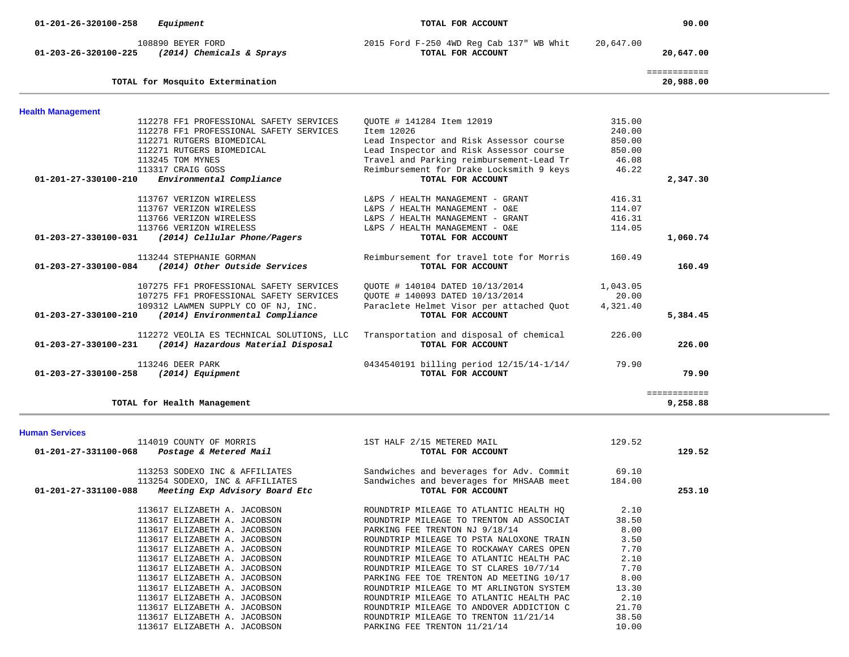| 108890 BEYER FORD<br>2015 Ford F-250 4WD Reg Cab 137" WB Whit<br>20,647.00<br>(2014) Chemicals & Sprays<br>01-203-26-320100-225<br>TOTAL FOR ACCOUNT<br>20,647.00<br>============<br>20,988.00<br>TOTAL for Mosquito Extermination<br><b>Health Management</b><br>315.00<br>112278 FF1 PROFESSIONAL SAFETY SERVICES<br>QUOTE # 141284 Item 12019<br>Item 12026<br>240.00<br>112278 FF1 PROFESSIONAL SAFETY SERVICES<br>112271 RUTGERS BIOMEDICAL<br>Lead Inspector and Risk Assessor course<br>850.00<br>Lead Inspector and Risk Assessor course<br>112271 RUTGERS BIOMEDICAL<br>850.00<br>113245 TOM MYNES<br>Travel and Parking reimbursement-Lead Tr<br>46.08<br>Reimbursement for Drake Locksmith 9 keys<br>113317 CRAIG GOSS<br>46.22<br>Environmental Compliance<br>$01 - 201 - 27 - 330100 - 210$<br>TOTAL FOR ACCOUNT<br>2,347.30<br>113767 VERIZON WIRELESS<br>416.31<br>L&PS / HEALTH MANAGEMENT - GRANT<br>113767 VERIZON WIRELESS<br>114.07<br>L&PS / HEALTH MANAGEMENT - O&E<br>416.31<br>113766 VERIZON WIRELESS<br>L&PS / HEALTH MANAGEMENT - GRANT<br>113766 VERIZON WIRELESS<br>L&PS / HEALTH MANAGEMENT - O&E<br>114.05<br>1,060.74<br>(2014) Cellular Phone/Pagers<br>01-203-27-330100-031<br>TOTAL FOR ACCOUNT<br>Reimbursement for travel tote for Morris<br>113244 STEPHANIE GORMAN<br>160.49<br>01-203-27-330100-084<br>(2014) Other Outside Services<br>TOTAL FOR ACCOUNT<br>160.49<br>OUOTE # 140104 DATED 10/13/2014<br>107275 FF1 PROFESSIONAL SAFETY SERVICES<br>1,043.05<br>20.00<br>107275 FF1 PROFESSIONAL SAFETY SERVICES<br>OUOTE # 140093 DATED 10/13/2014<br>Paraclete Helmet Visor per attached Quot<br>109312 LAWMEN SUPPLY CO OF NJ, INC.<br>4,321.40<br>(2014) Environmental Compliance<br>TOTAL FOR ACCOUNT<br>01-203-27-330100-210<br>5,384.45<br>112272 VEOLIA ES TECHNICAL SOLUTIONS, LLC<br>Transportation and disposal of chemical<br>226.00<br>(2014) Hazardous Material Disposal<br>01-203-27-330100-231<br>TOTAL FOR ACCOUNT<br>226.00<br>113246 DEER PARK<br>0434540191 billing period 12/15/14-1/14/<br>79.90<br>TOTAL FOR ACCOUNT<br>79.90<br>01-203-27-330100-258 (2014) Equipment<br>============ | 01-201-26-320100-258<br>Equipment | TOTAL FOR ACCOUNT | 90.00    |
|--------------------------------------------------------------------------------------------------------------------------------------------------------------------------------------------------------------------------------------------------------------------------------------------------------------------------------------------------------------------------------------------------------------------------------------------------------------------------------------------------------------------------------------------------------------------------------------------------------------------------------------------------------------------------------------------------------------------------------------------------------------------------------------------------------------------------------------------------------------------------------------------------------------------------------------------------------------------------------------------------------------------------------------------------------------------------------------------------------------------------------------------------------------------------------------------------------------------------------------------------------------------------------------------------------------------------------------------------------------------------------------------------------------------------------------------------------------------------------------------------------------------------------------------------------------------------------------------------------------------------------------------------------------------------------------------------------------------------------------------------------------------------------------------------------------------------------------------------------------------------------------------------------------------------------------------------------------------------------------------------------------------------------------------------------------------------------------------------------------------------------------------------------|-----------------------------------|-------------------|----------|
|                                                                                                                                                                                                                                                                                                                                                                                                                                                                                                                                                                                                                                                                                                                                                                                                                                                                                                                                                                                                                                                                                                                                                                                                                                                                                                                                                                                                                                                                                                                                                                                                                                                                                                                                                                                                                                                                                                                                                                                                                                                                                                                                                        |                                   |                   |          |
|                                                                                                                                                                                                                                                                                                                                                                                                                                                                                                                                                                                                                                                                                                                                                                                                                                                                                                                                                                                                                                                                                                                                                                                                                                                                                                                                                                                                                                                                                                                                                                                                                                                                                                                                                                                                                                                                                                                                                                                                                                                                                                                                                        |                                   |                   |          |
|                                                                                                                                                                                                                                                                                                                                                                                                                                                                                                                                                                                                                                                                                                                                                                                                                                                                                                                                                                                                                                                                                                                                                                                                                                                                                                                                                                                                                                                                                                                                                                                                                                                                                                                                                                                                                                                                                                                                                                                                                                                                                                                                                        |                                   |                   |          |
|                                                                                                                                                                                                                                                                                                                                                                                                                                                                                                                                                                                                                                                                                                                                                                                                                                                                                                                                                                                                                                                                                                                                                                                                                                                                                                                                                                                                                                                                                                                                                                                                                                                                                                                                                                                                                                                                                                                                                                                                                                                                                                                                                        |                                   |                   |          |
|                                                                                                                                                                                                                                                                                                                                                                                                                                                                                                                                                                                                                                                                                                                                                                                                                                                                                                                                                                                                                                                                                                                                                                                                                                                                                                                                                                                                                                                                                                                                                                                                                                                                                                                                                                                                                                                                                                                                                                                                                                                                                                                                                        |                                   |                   |          |
|                                                                                                                                                                                                                                                                                                                                                                                                                                                                                                                                                                                                                                                                                                                                                                                                                                                                                                                                                                                                                                                                                                                                                                                                                                                                                                                                                                                                                                                                                                                                                                                                                                                                                                                                                                                                                                                                                                                                                                                                                                                                                                                                                        |                                   |                   |          |
|                                                                                                                                                                                                                                                                                                                                                                                                                                                                                                                                                                                                                                                                                                                                                                                                                                                                                                                                                                                                                                                                                                                                                                                                                                                                                                                                                                                                                                                                                                                                                                                                                                                                                                                                                                                                                                                                                                                                                                                                                                                                                                                                                        |                                   |                   |          |
|                                                                                                                                                                                                                                                                                                                                                                                                                                                                                                                                                                                                                                                                                                                                                                                                                                                                                                                                                                                                                                                                                                                                                                                                                                                                                                                                                                                                                                                                                                                                                                                                                                                                                                                                                                                                                                                                                                                                                                                                                                                                                                                                                        |                                   |                   |          |
|                                                                                                                                                                                                                                                                                                                                                                                                                                                                                                                                                                                                                                                                                                                                                                                                                                                                                                                                                                                                                                                                                                                                                                                                                                                                                                                                                                                                                                                                                                                                                                                                                                                                                                                                                                                                                                                                                                                                                                                                                                                                                                                                                        |                                   |                   |          |
|                                                                                                                                                                                                                                                                                                                                                                                                                                                                                                                                                                                                                                                                                                                                                                                                                                                                                                                                                                                                                                                                                                                                                                                                                                                                                                                                                                                                                                                                                                                                                                                                                                                                                                                                                                                                                                                                                                                                                                                                                                                                                                                                                        |                                   |                   |          |
|                                                                                                                                                                                                                                                                                                                                                                                                                                                                                                                                                                                                                                                                                                                                                                                                                                                                                                                                                                                                                                                                                                                                                                                                                                                                                                                                                                                                                                                                                                                                                                                                                                                                                                                                                                                                                                                                                                                                                                                                                                                                                                                                                        |                                   |                   |          |
|                                                                                                                                                                                                                                                                                                                                                                                                                                                                                                                                                                                                                                                                                                                                                                                                                                                                                                                                                                                                                                                                                                                                                                                                                                                                                                                                                                                                                                                                                                                                                                                                                                                                                                                                                                                                                                                                                                                                                                                                                                                                                                                                                        |                                   |                   |          |
|                                                                                                                                                                                                                                                                                                                                                                                                                                                                                                                                                                                                                                                                                                                                                                                                                                                                                                                                                                                                                                                                                                                                                                                                                                                                                                                                                                                                                                                                                                                                                                                                                                                                                                                                                                                                                                                                                                                                                                                                                                                                                                                                                        |                                   |                   |          |
|                                                                                                                                                                                                                                                                                                                                                                                                                                                                                                                                                                                                                                                                                                                                                                                                                                                                                                                                                                                                                                                                                                                                                                                                                                                                                                                                                                                                                                                                                                                                                                                                                                                                                                                                                                                                                                                                                                                                                                                                                                                                                                                                                        |                                   |                   |          |
|                                                                                                                                                                                                                                                                                                                                                                                                                                                                                                                                                                                                                                                                                                                                                                                                                                                                                                                                                                                                                                                                                                                                                                                                                                                                                                                                                                                                                                                                                                                                                                                                                                                                                                                                                                                                                                                                                                                                                                                                                                                                                                                                                        |                                   |                   |          |
|                                                                                                                                                                                                                                                                                                                                                                                                                                                                                                                                                                                                                                                                                                                                                                                                                                                                                                                                                                                                                                                                                                                                                                                                                                                                                                                                                                                                                                                                                                                                                                                                                                                                                                                                                                                                                                                                                                                                                                                                                                                                                                                                                        |                                   |                   |          |
|                                                                                                                                                                                                                                                                                                                                                                                                                                                                                                                                                                                                                                                                                                                                                                                                                                                                                                                                                                                                                                                                                                                                                                                                                                                                                                                                                                                                                                                                                                                                                                                                                                                                                                                                                                                                                                                                                                                                                                                                                                                                                                                                                        |                                   |                   |          |
|                                                                                                                                                                                                                                                                                                                                                                                                                                                                                                                                                                                                                                                                                                                                                                                                                                                                                                                                                                                                                                                                                                                                                                                                                                                                                                                                                                                                                                                                                                                                                                                                                                                                                                                                                                                                                                                                                                                                                                                                                                                                                                                                                        |                                   |                   |          |
|                                                                                                                                                                                                                                                                                                                                                                                                                                                                                                                                                                                                                                                                                                                                                                                                                                                                                                                                                                                                                                                                                                                                                                                                                                                                                                                                                                                                                                                                                                                                                                                                                                                                                                                                                                                                                                                                                                                                                                                                                                                                                                                                                        |                                   |                   |          |
|                                                                                                                                                                                                                                                                                                                                                                                                                                                                                                                                                                                                                                                                                                                                                                                                                                                                                                                                                                                                                                                                                                                                                                                                                                                                                                                                                                                                                                                                                                                                                                                                                                                                                                                                                                                                                                                                                                                                                                                                                                                                                                                                                        |                                   |                   |          |
|                                                                                                                                                                                                                                                                                                                                                                                                                                                                                                                                                                                                                                                                                                                                                                                                                                                                                                                                                                                                                                                                                                                                                                                                                                                                                                                                                                                                                                                                                                                                                                                                                                                                                                                                                                                                                                                                                                                                                                                                                                                                                                                                                        |                                   |                   |          |
|                                                                                                                                                                                                                                                                                                                                                                                                                                                                                                                                                                                                                                                                                                                                                                                                                                                                                                                                                                                                                                                                                                                                                                                                                                                                                                                                                                                                                                                                                                                                                                                                                                                                                                                                                                                                                                                                                                                                                                                                                                                                                                                                                        |                                   |                   |          |
|                                                                                                                                                                                                                                                                                                                                                                                                                                                                                                                                                                                                                                                                                                                                                                                                                                                                                                                                                                                                                                                                                                                                                                                                                                                                                                                                                                                                                                                                                                                                                                                                                                                                                                                                                                                                                                                                                                                                                                                                                                                                                                                                                        |                                   |                   |          |
|                                                                                                                                                                                                                                                                                                                                                                                                                                                                                                                                                                                                                                                                                                                                                                                                                                                                                                                                                                                                                                                                                                                                                                                                                                                                                                                                                                                                                                                                                                                                                                                                                                                                                                                                                                                                                                                                                                                                                                                                                                                                                                                                                        |                                   |                   |          |
|                                                                                                                                                                                                                                                                                                                                                                                                                                                                                                                                                                                                                                                                                                                                                                                                                                                                                                                                                                                                                                                                                                                                                                                                                                                                                                                                                                                                                                                                                                                                                                                                                                                                                                                                                                                                                                                                                                                                                                                                                                                                                                                                                        |                                   |                   |          |
|                                                                                                                                                                                                                                                                                                                                                                                                                                                                                                                                                                                                                                                                                                                                                                                                                                                                                                                                                                                                                                                                                                                                                                                                                                                                                                                                                                                                                                                                                                                                                                                                                                                                                                                                                                                                                                                                                                                                                                                                                                                                                                                                                        |                                   |                   |          |
|                                                                                                                                                                                                                                                                                                                                                                                                                                                                                                                                                                                                                                                                                                                                                                                                                                                                                                                                                                                                                                                                                                                                                                                                                                                                                                                                                                                                                                                                                                                                                                                                                                                                                                                                                                                                                                                                                                                                                                                                                                                                                                                                                        | TOTAL for Health Management       |                   | 9,258.88 |

### **Human Services**

| 114019 COUNTY OF MORRIS                                | 1ST HALF 2/15 METERED MAIL                     | 129.52 |        |
|--------------------------------------------------------|------------------------------------------------|--------|--------|
| $01 - 201 - 27 - 331100 - 068$ Postage & Metered Mail  | TOTAL FOR ACCOUNT                              |        | 129.52 |
| 113253 SODEXO INC & AFFILIATES                         | Sandwiches and beverages for Adv. Commit 69.10 |        |        |
| 113254 SODEXO, INC & AFFILIATES                        | Sandwiches and beverages for MHSAAB meet       | 184.00 |        |
| Meeting Exp Advisory Board Etc<br>01-201-27-331100-088 | TOTAL FOR ACCOUNT                              |        | 253.10 |
| 113617 ELIZABETH A. JACOBSON                           | ROUNDTRIP MILEAGE TO ATLANTIC HEALTH HQ        | 2.10   |        |
| 113617 ELIZABETH A. JACOBSON                           | ROUNDTRIP MILEAGE TO TRENTON AD ASSOCIAT       | 38.50  |        |
| 113617 ELIZABETH A. JACOBSON                           | PARKING FEE TRENTON NJ 9/18/14                 | 8.00   |        |
| 113617 ELIZABETH A. JACOBSON                           | ROUNDTRIP MILEAGE TO PSTA NALOXONE TRAIN       | 3.50   |        |
| 113617 ELIZABETH A. JACOBSON                           | ROUNDTRIP MILEAGE TO ROCKAWAY CARES OPEN       | 7.70   |        |
| 113617 ELIZABETH A. JACOBSON                           | ROUNDTRIP MILEAGE TO ATLANTIC HEALTH PAC       | 2.10   |        |
| 113617 ELIZABETH A. JACOBSON                           | ROUNDTRIP MILEAGE TO ST CLARES 10/7/14         | 7.70   |        |
| 113617 ELIZABETH A. JACOBSON                           | PARKING FEE TOE TRENTON AD MEETING 10/17       | 8.00   |        |
| 113617 ELIZABETH A. JACOBSON                           | ROUNDTRIP MILEAGE TO MT ARLINGTON SYSTEM       | 13.30  |        |
| 113617 ELIZABETH A. JACOBSON                           | ROUNDTRIP MILEAGE TO ATLANTIC HEALTH PAC       | 2.10   |        |
| 113617 ELIZABETH A. JACOBSON                           | ROUNDTRIP MILEAGE TO ANDOVER ADDICTION C       | 21.70  |        |
| 113617 ELIZABETH A. JACOBSON                           | ROUNDTRIP MILEAGE TO TRENTON 11/21/14          | 38.50  |        |
| 113617 ELIZABETH A. JACOBSON                           | PARKING FEE TRENTON 11/21/14                   | 10.00  |        |
|                                                        |                                                |        |        |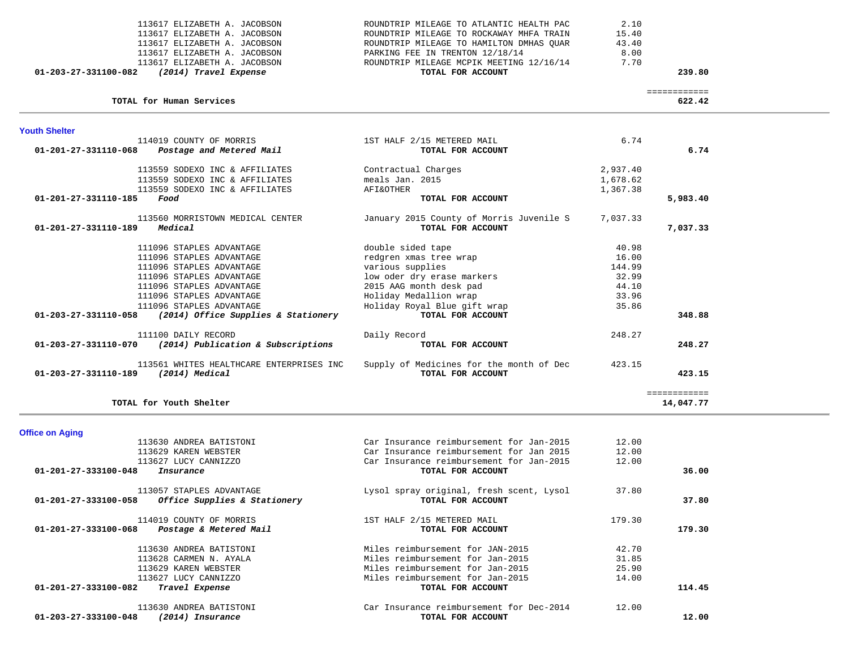| 113617 ELIZABETH A. JACOBSON                    | ROUNDTRIP MILEAGE TO ATLANTIC HEALTH PAC | 2.10         |      |
|-------------------------------------------------|------------------------------------------|--------------|------|
| 113617 ELIZABETH A. JACOBSON                    | ROUNDTRIP MILEAGE TO ROCKAWAY MHFA TRAIN | 15.40        |      |
| 113617 ELIZABETH A. JACOBSON                    | ROUNDTRIP MILEAGE TO HAMILTON DMHAS OUAR | 43.40        |      |
| 113617 ELIZABETH A. JACOBSON                    | PARKING FEE IN TRENTON 12/18/14          | 8.00         |      |
| 113617 ELIZABETH A. JACOBSON                    | ROUNDTRIP MILEAGE MCPIK MEETING 12/16/14 | 7.70         |      |
| 01-203-27-331100-082<br>(2014) Travel Expense   | TOTAL FOR ACCOUNT                        | 239.80       |      |
|                                                 |                                          | ============ |      |
| TOTAL for Human Services                        |                                          | 622.42       |      |
| <b>Youth Shelter</b>                            |                                          |              |      |
| 114019 COUNTY OF MORRIS                         | 1ST HALF 2/15 METERED MAIL               | 6.74         |      |
| $01-201-27-331110-068$ Postage and Metered Mail | TOTAL FOR ACCOUNT                        |              | 6.74 |
|                                                 |                                          |              |      |
| 113559 SODEXO INC & AFFILIATES                  | Contractual Charges                      | 2,937.40     |      |
| 113559 SODEXO INC & AFFILIATES                  | meals Jan. 2015                          | 1,678.62     |      |
| 113559 SODEXO INC & AFFILIATES                  | <b>AFI&amp;OTHER</b>                     | 1,367.38     |      |
| $01 - 201 - 27 - 331110 - 185$<br>Food          | TOTAL FOR ACCOUNT                        | 5,983.40     |      |
| 113560 MORRISTOWN MEDICAL CENTER                | January 2015 County of Morris Juvenile S | 7,037.33     |      |
| $01 - 201 - 27 - 331110 - 189$<br>Medical       | TOTAL FOR ACCOUNT                        | 7,037.33     |      |
| 111096 STAPLES ADVANTAGE                        | double sided tape                        | 40.98        |      |
| 111096 STAPLES ADVANTAGE                        | redgren xmas tree wrap                   | 16.00        |      |
| 111096 STAPLES ADVANTAGE                        | various supplies                         | 144.99       |      |
| 111096 STAPLES ADVANTAGE                        | low oder dry erase markers               | 32.99        |      |

 111096 STAPLES ADVANTAGE 2015 AAG month desk pad 44.10 111096 STAPLES ADVANTAGE THE Holiday Medallion wrap 33.96 111096 STAPLES ADVANTAGE Holiday Royal Blue gift wrap 35.86  **01-203-27-331110-058** *(2014) Office Supplies & Stationery* **TOTAL FOR ACCOUNT 348.88**

 111100 DAILY RECORD Daily Record 248.27  **01-203-27-331110-070** *(2014) Publication & Subscriptions* **TOTAL FOR ACCOUNT 248.27**

 113561 WHITES HEALTHCARE ENTERPRISES INC Supply of Medicines for the month of Dec 423.15  **01-203-27-331110-189** *(2014) Medical* **TOTAL FOR ACCOUNT 423.15**

| ______        | . |                         |
|---------------|---|-------------------------|
| ------------- |   |                         |
| 14,047.77     |   | TOTAL for Youth Shelter |
|               |   |                         |

 113630 ANDREA BATISTONI Car Insurance reimbursement for Jan-2015 12.00  $12.00$  113629 KAREN WEBSTER Car Insurance reimbursement for Jan 2015 12.00 12.00 113627 LUCY CANNIZZO Car Insurance reimbursement for Jan-2015 12.00  **01-201-27-333100-048** *Insurance* **TOTAL FOR ACCOUNT 36.00**113057 STAPLES ADVANTAGE 113057 STAPLES ADVANTAGE Lysol spray original, fresh scent, Lysol 37.80  **01-201-27-333100-058** *Office Supplies & Stationery* **TOTAL FOR ACCOUNT 37.80** 114019 COUNTY OF MORRIS 1ST HALF 2/15 METERED MAIL 179.30  **01-201-27-333100-068** *Postage & Metered Mail* **TOTAL FOR ACCOUNT 179.30** 113630 ANDREA BATISTONI Miles reimbursement for JAN-2015 42.70 31.85 113628 CARMEN N. AYALA **Miles reimbursement for Jan-2015** 25.90 113629 KAREN WEBSTER Miles reimbursement for Jan-2015 113627 LUCY CANNIZZO Miles reimbursement for Jan-2015 14.00  **01-201-27-333100-082** *Travel Expense* **TOTAL FOR ACCOUNT 114.45** 113630 ANDREA BATISTONI Car Insurance reimbursement for Dec-2014 12.00  **01-203-27-333100-048** *(2014) Insurance* **TOTAL FOR ACCOUNT 12.00**

**Office on Aging**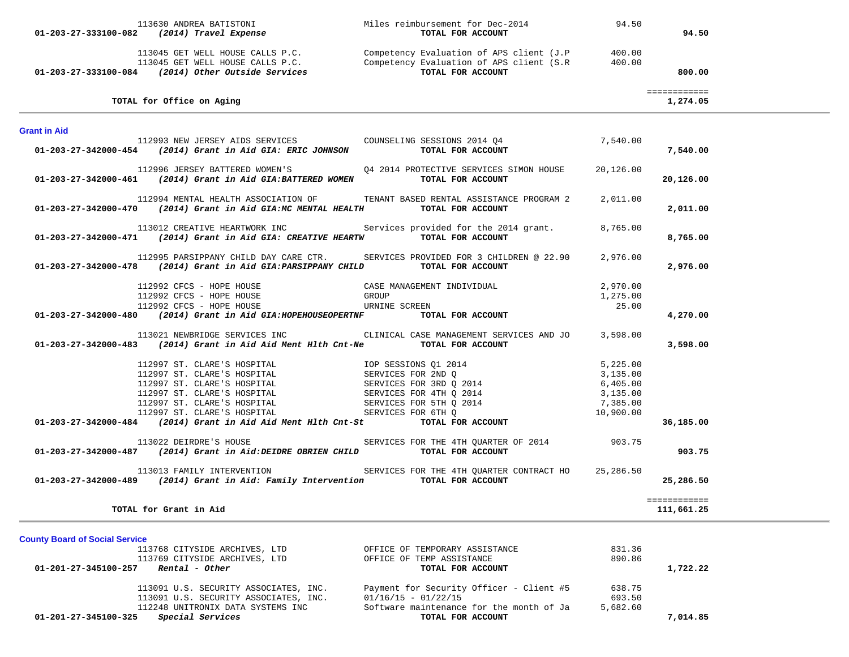|                                               | 113630 ANDREA BATISTONI                                                                                                                                                                                                                | Miles reimbursement for Dec-2014 94.50                                                                                                                                                                                        |           |                          |  |
|-----------------------------------------------|----------------------------------------------------------------------------------------------------------------------------------------------------------------------------------------------------------------------------------------|-------------------------------------------------------------------------------------------------------------------------------------------------------------------------------------------------------------------------------|-----------|--------------------------|--|
|                                               | 01-203-27-333100-082 (2014) Travel Expense                                                                                                                                                                                             | TOTAL FOR ACCOUNT                                                                                                                                                                                                             |           | 94.50                    |  |
|                                               |                                                                                                                                                                                                                                        |                                                                                                                                                                                                                               |           |                          |  |
|                                               |                                                                                                                                                                                                                                        |                                                                                                                                                                                                                               |           |                          |  |
|                                               |                                                                                                                                                                                                                                        | 113045 GET WELL HOUSE CALLS P.C.<br>113045 GET WELL HOUSE CALLS P.C. Competency Evaluation of APS client (J.P 400.00<br>113045 GET WELL HOUSE CALLS P.C. Competency Evaluation of APS client (S.R 400.00<br>TOTAL FOR ACCOUNT |           | 800.00                   |  |
|                                               |                                                                                                                                                                                                                                        |                                                                                                                                                                                                                               |           |                          |  |
|                                               | TOTAL for Office on Aging                                                                                                                                                                                                              |                                                                                                                                                                                                                               |           | ============<br>1,274.05 |  |
| <b>Grant in Aid</b>                           |                                                                                                                                                                                                                                        |                                                                                                                                                                                                                               |           |                          |  |
|                                               | 112993 NEW JERSEY AIDS SERVICES COUNSELING SESSIONS 2014 Q4                                                                                                                                                                            |                                                                                                                                                                                                                               | 7,540.00  |                          |  |
|                                               | $01-203-27-342000-454$ (2014) Grant in Aid GIA: ERIC JOHNSON TOTAL FOR ACCOUNT                                                                                                                                                         |                                                                                                                                                                                                                               |           | 7,540.00                 |  |
|                                               |                                                                                                                                                                                                                                        | 112996 JERSEY BATTERED WOMEN'S <a> Q<br/>4 2014 PROTECTIVE SERVICES SIMON HOUSE</a>                                                                                                                                           | 20,126.00 |                          |  |
|                                               | $01-203-27-342000-461$ (2014) Grant in Aid GIA:BATTERED WOMEN TOTAL FOR ACCOUNT                                                                                                                                                        |                                                                                                                                                                                                                               |           | 20,126.00                |  |
|                                               |                                                                                                                                                                                                                                        | 112994 MENTAL HEALTH ASSOCIATION OF TENANT BASED RENTAL ASSISTANCE PROGRAM 2                                                                                                                                                  | 2,011.00  |                          |  |
|                                               | $01-203-27-342000-470$ (2014) Grant in Aid GIA:MC MENTAL HEALTH TOTAL FOR ACCOUNT                                                                                                                                                      |                                                                                                                                                                                                                               |           | 2,011.00                 |  |
|                                               |                                                                                                                                                                                                                                        | 113012 CREATIVE HEARTWORK INC Services provided for the 2014 grant.                                                                                                                                                           | 8,765.00  |                          |  |
|                                               | $01-203-27-342000-471$ (2014) Grant in Aid GIA: CREATIVE HEARTW TOTAL FOR ACCOUNT                                                                                                                                                      |                                                                                                                                                                                                                               |           | 8,765.00                 |  |
|                                               |                                                                                                                                                                                                                                        | 112995 PARSIPPANY CHILD DAY CARE CTR. SERVICES PROVIDED FOR 3 CHILDREN @ 22.90                                                                                                                                                | 2,976.00  |                          |  |
|                                               | 01-203-27-342000-478 (2014) Grant in Aid GIA: PARSIPPANY CHILD TOTAL FOR ACCOUNT                                                                                                                                                       |                                                                                                                                                                                                                               |           | 2,976.00                 |  |
|                                               |                                                                                                                                                                                                                                        |                                                                                                                                                                                                                               | 2,970.00  |                          |  |
|                                               |                                                                                                                                                                                                                                        |                                                                                                                                                                                                                               | 1,275.00  |                          |  |
|                                               |                                                                                                                                                                                                                                        |                                                                                                                                                                                                                               | 25.00     |                          |  |
|                                               | $01-203-27-342000-480$ (2014) Grant in Aid GIA: HOPEHOUSEOPERTNF TOTAL FOR ACCOUNT                                                                                                                                                     |                                                                                                                                                                                                                               |           | 4,270.00                 |  |
|                                               |                                                                                                                                                                                                                                        | 113021 NEWBRIDGE SERVICES INC CLINICAL CASE MANAGEMENT SERVICES AND JO 3,598.00                                                                                                                                               |           |                          |  |
|                                               | 01-203-27-342000-483 (2014) Grant in Aid Aid Ment Hlth Cnt-Ne TOTAL FOR ACCOUNT                                                                                                                                                        |                                                                                                                                                                                                                               |           | 3,598.00                 |  |
|                                               | 112997 ST. CLARE'S HOSPITAL TOP SESSIONS Q1 2014<br>112997 ST. CLARE'S HOSPITAL SERVICES FOR 2ND Q<br>112997 ST. CLARE'S HOSPITAL SERVICES FOR 3RD Q 2014<br>112997 ST. CLARE'S HOSPITAL SERVICES FOR 4TH Q 2014<br>112997 ST. CLARE'S |                                                                                                                                                                                                                               | 5,225.00  |                          |  |
|                                               |                                                                                                                                                                                                                                        |                                                                                                                                                                                                                               | 3,135.00  |                          |  |
|                                               |                                                                                                                                                                                                                                        |                                                                                                                                                                                                                               | 6,405.00  |                          |  |
|                                               |                                                                                                                                                                                                                                        |                                                                                                                                                                                                                               | 3,135.00  |                          |  |
|                                               |                                                                                                                                                                                                                                        |                                                                                                                                                                                                                               | 7,385.00  |                          |  |
|                                               |                                                                                                                                                                                                                                        |                                                                                                                                                                                                                               |           |                          |  |
|                                               | $01-203-27-342000-484$ (2014) Grant in Aid Aid Ment Hlth Cnt-St                                                                                                                                                                        | TOTAL FOR ACCOUNT                                                                                                                                                                                                             | 10,900.00 | 36,185.00                |  |
|                                               | 113022 DEIRDRE'S HOUSE                                                                                                                                                                                                                 | SERVICES FOR THE 4TH QUARTER OF 2014 903.75                                                                                                                                                                                   |           |                          |  |
|                                               | 01-203-27-342000-487 (2014) Grant in Aid:DEIDRE OBRIEN CHILD TOTAL FOR ACCOUNT                                                                                                                                                         |                                                                                                                                                                                                                               |           | 903.75                   |  |
|                                               | 113013 FAMILY INTERVENTION                                                                                                                                                                                                             | SERVICES FOR THE 4TH QUARTER CONTRACT HO                                                                                                                                                                                      | 25,286.50 |                          |  |
|                                               | 01-203-27-342000-489 (2014) Grant in Aid: Family Intervention TOTAL FOR ACCOUNT                                                                                                                                                        |                                                                                                                                                                                                                               |           | 25,286.50                |  |
|                                               |                                                                                                                                                                                                                                        |                                                                                                                                                                                                                               |           | ============             |  |
|                                               | TOTAL for Grant in Aid                                                                                                                                                                                                                 |                                                                                                                                                                                                                               |           | 111,661.25               |  |
| <b>County Board of Social Service</b>         |                                                                                                                                                                                                                                        |                                                                                                                                                                                                                               |           |                          |  |
|                                               |                                                                                                                                                                                                                                        |                                                                                                                                                                                                                               | 831.36    |                          |  |
|                                               | 113768 CITYSIDE ARCHIVES, LTD OFFICE OF TEMPORARY ASSISTANCE<br>113769 CITYSIDE ARCHIVES, LTD OFFICE OF TEMP ASSISTANCE<br><b>7 Rental – Other Chemic Computer of Computer of Computer</b>                                             |                                                                                                                                                                                                                               | 890.86    |                          |  |
| $01 - 201 - 27 - 345100 - 257$ Rental - Other |                                                                                                                                                                                                                                        |                                                                                                                                                                                                                               |           | 1,722.22                 |  |

..

| 113091 U.S. SECURITY ASSOCIATES, INC.           | Payment for Security Officer - Client #5 | 638.75   |
|-------------------------------------------------|------------------------------------------|----------|
| 113091 U.S. SECURITY ASSOCIATES, INC.           | $01/16/15 - 01/22/15$                    | 693.50   |
| 112248 UNITRONIX DATA SYSTEMS INC               | Software maintenance for the month of Ja | 5,682.60 |
| 01-201-27-345100-325<br><i>Special Services</i> | TOTAL FOR ACCOUNT                        | 7,014.85 |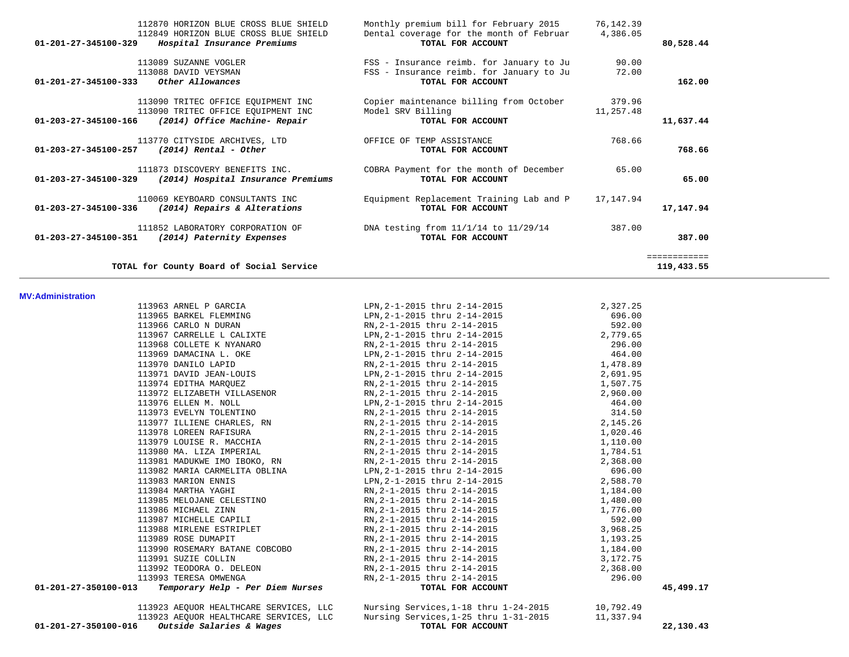|              | 76,142.39 | Monthly premium bill for February 2015                        | 112870 HORIZON BLUE CROSS BLUE SHIELD                                |                                |
|--------------|-----------|---------------------------------------------------------------|----------------------------------------------------------------------|--------------------------------|
| 80,528.44    | 4,386.05  | Dental coverage for the month of Februar<br>TOTAL FOR ACCOUNT | 112849 HORIZON BLUE CROSS BLUE SHIELD<br>Hospital Insurance Premiums | 01-201-27-345100-329           |
|              | 90.00     | FSS - Insurance reimb. for January to Ju                      | 113089 SUZANNE VOGLER                                                |                                |
| 162.00       | 72.00     | FSS - Insurance reimb. for January to Ju<br>TOTAL FOR ACCOUNT | 113088 DAVID VEYSMAN<br>Other Allowances                             | 01-201-27-345100-333           |
|              |           |                                                               |                                                                      |                                |
|              | 379.96    | Copier maintenance billing from October                       | 113090 TRITEC OFFICE EOUIPMENT INC                                   |                                |
| 11,637.44    | 11,257.48 | Model SRV Billing<br>TOTAL FOR ACCOUNT                        | 113090 TRITEC OFFICE EOUIPMENT INC<br>(2014) Office Machine- Repair  | 01-203-27-345100-166           |
|              | 768.66    | OFFICE OF TEMP ASSISTANCE                                     | 113770 CITYSIDE ARCHIVES, LTD                                        |                                |
| 768.66       |           | TOTAL FOR ACCOUNT                                             | $(2014)$ Rental - Other                                              | 01-203-27-345100-257           |
|              | 65.00     | COBRA Payment for the month of December                       | 111873 DISCOVERY BENEFITS INC.                                       |                                |
|              |           | TOTAL FOR ACCOUNT                                             | (2014) Hospital Insurance Premiums                                   | 01-203-27-345100-329           |
|              | 17,147.94 | Equipment Replacement Training Lab and P                      | 110069 KEYBOARD CONSULTANTS INC                                      |                                |
| 17,147.94    |           | TOTAL FOR ACCOUNT                                             | (2014) Repairs & Alterations                                         | $01 - 203 - 27 - 345100 - 336$ |
|              | 387.00    | DNA testing from 11/1/14 to 11/29/14                          | 111852 LABORATORY CORPORATION OF                                     |                                |
| 387.00       |           | TOTAL FOR ACCOUNT                                             | (2014) Paternity Expenses                                            | 01-203-27-345100-351           |
| ============ |           |                                                               |                                                                      |                                |
| 119,433.55   |           |                                                               | TOTAL for County Board of Social Service                             |                                |

### **MV:Administration**

|                      | 113963 ARNEL P GARCIA                                   | LPN, 2-1-2015 thru 2-14-2015                                                                                                        | 2,327.25   |
|----------------------|---------------------------------------------------------|-------------------------------------------------------------------------------------------------------------------------------------|------------|
|                      | 113965 BARKEL FLEMMING                                  | EPN, 2-1-2015 thru 2-14-2015 (96.00)<br>RN, 2-1-2015 thru 2-14-2015 (98.00)                                                         |            |
|                      | 113966 CARLO N DURAN                                    |                                                                                                                                     |            |
|                      |                                                         |                                                                                                                                     |            |
|                      |                                                         |                                                                                                                                     |            |
|                      | 113969 DAMACINA L. OKE                                  | LPN, 2-1-2015 thru 2-14-2015 464.00                                                                                                 |            |
|                      |                                                         | 113970 DANILO LAPID<br>1,478.89<br>113971 DAVID JEAN-LOUIS<br>113971 DAVID JEAN-LOUIS<br>1,691.95                                   |            |
|                      |                                                         |                                                                                                                                     |            |
|                      |                                                         | 113974 EDITHA MARQUEZ <b>EXAMPLE 2015</b> RN, 2-1-2015 thru 2-14-2015 <b>CDITHA MARQUEZ</b>                                         |            |
|                      | 113972 ELIZABETH VILLASENOR RN, 2-1-2015 thru 2-14-2015 |                                                                                                                                     | 2,960.00   |
|                      | 113976 ELLEN M. NOLL                                    | LPN, 2-1-2015 thru 2-14-2015                                                                                                        | 464.00     |
|                      |                                                         |                                                                                                                                     |            |
|                      |                                                         |                                                                                                                                     |            |
|                      |                                                         | 113978 LOREEN RAFISURA <b>EXAMPLE 2015</b> RN, 2-1-2015 thru 2-14-2015 1, 020.46                                                    |            |
|                      | 113979 LOUISE R. MACCHIA                                | RN, 2-1-2015 thru 2-14-2015                                                                                                         | 1,110.00   |
|                      | 113980 MA. LIZA IMPERIAL RN, 2-1-2015 thru 2-14-2015    |                                                                                                                                     | 1,784.51   |
|                      |                                                         | 113981 MADUKWE IMO IBOKO, RN $RN$ RN, $2-1-2015$ thru $2-14-2015$                                                                   | 2,368.00   |
|                      |                                                         | 113982 MARIA CARMELITA OBLINA<br>113983 MARIA CARMELITA OBLINA<br>113983 MARION ENNIS<br>113983 MARION ENNIS<br>113983 MARION ENNIS |            |
|                      |                                                         |                                                                                                                                     |            |
|                      | 113984 MARTHA YAGHI                                     | RN, 2-1-2015 thru 2-14-2015 1, 184.00<br>RN, 2-1-2015 thru 2-14-2015 1, 480.00                                                      |            |
|                      | 113985 MELOJANE CELESTINO                               |                                                                                                                                     |            |
|                      | 113986 MICHAEL ZINN                                     | RN, 2-1-2015 thru 2-14-2015                                                                                                         | 1,776.00   |
|                      |                                                         |                                                                                                                                     |            |
|                      |                                                         |                                                                                                                                     |            |
|                      | 113989 ROSE DUMAPIT                                     | $RN, 2-1-2015$ thru $2-14-2015$ $1,193.25$                                                                                          |            |
|                      | 113990 ROSEMARY BATANE COBCOBO                          | RN, 2-1-2015 thru 2-14-2015                                                                                                         | 1,184.00   |
|                      | 113991 SUZIE COLLIN                                     | RN, 2-1-2015 thru 2-14-2015                                                                                                         | 3, 172. 75 |
|                      | 113992 TEODORA O. DELEON RN, 2-1-2015 thru 2-14-2015    |                                                                                                                                     | 2,368.00   |
|                      | 113993 TERESA OMWENGA                                   |                                                                                                                                     | 296.00     |
| 01-201-27-350100-013 | Temporary Help - Per Diem Nurses                        | RN, 2-1-2015 thru 2-14-2015<br>RN, 2-1-2015 thru 2-14-2015                                                                          | 45,499.17  |
|                      | 113923 AEQUOR HEALTHCARE SERVICES, LLC                  | Nursing Services, 1-18 thru 1-24-2015                                                                                               | 10,792.49  |

| L FOR ACCOUNT |  |
|---------------|--|
|---------------|--|

113923 AEQUOR HEALTHCARE SERVICES, LLC Nursing Services,1-25 thru 1-31-2015 11,337.94

 **01-201-27-350100-016** *Outside Salaries & Wages* **TOTAL FOR ACCOUNT 22,130.43**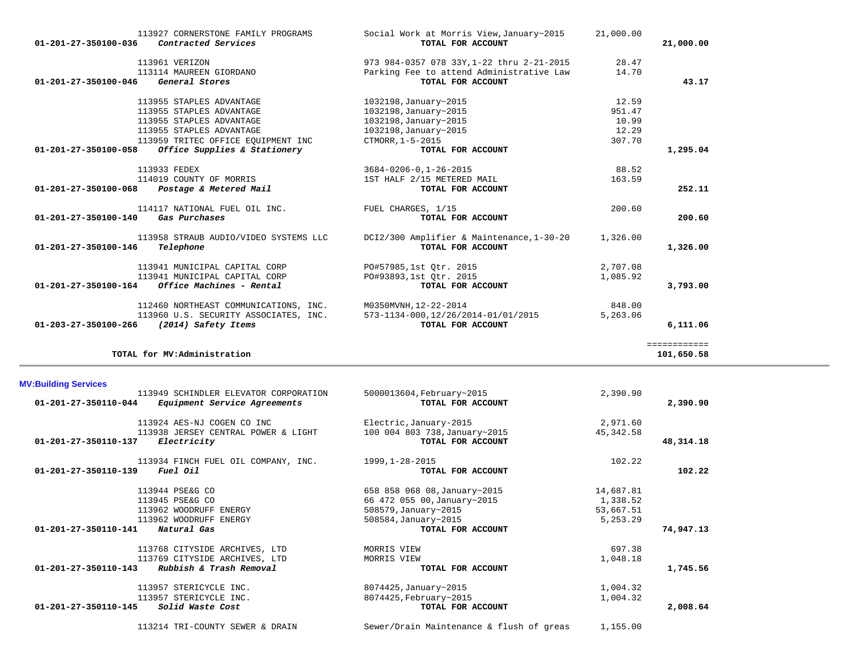113938 JERSEY CENTRAL POWER & LIGHT

113214 TRI-COUNTY SEWER & DRAIN Sewer/Drain Maintenance & flush of greas 1,155.00

| 113934 FINCH FUEL OIL COMPANY, INC.             | 1999,1-28-2015               | 102.22    |           |
|-------------------------------------------------|------------------------------|-----------|-----------|
| 01-201-27-350110-139<br><i>Fuel Oil</i>         | TOTAL FOR ACCOUNT            |           | 102.22    |
| 113944 PSE&G CO                                 | 658 858 068 08, January~2015 | 14,687.81 |           |
| 113945 PSE&G CO                                 | 66 472 055 00, January~2015  | 1,338.52  |           |
| 113962 WOODRUFF ENERGY                          | 508579, January~2015         | 53,667.51 |           |
| 113962 WOODRUFF ENERGY                          | 508584, January~2015         | 5,253.29  |           |
| 01-201-27-350110-141<br>Natural Gas             | TOTAL FOR ACCOUNT            |           | 74,947.13 |
| 113768 CITYSIDE ARCHIVES, LTD                   | MORRIS VIEW                  | 697.38    |           |
| 113769 CITYSIDE ARCHIVES, LTD                   | MORRIS VIEW                  | 1,048.18  |           |
| Rubbish & Trash Removal<br>01-201-27-350110-143 | TOTAL FOR ACCOUNT            |           | 1,745.56  |
| 113957 STERICYCLE INC.                          | 8074425, January~2015        | 1,004.32  |           |
| 113957 STERICYCLE INC.                          | 8074425, February~2015       | 1,004.32  |           |
| 01-201-27-350110-145<br>Solid Waste Cost        | TOTAL FOR ACCOUNT            |           | 2,008.64  |
|                                                 |                              |           |           |

113924 AES-NJ COGEN CO INC<br>113938 JERSEY CENTRAL POWER & LIGHT 100 004 803 738, January~2015 45, 342.58

 **01-201-27-350110-137** *Electricity* **TOTAL FOR ACCOUNT 48,314.18**

| $01 - 201 - 27 - 350100 - 164$ | 113941 MUNICIPAL CAPITAL CORP<br>Office Machines - Rental    | PO#93893,1st Otr. 2015<br>TOTAL FOR ACCOUNT              | 1,085.92<br>3,793.00 |
|--------------------------------|--------------------------------------------------------------|----------------------------------------------------------|----------------------|
|                                | 112460 NORTHEAST COMMUNICATIONS, INC.                        | M0350MVNH, 12-22-2014                                    | 848.00               |
| $01 - 203 - 27 - 350100 - 266$ | 113960 U.S. SECURITY ASSOCIATES, INC.<br>(2014) Safety Items | 573-1134-000, 12/26/2014-01/01/2015<br>TOTAL FOR ACCOUNT | 5,263.06<br>6,111.06 |
|                                |                                                              |                                                          |                      |
|                                | TOTAL for MV:Administration                                  |                                                          | 101,650.58           |
| <b>MV:Building Services</b>    |                                                              |                                                          |                      |

| エエウンシン エビロビム                                         | 3004-0400-0,1-40-4013                     | 00.J4    |          |
|------------------------------------------------------|-------------------------------------------|----------|----------|
| 114019 COUNTY OF MORRIS                              | 1ST HALF 2/15 METERED MAIL                | 163.59   |          |
| 01-201-27-350100-068<br>Postage & Metered Mail       | TOTAL FOR ACCOUNT                         |          | 252.11   |
| 114117 NATIONAL FUEL OIL INC.                        | FUEL CHARGES, 1/15                        | 200.60   |          |
| 01-201-27-350100-140<br>Gas Purchases                | TOTAL FOR ACCOUNT                         |          | 200.60   |
| 113958 STRAUB AUDIO/VIDEO SYSTEMS LLC                | DCI2/300 Amplifier & Maintenance, 1-30-20 | 1,326.00 |          |
| 01-201-27-350100-146<br>Telephone                    | TOTAL FOR ACCOUNT                         |          | 1,326.00 |
| 113941 MUNICIPAL CAPITAL CORP                        | PO#57985,1st Otr. 2015                    | 2,707.08 |          |
| 113941 MUNICIPAL CAPITAL CORP                        | PO#93893,1st Otr. 2015                    | 1,085.92 |          |
| 01-201-27-350100-164<br>Office Machines - Rental     | TOTAL FOR ACCOUNT                         |          | 3,793.00 |
| $110100$ Mondunaed colestinized and $\overline{110}$ | 140250167777772000000014                  | 0.1000   |          |

| 113927 CORNERSTONE FAMILY PROGRAMS<br>Contracted Services<br>01-201-27-350100-036 | Social Work at Morris View, January~2015<br>TOTAL FOR ACCOUNT | 21,000.00 | 21,000.00 |
|-----------------------------------------------------------------------------------|---------------------------------------------------------------|-----------|-----------|
| 113961 VERIZON                                                                    | 973 984-0357 078 33Y, 1-22 thru 2-21-2015                     | 28.47     |           |
| 113114 MAUREEN GIORDANO                                                           | Parking Fee to attend Administrative Law                      | 14.70     |           |
| 01-201-27-350100-046<br>General Stores                                            | TOTAL FOR ACCOUNT                                             |           | 43.17     |
| 113955 STAPLES ADVANTAGE                                                          | 1032198, January~2015                                         | 12.59     |           |
| 113955 STAPLES ADVANTAGE                                                          | 1032198, January~2015                                         | 951.47    |           |
| 113955 STAPLES ADVANTAGE                                                          | 1032198, January~2015                                         | 10.99     |           |
| 113955 STAPLES ADVANTAGE                                                          | 1032198, January~2015                                         | 12.29     |           |
| 113959 TRITEC OFFICE EOUIPMENT INC                                                | CTMORR, 1-5-2015                                              | 307.70    |           |
| Office Supplies & Stationery<br>01-201-27-350100-058                              | TOTAL FOR ACCOUNT                                             |           | 1,295.04  |
| 113933 FEDEX                                                                      | 3684-0206-0,1-26-2015                                         | 88.52     |           |
| 114019 COUNTY OF MORRIS                                                           | 1ST HALF 2/15 METERED MAIL                                    | 163.59    |           |
| Postage & Metered Mail<br>01-201-27-350100-068                                    | TOTAL FOR ACCOUNT                                             |           | 252.11    |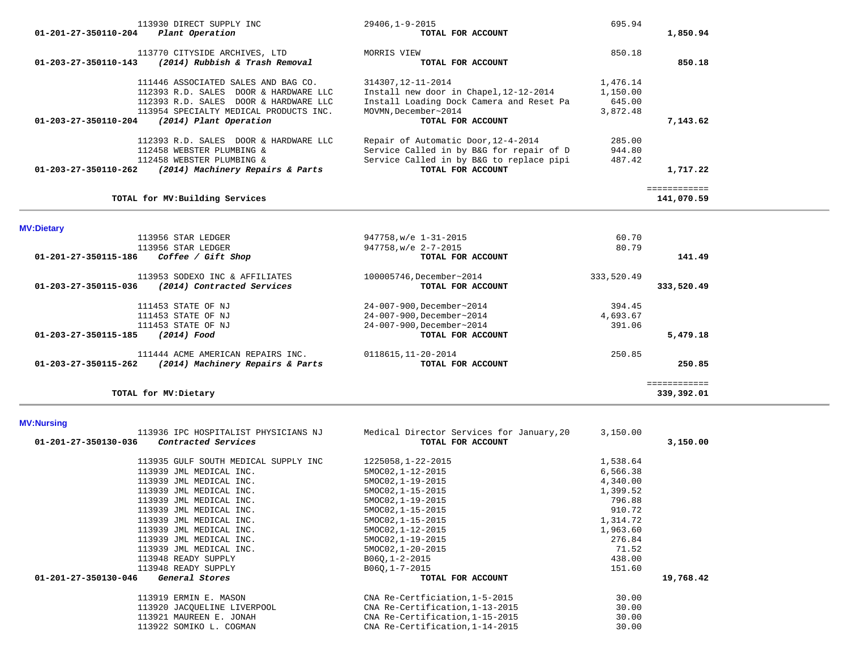| 113930 DIRECT SUPPLY INC<br>Plant Operation<br>01-201-27-350110-204                               | 29406,1-9-2015<br>TOTAL FOR ACCOUNT                                                  | 695.94               | 1,850.94                   |  |
|---------------------------------------------------------------------------------------------------|--------------------------------------------------------------------------------------|----------------------|----------------------------|--|
| 113770 CITYSIDE ARCHIVES, LTD<br>(2014) Rubbish & Trash Removal<br>$01 - 203 - 27 - 350110 - 143$ | MORRIS VIEW<br>TOTAL FOR ACCOUNT                                                     | 850.18               | 850.18                     |  |
| 111446 ASSOCIATED SALES AND BAG CO.<br>112393 R.D. SALES DOOR & HARDWARE LLC                      | 314307, 12-11-2014<br>Install new door in Chapel, 12-12-2014                         | 1,476.14<br>1,150.00 |                            |  |
| 112393 R.D. SALES DOOR & HARDWARE LLC<br>113954 SPECIALTY MEDICAL PRODUCTS INC.                   | Install Loading Dock Camera and Reset Pa<br>MOVMN.December~2014                      | 645.00<br>3,872.48   |                            |  |
| (2014) Plant Operation<br>01-203-27-350110-204                                                    | TOTAL FOR ACCOUNT                                                                    |                      | 7,143.62                   |  |
| 112393 R.D. SALES DOOR & HARDWARE LLC                                                             | Repair of Automatic Door, 12-4-2014                                                  | 285.00               |                            |  |
| 112458 WEBSTER PLUMBING &<br>112458 WEBSTER PLUMBING &                                            | Service Called in by B&G for repair of D<br>Service Called in by B&G to replace pipi | 944.80<br>487.42     |                            |  |
| (2014) Machinery Repairs & Parts<br>$01 - 203 - 27 - 350110 - 262$                                | TOTAL FOR ACCOUNT                                                                    |                      | 1,717.22                   |  |
| TOTAL for MV: Building Services                                                                   |                                                                                      |                      | ============<br>141,070.59 |  |
| <b>MV:Dietary</b>                                                                                 |                                                                                      |                      |                            |  |
| 113956 STAR LEDGER                                                                                | 947758, w/e 1-31-2015                                                                | 60.70                |                            |  |
| 113956 STAR LEDGER                                                                                | 947758.w/e 2-7-2015                                                                  | 80.79                |                            |  |
| 01-201-27-350115-186<br>Coffee / Gift Shop                                                        | TOTAL FOR ACCOUNT                                                                    |                      | 141.49                     |  |
| 113953 SODEXO INC & AFFILIATES                                                                    | 100005746, December~2014                                                             | 333,520.49           |                            |  |
| (2014) Contracted Services<br>01-203-27-350115-036                                                |                                                                                      |                      | 333,520.49                 |  |
|                                                                                                   | TOTAL FOR ACCOUNT                                                                    |                      |                            |  |
| 111453 STATE OF NJ                                                                                | 24-007-900, December~2014                                                            | 394.45               |                            |  |
| 111453 STATE OF NJ                                                                                | 24-007-900, December~2014                                                            | 4,693.67             |                            |  |
| 111453 STATE OF NJ                                                                                | 24-007-900, December~2014                                                            | 391.06               |                            |  |
| (2014) Food<br>01-203-27-350115-185                                                               | TOTAL FOR ACCOUNT                                                                    |                      | 5,479.18                   |  |

 **01-203-27-350115-262** *(2014) Machinery Repairs & Parts* **TOTAL FOR ACCOUNT 250.85**

# **TOTAL for MV:Dietary 339,392.01**

 ============ 339,392.01

# **MV:Nursing**

|                                 | 3,150.00 |                                           |
|---------------------------------|----------|-------------------------------------------|
| TOTAL FOR ACCOUNT               |          | 3,150.00                                  |
| 1225058,1-22-2015               | 1,538.64 |                                           |
| 5MOC02, 1-12-2015               | 6,566.38 |                                           |
| 5MOC02, 1-19-2015               | 4,340.00 |                                           |
| 5MOC02, 1-15-2015               | 1,399.52 |                                           |
| 5MOC02, 1-19-2015               | 796.88   |                                           |
| 5MOC02, 1-15-2015               | 910.72   |                                           |
| 5MOC02, 1-15-2015               | 1,314.72 |                                           |
| 5MOC02, 1-12-2015               | 1,963.60 |                                           |
| 5MOC02, 1-19-2015               | 276.84   |                                           |
| 5MOC02, 1-20-2015               | 71.52    |                                           |
| B060, 1-2-2015                  | 438.00   |                                           |
| B060, 1-7-2015                  | 151.60   |                                           |
| TOTAL FOR ACCOUNT               |          | 19,768.42                                 |
| CNA Re-Certficiation, 1-5-2015  | 30.00    |                                           |
| CNA Re-Certification, 1-13-2015 | 30.00    |                                           |
| CNA Re-Certification, 1-15-2015 | 30.00    |                                           |
| CNA Re-Certification, 1-14-2015 | 30.00    |                                           |
|                                 |          | Medical Director Services for January, 20 |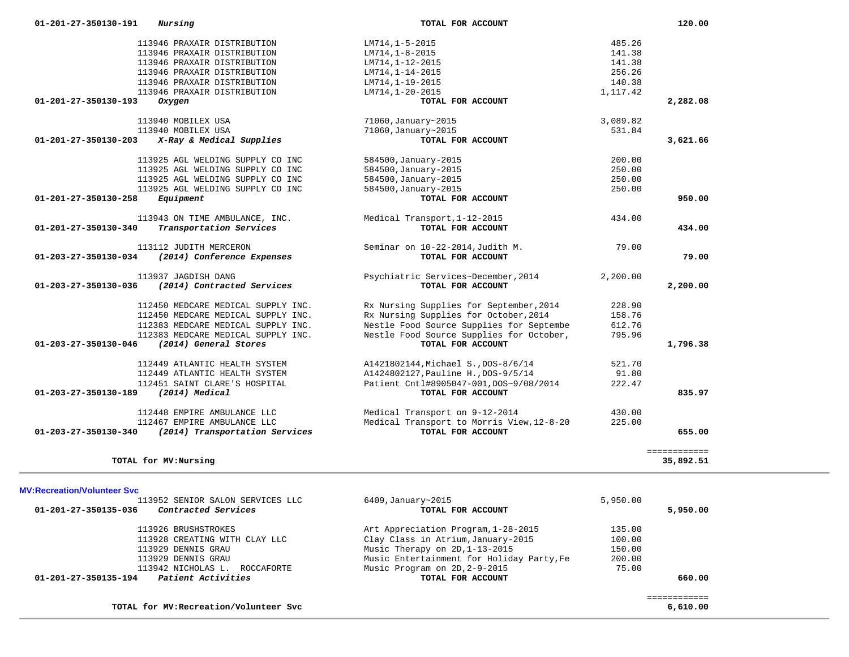| 01-201-27-350130-191           | Nursing                            | TOTAL FOR ACCOUNT                         |          | 120.00       |
|--------------------------------|------------------------------------|-------------------------------------------|----------|--------------|
|                                | 113946 PRAXAIR DISTRIBUTION        | LM714,1-5-2015                            | 485.26   |              |
|                                | 113946 PRAXAIR DISTRIBUTION        | $LM714, 1-8-2015$                         | 141.38   |              |
|                                | 113946 PRAXAIR DISTRIBUTION        | LM714, 1-12-2015                          | 141.38   |              |
|                                | 113946 PRAXAIR DISTRIBUTION        | LM714, 1-14-2015                          | 256.26   |              |
|                                | 113946 PRAXAIR DISTRIBUTION        | LM714, 1-19-2015                          | 140.38   |              |
|                                | 113946 PRAXAIR DISTRIBUTION        | LM714, 1-20-2015                          | 1,117.42 |              |
| 01-201-27-350130-193           | Oxygen                             | TOTAL FOR ACCOUNT                         |          | 2,282.08     |
|                                | 113940 MOBILEX USA                 | 71060, January~2015                       | 3,089.82 |              |
|                                | 113940 MOBILEX USA                 | 71060, January~2015                       | 531.84   |              |
| $01 - 201 - 27 - 350130 - 203$ | X-Ray & Medical Supplies           | TOTAL FOR ACCOUNT                         |          | 3,621.66     |
|                                | 113925 AGL WELDING SUPPLY CO INC   | 584500, January-2015                      | 200.00   |              |
|                                | 113925 AGL WELDING SUPPLY CO INC   | 584500, January-2015                      | 250.00   |              |
|                                | 113925 AGL WELDING SUPPLY CO INC   | 584500, January-2015                      | 250.00   |              |
|                                | 113925 AGL WELDING SUPPLY CO INC   | 584500, January-2015                      | 250.00   |              |
| 01-201-27-350130-258           | Equipment                          | TOTAL FOR ACCOUNT                         |          | 950.00       |
|                                | 113943 ON TIME AMBULANCE, INC.     | Medical Transport, 1-12-2015              | 434.00   |              |
| 01-201-27-350130-340           | Transportation Services            | TOTAL FOR ACCOUNT                         |          | 434.00       |
|                                | 113112 JUDITH MERCERON             | Seminar on 10-22-2014, Judith M.          | 79.00    |              |
| 01-203-27-350130-034           | (2014) Conference Expenses         | TOTAL FOR ACCOUNT                         |          | 79.00        |
|                                | 113937 JAGDISH DANG                | Psychiatric Services~December, 2014       | 2,200.00 |              |
| 01-203-27-350130-036           | (2014) Contracted Services         | TOTAL FOR ACCOUNT                         |          | 2,200.00     |
|                                | 112450 MEDCARE MEDICAL SUPPLY INC. | Rx Nursing Supplies for September, 2014   | 228.90   |              |
|                                | 112450 MEDCARE MEDICAL SUPPLY INC. | Rx Nursing Supplies for October, 2014     | 158.76   |              |
|                                | 112383 MEDCARE MEDICAL SUPPLY INC. | Nestle Food Source Supplies for Septembe  | 612.76   |              |
|                                | 112383 MEDCARE MEDICAL SUPPLY INC. | Nestle Food Source Supplies for October,  | 795.96   |              |
| 01-203-27-350130-046           | (2014) General Stores              | TOTAL FOR ACCOUNT                         |          | 1,796.38     |
|                                | 112449 ATLANTIC HEALTH SYSTEM      | A1421802144, Michael S., DOS-8/6/14       | 521.70   |              |
|                                | 112449 ATLANTIC HEALTH SYSTEM      | A1424802127, Pauline H., DOS-9/5/14       | 91.80    |              |
|                                | 112451 SAINT CLARE'S HOSPITAL      | Patient Cntl#8905047-001, DOS~9/08/2014   | 222.47   |              |
| 01-203-27-350130-189           | (2014) Medical                     | TOTAL FOR ACCOUNT                         |          | 835.97       |
|                                | 112448 EMPIRE AMBULANCE LLC        | Medical Transport on 9-12-2014            | 430.00   |              |
|                                | 112467 EMPIRE AMBULANCE LLC        | Medical Transport to Morris View, 12-8-20 | 225.00   |              |
| 01-203-27-350130-340           | (2014) Transportation Services     | TOTAL FOR ACCOUNT                         |          | 655.00       |
|                                |                                    |                                           |          | ============ |
|                                | TOTAL for MV: Nursing              |                                           |          | 35,892.51    |

### **MV:Recreation/Volunteer Svc**

| 113952 SENIOR SALON SERVICES LLC            | $6409$ , January~2015                     | 5,950.00 |          |
|---------------------------------------------|-------------------------------------------|----------|----------|
| 01-201-27-350135-036<br>Contracted Services | TOTAL FOR ACCOUNT                         |          | 5,950.00 |
| 113926 BRUSHSTROKES                         | Art Appreciation Program, 1-28-2015       | 135.00   |          |
| 113928 CREATING WITH CLAY LLC               | Clay Class in Atrium, January-2015        | 100.00   |          |
| 113929 DENNIS GRAU                          | Music Therapy on 2D, 1-13-2015            | 150.00   |          |
| 113929 DENNIS GRAU                          | Music Entertainment for Holiday Party, Fe | 200.00   |          |
| 113942 NICHOLAS L.<br>ROCCAFORTE            | Music Program on 2D, 2-9-2015             | 75.00    |          |
| Patient Activities<br>01-201-27-350135-194  | TOTAL FOR ACCOUNT                         |          | 660.00   |
|                                             |                                           |          |          |
| TOTAL for MV: Recreation/Volunteer Svc      |                                           |          | 6,610.00 |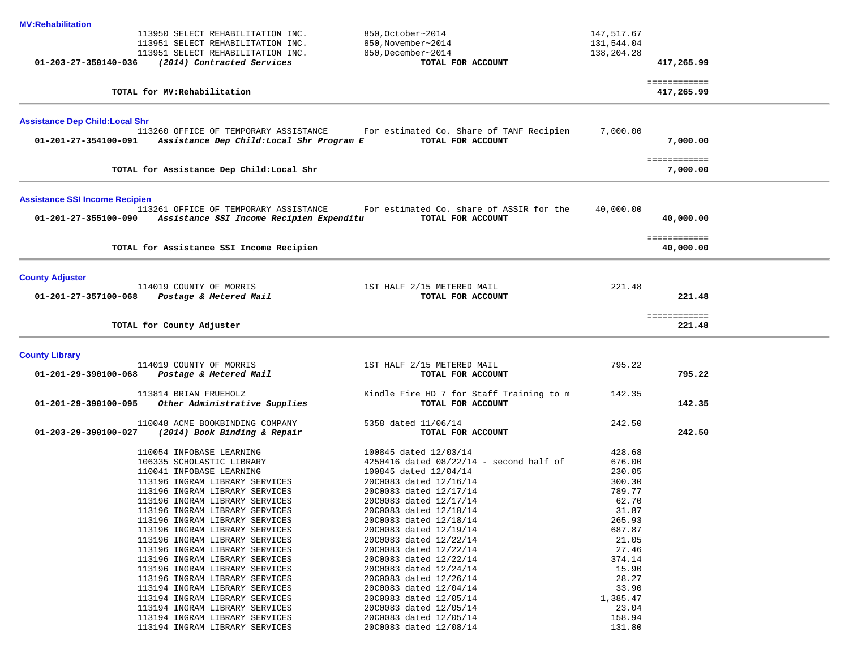| <b>MV:Rehabilitation</b>               |                                                                                   |                                                               |            |                            |  |
|----------------------------------------|-----------------------------------------------------------------------------------|---------------------------------------------------------------|------------|----------------------------|--|
|                                        | 113950 SELECT REHABILITATION INC.                                                 | 850, October~2014                                             | 147,517.67 |                            |  |
|                                        | 113951 SELECT REHABILITATION INC.                                                 | 850, November~2014                                            | 131,544.04 |                            |  |
|                                        | 113951 SELECT REHABILITATION INC.                                                 | 850, December~2014                                            | 138,204.28 |                            |  |
| 01-203-27-350140-036                   | (2014) Contracted Services                                                        | TOTAL FOR ACCOUNT                                             |            | 417,265.99                 |  |
|                                        | TOTAL for MV: Rehabilitation                                                      |                                                               |            | ============<br>417,265.99 |  |
|                                        |                                                                                   |                                                               |            |                            |  |
| <b>Assistance Dep Child: Local Shr</b> | 113260 OFFICE OF TEMPORARY ASSISTANCE                                             | For estimated Co. Share of TANF Recipien                      | 7,000.00   |                            |  |
| 01-201-27-354100-091                   | Assistance Dep Child:Local Shr Program E                                          | TOTAL FOR ACCOUNT                                             |            | 7,000.00                   |  |
|                                        | TOTAL for Assistance Dep Child: Local Shr                                         |                                                               |            | ============<br>7,000.00   |  |
| <b>Assistance SSI Income Recipien</b>  |                                                                                   |                                                               |            |                            |  |
| 01-201-27-355100-090                   | 113261 OFFICE OF TEMPORARY ASSISTANCE<br>Assistance SSI Income Recipien Expenditu | For estimated Co. share of ASSIR for the<br>TOTAL FOR ACCOUNT | 40,000.00  | 40,000.00                  |  |
|                                        |                                                                                   |                                                               |            | ============               |  |
|                                        | TOTAL for Assistance SSI Income Recipien                                          |                                                               |            | 40,000.00                  |  |
| <b>County Adjuster</b>                 |                                                                                   |                                                               |            |                            |  |
| 01-201-27-357100-068                   | 114019 COUNTY OF MORRIS<br>Postage & Metered Mail                                 | 1ST HALF 2/15 METERED MAIL<br>TOTAL FOR ACCOUNT               | 221.48     | 221.48                     |  |
|                                        |                                                                                   |                                                               |            |                            |  |
|                                        | TOTAL for County Adjuster                                                         |                                                               |            | ============<br>221.48     |  |
| <b>County Library</b>                  |                                                                                   |                                                               |            |                            |  |
|                                        | 114019 COUNTY OF MORRIS                                                           | 1ST HALF 2/15 METERED MAIL                                    | 795.22     |                            |  |
| 01-201-29-390100-068                   | Postage & Metered Mail                                                            | TOTAL FOR ACCOUNT                                             |            | 795.22                     |  |
|                                        | 113814 BRIAN FRUEHOLZ                                                             | Kindle Fire HD 7 for Staff Training to m                      | 142.35     |                            |  |
| 01-201-29-390100-095                   | Other Administrative Supplies                                                     | TOTAL FOR ACCOUNT                                             |            | 142.35                     |  |
|                                        | 110048 ACME BOOKBINDING COMPANY                                                   | 5358 dated 11/06/14                                           | 242.50     |                            |  |
| $01 - 203 - 29 - 390100 - 027$         | (2014) Book Binding & Repair                                                      | TOTAL FOR ACCOUNT                                             |            | 242.50                     |  |
|                                        | 110054 INFOBASE LEARNING                                                          | 100845 dated 12/03/14                                         | 428.68     |                            |  |
|                                        | 106335 SCHOLASTIC LIBRARY                                                         | 4250416 dated 08/22/14 - second half of                       | 676.00     |                            |  |
|                                        | 110041 INFOBASE LEARNING                                                          | 100845 dated 12/04/14                                         | 230.05     |                            |  |
|                                        | 113196 INGRAM LIBRARY SERVICES                                                    | 20C0083 dated 12/16/14                                        | 300.30     |                            |  |
|                                        | 113196 INGRAM LIBRARY SERVICES                                                    | 20C0083 dated 12/17/14                                        | 789.77     |                            |  |
|                                        | 113196 INGRAM LIBRARY SERVICES                                                    | 20C0083 dated 12/17/14                                        | 62.70      |                            |  |
|                                        | 113196 INGRAM LIBRARY SERVICES                                                    | 20C0083 dated 12/18/14                                        | 31.87      |                            |  |
|                                        | 113196 INGRAM LIBRARY SERVICES                                                    | 20C0083 dated 12/18/14                                        | 265.93     |                            |  |
|                                        | 113196 INGRAM LIBRARY SERVICES                                                    | 20C0083 dated 12/19/14                                        | 687.87     |                            |  |
|                                        | 113196 INGRAM LIBRARY SERVICES                                                    | 20C0083 dated 12/22/14                                        | 21.05      |                            |  |
|                                        | 113196 INGRAM LIBRARY SERVICES                                                    | 20C0083 dated 12/22/14                                        | 27.46      |                            |  |
|                                        | 113196 INGRAM LIBRARY SERVICES                                                    | 20C0083 dated 12/22/14                                        | 374.14     |                            |  |
|                                        | 113196 INGRAM LIBRARY SERVICES                                                    | 20C0083 dated 12/24/14                                        | 15.90      |                            |  |
|                                        | 113196 INGRAM LIBRARY SERVICES                                                    | 20C0083 dated 12/26/14                                        | 28.27      |                            |  |
|                                        | 113194 INGRAM LIBRARY SERVICES                                                    | 20C0083 dated 12/04/14                                        | 33.90      |                            |  |
|                                        | 113194 INGRAM LIBRARY SERVICES                                                    | 20C0083 dated 12/05/14                                        | 1,385.47   |                            |  |
|                                        | 113194 INGRAM LIBRARY SERVICES                                                    | 20C0083 dated 12/05/14                                        | 23.04      |                            |  |
|                                        | 113194 INGRAM LIBRARY SERVICES                                                    | 20C0083 dated 12/05/14                                        | 158.94     |                            |  |
|                                        | 113194 INGRAM LIBRARY SERVICES                                                    | 20C0083 dated 12/08/14                                        | 131.80     |                            |  |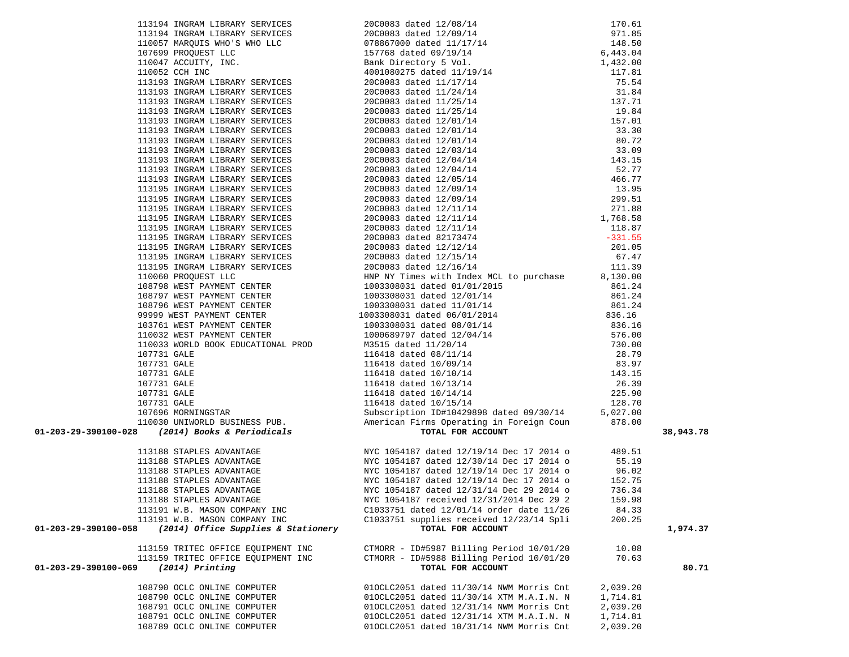| 1991244 FINDAPA (1990245 FINDAPA 199224 199254 Accel 1798)<br>199244 1199246 1199247 FINDAPA 1992524 20224 20224 119924<br>19925 119924 120224 119924 119924 119924 119924 119924<br>19925 119924 120224 119924 119924 119924 11992<br>38,943.78<br>113188 STAPLES ADVANTAGE MYC 1054187 dated 12/19/14 Dec 17 2014 o 489.51<br>113188 STAPLES ADVANTAGE MYC 1054187 dated 12/30/14 Dec 17 2014 o 55.19<br>113188 STAPLES ADVANTAGE MYC 1054187 dated 12/19/14 Dec 17 2014 o 96.02<br>1131<br>113188 STAPLES ADVANTAGE<br>NYC 1054187 received 12/31/2014 Dec 29 2<br>159.98<br>113191 W.B. MASON COMPANY INC<br>C1033751 dated 12/01/14 order date 11/26<br>84.33<br>113191 W.B. MASON COMPANY INC<br>C1033751 supplies received 12/23/14 Spli<br>200.25<br>01-203-29-390100-058<br>(2014) Office Supplies & Stationery<br>TOTAL FOR ACCOUNT<br>1,974.37<br>113159 TRITEC OFFICE EQUIPMENT INC<br>CTMORR - ID#5987 Billing Period 10/01/20<br>10.08<br>113159 TRITEC OFFICE EQUIPMENT INC<br>CTMORR - ID#5988 Billing Period 10/01/20<br>70.63<br>01-203-29-390100-069<br>$(2014)$ Printing<br>TOTAL FOR ACCOUNT<br>80.71<br>108790 OCLC ONLINE COMPUTER<br>010CLC2051 dated 11/30/14 NWM Morris Cnt<br>2,039.20<br>108790 OCLC ONLINE COMPUTER<br>010CLC2051 dated 11/30/14 XTM M.A.I.N. N<br>1,714.81<br>108791 OCLC ONLINE COMPUTER<br>010CLC2051 dated 12/31/14 NWM Morris Cnt<br>2,039.20<br>108791 OCLC ONLINE COMPUTER<br>010CLC2051 dated 12/31/14 XTM M.A.I.N. N<br>1,714.81 |                             |                                          |          |  |
|----------------------------------------------------------------------------------------------------------------------------------------------------------------------------------------------------------------------------------------------------------------------------------------------------------------------------------------------------------------------------------------------------------------------------------------------------------------------------------------------------------------------------------------------------------------------------------------------------------------------------------------------------------------------------------------------------------------------------------------------------------------------------------------------------------------------------------------------------------------------------------------------------------------------------------------------------------------------------------------------------------------------------------------------------------------------------------------------------------------------------------------------------------------------------------------------------------------------------------------------------------------------------------------------------------------------------------------------------------------------------------------------------------------------------------------------------------------------------------------|-----------------------------|------------------------------------------|----------|--|
|                                                                                                                                                                                                                                                                                                                                                                                                                                                                                                                                                                                                                                                                                                                                                                                                                                                                                                                                                                                                                                                                                                                                                                                                                                                                                                                                                                                                                                                                                        |                             |                                          |          |  |
|                                                                                                                                                                                                                                                                                                                                                                                                                                                                                                                                                                                                                                                                                                                                                                                                                                                                                                                                                                                                                                                                                                                                                                                                                                                                                                                                                                                                                                                                                        |                             |                                          |          |  |
|                                                                                                                                                                                                                                                                                                                                                                                                                                                                                                                                                                                                                                                                                                                                                                                                                                                                                                                                                                                                                                                                                                                                                                                                                                                                                                                                                                                                                                                                                        |                             |                                          |          |  |
|                                                                                                                                                                                                                                                                                                                                                                                                                                                                                                                                                                                                                                                                                                                                                                                                                                                                                                                                                                                                                                                                                                                                                                                                                                                                                                                                                                                                                                                                                        |                             |                                          |          |  |
|                                                                                                                                                                                                                                                                                                                                                                                                                                                                                                                                                                                                                                                                                                                                                                                                                                                                                                                                                                                                                                                                                                                                                                                                                                                                                                                                                                                                                                                                                        |                             |                                          |          |  |
|                                                                                                                                                                                                                                                                                                                                                                                                                                                                                                                                                                                                                                                                                                                                                                                                                                                                                                                                                                                                                                                                                                                                                                                                                                                                                                                                                                                                                                                                                        |                             |                                          |          |  |
|                                                                                                                                                                                                                                                                                                                                                                                                                                                                                                                                                                                                                                                                                                                                                                                                                                                                                                                                                                                                                                                                                                                                                                                                                                                                                                                                                                                                                                                                                        |                             |                                          |          |  |
|                                                                                                                                                                                                                                                                                                                                                                                                                                                                                                                                                                                                                                                                                                                                                                                                                                                                                                                                                                                                                                                                                                                                                                                                                                                                                                                                                                                                                                                                                        |                             |                                          |          |  |
|                                                                                                                                                                                                                                                                                                                                                                                                                                                                                                                                                                                                                                                                                                                                                                                                                                                                                                                                                                                                                                                                                                                                                                                                                                                                                                                                                                                                                                                                                        |                             |                                          |          |  |
|                                                                                                                                                                                                                                                                                                                                                                                                                                                                                                                                                                                                                                                                                                                                                                                                                                                                                                                                                                                                                                                                                                                                                                                                                                                                                                                                                                                                                                                                                        |                             |                                          |          |  |
|                                                                                                                                                                                                                                                                                                                                                                                                                                                                                                                                                                                                                                                                                                                                                                                                                                                                                                                                                                                                                                                                                                                                                                                                                                                                                                                                                                                                                                                                                        |                             |                                          |          |  |
|                                                                                                                                                                                                                                                                                                                                                                                                                                                                                                                                                                                                                                                                                                                                                                                                                                                                                                                                                                                                                                                                                                                                                                                                                                                                                                                                                                                                                                                                                        |                             |                                          |          |  |
|                                                                                                                                                                                                                                                                                                                                                                                                                                                                                                                                                                                                                                                                                                                                                                                                                                                                                                                                                                                                                                                                                                                                                                                                                                                                                                                                                                                                                                                                                        |                             |                                          |          |  |
|                                                                                                                                                                                                                                                                                                                                                                                                                                                                                                                                                                                                                                                                                                                                                                                                                                                                                                                                                                                                                                                                                                                                                                                                                                                                                                                                                                                                                                                                                        |                             |                                          |          |  |
|                                                                                                                                                                                                                                                                                                                                                                                                                                                                                                                                                                                                                                                                                                                                                                                                                                                                                                                                                                                                                                                                                                                                                                                                                                                                                                                                                                                                                                                                                        |                             |                                          |          |  |
|                                                                                                                                                                                                                                                                                                                                                                                                                                                                                                                                                                                                                                                                                                                                                                                                                                                                                                                                                                                                                                                                                                                                                                                                                                                                                                                                                                                                                                                                                        |                             |                                          |          |  |
|                                                                                                                                                                                                                                                                                                                                                                                                                                                                                                                                                                                                                                                                                                                                                                                                                                                                                                                                                                                                                                                                                                                                                                                                                                                                                                                                                                                                                                                                                        |                             |                                          |          |  |
|                                                                                                                                                                                                                                                                                                                                                                                                                                                                                                                                                                                                                                                                                                                                                                                                                                                                                                                                                                                                                                                                                                                                                                                                                                                                                                                                                                                                                                                                                        |                             |                                          |          |  |
|                                                                                                                                                                                                                                                                                                                                                                                                                                                                                                                                                                                                                                                                                                                                                                                                                                                                                                                                                                                                                                                                                                                                                                                                                                                                                                                                                                                                                                                                                        |                             |                                          |          |  |
|                                                                                                                                                                                                                                                                                                                                                                                                                                                                                                                                                                                                                                                                                                                                                                                                                                                                                                                                                                                                                                                                                                                                                                                                                                                                                                                                                                                                                                                                                        |                             |                                          |          |  |
|                                                                                                                                                                                                                                                                                                                                                                                                                                                                                                                                                                                                                                                                                                                                                                                                                                                                                                                                                                                                                                                                                                                                                                                                                                                                                                                                                                                                                                                                                        |                             |                                          |          |  |
|                                                                                                                                                                                                                                                                                                                                                                                                                                                                                                                                                                                                                                                                                                                                                                                                                                                                                                                                                                                                                                                                                                                                                                                                                                                                                                                                                                                                                                                                                        |                             |                                          |          |  |
|                                                                                                                                                                                                                                                                                                                                                                                                                                                                                                                                                                                                                                                                                                                                                                                                                                                                                                                                                                                                                                                                                                                                                                                                                                                                                                                                                                                                                                                                                        |                             |                                          |          |  |
|                                                                                                                                                                                                                                                                                                                                                                                                                                                                                                                                                                                                                                                                                                                                                                                                                                                                                                                                                                                                                                                                                                                                                                                                                                                                                                                                                                                                                                                                                        |                             |                                          |          |  |
|                                                                                                                                                                                                                                                                                                                                                                                                                                                                                                                                                                                                                                                                                                                                                                                                                                                                                                                                                                                                                                                                                                                                                                                                                                                                                                                                                                                                                                                                                        |                             |                                          |          |  |
|                                                                                                                                                                                                                                                                                                                                                                                                                                                                                                                                                                                                                                                                                                                                                                                                                                                                                                                                                                                                                                                                                                                                                                                                                                                                                                                                                                                                                                                                                        |                             |                                          |          |  |
|                                                                                                                                                                                                                                                                                                                                                                                                                                                                                                                                                                                                                                                                                                                                                                                                                                                                                                                                                                                                                                                                                                                                                                                                                                                                                                                                                                                                                                                                                        |                             |                                          |          |  |
|                                                                                                                                                                                                                                                                                                                                                                                                                                                                                                                                                                                                                                                                                                                                                                                                                                                                                                                                                                                                                                                                                                                                                                                                                                                                                                                                                                                                                                                                                        |                             |                                          |          |  |
|                                                                                                                                                                                                                                                                                                                                                                                                                                                                                                                                                                                                                                                                                                                                                                                                                                                                                                                                                                                                                                                                                                                                                                                                                                                                                                                                                                                                                                                                                        |                             |                                          |          |  |
|                                                                                                                                                                                                                                                                                                                                                                                                                                                                                                                                                                                                                                                                                                                                                                                                                                                                                                                                                                                                                                                                                                                                                                                                                                                                                                                                                                                                                                                                                        |                             |                                          |          |  |
|                                                                                                                                                                                                                                                                                                                                                                                                                                                                                                                                                                                                                                                                                                                                                                                                                                                                                                                                                                                                                                                                                                                                                                                                                                                                                                                                                                                                                                                                                        |                             |                                          |          |  |
|                                                                                                                                                                                                                                                                                                                                                                                                                                                                                                                                                                                                                                                                                                                                                                                                                                                                                                                                                                                                                                                                                                                                                                                                                                                                                                                                                                                                                                                                                        |                             |                                          |          |  |
|                                                                                                                                                                                                                                                                                                                                                                                                                                                                                                                                                                                                                                                                                                                                                                                                                                                                                                                                                                                                                                                                                                                                                                                                                                                                                                                                                                                                                                                                                        |                             |                                          |          |  |
|                                                                                                                                                                                                                                                                                                                                                                                                                                                                                                                                                                                                                                                                                                                                                                                                                                                                                                                                                                                                                                                                                                                                                                                                                                                                                                                                                                                                                                                                                        |                             |                                          |          |  |
|                                                                                                                                                                                                                                                                                                                                                                                                                                                                                                                                                                                                                                                                                                                                                                                                                                                                                                                                                                                                                                                                                                                                                                                                                                                                                                                                                                                                                                                                                        |                             |                                          |          |  |
|                                                                                                                                                                                                                                                                                                                                                                                                                                                                                                                                                                                                                                                                                                                                                                                                                                                                                                                                                                                                                                                                                                                                                                                                                                                                                                                                                                                                                                                                                        |                             |                                          |          |  |
|                                                                                                                                                                                                                                                                                                                                                                                                                                                                                                                                                                                                                                                                                                                                                                                                                                                                                                                                                                                                                                                                                                                                                                                                                                                                                                                                                                                                                                                                                        |                             |                                          |          |  |
|                                                                                                                                                                                                                                                                                                                                                                                                                                                                                                                                                                                                                                                                                                                                                                                                                                                                                                                                                                                                                                                                                                                                                                                                                                                                                                                                                                                                                                                                                        |                             |                                          |          |  |
|                                                                                                                                                                                                                                                                                                                                                                                                                                                                                                                                                                                                                                                                                                                                                                                                                                                                                                                                                                                                                                                                                                                                                                                                                                                                                                                                                                                                                                                                                        |                             |                                          |          |  |
|                                                                                                                                                                                                                                                                                                                                                                                                                                                                                                                                                                                                                                                                                                                                                                                                                                                                                                                                                                                                                                                                                                                                                                                                                                                                                                                                                                                                                                                                                        |                             |                                          |          |  |
|                                                                                                                                                                                                                                                                                                                                                                                                                                                                                                                                                                                                                                                                                                                                                                                                                                                                                                                                                                                                                                                                                                                                                                                                                                                                                                                                                                                                                                                                                        |                             |                                          |          |  |
|                                                                                                                                                                                                                                                                                                                                                                                                                                                                                                                                                                                                                                                                                                                                                                                                                                                                                                                                                                                                                                                                                                                                                                                                                                                                                                                                                                                                                                                                                        |                             |                                          |          |  |
|                                                                                                                                                                                                                                                                                                                                                                                                                                                                                                                                                                                                                                                                                                                                                                                                                                                                                                                                                                                                                                                                                                                                                                                                                                                                                                                                                                                                                                                                                        |                             |                                          |          |  |
|                                                                                                                                                                                                                                                                                                                                                                                                                                                                                                                                                                                                                                                                                                                                                                                                                                                                                                                                                                                                                                                                                                                                                                                                                                                                                                                                                                                                                                                                                        |                             |                                          |          |  |
|                                                                                                                                                                                                                                                                                                                                                                                                                                                                                                                                                                                                                                                                                                                                                                                                                                                                                                                                                                                                                                                                                                                                                                                                                                                                                                                                                                                                                                                                                        |                             |                                          |          |  |
|                                                                                                                                                                                                                                                                                                                                                                                                                                                                                                                                                                                                                                                                                                                                                                                                                                                                                                                                                                                                                                                                                                                                                                                                                                                                                                                                                                                                                                                                                        |                             |                                          |          |  |
|                                                                                                                                                                                                                                                                                                                                                                                                                                                                                                                                                                                                                                                                                                                                                                                                                                                                                                                                                                                                                                                                                                                                                                                                                                                                                                                                                                                                                                                                                        |                             |                                          |          |  |
|                                                                                                                                                                                                                                                                                                                                                                                                                                                                                                                                                                                                                                                                                                                                                                                                                                                                                                                                                                                                                                                                                                                                                                                                                                                                                                                                                                                                                                                                                        |                             |                                          |          |  |
|                                                                                                                                                                                                                                                                                                                                                                                                                                                                                                                                                                                                                                                                                                                                                                                                                                                                                                                                                                                                                                                                                                                                                                                                                                                                                                                                                                                                                                                                                        |                             |                                          |          |  |
|                                                                                                                                                                                                                                                                                                                                                                                                                                                                                                                                                                                                                                                                                                                                                                                                                                                                                                                                                                                                                                                                                                                                                                                                                                                                                                                                                                                                                                                                                        |                             |                                          |          |  |
|                                                                                                                                                                                                                                                                                                                                                                                                                                                                                                                                                                                                                                                                                                                                                                                                                                                                                                                                                                                                                                                                                                                                                                                                                                                                                                                                                                                                                                                                                        |                             |                                          |          |  |
|                                                                                                                                                                                                                                                                                                                                                                                                                                                                                                                                                                                                                                                                                                                                                                                                                                                                                                                                                                                                                                                                                                                                                                                                                                                                                                                                                                                                                                                                                        |                             |                                          |          |  |
|                                                                                                                                                                                                                                                                                                                                                                                                                                                                                                                                                                                                                                                                                                                                                                                                                                                                                                                                                                                                                                                                                                                                                                                                                                                                                                                                                                                                                                                                                        |                             |                                          |          |  |
|                                                                                                                                                                                                                                                                                                                                                                                                                                                                                                                                                                                                                                                                                                                                                                                                                                                                                                                                                                                                                                                                                                                                                                                                                                                                                                                                                                                                                                                                                        |                             |                                          |          |  |
|                                                                                                                                                                                                                                                                                                                                                                                                                                                                                                                                                                                                                                                                                                                                                                                                                                                                                                                                                                                                                                                                                                                                                                                                                                                                                                                                                                                                                                                                                        |                             |                                          |          |  |
|                                                                                                                                                                                                                                                                                                                                                                                                                                                                                                                                                                                                                                                                                                                                                                                                                                                                                                                                                                                                                                                                                                                                                                                                                                                                                                                                                                                                                                                                                        |                             |                                          |          |  |
|                                                                                                                                                                                                                                                                                                                                                                                                                                                                                                                                                                                                                                                                                                                                                                                                                                                                                                                                                                                                                                                                                                                                                                                                                                                                                                                                                                                                                                                                                        |                             |                                          |          |  |
|                                                                                                                                                                                                                                                                                                                                                                                                                                                                                                                                                                                                                                                                                                                                                                                                                                                                                                                                                                                                                                                                                                                                                                                                                                                                                                                                                                                                                                                                                        |                             |                                          |          |  |
|                                                                                                                                                                                                                                                                                                                                                                                                                                                                                                                                                                                                                                                                                                                                                                                                                                                                                                                                                                                                                                                                                                                                                                                                                                                                                                                                                                                                                                                                                        |                             |                                          |          |  |
|                                                                                                                                                                                                                                                                                                                                                                                                                                                                                                                                                                                                                                                                                                                                                                                                                                                                                                                                                                                                                                                                                                                                                                                                                                                                                                                                                                                                                                                                                        |                             |                                          |          |  |
|                                                                                                                                                                                                                                                                                                                                                                                                                                                                                                                                                                                                                                                                                                                                                                                                                                                                                                                                                                                                                                                                                                                                                                                                                                                                                                                                                                                                                                                                                        |                             |                                          |          |  |
|                                                                                                                                                                                                                                                                                                                                                                                                                                                                                                                                                                                                                                                                                                                                                                                                                                                                                                                                                                                                                                                                                                                                                                                                                                                                                                                                                                                                                                                                                        |                             |                                          |          |  |
|                                                                                                                                                                                                                                                                                                                                                                                                                                                                                                                                                                                                                                                                                                                                                                                                                                                                                                                                                                                                                                                                                                                                                                                                                                                                                                                                                                                                                                                                                        | 108789 OCLC ONLINE COMPUTER | 010CLC2051 dated 10/31/14 NWM Morris Cnt | 2,039.20 |  |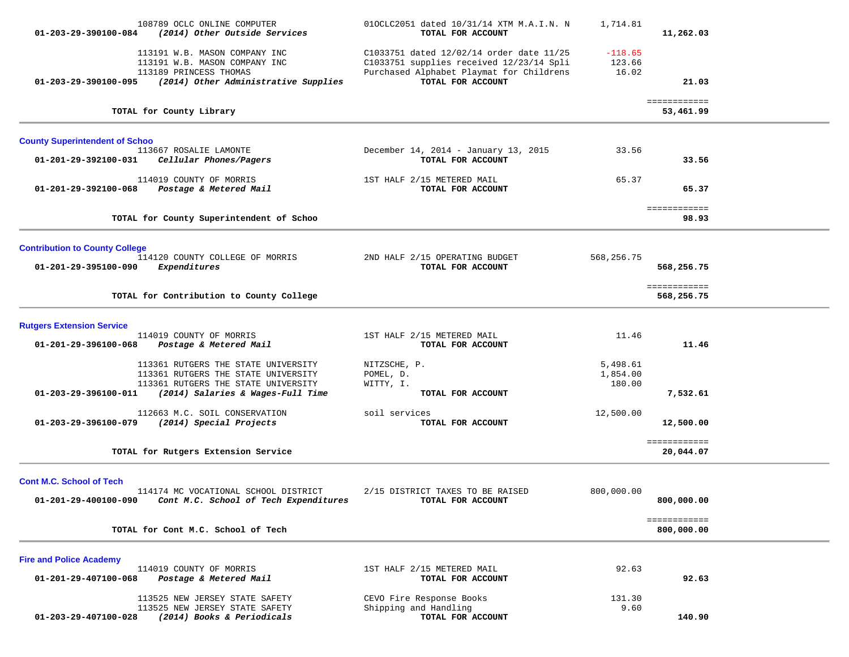| $01 - 203 - 29 - 390100 - 084$                                   | 108789 OCLC ONLINE COMPUTER<br>(2014) Other Outside Services                                                                                           | 010CLC2051 dated 10/31/14 XTM M.A.I.N. N<br>TOTAL FOR ACCOUNT                                                                                         | 1,714.81                       | 11,262.03                  |  |
|------------------------------------------------------------------|--------------------------------------------------------------------------------------------------------------------------------------------------------|-------------------------------------------------------------------------------------------------------------------------------------------------------|--------------------------------|----------------------------|--|
| 01-203-29-390100-095                                             | 113191 W.B. MASON COMPANY INC<br>113191 W.B. MASON COMPANY INC<br>113189 PRINCESS THOMAS<br>(2014) Other Administrative Supplies                       | C1033751 dated 12/02/14 order date 11/25<br>C1033751 supplies received 12/23/14 Spli<br>Purchased Alphabet Playmat for Childrens<br>TOTAL FOR ACCOUNT | $-118.65$<br>123.66<br>16.02   | 21.03                      |  |
|                                                                  | TOTAL for County Library                                                                                                                               |                                                                                                                                                       |                                | ============<br>53,461.99  |  |
| <b>County Superintendent of Schoo</b>                            |                                                                                                                                                        |                                                                                                                                                       |                                |                            |  |
| 01-201-29-392100-031                                             | 113667 ROSALIE LAMONTE<br>Cellular Phones/Pagers                                                                                                       | December 14, 2014 - January 13, 2015<br>TOTAL FOR ACCOUNT                                                                                             | 33.56                          | 33.56                      |  |
| 01-201-29-392100-068                                             | 114019 COUNTY OF MORRIS<br>Postage & Metered Mail                                                                                                      | 1ST HALF 2/15 METERED MAIL<br>TOTAL FOR ACCOUNT                                                                                                       | 65.37                          | 65.37                      |  |
|                                                                  | TOTAL for County Superintendent of Schoo                                                                                                               |                                                                                                                                                       |                                | ============<br>98.93      |  |
| <b>Contribution to County College</b><br>01-201-29-395100-090    | 114120 COUNTY COLLEGE OF MORRIS<br>Expenditures                                                                                                        | 2ND HALF 2/15 OPERATING BUDGET<br>TOTAL FOR ACCOUNT                                                                                                   | 568,256.75                     | 568,256.75                 |  |
|                                                                  | TOTAL for Contribution to County College                                                                                                               |                                                                                                                                                       |                                | ============<br>568,256.75 |  |
| <b>Rutgers Extension Service</b>                                 |                                                                                                                                                        |                                                                                                                                                       |                                |                            |  |
| 01-201-29-396100-068                                             | 114019 COUNTY OF MORRIS<br>Postage & Metered Mail                                                                                                      | 1ST HALF 2/15 METERED MAIL<br>TOTAL FOR ACCOUNT                                                                                                       | 11.46                          | 11.46                      |  |
| 01-203-29-396100-011                                             | 113361 RUTGERS THE STATE UNIVERSITY<br>113361 RUTGERS THE STATE UNIVERSITY<br>113361 RUTGERS THE STATE UNIVERSITY<br>(2014) Salaries & Wages-Full Time | NITZSCHE, P.<br>POMEL, D.<br>WITTY, I.<br>TOTAL FOR ACCOUNT                                                                                           | 5,498.61<br>1,854.00<br>180.00 | 7,532.61                   |  |
| 01-203-29-396100-079                                             | 112663 M.C. SOIL CONSERVATION<br>(2014) Special Projects                                                                                               | soil services<br>TOTAL FOR ACCOUNT                                                                                                                    | 12,500.00                      | 12,500.00                  |  |
|                                                                  | TOTAL for Rutgers Extension Service                                                                                                                    |                                                                                                                                                       |                                | ============<br>20,044.07  |  |
| <b>Cont M.C. School of Tech</b><br>01-201-29-400100-090          | 114174 MC VOCATIONAL SCHOOL DISTRICT<br>Cont M.C. School of Tech Expenditures                                                                          | 2/15 DISTRICT TAXES TO BE RAISED<br>TOTAL FOR ACCOUNT                                                                                                 | 800,000.00                     | 800,000.00                 |  |
|                                                                  | TOTAL for Cont M.C. School of Tech                                                                                                                     |                                                                                                                                                       |                                | ============<br>800,000.00 |  |
| <b>Fire and Police Academy</b><br>$01 - 201 - 29 - 407100 - 068$ | 114019 COUNTY OF MORRIS<br>Postage & Metered Mail                                                                                                      | 1ST HALF 2/15 METERED MAIL<br>TOTAL FOR ACCOUNT                                                                                                       | 92.63                          | 92.63                      |  |
| 01-203-29-407100-028                                             | 113525 NEW JERSEY STATE SAFETY<br>113525 NEW JERSEY STATE SAFETY<br>(2014) Books & Periodicals                                                         | CEVO Fire Response Books<br>Shipping and Handling<br>TOTAL FOR ACCOUNT                                                                                | 131.30<br>9.60                 | 140.90                     |  |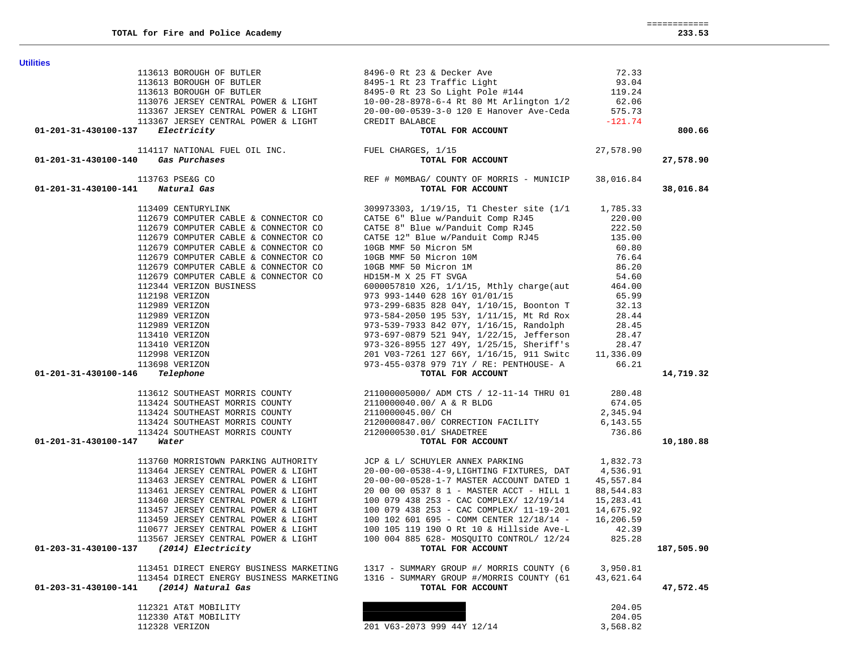| <b>Utilities</b>                                                                                                                       |                                                                                                                                                                                                                                                          |                  |            |
|----------------------------------------------------------------------------------------------------------------------------------------|----------------------------------------------------------------------------------------------------------------------------------------------------------------------------------------------------------------------------------------------------------|------------------|------------|
|                                                                                                                                        | 113613 BOROUGH OF BUTLER<br>113613 BOROUGH OF BUTLER<br>113613 BOROUGH OF BUTLER<br>113613 BOROUGH OF BUTLER<br>113076 JERSEY CENTRAL POWER & LIGHT<br>113167 JERSEY CENTRAL POWER & LIGHT<br>113167 JERSEY CENTRAL POWER & LIGHT<br>113167              |                  |            |
|                                                                                                                                        |                                                                                                                                                                                                                                                          |                  |            |
|                                                                                                                                        |                                                                                                                                                                                                                                                          |                  |            |
|                                                                                                                                        |                                                                                                                                                                                                                                                          |                  |            |
|                                                                                                                                        |                                                                                                                                                                                                                                                          |                  |            |
|                                                                                                                                        | <b>NBCE</b><br><b>TOTAL FOR ACCOUNT</b>                                                                                                                                                                                                                  |                  |            |
| 01-201-31-430100-137 Electricity                                                                                                       |                                                                                                                                                                                                                                                          |                  | 800.66     |
|                                                                                                                                        |                                                                                                                                                                                                                                                          | 27,578.90        |            |
| 7 Electricity<br>114117 NATIONAL FUEL OIL INC. FUEL CHARGES, 1/15<br>TOTAL FOR ACCOUNT<br>$01 - 201 - 31 - 430100 - 140$ Gas Purchases | es<br>TOTAL FOR ACCOUNT<br>REF # MOMBAG/ COUNTY OF MORRIS - MUNICIP 38,016.84<br>TOTAL FOR ACCOUNT                                                                                                                                                       |                  | 27,578.90  |
| 113763 PSE&G CO                                                                                                                        |                                                                                                                                                                                                                                                          |                  |            |
| 01-201-31-430100-141 Natural Gas                                                                                                       |                                                                                                                                                                                                                                                          |                  | 38,016.84  |
|                                                                                                                                        | 113409 CENTURYLINK 309973303, 1/19/15, T1 Chester site (1/1 1,785.33<br>112679 COMPUTER CABLE & CONNECTOR CO<br>112679 COMPUTER CABLE & CONNECTOR CO<br>112679 COMPUTER CABLE & CONNECTOR CO<br>112679 COMPUTER CABLE & CONNECTOR CO<br>                 |                  |            |
|                                                                                                                                        |                                                                                                                                                                                                                                                          |                  |            |
|                                                                                                                                        |                                                                                                                                                                                                                                                          |                  |            |
|                                                                                                                                        |                                                                                                                                                                                                                                                          |                  |            |
|                                                                                                                                        |                                                                                                                                                                                                                                                          |                  |            |
|                                                                                                                                        |                                                                                                                                                                                                                                                          |                  |            |
|                                                                                                                                        |                                                                                                                                                                                                                                                          |                  |            |
|                                                                                                                                        |                                                                                                                                                                                                                                                          |                  |            |
|                                                                                                                                        |                                                                                                                                                                                                                                                          |                  |            |
|                                                                                                                                        |                                                                                                                                                                                                                                                          |                  |            |
|                                                                                                                                        |                                                                                                                                                                                                                                                          |                  |            |
|                                                                                                                                        |                                                                                                                                                                                                                                                          |                  |            |
|                                                                                                                                        |                                                                                                                                                                                                                                                          |                  |            |
|                                                                                                                                        |                                                                                                                                                                                                                                                          |                  |            |
|                                                                                                                                        |                                                                                                                                                                                                                                                          |                  |            |
|                                                                                                                                        |                                                                                                                                                                                                                                                          |                  |            |
| 01-201-31-430100-146                                                                                                                   | 112679 COMPUTER CABLE & CONNECTOR CO<br>12198 VERIZON<br>12989 VERIZON<br>12989 VERIZON<br>12989 VERIZON<br>12989 VERIZON<br>12989 VERIZON<br>12989 VERIZON<br>12989 VERIZON<br>13410 VERIZON<br>13410 VERIZON<br>13410 VERIZON<br>13410 VERIZON<br>1341 |                  | 14,719.32  |
|                                                                                                                                        |                                                                                                                                                                                                                                                          |                  |            |
|                                                                                                                                        |                                                                                                                                                                                                                                                          |                  |            |
|                                                                                                                                        |                                                                                                                                                                                                                                                          |                  |            |
|                                                                                                                                        |                                                                                                                                                                                                                                                          |                  |            |
|                                                                                                                                        |                                                                                                                                                                                                                                                          |                  |            |
| $01 - 201 - 31 - 430100 - 147$ Water                                                                                                   |                                                                                                                                                                                                                                                          |                  | 10,180.88  |
|                                                                                                                                        |                                                                                                                                                                                                                                                          |                  |            |
|                                                                                                                                        | 113760 MORRISTOWN PARKING AUTHORITY JCP & L/ SCHUYLER ANNEX PARKING 1,832.73                                                                                                                                                                             |                  |            |
|                                                                                                                                        |                                                                                                                                                                                                                                                          |                  |            |
|                                                                                                                                        |                                                                                                                                                                                                                                                          |                  |            |
|                                                                                                                                        |                                                                                                                                                                                                                                                          |                  |            |
|                                                                                                                                        |                                                                                                                                                                                                                                                          |                  |            |
|                                                                                                                                        | 113464 JERSEY CENTRAL POWER & LIGHT<br>113464 JERSEY CENTRAL POWER & LIGHT<br>113463 JERSEY CENTRAL POWER & LIGHT<br>113461 JERSEY CENTRAL POWER & LIGHT<br>20-00-00-0528-1-7 MASTER ACCOUNT DATED 1<br>13460 JERSEY CENTRAL POWER & LIG                 |                  |            |
| 110677 JERSEY CENTRAL POWER & LIGHT                                                                                                    | 100 105 119 190 O Rt 10 & Hillside Ave-L                                                                                                                                                                                                                 | 42.39            |            |
| 113567 JERSEY CENTRAL POWER & LIGHT                                                                                                    | 100 004 885 628- MOSQUITO CONTROL/ 12/24                                                                                                                                                                                                                 | 825.28           |            |
| (2014) Electricity<br>01-203-31-430100-137                                                                                             | TOTAL FOR ACCOUNT                                                                                                                                                                                                                                        |                  | 187,505.90 |
|                                                                                                                                        |                                                                                                                                                                                                                                                          |                  |            |
| 113451 DIRECT ENERGY BUSINESS MARKETING                                                                                                | 1317 - SUMMARY GROUP #/ MORRIS COUNTY (6                                                                                                                                                                                                                 | 3,950.81         |            |
| 113454 DIRECT ENERGY BUSINESS MARKETING<br>(2014) Natural Gas<br>01-203-31-430100-141                                                  | 1316 - SUMMARY GROUP #/MORRIS COUNTY (61<br>TOTAL FOR ACCOUNT                                                                                                                                                                                            | 43,621.64        | 47,572.45  |
|                                                                                                                                        |                                                                                                                                                                                                                                                          |                  |            |
| 112321 AT&T MOBILITY<br>112330 AT&T MOBILITY                                                                                           |                                                                                                                                                                                                                                                          | 204.05<br>204.05 |            |
| 112328 VERIZON                                                                                                                         | 201 V63-2073 999 44Y 12/14                                                                                                                                                                                                                               | 3,568.82         |            |
|                                                                                                                                        |                                                                                                                                                                                                                                                          |                  |            |

 ============ 233.53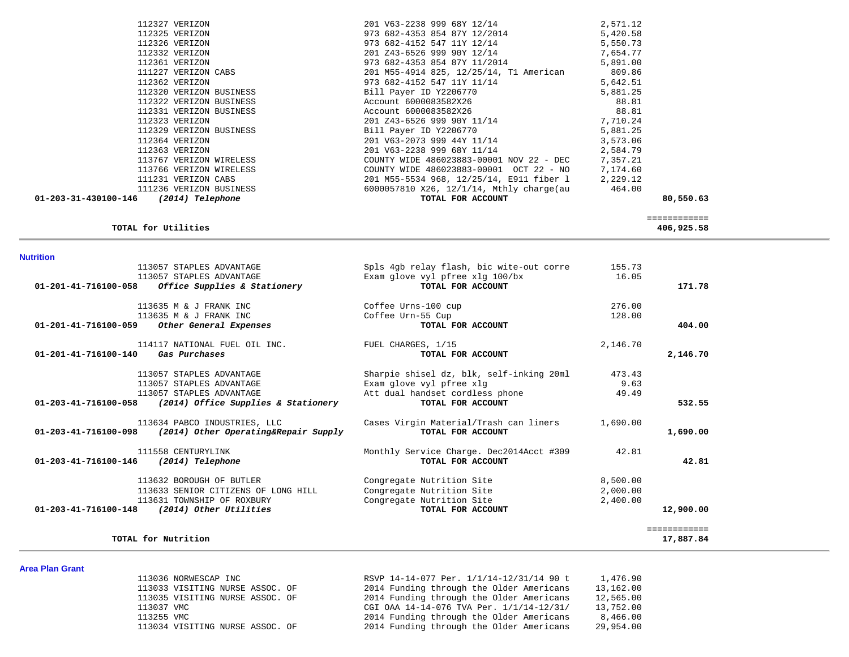|                                       | 112361 VERIZON                                              | 973 682-4353 854 87Y 11/2014             | 5,891.00 |              |  |
|---------------------------------------|-------------------------------------------------------------|------------------------------------------|----------|--------------|--|
|                                       | 111227 VERIZON CABS                                         | 201 M55-4914 825, 12/25/14, T1 American  | 809.86   |              |  |
|                                       | 112362 VERIZON                                              | 973 682-4152 547 11Y 11/14               | 5,642.51 |              |  |
|                                       | 112320 VERIZON BUSINESS                                     | Bill Payer ID Y2206770                   | 5,881.25 |              |  |
|                                       | 112322 VERIZON BUSINESS                                     | Account 6000083582X26                    | 88.81    |              |  |
|                                       | 112331 VERIZON BUSINESS                                     | Account 6000083582X26                    | 88.81    |              |  |
|                                       | 112323 VERIZON                                              | 201 Z43-6526 999 90Y 11/14               | 7,710.24 |              |  |
|                                       | 112329 VERIZON BUSINESS                                     | Bill Payer ID Y2206770                   | 5,881.25 |              |  |
|                                       | 112364 VERIZON                                              | 201 V63-2073 999 44Y 11/14               | 3,573.06 |              |  |
|                                       | 112363 VERIZON                                              | 201 V63-2238 999 68Y 11/14               | 2,584.79 |              |  |
|                                       | 113767 VERIZON WIRELESS                                     | COUNTY WIDE 486023883-00001 NOV 22 - DEC | 7,357.21 |              |  |
|                                       | 113766 VERIZON WIRELESS                                     | COUNTY WIDE 486023883-00001 OCT 22 - NO  | 7,174.60 |              |  |
|                                       | 111231 VERIZON CABS                                         | 201 M55-5534 968, 12/25/14, E911 fiber 1 | 2,229.12 |              |  |
|                                       | 111236 VERIZON BUSINESS                                     | 6000057810 X26, 12/1/14, Mthly charge(au | 464.00   |              |  |
| 01-203-31-430100-146 (2014) Telephone |                                                             | TOTAL FOR ACCOUNT                        |          | 80,550.63    |  |
|                                       |                                                             |                                          |          | ============ |  |
|                                       | TOTAL for Utilities                                         |                                          |          | 406,925.58   |  |
| <b>Nutrition</b>                      |                                                             |                                          |          |              |  |
|                                       | 113057 STAPLES ADVANTAGE                                    | Spls 4gb relay flash, bic wite-out corre | 155.73   |              |  |
|                                       | 113057 STAPLES ADVANTAGE                                    | Exam glove vyl pfree xlg 100/bx          | 16.05    |              |  |
| 01-201-41-716100-058                  | Office Supplies & Stationery                                | TOTAL FOR ACCOUNT                        |          | 171.78       |  |
|                                       | 113635 M & J FRANK INC                                      | Coffee Urns-100 cup                      | 276.00   |              |  |
|                                       | 113635 M & J FRANK INC                                      | Coffee Urn-55 Cup                        | 128.00   |              |  |
| 01-201-41-716100-059                  | Other General Expenses                                      | TOTAL FOR ACCOUNT                        |          | 404.00       |  |
|                                       | 114117 NATIONAL FUEL OIL INC.                               | FUEL CHARGES, 1/15                       | 2,146.70 |              |  |
| 01-201-41-716100-140                  | Gas Purchases                                               | TOTAL FOR ACCOUNT                        |          | 2,146.70     |  |
|                                       | 113057 STAPLES ADVANTAGE                                    | Sharpie shisel dz, blk, self-inking 20ml | 473.43   |              |  |
|                                       | 113057 STAPLES ADVANTAGE                                    | Exam glove vyl pfree xlg                 | 9.63     |              |  |
|                                       | 113057 STAPLES ADVANTAGE                                    | Att dual handset cordless phone          | 49.49    |              |  |
|                                       | $01-203-41-716100-058$ (2014) Office Supplies & Stationery  | TOTAL FOR ACCOUNT                        |          | 532.55       |  |
|                                       | 113634 PABCO INDUSTRIES, LLC                                | Cases Virgin Material/Trash can liners   | 1,690.00 |              |  |
|                                       | $01-203-41-716100-098$ (2014) Other Operating&Repair Supply | TOTAL FOR ACCOUNT                        |          | 1,690.00     |  |
|                                       | 111558 CENTURYLINK                                          | Monthly Service Charge. Dec2014Acct #309 | 42.81    |              |  |
| 01-203-41-716100-146 (2014) Telephone |                                                             | TOTAL FOR ACCOUNT                        |          | 42.81        |  |
|                                       | 113632 BOROUGH OF BUTLER                                    | Congregate Nutrition Site                | 8,500.00 |              |  |
|                                       | 113633 SENIOR CITIZENS OF LONG HILL                         | Congregate Nutrition Site                | 2,000.00 |              |  |
|                                       | 113631 TOWNSHIP OF ROXBURY                                  | Congregate Nutrition Site                | 2,400.00 |              |  |
|                                       | 01-203-41-716100-148 (2014) Other Utilities                 | TOTAL FOR ACCOUNT                        |          | 12,900.00    |  |
|                                       |                                                             |                                          |          | ============ |  |
|                                       | TOTAL for Nutrition                                         |                                          |          | 17,887.84    |  |
|                                       |                                                             |                                          |          |              |  |

 112327 VERIZON 201 V63-2238 999 68Y 12/14 2,571.12 112325 VERIZON 973 682-4353 854 87Y 12/2014 5,420.58

112332 VERIZON 201 Z43-6526 999 90Y 12/14

112326 973 682-4152 547 111 12/14<br>201 243-6526 999 901 12/14 7,654.77

# **Area Plan Grant**

| חושוט ועוד ומש |                                 |                                          |           |
|----------------|---------------------------------|------------------------------------------|-----------|
|                | 113036 NORWESCAP INC            | RSVP 14-14-077 Per. 1/1/14-12/31/14 90 t | 1,476.90  |
|                | 113033 VISITING NURSE ASSOC. OF | 2014 Funding through the Older Americans | 13,162.00 |
|                | 113035 VISITING NURSE ASSOC. OF | 2014 Funding through the Older Americans | 12,565.00 |
|                | 113037 VMC                      | CGI OAA 14-14-076 TVA Per. 1/1/14-12/31/ | 13,752.00 |
|                | 113255 VMC                      | 2014 Funding through the Older Americans | 8,466.00  |
|                | 113034 VISITING NURSE ASSOC. OF | 2014 Funding through the Older Americans | 29,954.00 |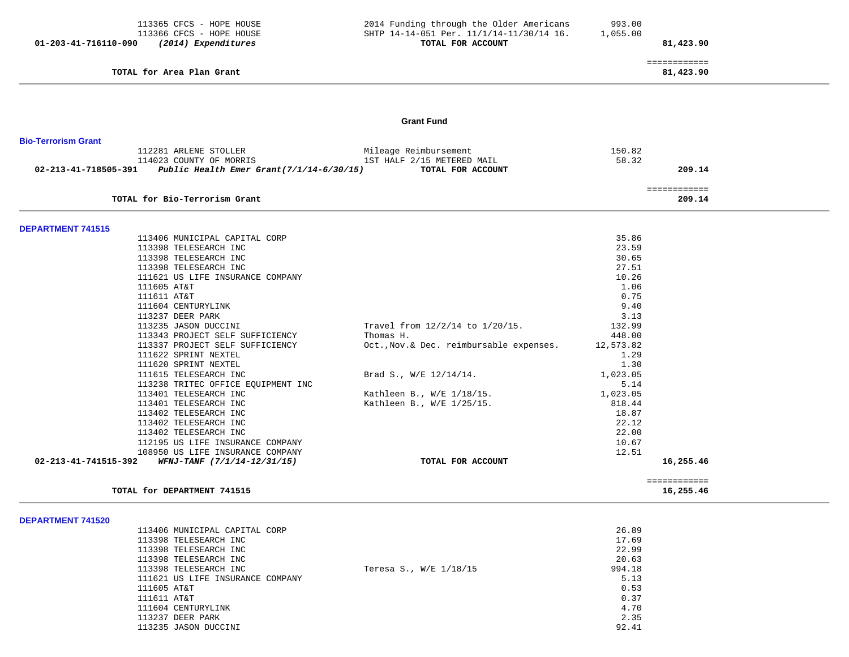| 01-203-41-716110-090       | 113365 CFCS - HOPE HOUSE<br>113366 CFCS - HOPE HOUSE<br>(2014) Expenditures | 2014 Funding through the Older Americans<br>SHTP 14-14-051 Per. 11/1/14-11/30/14 16.<br>TOTAL FOR ACCOUNT | 993.00<br>1,055.00 | 81,423.90                 |
|----------------------------|-----------------------------------------------------------------------------|-----------------------------------------------------------------------------------------------------------|--------------------|---------------------------|
|                            | TOTAL for Area Plan Grant                                                   |                                                                                                           |                    | ============<br>81,423.90 |
|                            |                                                                             | <b>Grant Fund</b>                                                                                         |                    |                           |
| <b>Bio-Terrorism Grant</b> |                                                                             |                                                                                                           |                    |                           |
|                            | 112281 ARLENE STOLLER                                                       | Mileage Reimbursement                                                                                     | 150.82             |                           |
|                            | 114023 COUNTY OF MORRIS                                                     | 1ST HALF 2/15 METERED MAIL                                                                                | 58.32              |                           |
|                            | 02-213-41-718505-391 Public Health Emer Grant $(7/1/14-6/30/15)$            | TOTAL FOR ACCOUNT                                                                                         |                    | 209.14                    |
|                            |                                                                             |                                                                                                           |                    | ============              |
|                            | TOTAL for Bio-Terrorism Grant                                               |                                                                                                           |                    | 209.14                    |
|                            |                                                                             |                                                                                                           |                    |                           |
| <b>DEPARTMENT 741515</b>   | 113406 MUNICIPAL CAPITAL CORP                                               |                                                                                                           | 35.86              |                           |
|                            | 113398 TELESEARCH INC                                                       |                                                                                                           | 23.59              |                           |
|                            | 113398 TELESEARCH INC                                                       |                                                                                                           | 30.65              |                           |
|                            | 113398 TELESEARCH INC                                                       |                                                                                                           | 27.51              |                           |
|                            | 111621 US LIFE INSURANCE COMPANY                                            |                                                                                                           | 10.26              |                           |
|                            | 111605 AT&T                                                                 |                                                                                                           | 1.06               |                           |
|                            | 111611 AT&T                                                                 |                                                                                                           | 0.75               |                           |
|                            | 111604 CENTURYLINK                                                          |                                                                                                           | 9.40               |                           |
|                            | 113237 DEER PARK                                                            |                                                                                                           | 3.13               |                           |
|                            | 113235 JASON DUCCINI<br>113343 PROJECT SELF SUFFICIENCY                     | Travel from $12/2/14$ to $1/20/15$ .<br>Thomas H.                                                         | 132.99<br>448.00   |                           |
|                            | 113337 PROJECT SELF SUFFICIENCY                                             | Oct., Nov. & Dec. reimbursable expenses.                                                                  | 12,573.82          |                           |
|                            | 111622 SPRINT NEXTEL                                                        |                                                                                                           | 1.29               |                           |
|                            | 111620 SPRINT NEXTEL                                                        |                                                                                                           | 1.30               |                           |
|                            | 111615 TELESEARCH INC                                                       | Brad S., W/E 12/14/14.                                                                                    | 1,023.05           |                           |
|                            | 113238 TRITEC OFFICE EQUIPMENT INC                                          |                                                                                                           | 5.14               |                           |
|                            | 113401 TELESEARCH INC                                                       | Kathleen B., W/E 1/18/15.                                                                                 | 1,023.05           |                           |
|                            | 113401 TELESEARCH INC                                                       | Kathleen B., W/E 1/25/15.                                                                                 | 818.44             |                           |
|                            | 113402 TELESEARCH INC                                                       |                                                                                                           | 18.87<br>22.12     |                           |
|                            | 113402 TELESEARCH INC<br>113402 TELESEARCH INC                              |                                                                                                           | 22.00              |                           |
|                            | 112195 US LIFE INSURANCE COMPANY                                            |                                                                                                           | 10.67              |                           |
|                            | 108950 US LIFE INSURANCE COMPANY                                            |                                                                                                           | 12.51              |                           |
| 02-213-41-741515-392       | WFNJ-TANF (7/1/14-12/31/15)                                                 | TOTAL FOR ACCOUNT                                                                                         |                    | 16,255.46                 |
|                            | TOTAL for DEPARTMENT 741515                                                 |                                                                                                           |                    | ============<br>16,255.46 |
|                            |                                                                             |                                                                                                           |                    |                           |
| <b>DEPARTMENT 741520</b>   |                                                                             |                                                                                                           |                    |                           |
|                            | 113406 MUNICIPAL CAPITAL CORP                                               |                                                                                                           | 26.89              |                           |
|                            | 113398 TELESEARCH INC                                                       |                                                                                                           | 17.69              |                           |
|                            | 113398 TELESEARCH INC<br>113398 TELESEARCH INC                              |                                                                                                           | 22.99<br>20.63     |                           |
|                            | 113398 TELESEARCH INC                                                       | Teresa S., W/E 1/18/15                                                                                    | 994.18             |                           |
|                            | 111621 US LIFE INSURANCE COMPANY                                            |                                                                                                           | 5.13               |                           |
|                            | 111605 AT&T                                                                 |                                                                                                           | 0.53               |                           |

111604 CENTURYLINK 4.70

2.35

92.41

111611 AT&T 0.37

113237 DEER PARK

113235 JASON DUCCINI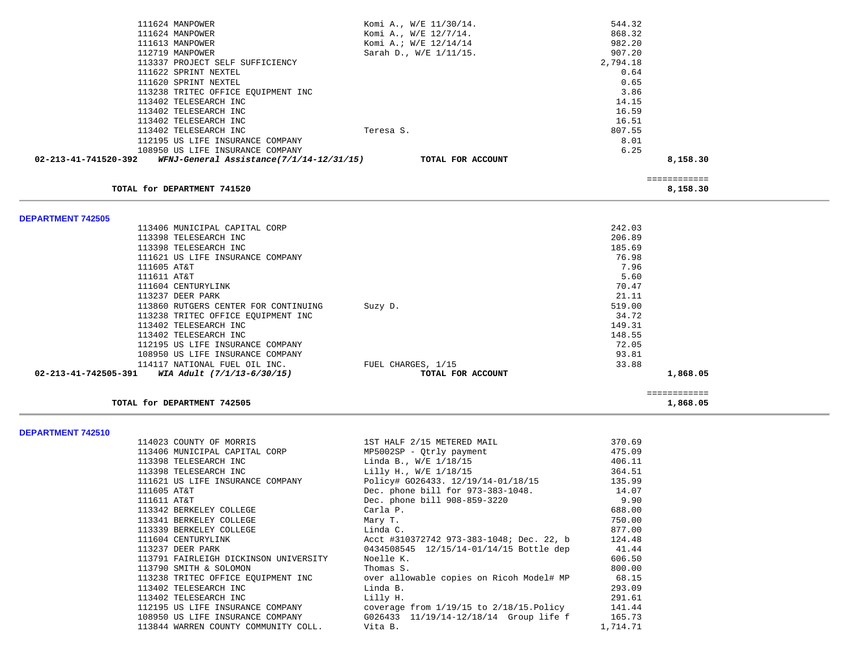| 111624 MANPOWER                                                  | Komi A., W/E 11/30/14. | 544.32       |  |
|------------------------------------------------------------------|------------------------|--------------|--|
| 111624 MANPOWER                                                  | Komi A., W/E 12/7/14.  | 868.32       |  |
| 111613 MANPOWER                                                  | Komi A.; W/E 12/14/14  | 982.20       |  |
| 112719 MANPOWER                                                  | Sarah D., W/E 1/11/15. | 907.20       |  |
| 113337 PROJECT SELF SUFFICIENCY                                  |                        | 2,794.18     |  |
| 111622 SPRINT NEXTEL                                             |                        | 0.64         |  |
| 111620 SPRINT NEXTEL                                             |                        | 0.65         |  |
| 113238 TRITEC OFFICE EQUIPMENT INC                               |                        | 3.86         |  |
| 113402 TELESEARCH INC                                            |                        | 14.15        |  |
| 113402 TELESEARCH INC                                            |                        | 16.59        |  |
| 113402 TELESEARCH INC                                            |                        | 16.51        |  |
| 113402 TELESEARCH INC                                            | Teresa S.              | 807.55       |  |
| 112195 US LIFE INSURANCE COMPANY                                 |                        | 8.01         |  |
| 108950 US LIFE INSURANCE COMPANY                                 |                        | 6.25         |  |
| WFNJ-General Assistance(7/1/14-12/31/15)<br>02-213-41-741520-392 | TOTAL FOR ACCOUNT      | 8,158.30     |  |
|                                                                  |                        | ============ |  |
| TOTAL for DEPARTMENT 741520                                      |                        | 8,158.30     |  |
|                                                                  |                        |              |  |
| <b>DEPARTMENT 742505</b>                                         |                        |              |  |
| 113406 MUNICIPAL CAPITAL CORP                                    |                        | 242.03       |  |
| 113398 TELESEARCH INC                                            |                        | 206.89       |  |
| 113398 TELESEARCH INC                                            |                        | 185.69       |  |
| 111621 US LIFE INSURANCE COMPANY                                 |                        | 76.98        |  |
| 111605 AT&T                                                      |                        | 7.96         |  |
| 111611 AT&T                                                      |                        | 5.60         |  |
| 111604 CENTURYLINK                                               |                        | 70.47        |  |
| 113237 DEER PARK                                                 |                        | 21.11        |  |
| 113860 RUTGERS CENTER FOR CONTINUING                             | Suzy D.                | 519.00       |  |
| 113238 TRITEC OFFICE EQUIPMENT INC                               |                        | 34.72        |  |
| 113402 TELESEARCH INC                                            |                        | 149.31       |  |
| 113402 TELESEARCH INC                                            |                        | 148.55       |  |
| 112195 US LIFE INSURANCE COMPANY                                 |                        | 72.05        |  |
| 108950 US LIFE INSURANCE COMPANY                                 |                        | 93.81        |  |
| 114117 NATIONAL FUEL OIL INC.                                    | FUEL CHARGES, 1/15     | 33.88        |  |
| 02-213-41-742505-391 WIA Adult (7/1/13-6/30/15)                  | TOTAL FOR ACCOUNT      | 1,868.05     |  |
|                                                                  |                        | ============ |  |
| TOTAL for DEPARTMENT 742505                                      |                        | 1,868.05     |  |

**DEPARTMENT 742510** 

| 114023 COUNTY OF MORRIS               | 1ST HALF 2/15 METERED MAIL                                                       | 370.69   |
|---------------------------------------|----------------------------------------------------------------------------------|----------|
| 113406 MUNICIPAL CAPITAL CORP         | MP5002SP - Qtrly payment                                                         | 475.09   |
| 113398 TELESEARCH INC                 | Linda B., W/E 1/18/15                                                            | 406.11   |
| 113398 TELESEARCH INC                 | Lilly H., W/E 1/18/15                                                            | 364.51   |
| 111621 US LIFE INSURANCE COMPANY      | Policy# G026433. 12/19/14-01/18/15                                               | 135.99   |
| 111605 AT&T                           | Dec. phone bill for 973-383-1048. 14.07                                          |          |
| 111611 AT&T                           | Dec. phone bill 908-859-3220                                                     | 9.90     |
| 113342 BERKELEY COLLEGE               | Carla P.                                                                         | 688.00   |
| 113341 BERKELEY COLLEGE               | Mary T.                                                                          | 750.00   |
| 113339 BERKELEY COLLEGE               | Linda C.                                                                         | 877.00   |
| 111604 CENTURYLINK                    | Acct #310372742 973-383-1048; Dec. 22, b                                         | 124.48   |
| 113237 DEER PARK                      | 0434508545  12/15/14-01/14/15  Bottle dep                                        | 41.44    |
| 113791 FAIRLEIGH DICKINSON UNIVERSITY | Noelle K.                                                                        | 606.50   |
| 113790 SMITH & SOLOMON                | Thomas S.                                                                        | 800.00   |
|                                       | 113238 TRITEC OFFICE EQUIPMENT INC over allowable copies on Ricoh Model# MP      | 68.15    |
| 113402 TELESEARCH INC                 | Linda B.                                                                         | 293.09   |
| 113402 TELESEARCH INC                 | Lilly H.                                                                         | 291.61   |
|                                       | 112195 US LIFE INSURANCE COMPANY coverage from 1/19/15 to 2/18/15. Policy 141.44 |          |
|                                       | 108950 US LIFE INSURANCE COMPANY 6026433 11/19/14-12/18/14 Group life f 165.73   |          |
| 113844 WARREN COUNTY COMMUNITY COLL.  | Vita B.                                                                          | 1,714.71 |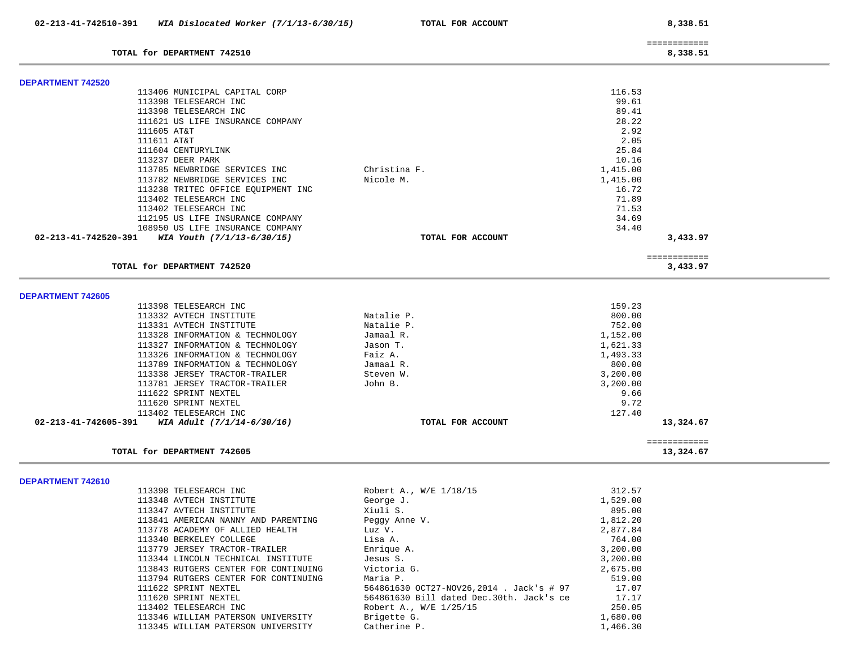| 02-213-41-742510-391                              | WIA Dislocated Worker (7/1/13-6/30/15) | TOTAL FOR ACCOUNT |          | 8,338.51                 |  |
|---------------------------------------------------|----------------------------------------|-------------------|----------|--------------------------|--|
| TOTAL for DEPARTMENT 742510                       |                                        |                   |          | ============<br>8,338.51 |  |
|                                                   |                                        |                   |          |                          |  |
| <b>DEPARTMENT 742520</b>                          |                                        |                   |          |                          |  |
|                                                   | 113406 MUNICIPAL CAPITAL CORP          |                   | 116.53   |                          |  |
|                                                   | 113398 TELESEARCH INC                  |                   | 99.61    |                          |  |
|                                                   | 113398 TELESEARCH INC                  |                   | 89.41    |                          |  |
|                                                   | 111621 US LIFE INSURANCE COMPANY       |                   | 28.22    |                          |  |
| 111605 AT&T                                       |                                        |                   | 2.92     |                          |  |
| 111611 AT&T                                       |                                        |                   | 2.05     |                          |  |
| 111604 CENTURYLINK                                |                                        |                   | 25.84    |                          |  |
| 113237 DEER PARK                                  |                                        |                   | 10.16    |                          |  |
|                                                   | 113785 NEWBRIDGE SERVICES INC          | Christina F.      | 1,415.00 |                          |  |
|                                                   | 113782 NEWBRIDGE SERVICES INC          | Nicole M.         | 1,415.00 |                          |  |
|                                                   | 113238 TRITEC OFFICE EQUIPMENT INC     |                   | 16.72    |                          |  |
|                                                   | 113402 TELESEARCH INC                  |                   | 71.89    |                          |  |
|                                                   | 113402 TELESEARCH INC                  |                   | 71.53    |                          |  |
|                                                   | 112195 US LIFE INSURANCE COMPANY       |                   | 34.69    |                          |  |
|                                                   | 108950 US LIFE INSURANCE COMPANY       |                   | 34.40    |                          |  |
| 02-213-41-742520-391 WIA Youth $(7/1/13-6/30/15)$ |                                        | TOTAL FOR ACCOUNT |          | 3,433.97                 |  |
| TOTAL for DEPARTMENT 742520                       |                                        |                   |          | ============<br>3,433.97 |  |
|                                                   |                                        |                   |          |                          |  |
| <b>DEPARTMENT 742605</b>                          |                                        |                   |          |                          |  |
|                                                   | 113398 TELESEARCH INC                  |                   | 159.23   |                          |  |
|                                                   | 113332 AVTECH INSTITUTE                | Natalie P.        | 800.00   |                          |  |
|                                                   | 113331 AVTECH INSTITUTE                | Natalie P.        | 752.00   |                          |  |
|                                                   | 113328 INFORMATION & TECHNOLOGY        | Jamaal R.         | 1,152.00 |                          |  |
|                                                   | 113327 INFORMATION & TECHNOLOGY        | Jason T.          | 1,621.33 |                          |  |
|                                                   | 113326 INFORMATION & TECHNOLOGY        | Faiz A.           | 1,493.33 |                          |  |
|                                                   | 113789 INFORMATION & TECHNOLOGY        | Jamaal R.         | 800.00   |                          |  |
|                                                   | 113338 JERSEY TRACTOR-TRAILER          | Steven W.         | 3,200.00 |                          |  |
|                                                   | 113781 JERSEY TRACTOR-TRAILER          | John B.           | 3,200.00 |                          |  |
|                                                   | 111622 SPRINT NEXTEL                   |                   | 9.66     |                          |  |
|                                                   | 111620 SPRINT NEXTEL                   |                   | 9.72     |                          |  |
|                                                   | 113402 TELESEARCH INC                  |                   | 127.40   |                          |  |
| 02-213-41-742605-391                              | WIA Adult (7/1/14-6/30/16)             | TOTAL FOR ACCOUNT |          | 13,324.67                |  |
|                                                   |                                        |                   |          | ============             |  |
| TOTAL for DEPARTMENT 742605                       |                                        |                   |          | 13,324.67                |  |
|                                                   |                                        |                   |          |                          |  |
| DEPARTMENT 742610                                 |                                        |                   |          |                          |  |

| 113398 TELESEARCH INC                | Robert A., W/E 1/18/15                   | 312.57   |
|--------------------------------------|------------------------------------------|----------|
| 113348 AVTECH INSTITUTE              | George J.                                | 1,529.00 |
| 113347 AVTECH INSTITUTE              | Xiuli S.                                 | 895.00   |
| 113841 AMERICAN NANNY AND PARENTING  | Peggy Anne V.                            | 1,812.20 |
| 113778 ACADEMY OF ALLIED HEALTH      | Luz V.                                   | 2,877.84 |
| 113340 BERKELEY COLLEGE              | Lisa A.                                  | 764.00   |
| 113779 JERSEY TRACTOR-TRAILER        | Enrique A.                               | 3,200.00 |
| 113344 LINCOLN TECHNICAL INSTITUTE   | Jesus S.                                 | 3,200.00 |
| 113843 RUTGERS CENTER FOR CONTINUING | Victoria G.                              | 2,675.00 |
| 113794 RUTGERS CENTER FOR CONTINUING | Maria P.                                 | 519.00   |
| 111622 SPRINT NEXTEL                 | 564861630 OCT27-NOV26,2014 . Jack's # 97 | 17.07    |
| 111620 SPRINT NEXTEL                 | 564861630 Bill dated Dec.30th. Jack's ce | 17.17    |
| 113402 TELESEARCH INC                | Robert A., W/E 1/25/15                   | 250.05   |
| 113346 WILLIAM PATERSON UNIVERSITY   | Brigette G.                              | 1,680.00 |
| 113345 WILLIAM PATERSON UNIVERSITY   | Catherine P.                             | 1,466.30 |
|                                      |                                          |          |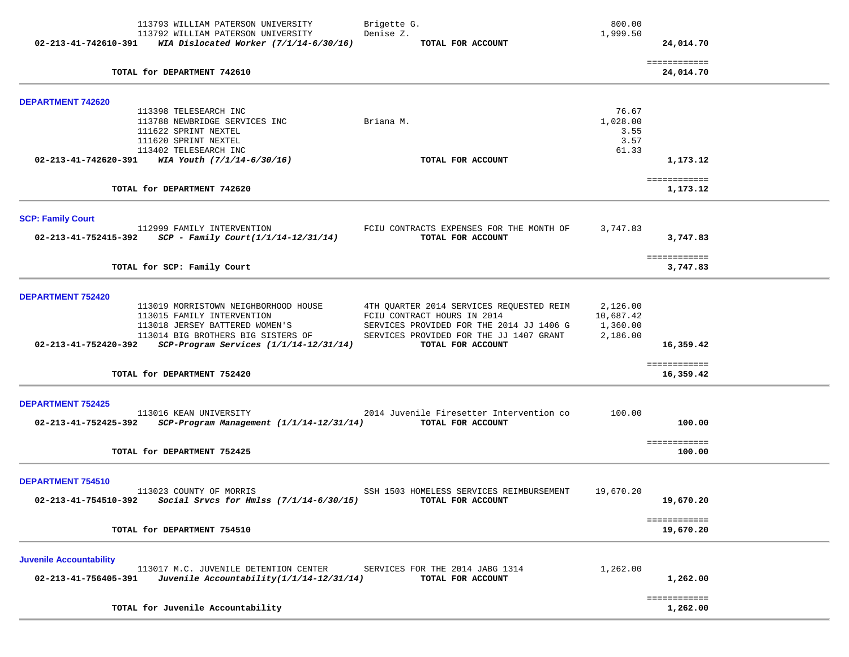| 02-213-41-742610-391                                   | 113793 WILLIAM PATERSON UNIVERSITY<br>113792 WILLIAM PATERSON UNIVERSITY<br>WIA Dislocated Worker $(7/1/14-6/30/16)$                                                                                        | Brigette G.<br>Denise Z.<br>TOTAL FOR ACCOUNT                                                                                                                                       | 800.00<br>1,999.50                            | 24,014.70                            |  |
|--------------------------------------------------------|-------------------------------------------------------------------------------------------------------------------------------------------------------------------------------------------------------------|-------------------------------------------------------------------------------------------------------------------------------------------------------------------------------------|-----------------------------------------------|--------------------------------------|--|
|                                                        | TOTAL for DEPARTMENT 742610                                                                                                                                                                                 |                                                                                                                                                                                     |                                               | ============<br>24,014.70            |  |
| <b>DEPARTMENT 742620</b>                               | 113398 TELESEARCH INC<br>113788 NEWBRIDGE SERVICES INC                                                                                                                                                      | Briana M.                                                                                                                                                                           | 76.67<br>1,028.00                             |                                      |  |
|                                                        | 111622 SPRINT NEXTEL<br>111620 SPRINT NEXTEL<br>113402 TELESEARCH INC                                                                                                                                       | TOTAL FOR ACCOUNT                                                                                                                                                                   | 3.55<br>3.57<br>61.33                         |                                      |  |
|                                                        | 02-213-41-742620-391 WIA Youth $(7/1/14-6/30/16)$<br>TOTAL for DEPARTMENT 742620                                                                                                                            |                                                                                                                                                                                     |                                               | 1,173.12<br>============<br>1,173.12 |  |
| <b>SCP: Family Court</b>                               | 112999 FAMILY INTERVENTION<br>$02 - 213 - 41 - 752415 - 392$ SCP - Family Court(1/1/14-12/31/14)                                                                                                            | FCIU CONTRACTS EXPENSES FOR THE MONTH OF<br>TOTAL FOR ACCOUNT                                                                                                                       | 3,747.83                                      | 3,747.83                             |  |
|                                                        | TOTAL for SCP: Family Court                                                                                                                                                                                 |                                                                                                                                                                                     |                                               | ============<br>3,747.83             |  |
| <b>DEPARTMENT 752420</b>                               | 113019 MORRISTOWN NEIGHBORHOOD HOUSE<br>113015 FAMILY INTERVENTION<br>113018 JERSEY BATTERED WOMEN'S<br>113014 BIG BROTHERS BIG SISTERS OF<br>02-213-41-752420-392 SCP-Program Services $(1/1/14-12/31/14)$ | 4TH QUARTER 2014 SERVICES REQUESTED REIM<br>FCIU CONTRACT HOURS IN 2014<br>SERVICES PROVIDED FOR THE 2014 JJ 1406 G<br>SERVICES PROVIDED FOR THE JJ 1407 GRANT<br>TOTAL FOR ACCOUNT | 2,126.00<br>10,687.42<br>1,360.00<br>2,186.00 | 16,359.42                            |  |
|                                                        | TOTAL for DEPARTMENT 752420                                                                                                                                                                                 |                                                                                                                                                                                     |                                               | ============<br>16,359.42            |  |
| <b>DEPARTMENT 752425</b><br>02-213-41-752425-392       | 113016 KEAN UNIVERSITY<br>SCP-Program Management (1/1/14-12/31/14)                                                                                                                                          | 2014 Juvenile Firesetter Intervention co<br>TOTAL FOR ACCOUNT                                                                                                                       | 100.00                                        | 100.00<br>============               |  |
|                                                        | TOTAL for DEPARTMENT 752425                                                                                                                                                                                 |                                                                                                                                                                                     |                                               | 100.00                               |  |
| DEPARTMENT 754510<br>02-213-41-754510-392              | 113023 COUNTY OF MORRIS<br>Social Srvcs for Hmlss (7/1/14-6/30/15)                                                                                                                                          | SSH 1503 HOMELESS SERVICES REIMBURSEMENT<br>TOTAL FOR ACCOUNT                                                                                                                       | 19,670.20                                     | 19,670.20                            |  |
|                                                        | TOTAL for DEPARTMENT 754510                                                                                                                                                                                 |                                                                                                                                                                                     |                                               | ============<br>19,670.20            |  |
| <b>Juvenile Accountability</b><br>02-213-41-756405-391 | 113017 M.C. JUVENILE DETENTION CENTER<br>Juvenile Accountability(1/1/14-12/31/14)                                                                                                                           | SERVICES FOR THE 2014 JABG 1314<br>TOTAL FOR ACCOUNT                                                                                                                                | 1,262.00                                      | 1,262.00                             |  |
|                                                        | TOTAL for Juvenile Accountability                                                                                                                                                                           |                                                                                                                                                                                     |                                               | ============<br>1,262.00             |  |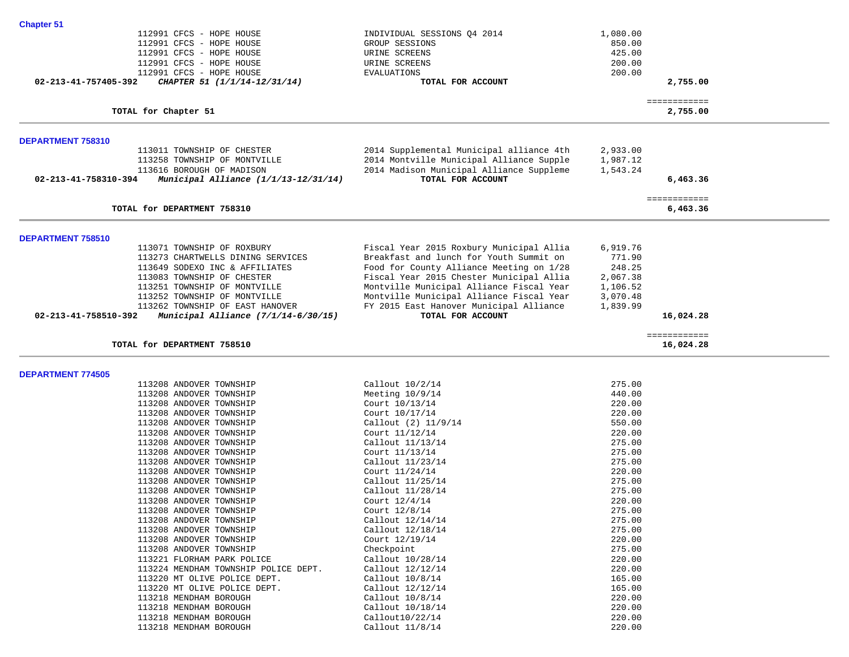| 112991 CFCS - HOPE HOUSE<br>112991 CFCS - HOPE HOUSE<br>112991 CFCS - HOPE HOUSE<br>112991 CFCS - HOPE HOUSE<br>112991 CFCS - HOPE HOUSE                                                                                                                                                            | INDIVIDUAL SESSIONS Q4 2014<br>GROUP SESSIONS<br>URINE SCREENS<br>URINE SCREENS<br><b>EVALUATIONS</b>                                                                                                                                                                                                                               | 1,080.00<br>850.00<br>425.00<br>200.00<br>200.00                             |                           |  |
|-----------------------------------------------------------------------------------------------------------------------------------------------------------------------------------------------------------------------------------------------------------------------------------------------------|-------------------------------------------------------------------------------------------------------------------------------------------------------------------------------------------------------------------------------------------------------------------------------------------------------------------------------------|------------------------------------------------------------------------------|---------------------------|--|
| 02-213-41-757405-392<br>CHAPTER 51 (1/1/14-12/31/14)                                                                                                                                                                                                                                                | TOTAL FOR ACCOUNT                                                                                                                                                                                                                                                                                                                   |                                                                              | 2,755.00                  |  |
| TOTAL for Chapter 51                                                                                                                                                                                                                                                                                |                                                                                                                                                                                                                                                                                                                                     |                                                                              | ============<br>2,755.00  |  |
| DEPARTMENT 758310                                                                                                                                                                                                                                                                                   |                                                                                                                                                                                                                                                                                                                                     |                                                                              |                           |  |
| 113011 TOWNSHIP OF CHESTER<br>113258 TOWNSHIP OF MONTVILLE<br>113616 BOROUGH OF MADISON<br>02-213-41-758310-394<br>Municipal Alliance (1/1/13-12/31/14)                                                                                                                                             | 2014 Supplemental Municipal alliance 4th<br>2014 Montville Municipal Alliance Supple<br>2014 Madison Municipal Alliance Suppleme<br>TOTAL FOR ACCOUNT                                                                                                                                                                               | 2,933.00<br>1,987.12<br>1,543.24                                             | 6,463.36                  |  |
| TOTAL for DEPARTMENT 758310                                                                                                                                                                                                                                                                         |                                                                                                                                                                                                                                                                                                                                     |                                                                              | ============<br>6,463.36  |  |
| DEPARTMENT 758510                                                                                                                                                                                                                                                                                   |                                                                                                                                                                                                                                                                                                                                     |                                                                              |                           |  |
| 113071 TOWNSHIP OF ROXBURY<br>113273 CHARTWELLS DINING SERVICES<br>113649 SODEXO INC & AFFILIATES<br>113083 TOWNSHIP OF CHESTER<br>113251 TOWNSHIP OF MONTVILLE<br>113252 TOWNSHIP OF MONTVILLE<br>113262 TOWNSHIP OF EAST HANOVER<br>02-213-41-758510-392<br>Municipal Alliance $(7/1/14-6/30/15)$ | Fiscal Year 2015 Roxbury Municipal Allia<br>Breakfast and lunch for Youth Summit on<br>Food for County Alliance Meeting on 1/28<br>Fiscal Year 2015 Chester Municipal Allia<br>Montville Municipal Alliance Fiscal Year<br>Montville Municipal Alliance Fiscal Year<br>FY 2015 East Hanover Municipal Alliance<br>TOTAL FOR ACCOUNT | 6,919.76<br>771.90<br>248.25<br>2,067.38<br>1,106.52<br>3,070.48<br>1,839.99 | 16,024.28                 |  |
| TOTAL for DEPARTMENT 758510                                                                                                                                                                                                                                                                         |                                                                                                                                                                                                                                                                                                                                     |                                                                              | ============<br>16,024.28 |  |
| <b>DEPARTMENT 774505</b>                                                                                                                                                                                                                                                                            |                                                                                                                                                                                                                                                                                                                                     |                                                                              |                           |  |
| 113208 ANDOVER TOWNSHIP                                                                                                                                                                                                                                                                             | Callout 10/2/14                                                                                                                                                                                                                                                                                                                     | 275.00                                                                       |                           |  |
| 113208 ANDOVER TOWNSHIP                                                                                                                                                                                                                                                                             | Meeting $10/9/14$                                                                                                                                                                                                                                                                                                                   | 440.00                                                                       |                           |  |
| 113208 ANDOVER TOWNSHIP                                                                                                                                                                                                                                                                             | Court 10/13/14                                                                                                                                                                                                                                                                                                                      | 220.00                                                                       |                           |  |
| 113208 ANDOVER TOWNSHIP                                                                                                                                                                                                                                                                             | Court 10/17/14                                                                                                                                                                                                                                                                                                                      | 220.00                                                                       |                           |  |
| 113208 ANDOVER TOWNSHIP                                                                                                                                                                                                                                                                             | Callout (2) 11/9/14                                                                                                                                                                                                                                                                                                                 | 550.00                                                                       |                           |  |
| 113208 ANDOVER TOWNSHIP                                                                                                                                                                                                                                                                             | Court 11/12/14                                                                                                                                                                                                                                                                                                                      | 220.00                                                                       |                           |  |
| 113208 ANDOVER TOWNSHIP                                                                                                                                                                                                                                                                             | Callout 11/13/14                                                                                                                                                                                                                                                                                                                    | 275.00                                                                       |                           |  |
| 113208 ANDOVER TOWNSHIP<br>113208 ANDOVER TOWNSHIP                                                                                                                                                                                                                                                  | Court 11/13/14<br>Callout 11/23/14                                                                                                                                                                                                                                                                                                  | 275.00<br>275.00                                                             |                           |  |
| 113208 ANDOVER TOWNSHIP                                                                                                                                                                                                                                                                             | Court 11/24/14                                                                                                                                                                                                                                                                                                                      | 220.00                                                                       |                           |  |
| 113208 ANDOVER TOWNSHIP                                                                                                                                                                                                                                                                             | Callout 11/25/14                                                                                                                                                                                                                                                                                                                    | 275.00                                                                       |                           |  |
| 113208 ANDOVER TOWNSHIP                                                                                                                                                                                                                                                                             | Callout 11/28/14                                                                                                                                                                                                                                                                                                                    | 275.00                                                                       |                           |  |
| 113208 ANDOVER TOWNSHIP                                                                                                                                                                                                                                                                             | Court 12/4/14                                                                                                                                                                                                                                                                                                                       | 220.00                                                                       |                           |  |
| 113208 ANDOVER TOWNSHIP                                                                                                                                                                                                                                                                             | Court 12/8/14                                                                                                                                                                                                                                                                                                                       | 275.00                                                                       |                           |  |
| 113208 ANDOVER TOWNSHIP                                                                                                                                                                                                                                                                             | Callout 12/14/14                                                                                                                                                                                                                                                                                                                    | 275.00                                                                       |                           |  |
| 113208 ANDOVER TOWNSHIP                                                                                                                                                                                                                                                                             |                                                                                                                                                                                                                                                                                                                                     |                                                                              |                           |  |
|                                                                                                                                                                                                                                                                                                     | Callout 12/18/14                                                                                                                                                                                                                                                                                                                    | 275.00                                                                       |                           |  |
| 113208 ANDOVER TOWNSHIP                                                                                                                                                                                                                                                                             | Court 12/19/14                                                                                                                                                                                                                                                                                                                      | 220.00                                                                       |                           |  |
| 113208 ANDOVER TOWNSHIP                                                                                                                                                                                                                                                                             | Checkpoint                                                                                                                                                                                                                                                                                                                          | 275.00                                                                       |                           |  |
| 113221 FLORHAM PARK POLICE                                                                                                                                                                                                                                                                          | Callout 10/28/14                                                                                                                                                                                                                                                                                                                    | 220.00                                                                       |                           |  |
| 113224 MENDHAM TOWNSHIP POLICE DEPT.                                                                                                                                                                                                                                                                | Callout 12/12/14                                                                                                                                                                                                                                                                                                                    | 220.00                                                                       |                           |  |
| 113220 MT OLIVE POLICE DEPT.                                                                                                                                                                                                                                                                        | Callout 10/8/14                                                                                                                                                                                                                                                                                                                     | 165.00                                                                       |                           |  |
| 113220 MT OLIVE POLICE DEPT.                                                                                                                                                                                                                                                                        | Callout 12/12/14                                                                                                                                                                                                                                                                                                                    | 165.00                                                                       |                           |  |
| 113218 MENDHAM BOROUGH                                                                                                                                                                                                                                                                              | Callout 10/8/14                                                                                                                                                                                                                                                                                                                     | 220.00                                                                       |                           |  |
| 113218 MENDHAM BOROUGH                                                                                                                                                                                                                                                                              | Callout 10/18/14                                                                                                                                                                                                                                                                                                                    | 220.00                                                                       |                           |  |
| 113218 MENDHAM BOROUGH<br>113218 MENDHAM BOROUGH                                                                                                                                                                                                                                                    | Callout10/22/14<br>Callout 11/8/14                                                                                                                                                                                                                                                                                                  | 220.00<br>220.00                                                             |                           |  |

**Chapter 51**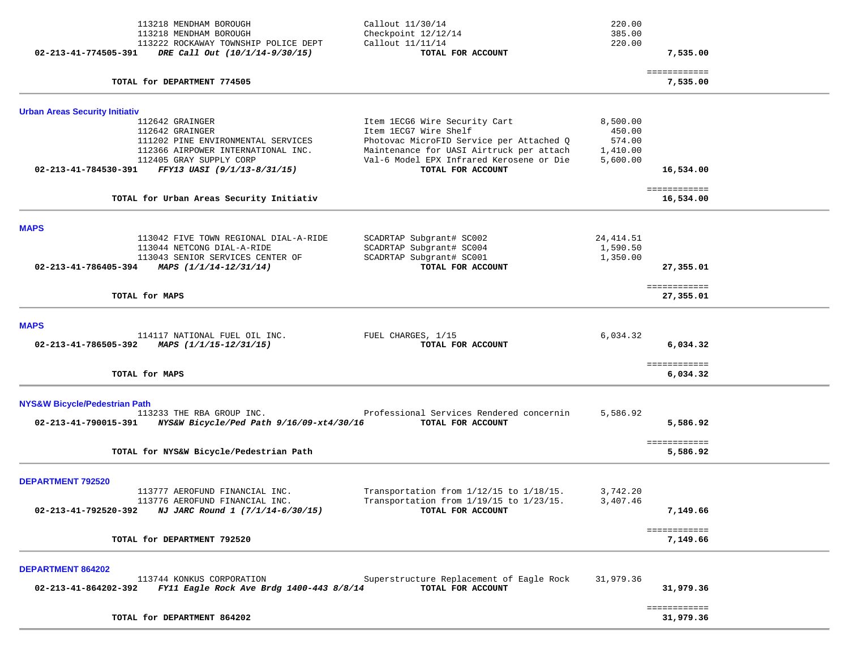| 113218 MENDHAM BOROUGH<br>113218 MENDHAM BOROUGH<br>113222 ROCKAWAY TOWNSHIP POLICE DEPT      | Callout 11/30/14<br>Checkpoint 12/12/14<br>Callout 11/11/14       | 220.00<br>385.00<br>220.00 |                           |  |
|-----------------------------------------------------------------------------------------------|-------------------------------------------------------------------|----------------------------|---------------------------|--|
| 02-213-41-774505-391<br>DRE Call Out (10/1/14-9/30/15)                                        | TOTAL FOR ACCOUNT                                                 |                            | 7,535.00                  |  |
| TOTAL for DEPARTMENT 774505                                                                   |                                                                   |                            | ============<br>7,535.00  |  |
| <b>Urban Areas Security Initiativ</b>                                                         |                                                                   |                            |                           |  |
| 112642 GRAINGER<br>112642 GRAINGER                                                            | Item 1ECG6 Wire Security Cart<br>Item 1ECG7 Wire Shelf            | 8,500.00<br>450.00         |                           |  |
| 111202 PINE ENVIRONMENTAL SERVICES                                                            | Photovac MicroFID Service per Attached Q                          | 574.00                     |                           |  |
| 112366 AIRPOWER INTERNATIONAL INC.                                                            | Maintenance for UASI Airtruck per attach                          | 1,410.00                   |                           |  |
| 112405 GRAY SUPPLY CORP<br>02-213-41-784530-391 FFY13 UASI (9/1/13-8/31/15)                   | Val-6 Model EPX Infrared Kerosene or Die<br>TOTAL FOR ACCOUNT     | 5,600.00                   | 16,534.00                 |  |
| TOTAL for Urban Areas Security Initiativ                                                      |                                                                   |                            | ============<br>16,534.00 |  |
|                                                                                               |                                                                   |                            |                           |  |
| <b>MAPS</b><br>113042 FIVE TOWN REGIONAL DIAL-A-RIDE                                          | SCADRTAP Subgrant# SC002                                          | 24, 414.51                 |                           |  |
| 113044 NETCONG DIAL-A-RIDE                                                                    | SCADRTAP Subgrant# SC004                                          | 1,590.50                   |                           |  |
| 113043 SENIOR SERVICES CENTER OF                                                              | SCADRTAP Subgrant# SC001                                          | 1,350.00                   |                           |  |
| 02-213-41-786405-394 MAPS $(1/1/14-12/31/14)$                                                 | TOTAL FOR ACCOUNT                                                 |                            | 27,355.01                 |  |
| TOTAL for MAPS                                                                                |                                                                   |                            | ============<br>27,355.01 |  |
| <b>MAPS</b>                                                                                   |                                                                   |                            |                           |  |
| 114117 NATIONAL FUEL OIL INC.                                                                 | FUEL CHARGES, 1/15                                                | 6,034.32                   |                           |  |
| 02-213-41-786505-392<br>MAPS (1/1/15-12/31/15)                                                | TOTAL FOR ACCOUNT                                                 |                            | 6,034.32                  |  |
| TOTAL for MAPS                                                                                |                                                                   |                            | ============<br>6,034.32  |  |
|                                                                                               |                                                                   |                            |                           |  |
| <b>NYS&amp;W Bicycle/Pedestrian Path</b>                                                      |                                                                   |                            |                           |  |
| 113233 THE RBA GROUP INC.<br>02-213-41-790015-391<br>NYS&W Bicycle/Ped Path 9/16/09-xt4/30/16 | Professional Services Rendered concernin<br>TOTAL FOR ACCOUNT     | 5,586.92                   | 5,586.92                  |  |
|                                                                                               |                                                                   |                            |                           |  |
| TOTAL for NYS&W Bicycle/Pedestrian Path                                                       |                                                                   |                            | ============<br>5,586.92  |  |
| <b>DEPARTMENT 792520</b>                                                                      |                                                                   |                            |                           |  |
| 113777 AEROFUND FINANCIAL INC.                                                                | Transportation from 1/12/15 to 1/18/15.                           | 3,742.20                   |                           |  |
| 113776 AEROFUND FINANCIAL INC.<br>02-213-41-792520-392<br>NJ JARC Round 1 (7/1/14-6/30/15)    | Transportation from $1/19/15$ to $1/23/15$ .<br>TOTAL FOR ACCOUNT | 3,407.46                   | 7,149.66                  |  |
|                                                                                               |                                                                   |                            |                           |  |
| TOTAL for DEPARTMENT 792520                                                                   |                                                                   |                            | ============<br>7,149.66  |  |
|                                                                                               |                                                                   |                            |                           |  |
| <b>DEPARTMENT 864202</b><br>113744 KONKUS CORPORATION                                         | Superstructure Replacement of Eagle Rock                          | 31,979.36                  |                           |  |
| 02-213-41-864202-392 FY11 Eagle Rock Ave Brdg 1400-443 8/8/14                                 | TOTAL FOR ACCOUNT                                                 |                            | 31,979.36                 |  |
|                                                                                               |                                                                   |                            | ============              |  |
| TOTAL for DEPARTMENT 864202                                                                   |                                                                   |                            | 31,979.36                 |  |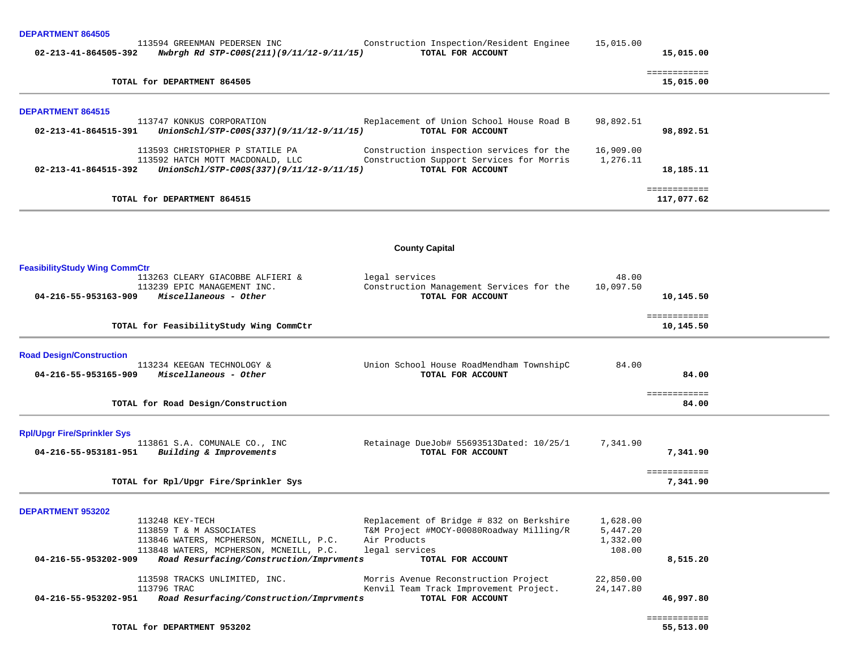|  |  | <b>DEPARTMENT 864505</b> |  |
|--|--|--------------------------|--|
|--|--|--------------------------|--|

| $02 - 213 - 41 - 864505 - 392$ | 113594 GREENMAN PEDERSEN INC<br>Nwbrgh Rd STP-C00S(211)(9/11/12-9/11/15) | Construction Inspection/Resident Enginee<br>TOTAL FOR ACCOUNT                        | 15,015.00             | 15,015.00                  |
|--------------------------------|--------------------------------------------------------------------------|--------------------------------------------------------------------------------------|-----------------------|----------------------------|
|                                | TOTAL for DEPARTMENT 864505                                              |                                                                                      |                       | ============<br>15,015.00  |
| <b>DEPARTMENT 864515</b>       |                                                                          |                                                                                      |                       |                            |
| 02-213-41-864515-391           | 113747 KONKUS CORPORATION<br>UnionSchl/STP-C00S(337)(9/11/12-9/11/15)    | Replacement of Union School House Road B<br>TOTAL FOR ACCOUNT                        | 98,892.51             | 98,892.51                  |
|                                | 113593 CHRISTOPHER P STATILE PA<br>113592 HATCH MOTT MACDONALD, LLC      | Construction inspection services for the<br>Construction Support Services for Morris | 16,909.00<br>1,276.11 |                            |
| 02-213-41-864515-392           | UnionSchl/STP-C00S(337)(9/11/12-9/11/15)                                 | TOTAL FOR ACCOUNT                                                                    |                       | 18,185.11                  |
|                                | TOTAL for DEPARTMENT 864515                                              |                                                                                      |                       | ============<br>117,077.62 |

# **County Capital**

| <b>FeasibilityStudy Wing CommCtr</b> |                                          |                                          |           |                           |  |
|--------------------------------------|------------------------------------------|------------------------------------------|-----------|---------------------------|--|
|                                      | 113263 CLEARY GIACOBBE ALFIERI &         | legal services                           | 48.00     |                           |  |
|                                      | 113239 EPIC MANAGEMENT INC.              | Construction Management Services for the | 10,097.50 |                           |  |
| 04-216-55-953163-909                 | Miscellaneous - Other                    | TOTAL FOR ACCOUNT                        |           | 10,145.50                 |  |
|                                      | TOTAL for FeasibilityStudy Wing CommCtr  |                                          |           | ============<br>10,145.50 |  |
|                                      |                                          |                                          |           |                           |  |
| <b>Road Design/Construction</b>      |                                          |                                          |           |                           |  |
|                                      | 113234 KEEGAN TECHNOLOGY &               | Union School House RoadMendham TownshipC | 84.00     |                           |  |
| 04-216-55-953165-909                 | Miscellaneous - Other                    | TOTAL FOR ACCOUNT                        |           | 84.00                     |  |
|                                      | TOTAL for Road Design/Construction       |                                          |           | ============<br>84.00     |  |
|                                      |                                          |                                          |           |                           |  |
| <b>Rpl/Upgr Fire/Sprinkler Sys</b>   |                                          |                                          |           |                           |  |
|                                      | 113861 S.A. COMUNALE CO., INC            | Retainage DueJob# 55693513Dated: 10/25/1 | 7,341.90  |                           |  |
| 04-216-55-953181-951                 | Building & Improvements                  | TOTAL FOR ACCOUNT                        |           | 7,341.90                  |  |
|                                      |                                          |                                          |           | ============              |  |
|                                      | TOTAL for Rpl/Upgr Fire/Sprinkler Sys    |                                          |           | 7,341.90                  |  |
| <b>DEPARTMENT 953202</b>             |                                          |                                          |           |                           |  |
|                                      | 113248 KEY-TECH                          | Replacement of Bridge # 832 on Berkshire | 1,628.00  |                           |  |
|                                      | 113859 T & M ASSOCIATES                  | T&M Project #MOCY-00080Roadway Milling/R | 5,447.20  |                           |  |
|                                      | 113846 WATERS, MCPHERSON, MCNEILL, P.C.  | Air Products                             | 1,332.00  |                           |  |
|                                      | 113848 WATERS, MCPHERSON, MCNEILL, P.C.  | legal services                           | 108.00    |                           |  |
| 04-216-55-953202-909                 | Road Resurfacing/Construction/Imprvments | TOTAL FOR ACCOUNT                        |           | 8,515.20                  |  |
|                                      | 113598 TRACKS UNLIMITED, INC.            | Morris Avenue Reconstruction Project     | 22,850.00 |                           |  |
|                                      | 113796 TRAC                              | Kenvil Team Track Improvement Project.   | 24,147.80 |                           |  |
| 04-216-55-953202-951                 | Road Resurfacing/Construction/Imprvments | TOTAL FOR ACCOUNT                        |           | 46,997.80                 |  |
|                                      | TOTAL for DEPARTMENT 953202              |                                          |           | ============<br>55,513.00 |  |
|                                      |                                          |                                          |           |                           |  |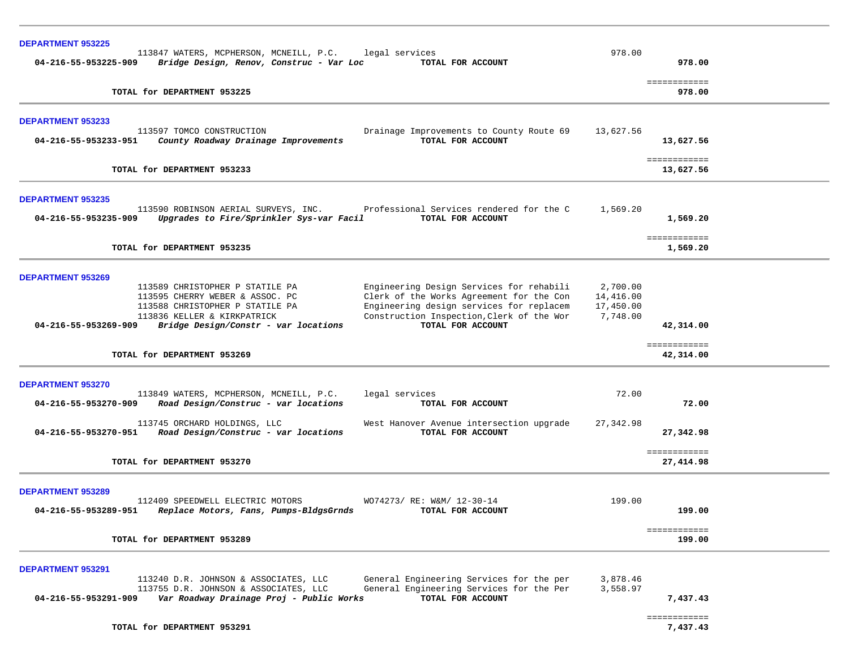| <b>DEPARTMENT 953225</b><br>113847 WATERS, MCPHERSON, MCNEILL, P.C.<br>legal services<br>Bridge Design, Renov, Construc - Var Loc<br>TOTAL FOR ACCOUNT<br>04-216-55-953225-909                                                                                                                                                                                                                                                         | 978.00                                         | 978.00                    |  |
|----------------------------------------------------------------------------------------------------------------------------------------------------------------------------------------------------------------------------------------------------------------------------------------------------------------------------------------------------------------------------------------------------------------------------------------|------------------------------------------------|---------------------------|--|
| TOTAL for DEPARTMENT 953225                                                                                                                                                                                                                                                                                                                                                                                                            |                                                | ============<br>978.00    |  |
|                                                                                                                                                                                                                                                                                                                                                                                                                                        |                                                |                           |  |
| <b>DEPARTMENT 953233</b><br>113597 TOMCO CONSTRUCTION<br>Drainage Improvements to County Route 69<br>County Roadway Drainage Improvements<br>TOTAL FOR ACCOUNT<br>04-216-55-953233-951                                                                                                                                                                                                                                                 | 13,627.56                                      | 13,627.56                 |  |
| TOTAL for DEPARTMENT 953233                                                                                                                                                                                                                                                                                                                                                                                                            |                                                | ============<br>13,627.56 |  |
| <b>DEPARTMENT 953235</b><br>113590 ROBINSON AERIAL SURVEYS, INC. Professional Services rendered for the C<br>04-216-55-953235-909<br>Upgrades to Fire/Sprinkler Sys-var Facil<br>TOTAL FOR ACCOUNT                                                                                                                                                                                                                                     | 1,569.20                                       | 1,569.20                  |  |
| TOTAL for DEPARTMENT 953235                                                                                                                                                                                                                                                                                                                                                                                                            |                                                | ============<br>1,569.20  |  |
| <b>DEPARTMENT 953269</b><br>Engineering Design Services for rehabili<br>113589 CHRISTOPHER P STATILE PA<br>Clerk of the Works Agreement for the Con<br>113595 CHERRY WEBER & ASSOC. PC<br>113588 CHRISTOPHER P STATILE PA<br>Engineering design services for replacem<br>Construction Inspection, Clerk of the Wor<br>113836 KELLER & KIRKPATRICK<br>TOTAL FOR ACCOUNT<br>04-216-55-953269-909<br>Bridge Design/Constr - var locations | 2,700.00<br>14,416.00<br>17,450.00<br>7,748.00 | 42,314.00                 |  |
| TOTAL for DEPARTMENT 953269                                                                                                                                                                                                                                                                                                                                                                                                            |                                                | ============<br>42,314.00 |  |
| <b>DEPARTMENT 953270</b><br>113849 WATERS, MCPHERSON, MCNEILL, P.C.<br>legal services<br>Road Design/Construc - var locations<br>04-216-55-953270-909<br>TOTAL FOR ACCOUNT                                                                                                                                                                                                                                                             | 72.00                                          | 72.00                     |  |
| 113745 ORCHARD HOLDINGS, LLC<br>West Hanover Avenue intersection upgrade<br>04-216-55-953270-951<br>Road Design/Construc - var locations<br>TOTAL FOR ACCOUNT                                                                                                                                                                                                                                                                          | 27,342.98                                      | 27,342.98                 |  |
| TOTAL for DEPARTMENT 953270                                                                                                                                                                                                                                                                                                                                                                                                            |                                                | ============<br>27,414.98 |  |
| <b>DEPARTMENT 953289</b><br>112409 SPEEDWELL ELECTRIC MOTORS<br>WO74273/ RE: W&M/ 12-30-14<br>04-216-55-953289-951<br>Replace Motors, Fans, Pumps-BldgsGrnds<br>TOTAL FOR ACCOUNT                                                                                                                                                                                                                                                      | 199.00                                         | 199.00                    |  |
| TOTAL for DEPARTMENT 953289                                                                                                                                                                                                                                                                                                                                                                                                            |                                                | ============<br>199.00    |  |
| <b>DEPARTMENT 953291</b><br>113240 D.R. JOHNSON & ASSOCIATES, LLC<br>General Engineering Services for the per<br>113755 D.R. JOHNSON & ASSOCIATES, LLC<br>General Engineering Services for the Per<br>TOTAL FOR ACCOUNT<br>Var Roadway Drainage Proj - Public Works<br>04-216-55-953291-909                                                                                                                                            | 3,878.46<br>3,558.97                           | 7,437.43                  |  |
| TOTAL for DEPARTMENT 953291                                                                                                                                                                                                                                                                                                                                                                                                            |                                                | ============<br>7,437.43  |  |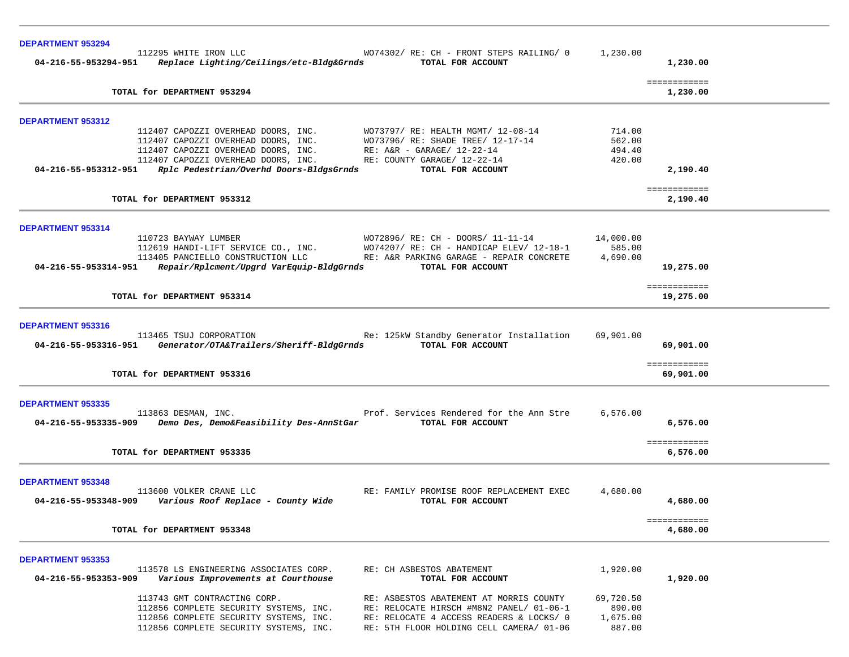| <b>DEPARTMENT 953294</b> |                                                                                        |                                                              |           |                           |  |
|--------------------------|----------------------------------------------------------------------------------------|--------------------------------------------------------------|-----------|---------------------------|--|
|                          | 112295 WHITE IRON LLC<br>04-216-55-953294-951 Replace Lighting/Ceilings/etc-Bldg&Grnds | WO74302/RE: CH - FRONT STEPS RAILING/ 0<br>TOTAL FOR ACCOUNT | 1,230.00  | 1,230.00                  |  |
|                          | TOTAL for DEPARTMENT 953294                                                            |                                                              |           | ============<br>1,230.00  |  |
| <b>DEPARTMENT 953312</b> |                                                                                        |                                                              |           |                           |  |
|                          | 112407 CAPOZZI OVERHEAD DOORS, INC.                                                    | WO73797/ RE: HEALTH MGMT/ 12-08-14                           | 714.00    |                           |  |
|                          | 112407 CAPOZZI OVERHEAD DOORS, INC.                                                    | WO73796/ RE: SHADE TREE/ 12-17-14                            | 562.00    |                           |  |
|                          | 112407 CAPOZZI OVERHEAD DOORS, INC.                                                    | $RE: A&R - GARAGE/ 12-22-14$                                 | 494.40    |                           |  |
| 04-216-55-953312-951     | 112407 CAPOZZI OVERHEAD DOORS, INC.<br>Rplc Pedestrian/Overhd Doors-BldgsGrnds         | RE: COUNTY GARAGE/ 12-22-14<br>TOTAL FOR ACCOUNT             | 420.00    | 2,190.40                  |  |
|                          |                                                                                        |                                                              |           |                           |  |
|                          | TOTAL for DEPARTMENT 953312                                                            |                                                              |           | ============<br>2,190.40  |  |
| DEPARTMENT 953314        |                                                                                        |                                                              |           |                           |  |
|                          | 110723 BAYWAY LUMBER                                                                   | WO72896/ RE: CH - DOORS/ 11-11-14                            | 14,000.00 |                           |  |
|                          | 112619 HANDI-LIFT SERVICE CO., INC.                                                    | WO74207/ RE: CH - HANDICAP ELEV/ 12-18-1                     | 585.00    |                           |  |
|                          | 113405 PANCIELLO CONSTRUCTION LLC                                                      | RE: A&R PARKING GARAGE - REPAIR CONCRETE                     | 4,690.00  |                           |  |
|                          | 04-216-55-953314-951    Repair/Rplcment/Upgrd VarEquip-BldgGrnds                       | TOTAL FOR ACCOUNT                                            |           | 19,275.00                 |  |
|                          | TOTAL for DEPARTMENT 953314                                                            |                                                              |           | ============<br>19,275.00 |  |
|                          |                                                                                        |                                                              |           |                           |  |
| <b>DEPARTMENT 953316</b> |                                                                                        |                                                              |           |                           |  |
|                          | 113465 TSUJ CORPORATION                                                                | Re: 125kW Standby Generator Installation                     | 69,901.00 |                           |  |
|                          | 04-216-55-953316-951 Generator/OTA&Trailers/Sheriff-BldgGrnds                          | TOTAL FOR ACCOUNT                                            |           | 69,901.00                 |  |
|                          |                                                                                        |                                                              |           | ============              |  |
|                          | TOTAL for DEPARTMENT 953316                                                            |                                                              |           | 69,901.00                 |  |
| <b>DEPARTMENT 953335</b> |                                                                                        |                                                              |           |                           |  |
|                          | 113863 DESMAN, INC.                                                                    | Prof. Services Rendered for the Ann Stre                     | 6,576.00  |                           |  |
|                          | 04-216-55-953335-909 Demo Des, Demo&Feasibility Des-AnnStGar                           | TOTAL FOR ACCOUNT                                            |           | 6,576.00                  |  |
|                          |                                                                                        |                                                              |           | ============              |  |
|                          | TOTAL for DEPARTMENT 953335                                                            |                                                              |           | 6,576.00                  |  |
|                          |                                                                                        |                                                              |           |                           |  |
| <b>DEPARTMENT 953348</b> | 113600 VOLKER CRANE LLC                                                                | RE: FAMILY PROMISE ROOF REPLACEMENT EXEC                     | 4,680.00  |                           |  |
| 04-216-55-953348-909     | Various Roof Replace - County Wide                                                     | TOTAL FOR ACCOUNT                                            |           | 4,680.00                  |  |
|                          |                                                                                        |                                                              |           | ============              |  |
|                          | TOTAL for DEPARTMENT 953348                                                            |                                                              |           | 4,680.00                  |  |
| <b>DEPARTMENT 953353</b> |                                                                                        |                                                              |           |                           |  |
|                          | 113578 LS ENGINEERING ASSOCIATES CORP.                                                 | RE: CH ASBESTOS ABATEMENT                                    | 1,920.00  |                           |  |
| 04-216-55-953353-909     | Various Improvements at Courthouse                                                     | TOTAL FOR ACCOUNT                                            |           | 1,920.00                  |  |
|                          | 113743 GMT CONTRACTING CORP.                                                           | RE: ASBESTOS ABATEMENT AT MORRIS COUNTY                      | 69,720.50 |                           |  |
|                          | 112856 COMPLETE SECURITY SYSTEMS, INC.                                                 | RE: RELOCATE HIRSCH #M8N2 PANEL/ 01-06-1                     | 890.00    |                           |  |
|                          | 112856 COMPLETE SECURITY SYSTEMS, INC.                                                 | RE: RELOCATE 4 ACCESS READERS & LOCKS/ 0                     | 1,675.00  |                           |  |
|                          | 112856 COMPLETE SECURITY SYSTEMS, INC.                                                 | RE: 5TH FLOOR HOLDING CELL CAMERA/ 01-06                     | 887.00    |                           |  |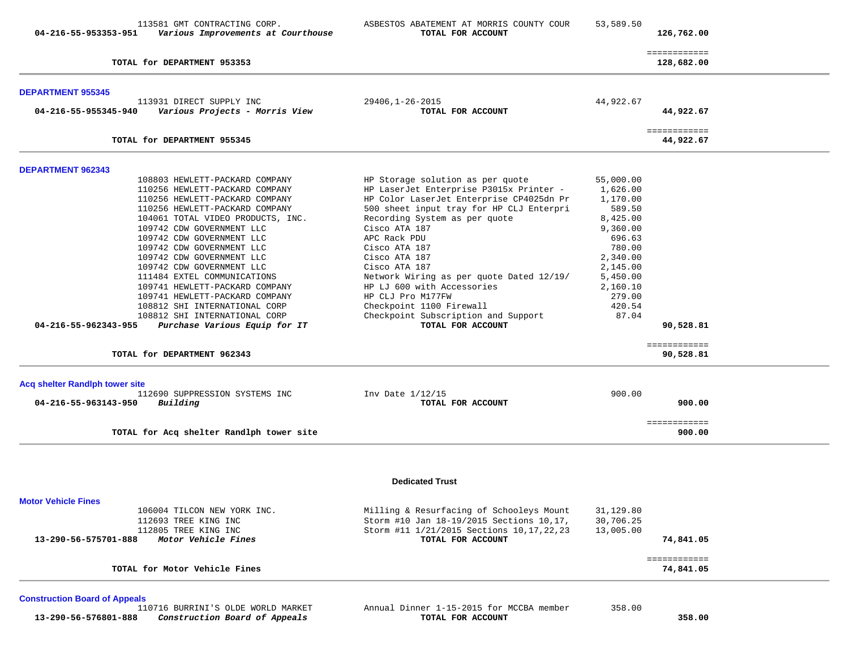| TOTAL for DEPARTMENT 953353<br><b>DEPARTMENT 955345</b><br>113931 DIRECT SUPPLY INC<br>04-216-55-955345-940<br>Various Projects - Morris View<br>TOTAL for DEPARTMENT 955345<br><b>DEPARTMENT 962343</b><br>108803 HEWLETT-PACKARD COMPANY<br>110256 HEWLETT-PACKARD COMPANY<br>110256 HEWLETT-PACKARD COMPANY<br>110256 HEWLETT-PACKARD COMPANY<br>104061 TOTAL VIDEO PRODUCTS, INC.<br>109742 CDW GOVERNMENT LLC<br>109742 CDW GOVERNMENT LLC | 29406,1-26-2015<br>TOTAL FOR ACCOUNT<br>HP Storage solution as per quote<br>HP LaserJet Enterprise P3015x Printer -<br>HP Color LaserJet Enterprise CP4025dn Pr<br>500 sheet input tray for HP CLJ Enterpri<br>Recording System as per quote<br>Cisco ATA 187<br>APC Rack PDU<br>Cisco ATA 187<br>Cisco ATA 187<br>Cisco ATA 187 | 44,922.67<br>55,000.00<br>1,626.00<br>1,170.00<br>589.50<br>8,425.00<br>9,360.00<br>696.63<br>780.00<br>2,340.00<br>2,145.00 | ============<br>128,682.00<br>44,922.67<br>============<br>44,922.67 |  |
|-------------------------------------------------------------------------------------------------------------------------------------------------------------------------------------------------------------------------------------------------------------------------------------------------------------------------------------------------------------------------------------------------------------------------------------------------|----------------------------------------------------------------------------------------------------------------------------------------------------------------------------------------------------------------------------------------------------------------------------------------------------------------------------------|------------------------------------------------------------------------------------------------------------------------------|----------------------------------------------------------------------|--|
|                                                                                                                                                                                                                                                                                                                                                                                                                                                 |                                                                                                                                                                                                                                                                                                                                  |                                                                                                                              |                                                                      |  |
|                                                                                                                                                                                                                                                                                                                                                                                                                                                 |                                                                                                                                                                                                                                                                                                                                  |                                                                                                                              |                                                                      |  |
|                                                                                                                                                                                                                                                                                                                                                                                                                                                 |                                                                                                                                                                                                                                                                                                                                  |                                                                                                                              |                                                                      |  |
|                                                                                                                                                                                                                                                                                                                                                                                                                                                 |                                                                                                                                                                                                                                                                                                                                  |                                                                                                                              |                                                                      |  |
|                                                                                                                                                                                                                                                                                                                                                                                                                                                 |                                                                                                                                                                                                                                                                                                                                  |                                                                                                                              |                                                                      |  |
|                                                                                                                                                                                                                                                                                                                                                                                                                                                 |                                                                                                                                                                                                                                                                                                                                  |                                                                                                                              |                                                                      |  |
|                                                                                                                                                                                                                                                                                                                                                                                                                                                 |                                                                                                                                                                                                                                                                                                                                  |                                                                                                                              |                                                                      |  |
|                                                                                                                                                                                                                                                                                                                                                                                                                                                 |                                                                                                                                                                                                                                                                                                                                  |                                                                                                                              |                                                                      |  |
|                                                                                                                                                                                                                                                                                                                                                                                                                                                 |                                                                                                                                                                                                                                                                                                                                  |                                                                                                                              |                                                                      |  |
|                                                                                                                                                                                                                                                                                                                                                                                                                                                 |                                                                                                                                                                                                                                                                                                                                  |                                                                                                                              |                                                                      |  |
|                                                                                                                                                                                                                                                                                                                                                                                                                                                 |                                                                                                                                                                                                                                                                                                                                  |                                                                                                                              |                                                                      |  |
|                                                                                                                                                                                                                                                                                                                                                                                                                                                 |                                                                                                                                                                                                                                                                                                                                  |                                                                                                                              |                                                                      |  |
| 109742 CDW GOVERNMENT LLC                                                                                                                                                                                                                                                                                                                                                                                                                       |                                                                                                                                                                                                                                                                                                                                  |                                                                                                                              |                                                                      |  |
| 109742 CDW GOVERNMENT LLC                                                                                                                                                                                                                                                                                                                                                                                                                       |                                                                                                                                                                                                                                                                                                                                  |                                                                                                                              |                                                                      |  |
| 109742 CDW GOVERNMENT LLC                                                                                                                                                                                                                                                                                                                                                                                                                       |                                                                                                                                                                                                                                                                                                                                  |                                                                                                                              |                                                                      |  |
| 111484 EXTEL COMMUNICATIONS                                                                                                                                                                                                                                                                                                                                                                                                                     | Network Wiring as per quote Dated 12/19/                                                                                                                                                                                                                                                                                         | 5,450.00                                                                                                                     |                                                                      |  |
| 109741 HEWLETT-PACKARD COMPANY                                                                                                                                                                                                                                                                                                                                                                                                                  | HP LJ 600 with Accessories                                                                                                                                                                                                                                                                                                       | 2,160.10                                                                                                                     |                                                                      |  |
| 109741 HEWLETT-PACKARD COMPANY                                                                                                                                                                                                                                                                                                                                                                                                                  | HP CLJ Pro M177FW                                                                                                                                                                                                                                                                                                                | 279.00                                                                                                                       |                                                                      |  |
| 108812 SHI INTERNATIONAL CORP                                                                                                                                                                                                                                                                                                                                                                                                                   | Checkpoint 1100 Firewall                                                                                                                                                                                                                                                                                                         | 420.54                                                                                                                       |                                                                      |  |
| 108812 SHI INTERNATIONAL CORP<br>04-216-55-962343-955<br>Purchase Various Equip for IT                                                                                                                                                                                                                                                                                                                                                          | Checkpoint Subscription and Support<br>TOTAL FOR ACCOUNT                                                                                                                                                                                                                                                                         | 87.04                                                                                                                        | 90,528.81                                                            |  |
|                                                                                                                                                                                                                                                                                                                                                                                                                                                 |                                                                                                                                                                                                                                                                                                                                  |                                                                                                                              |                                                                      |  |
| TOTAL for DEPARTMENT 962343                                                                                                                                                                                                                                                                                                                                                                                                                     |                                                                                                                                                                                                                                                                                                                                  |                                                                                                                              | ============<br>90,528.81                                            |  |
| <b>Acq shelter Randlph tower site</b>                                                                                                                                                                                                                                                                                                                                                                                                           |                                                                                                                                                                                                                                                                                                                                  |                                                                                                                              |                                                                      |  |
| 112690 SUPPRESSION SYSTEMS INC                                                                                                                                                                                                                                                                                                                                                                                                                  | Inv Date $1/12/15$                                                                                                                                                                                                                                                                                                               | 900.00                                                                                                                       |                                                                      |  |
| Building<br>04-216-55-963143-950                                                                                                                                                                                                                                                                                                                                                                                                                | TOTAL FOR ACCOUNT                                                                                                                                                                                                                                                                                                                |                                                                                                                              | 900.00                                                               |  |
|                                                                                                                                                                                                                                                                                                                                                                                                                                                 |                                                                                                                                                                                                                                                                                                                                  |                                                                                                                              | ============                                                         |  |
| TOTAL for Acq shelter Randlph tower site                                                                                                                                                                                                                                                                                                                                                                                                        |                                                                                                                                                                                                                                                                                                                                  |                                                                                                                              | 900.00                                                               |  |
|                                                                                                                                                                                                                                                                                                                                                                                                                                                 | <b>Dedicated Trust</b>                                                                                                                                                                                                                                                                                                           |                                                                                                                              |                                                                      |  |
| <b>Motor Vehicle Fines</b>                                                                                                                                                                                                                                                                                                                                                                                                                      |                                                                                                                                                                                                                                                                                                                                  |                                                                                                                              |                                                                      |  |
| 106004 TILCON NEW YORK INC.                                                                                                                                                                                                                                                                                                                                                                                                                     | Milling & Resurfacing of Schooleys Mount                                                                                                                                                                                                                                                                                         | 31,129.80                                                                                                                    |                                                                      |  |
| 112693 TREE KING INC                                                                                                                                                                                                                                                                                                                                                                                                                            | Storm #10 Jan 18-19/2015 Sections 10,17,                                                                                                                                                                                                                                                                                         | 30,706.25                                                                                                                    |                                                                      |  |
| 112805 TREE KING INC                                                                                                                                                                                                                                                                                                                                                                                                                            | Storm #11 1/21/2015 Sections 10, 17, 22, 23                                                                                                                                                                                                                                                                                      | 13,005.00                                                                                                                    |                                                                      |  |
| Motor Vehicle Fines<br>13-290-56-575701-888                                                                                                                                                                                                                                                                                                                                                                                                     | TOTAL FOR ACCOUNT                                                                                                                                                                                                                                                                                                                |                                                                                                                              | 74,841.05                                                            |  |
|                                                                                                                                                                                                                                                                                                                                                                                                                                                 |                                                                                                                                                                                                                                                                                                                                  |                                                                                                                              | ============                                                         |  |
| TOTAL for Motor Vehicle Fines                                                                                                                                                                                                                                                                                                                                                                                                                   |                                                                                                                                                                                                                                                                                                                                  |                                                                                                                              | 74,841.05                                                            |  |

**Construction Board of Appeals 13-290-56-576801-888** *Construction Board of Appeals* **TOTAL FOR ACCOUNT 358.00**

Annual Dinner 1-15-2015 for MCCBA member 358.00